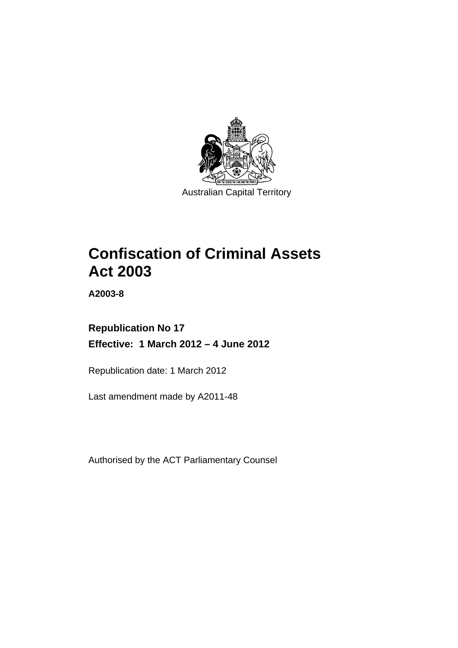

# **Confiscation of Criminal Assets Act 2003**

**A2003-8** 

# **Republication No 17 Effective: 1 March 2012 – 4 June 2012**

Republication date: 1 March 2012

Last amendment made by A2011-48

Authorised by the ACT Parliamentary Counsel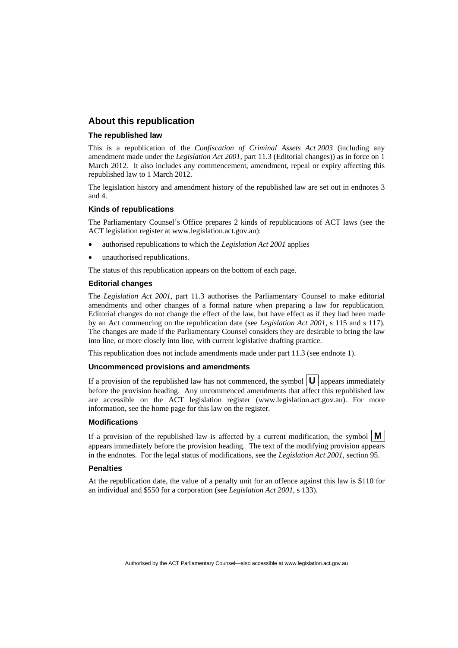## **About this republication**

### **The republished law**

This is a republication of the *Confiscation of Criminal Assets Act 2003* (including any amendment made under the *Legislation Act 2001*, part 11.3 (Editorial changes)) as in force on 1 March 2012*.* It also includes any commencement, amendment, repeal or expiry affecting this republished law to 1 March 2012.

The legislation history and amendment history of the republished law are set out in endnotes 3 and 4.

### **Kinds of republications**

The Parliamentary Counsel's Office prepares 2 kinds of republications of ACT laws (see the ACT legislation register at www.legislation.act.gov.au):

- authorised republications to which the *Legislation Act 2001* applies
- unauthorised republications.

The status of this republication appears on the bottom of each page.

### **Editorial changes**

The *Legislation Act 2001*, part 11.3 authorises the Parliamentary Counsel to make editorial amendments and other changes of a formal nature when preparing a law for republication. Editorial changes do not change the effect of the law, but have effect as if they had been made by an Act commencing on the republication date (see *Legislation Act 2001*, s 115 and s 117). The changes are made if the Parliamentary Counsel considers they are desirable to bring the law into line, or more closely into line, with current legislative drafting practice.

This republication does not include amendments made under part 11.3 (see endnote 1).

### **Uncommenced provisions and amendments**

If a provision of the republished law has not commenced, the symbol  $\mathbf{U}$  appears immediately before the provision heading. Any uncommenced amendments that affect this republished law are accessible on the ACT legislation register (www.legislation.act.gov.au). For more information, see the home page for this law on the register.

#### **Modifications**

If a provision of the republished law is affected by a current modification, the symbol  $\mathbf{M}$ appears immediately before the provision heading. The text of the modifying provision appears in the endnotes. For the legal status of modifications, see the *Legislation Act 2001*, section 95.

#### **Penalties**

At the republication date, the value of a penalty unit for an offence against this law is \$110 for an individual and \$550 for a corporation (see *Legislation Act 2001*, s 133).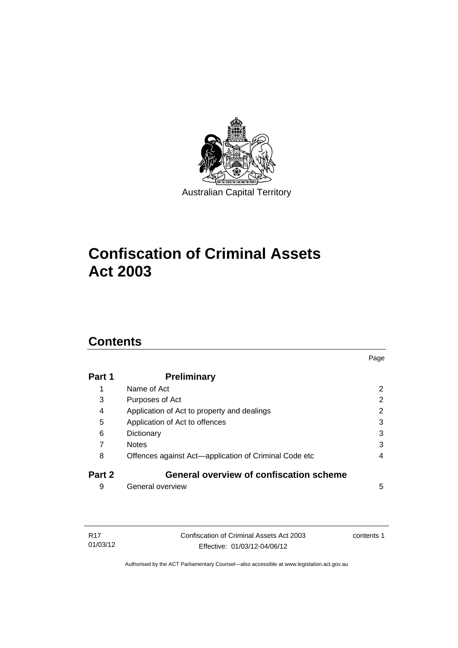

# **Confiscation of Criminal Assets Act 2003**

# **Contents**

| Part 1 | <b>Preliminary</b>                                    |   |
|--------|-------------------------------------------------------|---|
| 1      | Name of Act                                           | 2 |
| 3      | Purposes of Act                                       | 2 |
| 4      | Application of Act to property and dealings           | 2 |
| 5      | Application of Act to offences                        | 3 |
| 6      | Dictionary                                            | 3 |
| 7      | <b>Notes</b>                                          | 3 |
| 8      | Offences against Act-application of Criminal Code etc | 4 |
| Part 2 | <b>General overview of confiscation scheme</b>        |   |
| 9      | General overview                                      | 5 |

Page

| R17      | Confiscation of Criminal Assets Act 2003 | contents 1 |
|----------|------------------------------------------|------------|
| 01/03/12 | Effective: 01/03/12-04/06/12             |            |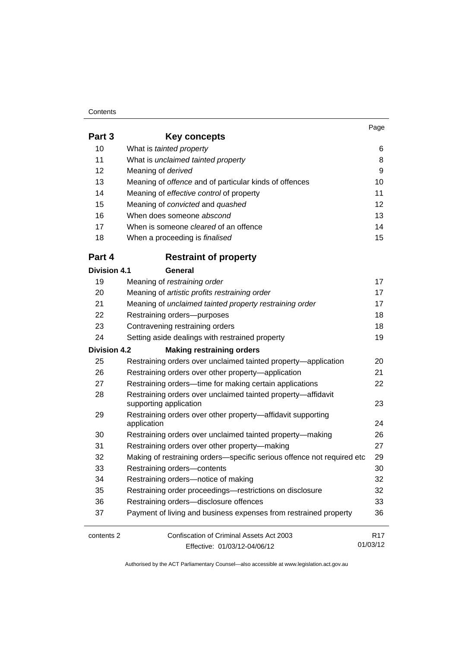#### **Contents**

01/03/12

| Part 3              | Key concepts                                                               |                 |
|---------------------|----------------------------------------------------------------------------|-----------------|
| 10                  | What is tainted property                                                   | 6               |
| 11                  | What is unclaimed tainted property                                         | 8               |
| 12                  | Meaning of derived                                                         | 9               |
| 13                  | Meaning of offence and of particular kinds of offences                     | 10              |
| 14                  | Meaning of effective control of property                                   | 11              |
| 15                  | Meaning of convicted and quashed                                           | 12              |
| 16                  | When does someone abscond                                                  | 13              |
| 17                  | When is someone <i>cleared</i> of an offence                               | 14              |
| 18                  | When a proceeding is <i>finalised</i>                                      | 15              |
| Part 4              | <b>Restraint of property</b>                                               |                 |
| <b>Division 4.1</b> | General                                                                    |                 |
| 19                  | Meaning of restraining order                                               | 17              |
| 20                  | Meaning of artistic profits restraining order                              | 17              |
| 21                  | Meaning of unclaimed tainted property restraining order                    | 17              |
| 22                  | Restraining orders--purposes                                               | 18              |
| 23                  | Contravening restraining orders                                            | 18              |
| 24                  | Setting aside dealings with restrained property                            | 19              |
| <b>Division 4.2</b> | <b>Making restraining orders</b>                                           |                 |
| 25                  | Restraining orders over unclaimed tainted property-application             | 20              |
| 26                  | Restraining orders over other property-application                         | 21              |
| 27                  | Restraining orders---time for making certain applications                  | 22              |
| 28                  | Restraining orders over unclaimed tainted property-affidavit               |                 |
|                     | supporting application                                                     | 23              |
| 29                  | Restraining orders over other property-affidavit supporting<br>application | 24              |
| 30                  | Restraining orders over unclaimed tainted property-making                  | 26              |
| 31                  | Restraining orders over other property-making                              | 27              |
| 32                  | Making of restraining orders-specific serious offence not required etc     | 29              |
| 33                  | Restraining orders-contents                                                | 30              |
| 34                  | Restraining orders-notice of making                                        | 32              |
| 35                  | Restraining order proceedings-restrictions on disclosure                   | 32              |
| 36                  | Restraining orders-disclosure offences                                     | 33              |
| 37                  | Payment of living and business expenses from restrained property           | 36              |
| contents 2          | Confiscation of Criminal Assets Act 2003                                   | R <sub>17</sub> |

Effective: 01/03/12-04/06/12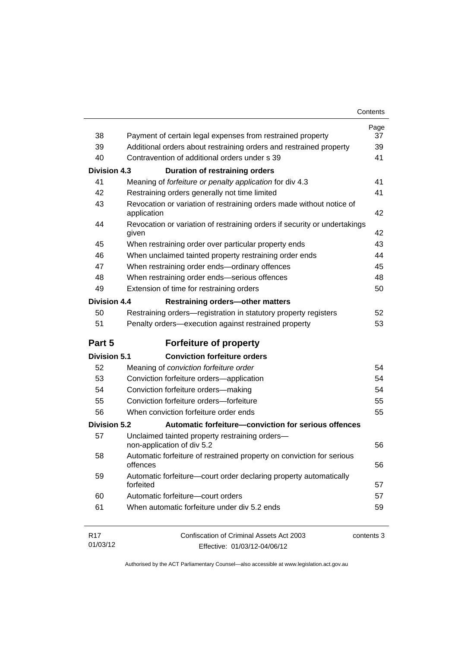| Contents |
|----------|
|----------|

|                             |                                                                                                                                  | Page<br>37 |
|-----------------------------|----------------------------------------------------------------------------------------------------------------------------------|------------|
| 38<br>39                    | Payment of certain legal expenses from restrained property<br>Additional orders about restraining orders and restrained property | 39         |
| 40                          | Contravention of additional orders under s 39                                                                                    | 41         |
| <b>Division 4.3</b>         |                                                                                                                                  |            |
| 41                          | <b>Duration of restraining orders</b>                                                                                            | 41         |
| 42                          | Meaning of forfeiture or penalty application for div 4.3                                                                         | 41         |
| 43                          | Restraining orders generally not time limited                                                                                    |            |
|                             | Revocation or variation of restraining orders made without notice of<br>application                                              | 42         |
| 44                          | Revocation or variation of restraining orders if security or undertakings<br>given                                               | 42         |
| 45                          | When restraining order over particular property ends                                                                             | 43         |
| 46                          | When unclaimed tainted property restraining order ends                                                                           | 44         |
| 47                          | When restraining order ends-ordinary offences                                                                                    | 45         |
| 48                          | When restraining order ends-serious offences                                                                                     | 48         |
| 49                          | Extension of time for restraining orders                                                                                         | 50         |
| <b>Division 4.4</b>         | <b>Restraining orders-other matters</b>                                                                                          |            |
| 50                          | Restraining orders-registration in statutory property registers                                                                  | 52         |
| 51                          | Penalty orders-execution against restrained property                                                                             | 53         |
| Part 5                      | <b>Forfeiture of property</b>                                                                                                    |            |
| <b>Division 5.1</b>         | <b>Conviction forfeiture orders</b>                                                                                              |            |
| 52                          | Meaning of conviction forfeiture order                                                                                           | 54         |
| 53                          | Conviction forfeiture orders-application                                                                                         | 54         |
| 54                          | Conviction forfeiture orders-making                                                                                              | 54         |
| 55                          | Conviction forfeiture orders-forfeiture                                                                                          | 55         |
|                             |                                                                                                                                  |            |
| 56                          | When conviction forfeiture order ends                                                                                            | 55         |
| <b>Division 5.2</b>         | Automatic forfeiture-conviction for serious offences                                                                             |            |
| 57                          | Unclaimed tainted property restraining orders-                                                                                   |            |
|                             | non-application of div 5.2                                                                                                       | 56         |
| 58                          | Automatic forfeiture of restrained property on conviction for serious<br>offences                                                | 56         |
| 59                          | Automatic forfeiture-court order declaring property automatically<br>forfeited                                                   | 57         |
| 60                          | Automatic forfeiture-court orders                                                                                                | 57         |
| 61                          | When automatic forfeiture under div 5.2 ends                                                                                     | 59         |
| R <sub>17</sub><br>01/03/12 | Confiscation of Criminal Assets Act 2003                                                                                         | contents 3 |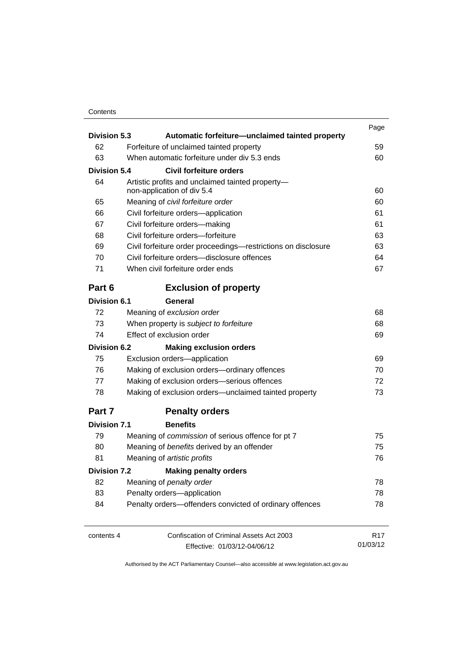## **Contents**

| <b>Division 5.3</b><br>Automatic forfeiture—unclaimed tainted property |                                                                                                                                                  | Page                                                    |                 |  |  |  |    |
|------------------------------------------------------------------------|--------------------------------------------------------------------------------------------------------------------------------------------------|---------------------------------------------------------|-----------------|--|--|--|----|
| 62                                                                     |                                                                                                                                                  | Forfeiture of unclaimed tainted property                | 59              |  |  |  |    |
| 63                                                                     |                                                                                                                                                  | When automatic forfeiture under div 5.3 ends            | 60              |  |  |  |    |
| <b>Division 5.4</b>                                                    |                                                                                                                                                  | Civil forfeiture orders                                 |                 |  |  |  |    |
|                                                                        | 64<br>Artistic profits and unclaimed tainted property-                                                                                           |                                                         |                 |  |  |  |    |
|                                                                        | non-application of div 5.4                                                                                                                       |                                                         |                 |  |  |  |    |
| 65                                                                     | Meaning of civil forfeiture order<br>Civil forfeiture orders-application<br>Civil forfeiture orders-making<br>Civil forfeiture orders-forfeiture | 60                                                      |                 |  |  |  |    |
| 66                                                                     |                                                                                                                                                  | 61                                                      |                 |  |  |  |    |
| 67                                                                     |                                                                                                                                                  | 61                                                      |                 |  |  |  |    |
| 68                                                                     |                                                                                                                                                  | 63                                                      |                 |  |  |  |    |
| 69                                                                     | Civil forfeiture order proceedings-restrictions on disclosure                                                                                    |                                                         |                 |  |  |  |    |
| 70                                                                     |                                                                                                                                                  | Civil forfeiture orders-disclosure offences             | 64              |  |  |  |    |
| 71                                                                     |                                                                                                                                                  | When civil forfeiture order ends                        | 67              |  |  |  |    |
| Part 6                                                                 |                                                                                                                                                  | <b>Exclusion of property</b>                            |                 |  |  |  |    |
| <b>Division 6.1</b>                                                    |                                                                                                                                                  | General                                                 |                 |  |  |  |    |
| 72                                                                     | Meaning of exclusion order<br>When property is subject to forfeiture<br>Effect of exclusion order                                                | 68                                                      |                 |  |  |  |    |
| 73                                                                     |                                                                                                                                                  | 68                                                      |                 |  |  |  |    |
| 74                                                                     |                                                                                                                                                  | 69                                                      |                 |  |  |  |    |
| <b>Division 6.2</b>                                                    |                                                                                                                                                  | <b>Making exclusion orders</b>                          |                 |  |  |  |    |
| 75                                                                     | Exclusion orders-application<br>Making of exclusion orders-ordinary offences<br>Making of exclusion orders-serious offences                      | 69                                                      |                 |  |  |  |    |
| 76                                                                     |                                                                                                                                                  |                                                         |                 |  |  |  | 70 |
| 77                                                                     |                                                                                                                                                  |                                                         |                 |  |  |  |    |
| 78                                                                     | Making of exclusion orders—unclaimed tainted property                                                                                            |                                                         |                 |  |  |  |    |
| Part 7                                                                 |                                                                                                                                                  | <b>Penalty orders</b>                                   |                 |  |  |  |    |
| <b>Division 7.1</b>                                                    |                                                                                                                                                  | <b>Benefits</b>                                         |                 |  |  |  |    |
| 79                                                                     |                                                                                                                                                  | Meaning of commission of serious offence for pt 7       | 75              |  |  |  |    |
| 80                                                                     |                                                                                                                                                  | Meaning of benefits derived by an offender              | 75              |  |  |  |    |
| 81                                                                     | Meaning of artistic profits                                                                                                                      | 76                                                      |                 |  |  |  |    |
| <b>Division 7.2</b>                                                    |                                                                                                                                                  | <b>Making penalty orders</b>                            |                 |  |  |  |    |
| 82                                                                     |                                                                                                                                                  | Meaning of penalty order                                | 78              |  |  |  |    |
| 83                                                                     |                                                                                                                                                  | Penalty orders-application                              | 78              |  |  |  |    |
| 84                                                                     |                                                                                                                                                  | Penalty orders-offenders convicted of ordinary offences | 78              |  |  |  |    |
| contents 4                                                             |                                                                                                                                                  | Confiscation of Criminal Assets Act 2003                | R <sub>17</sub> |  |  |  |    |
|                                                                        |                                                                                                                                                  | Effective: 01/03/12-04/06/12                            | 01/03/12        |  |  |  |    |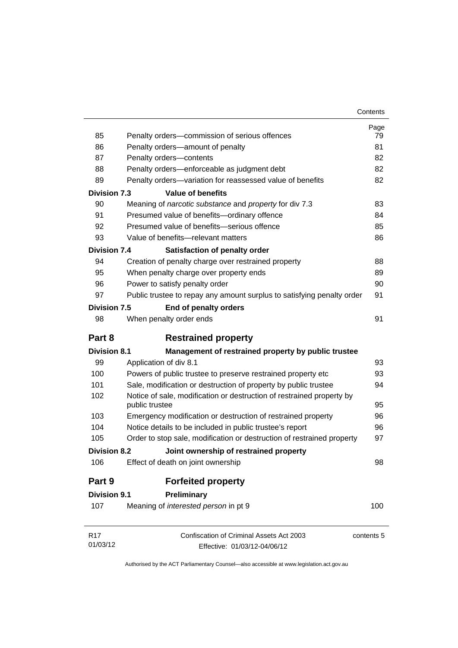| Contents |
|----------|
|----------|

| 85                  | Penalty orders-commission of serious offences                            | Page<br>79 |
|---------------------|--------------------------------------------------------------------------|------------|
| 86                  | Penalty orders-amount of penalty                                         | 81         |
| 87                  | Penalty orders-contents                                                  | 82         |
| 88                  | Penalty orders-enforceable as judgment debt                              | 82         |
| 89                  | Penalty orders-variation for reassessed value of benefits                | 82         |
| <b>Division 7.3</b> | <b>Value of benefits</b>                                                 |            |
| 90                  | Meaning of narcotic substance and property for div 7.3                   | 83         |
| 91                  | Presumed value of benefits-ordinary offence                              | 84         |
| 92                  | Presumed value of benefits-serious offence                               | 85         |
| 93                  | Value of benefits-relevant matters                                       | 86         |
| <b>Division 7.4</b> |                                                                          |            |
| 94                  | Satisfaction of penalty order                                            | 88         |
| 95                  | Creation of penalty charge over restrained property                      | 89         |
| 96                  | When penalty charge over property ends<br>Power to satisfy penalty order | 90         |
| 97                  |                                                                          | 91         |
|                     | Public trustee to repay any amount surplus to satisfying penalty order   |            |
| <b>Division 7.5</b> | End of penalty orders                                                    |            |
| 98                  | When penalty order ends                                                  | 91         |
| Part 8              | <b>Restrained property</b>                                               |            |
| <b>Division 8.1</b> | Management of restrained property by public trustee                      |            |
| 99                  | Application of div 8.1                                                   | 93         |
| 100                 | Powers of public trustee to preserve restrained property etc             | 93         |
| 101                 | Sale, modification or destruction of property by public trustee          | 94         |
| 102                 | Notice of sale, modification or destruction of restrained property by    |            |
|                     | public trustee                                                           | 95         |
| 103                 | Emergency modification or destruction of restrained property             | 96         |
| 104                 | Notice details to be included in public trustee's report                 | 96         |
| 105                 | Order to stop sale, modification or destruction of restrained property   | 97         |
| <b>Division 8.2</b> | Joint ownership of restrained property                                   |            |
| 106                 | Effect of death on joint ownership                                       | 98         |
| Part 9              | <b>Forfeited property</b>                                                |            |
| <b>Division 9.1</b> | Preliminary                                                              |            |
| 107                 | Meaning of <i>interested person</i> in pt 9                              | 100        |
| R <sub>17</sub>     | Confiscation of Criminal Assets Act 2003                                 | contents 5 |
| 01/03/12            | Effective: 01/03/12-04/06/12                                             |            |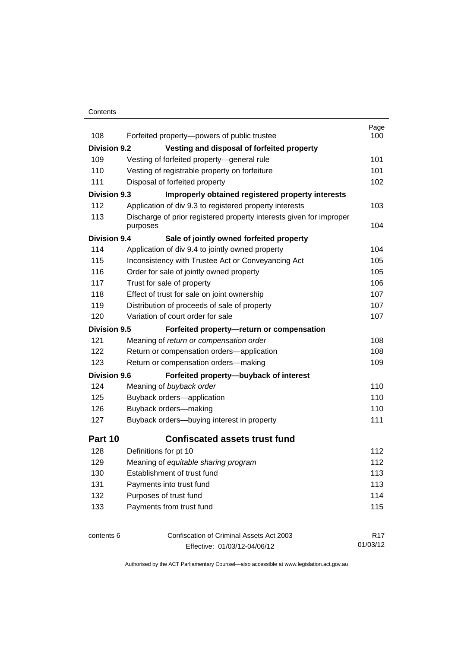### **Contents**

| 108                 | Forfeited property-powers of public trustee                                                                                    | Page<br>100     |
|---------------------|--------------------------------------------------------------------------------------------------------------------------------|-----------------|
| <b>Division 9.2</b> | Vesting and disposal of forfeited property                                                                                     |                 |
| 109                 | Vesting of forfeited property-general rule                                                                                     | 101             |
| 110                 | Vesting of registrable property on forfeiture                                                                                  | 101             |
| 111                 | Disposal of forfeited property                                                                                                 | 102             |
| <b>Division 9.3</b> |                                                                                                                                |                 |
| 112                 | Improperly obtained registered property interests                                                                              | 103             |
| 113                 | Application of div 9.3 to registered property interests<br>Discharge of prior registered property interests given for improper |                 |
|                     | purposes                                                                                                                       | 104             |
| <b>Division 9.4</b> | Sale of jointly owned forfeited property                                                                                       |                 |
| 114                 | Application of div 9.4 to jointly owned property                                                                               | 104             |
| 115                 | Inconsistency with Trustee Act or Conveyancing Act                                                                             | 105             |
| 116                 | Order for sale of jointly owned property                                                                                       | 105             |
| 117                 | Trust for sale of property                                                                                                     | 106             |
| 118                 | Effect of trust for sale on joint ownership                                                                                    | 107             |
| 119                 | Distribution of proceeds of sale of property                                                                                   | 107             |
| 120                 | Variation of court order for sale                                                                                              | 107             |
| <b>Division 9.5</b> | Forfeited property-return or compensation                                                                                      |                 |
| 121                 | Meaning of return or compensation order                                                                                        | 108             |
| 122                 | Return or compensation orders-application                                                                                      | 108             |
| 123                 | Return or compensation orders-making                                                                                           | 109             |
| <b>Division 9.6</b> | Forfeited property-buyback of interest                                                                                         |                 |
| 124                 | Meaning of buyback order                                                                                                       | 110             |
| 125                 | Buyback orders-application                                                                                                     | 110             |
| 126                 | Buyback orders-making                                                                                                          | 110             |
| 127                 | Buyback orders-buying interest in property                                                                                     | 111             |
| Part 10             | <b>Confiscated assets trust fund</b>                                                                                           |                 |
| 128                 | Definitions for pt 10                                                                                                          | 112             |
| 129                 | Meaning of equitable sharing program                                                                                           | 112             |
| 130                 | Establishment of trust fund                                                                                                    | 113             |
| 131                 | Payments into trust fund                                                                                                       | 113             |
| 132                 | Purposes of trust fund                                                                                                         | 114             |
| 133                 | Payments from trust fund                                                                                                       | 115             |
| contents 6          | Confiscation of Criminal Assets Act 2003                                                                                       | R <sub>17</sub> |
|                     | Effective: 01/03/12-04/06/12                                                                                                   | 01/03/12        |

Effective: 01/03/12-04/06/12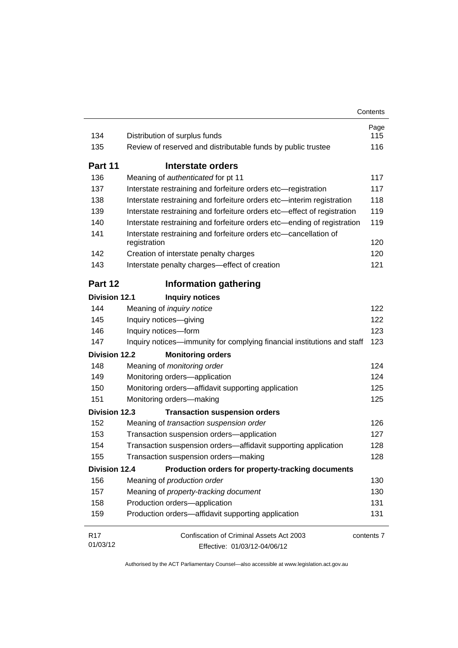| 134                  | Distribution of surplus funds                                                    | Page<br>115 |
|----------------------|----------------------------------------------------------------------------------|-------------|
| 135                  | Review of reserved and distributable funds by public trustee                     | 116         |
| Part 11              | Interstate orders                                                                |             |
| 136                  | Meaning of authenticated for pt 11                                               | 117         |
| 137                  | Interstate restraining and forfeiture orders etc-registration                    | 117         |
| 138                  | Interstate restraining and forfeiture orders etc-interim registration            | 118         |
| 139                  | Interstate restraining and forfeiture orders etc-effect of registration          | 119         |
| 140                  | Interstate restraining and forfeiture orders etc-ending of registration          | 119         |
| 141                  | Interstate restraining and forfeiture orders etc-cancellation of                 |             |
|                      | registration                                                                     | 120         |
| 142                  | Creation of interstate penalty charges                                           | 120         |
| 143                  | Interstate penalty charges-effect of creation                                    | 121         |
| Part 12              | <b>Information gathering</b>                                                     |             |
| <b>Division 12.1</b> |                                                                                  |             |
| 144                  | <b>Inquiry notices</b><br>Meaning of inquiry notice                              | 122         |
| 145                  | Inquiry notices-giving                                                           | 122         |
| 146                  | Inquiry notices-form                                                             | 123         |
| 147                  | Inquiry notices—immunity for complying financial institutions and staff          | 123         |
| <b>Division 12.2</b> | <b>Monitoring orders</b>                                                         |             |
| 148                  | Meaning of monitoring order                                                      | 124         |
| 149                  | Monitoring orders-application                                                    | 124         |
| 150                  | Monitoring orders-affidavit supporting application                               | 125         |
| 151                  | Monitoring orders-making                                                         | 125         |
| <b>Division 12.3</b> |                                                                                  |             |
| 152                  | <b>Transaction suspension orders</b><br>Meaning of transaction suspension order  | 126         |
| 153                  | Transaction suspension orders-application                                        | 127         |
| 154                  | Transaction suspension orders-affidavit supporting application                   | 128         |
| 155                  | Transaction suspension orders-making                                             | 128         |
|                      | <b>Division 12.4</b>                                                             |             |
| 156                  | Production orders for property-tracking documents<br>Meaning of production order | 130         |
| 157                  | Meaning of property-tracking document                                            | 130         |
| 158                  | Production orders-application                                                    | 131         |
| 159                  | Production orders-affidavit supporting application                               | 131         |
| R17                  | Confiscation of Criminal Assets Act 2003                                         | contents 7  |
| 01/03/12             | Effective: 01/03/12-04/06/12                                                     |             |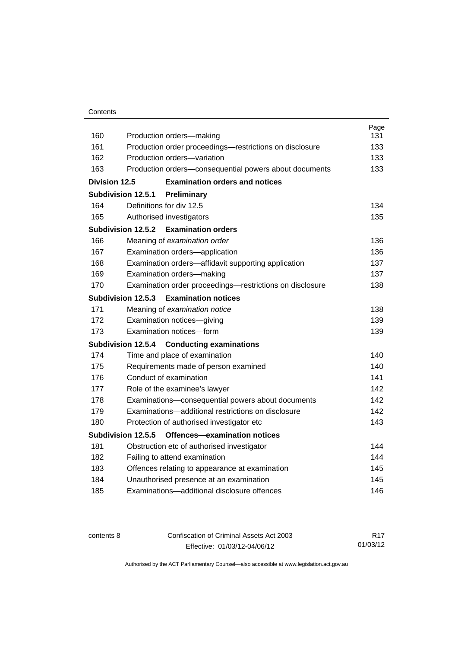| Contents |
|----------|
|----------|

|               |                                                             | Page |
|---------------|-------------------------------------------------------------|------|
| 160           | Production orders-making                                    | 131  |
| 161           | Production order proceedings—restrictions on disclosure     | 133  |
| 162           | Production orders-variation                                 | 133  |
| 163           | Production orders-consequential powers about documents      | 133  |
| Division 12.5 | <b>Examination orders and notices</b>                       |      |
|               | Subdivision 12.5.1<br>Preliminary                           |      |
| 164           | Definitions for div 12.5                                    | 134  |
| 165           | Authorised investigators                                    | 135  |
|               | <b>Examination orders</b><br>Subdivision 12.5.2             |      |
| 166           | Meaning of examination order                                | 136  |
| 167           | Examination orders-application                              | 136  |
| 168           | Examination orders—affidavit supporting application         | 137  |
| 169           | Examination orders-making                                   | 137  |
| 170           | Examination order proceedings-restrictions on disclosure    | 138  |
|               | Subdivision 12.5.3<br><b>Examination notices</b>            |      |
| 171           | Meaning of examination notice                               | 138  |
| 172           | Examination notices-giving                                  | 139  |
| 173           | Examination notices-form                                    | 139  |
|               | <b>Subdivision 12.5.4</b><br><b>Conducting examinations</b> |      |
| 174           | Time and place of examination                               | 140  |
| 175           | Requirements made of person examined                        | 140  |
| 176           | Conduct of examination                                      | 141  |
| 177           | Role of the examinee's lawyer                               | 142  |
| 178           | Examinations-consequential powers about documents           | 142  |
| 179           | Examinations—additional restrictions on disclosure          | 142  |
| 180           | Protection of authorised investigator etc                   | 143  |
|               | Subdivision 12.5.5<br>Offences-examination notices          |      |
| 181           | Obstruction etc of authorised investigator                  | 144  |
| 182           | Failing to attend examination                               | 144  |
| 183           | Offences relating to appearance at examination              | 145  |
| 184           | Unauthorised presence at an examination                     | 145  |
| 185           | Examinations-additional disclosure offences                 | 146  |
|               |                                                             |      |

contents 8 Confiscation of Criminal Assets Act 2003 Effective: 01/03/12-04/06/12

R17 01/03/12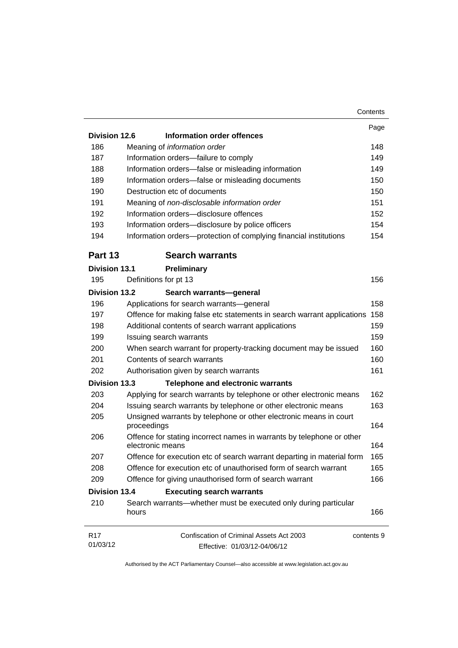|                      | Contents                                                                                  |  |
|----------------------|-------------------------------------------------------------------------------------------|--|
|                      |                                                                                           |  |
| Division 12.6        | Information order offences                                                                |  |
| 186                  | Meaning of information order                                                              |  |
| 187                  | Information orders-failure to comply                                                      |  |
| 188                  | Information orders-false or misleading information                                        |  |
| 189                  | Information orders-false or misleading documents                                          |  |
| 190                  | Destruction etc of documents                                                              |  |
| 191                  | Meaning of non-disclosable information order                                              |  |
| 192                  | Information orders-disclosure offences                                                    |  |
| 193                  | Information orders-disclosure by police officers                                          |  |
| 194                  | Information orders-protection of complying financial institutions                         |  |
| Part 13              | <b>Search warrants</b>                                                                    |  |
| <b>Division 13.1</b> | Preliminary                                                                               |  |
| 195                  | Definitions for pt 13                                                                     |  |
| <b>Division 13.2</b> | Search warrants-general                                                                   |  |
| 196                  | Applications for search warrants-general                                                  |  |
| 197                  | Offence for making false etc statements in search warrant applications                    |  |
| 198                  | Additional contents of search warrant applications                                        |  |
| 199                  | Issuing search warrants                                                                   |  |
| 200                  | When search warrant for property-tracking document may be issued                          |  |
| 201                  | Contents of search warrants                                                               |  |
| 202                  | Authorisation given by search warrants                                                    |  |
| Division 13.3        | <b>Telephone and electronic warrants</b>                                                  |  |
| 203                  | Applying for search warrants by telephone or other electronic means                       |  |
| 204                  | Issuing search warrants by telephone or other electronic means                            |  |
| 205                  | Unsigned warrants by telephone or other electronic means in court                         |  |
|                      | proceedings                                                                               |  |
| 206                  | Offence for stating incorrect names in warrants by telephone or other<br>electronic means |  |
| 207                  | Offence for execution etc of search warrant departing in material form                    |  |
| 208                  | Offence for execution etc of unauthorised form of search warrant                          |  |
| 209                  | Offence for giving unauthorised form of search warrant                                    |  |
| <b>Division 13.4</b> | <b>Executing search warrants</b>                                                          |  |
| 210                  | Search warrants—whether must be executed only during particular                           |  |
|                      | hours                                                                                     |  |
| R17                  | Confiscation of Criminal Assets Act 2003<br>contents 9                                    |  |
| 01/03/12             | Effective: 01/03/12-04/06/12                                                              |  |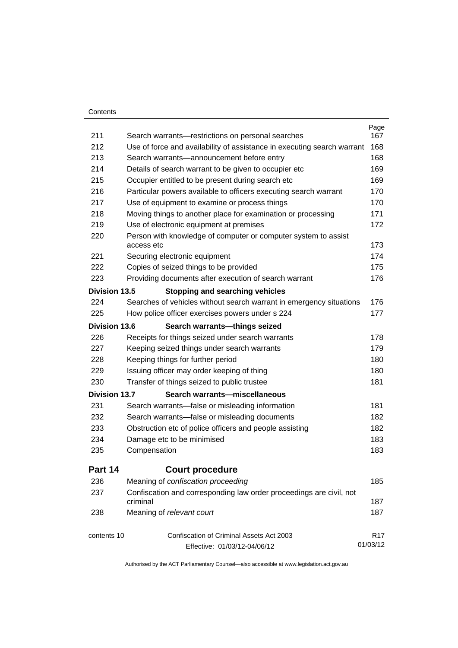### **Contents**

| 211                  | Search warrants-restrictions on personal searches                               | Page<br>167     |  |
|----------------------|---------------------------------------------------------------------------------|-----------------|--|
| 212                  | Use of force and availability of assistance in executing search warrant         |                 |  |
| 213                  | Search warrants-announcement before entry                                       |                 |  |
| 214                  | Details of search warrant to be given to occupier etc                           | 168<br>169      |  |
| 215                  | Occupier entitled to be present during search etc                               | 169             |  |
| 216                  | Particular powers available to officers executing search warrant                | 170             |  |
| 217                  | Use of equipment to examine or process things                                   | 170             |  |
| 218                  | Moving things to another place for examination or processing                    | 171             |  |
| 219                  | Use of electronic equipment at premises                                         | 172             |  |
| 220                  | Person with knowledge of computer or computer system to assist<br>access etc    |                 |  |
| 221                  | Securing electronic equipment                                                   | 174             |  |
| 222                  | Copies of seized things to be provided                                          | 175             |  |
| 223                  | Providing documents after execution of search warrant                           | 176             |  |
| Division 13.5        | <b>Stopping and searching vehicles</b>                                          |                 |  |
| 224                  | Searches of vehicles without search warrant in emergency situations             | 176             |  |
| 225                  | How police officer exercises powers under s 224                                 | 177             |  |
| Division 13.6        | Search warrants-things seized                                                   |                 |  |
| 226                  | Receipts for things seized under search warrants                                | 178             |  |
| 227                  | Keeping seized things under search warrants                                     | 179             |  |
| 228                  | Keeping things for further period                                               | 180             |  |
| 229                  | Issuing officer may order keeping of thing                                      | 180             |  |
| 230                  | Transfer of things seized to public trustee                                     | 181             |  |
| <b>Division 13.7</b> | Search warrants-miscellaneous                                                   |                 |  |
| 231                  | Search warrants-false or misleading information                                 | 181             |  |
| 232                  | Search warrants-false or misleading documents                                   | 182             |  |
| 233                  | Obstruction etc of police officers and people assisting                         |                 |  |
| 234                  | Damage etc to be minimised                                                      | 183             |  |
| 235                  | Compensation                                                                    | 183             |  |
| Part 14              | <b>Court procedure</b>                                                          |                 |  |
| 236                  | Meaning of confiscation proceeding                                              | 185             |  |
| 237                  | Confiscation and corresponding law order proceedings are civil, not<br>criminal | 187             |  |
| 238                  | Meaning of relevant court                                                       | 187             |  |
| contents 10          | Confiscation of Criminal Assets Act 2003                                        | R <sub>17</sub> |  |
|                      | Effective: 01/03/12-04/06/12                                                    | 01/03/12        |  |
|                      |                                                                                 |                 |  |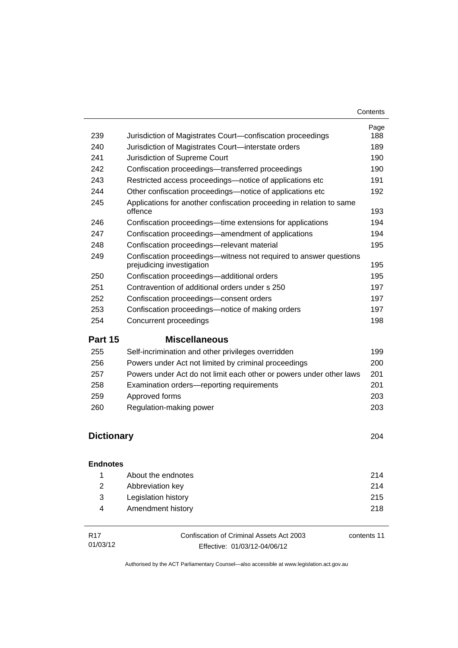| 239               | Jurisdiction of Magistrates Court-confiscation proceedings                                     | Page<br>188 |
|-------------------|------------------------------------------------------------------------------------------------|-------------|
| 240               | Jurisdiction of Magistrates Court-interstate orders                                            | 189         |
| 241               | Jurisdiction of Supreme Court                                                                  | 190         |
| 242               | Confiscation proceedings—transferred proceedings                                               | 190         |
| 243               | Restricted access proceedings—notice of applications etc                                       | 191         |
| 244               | Other confiscation proceedings—notice of applications etc                                      | 192         |
| 245               | Applications for another confiscation proceeding in relation to same<br>offence                | 193         |
| 246               | Confiscation proceedings—time extensions for applications                                      | 194         |
| 247               | Confiscation proceedings—amendment of applications                                             | 194         |
| 248               | Confiscation proceedings-relevant material                                                     | 195         |
| 249               | Confiscation proceedings—witness not required to answer questions<br>prejudicing investigation | 195         |
| 250               | Confiscation proceedings-additional orders                                                     | 195         |
| 251               | Contravention of additional orders under s 250                                                 | 197         |
| 252               | Confiscation proceedings-consent orders                                                        | 197         |
| 253               | Confiscation proceedings—notice of making orders                                               | 197         |
| 254               | Concurrent proceedings                                                                         | 198         |
| Part 15           | <b>Miscellaneous</b>                                                                           |             |
| 255               | Self-incrimination and other privileges overridden                                             | 199         |
| 256               | Powers under Act not limited by criminal proceedings                                           | 200         |
| 257               | Powers under Act do not limit each other or powers under other laws                            | 201         |
| 258               | Examination orders-reporting requirements                                                      | 201         |
| 259               | Approved forms                                                                                 | 203         |
| 260               | Regulation-making power                                                                        | 203         |
| <b>Dictionary</b> |                                                                                                | 204         |
|                   |                                                                                                |             |

| <b>Endnotes</b> |  |
|-----------------|--|
|-----------------|--|

|              | About the endnotes  | 214 |
|--------------|---------------------|-----|
| <sup>2</sup> | Abbreviation key    | 214 |
| - 3          | Legislation history | 215 |
| 4            | Amendment history   | 218 |
|              |                     |     |

| R17      | Confiscation of Criminal Assets Act 2003 | contents 11 |
|----------|------------------------------------------|-------------|
| 01/03/12 | Effective: 01/03/12-04/06/12             |             |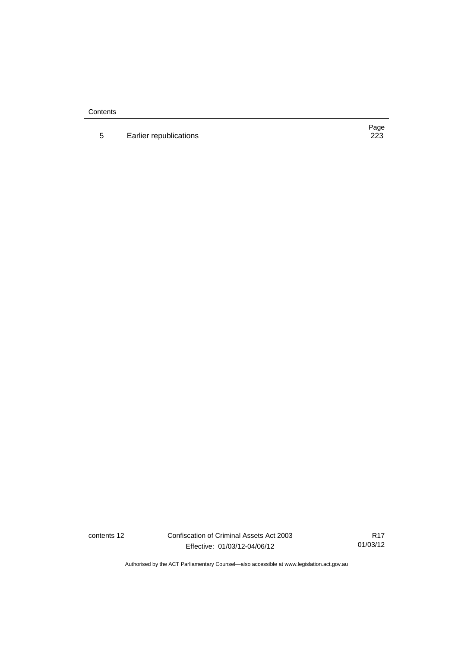**Contents** 

5 Earlier republications

Page<br>223

contents 12 Confiscation of Criminal Assets Act 2003 Effective: 01/03/12-04/06/12

R17 01/03/12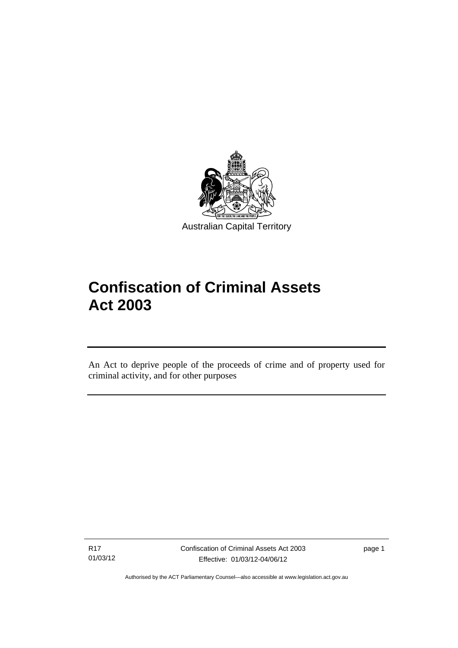

# **Confiscation of Criminal Assets Act 2003**

An Act to deprive people of the proceeds of crime and of property used for criminal activity, and for other purposes

R17 01/03/12

l

page 1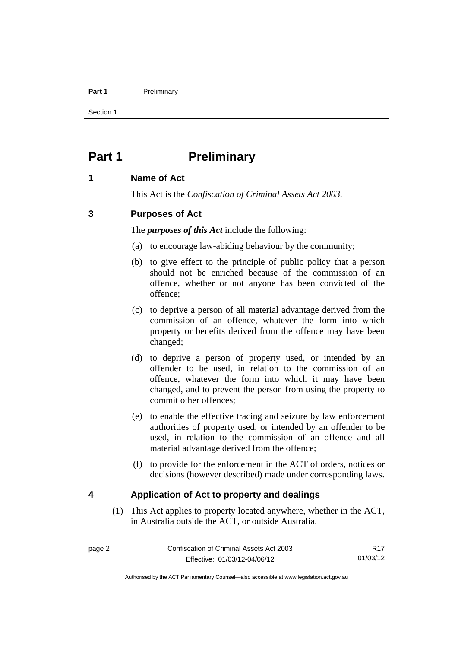### Part 1 **Preliminary**

Section 1

# <span id="page-15-0"></span>**Part 1** Preliminary

# <span id="page-15-1"></span>**1 Name of Act**

This Act is the *Confiscation of Criminal Assets Act 2003.*

# <span id="page-15-2"></span>**3 Purposes of Act**

The *purposes of this Act* include the following:

- (a) to encourage law-abiding behaviour by the community;
- (b) to give effect to the principle of public policy that a person should not be enriched because of the commission of an offence, whether or not anyone has been convicted of the offence;
- (c) to deprive a person of all material advantage derived from the commission of an offence, whatever the form into which property or benefits derived from the offence may have been changed;
- (d) to deprive a person of property used, or intended by an offender to be used, in relation to the commission of an offence, whatever the form into which it may have been changed, and to prevent the person from using the property to commit other offences;
- (e) to enable the effective tracing and seizure by law enforcement authorities of property used, or intended by an offender to be used, in relation to the commission of an offence and all material advantage derived from the offence;
- (f) to provide for the enforcement in the ACT of orders, notices or decisions (however described) made under corresponding laws.

# <span id="page-15-3"></span>**4 Application of Act to property and dealings**

(1) This Act applies to property located anywhere, whether in the ACT, in Australia outside the ACT, or outside Australia.

R17 01/03/12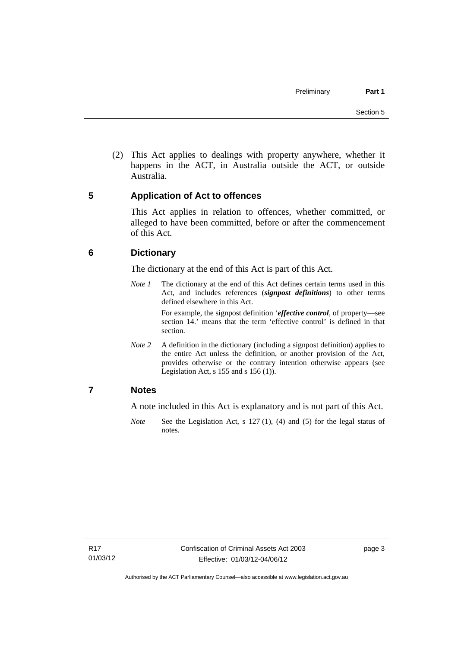(2) This Act applies to dealings with property anywhere, whether it happens in the ACT, in Australia outside the ACT, or outside Australia.

# <span id="page-16-0"></span>**5 Application of Act to offences**

This Act applies in relation to offences, whether committed, or alleged to have been committed, before or after the commencement of this Act.

# <span id="page-16-1"></span>**6 Dictionary**

The dictionary at the end of this Act is part of this Act.

*Note 1* The dictionary at the end of this Act defines certain terms used in this Act, and includes references (*signpost definitions*) to other terms defined elsewhere in this Act.

> For example, the signpost definition '*effective control*, of property—see section 14.' means that the term 'effective control' is defined in that section.

*Note* 2 A definition in the dictionary (including a signpost definition) applies to the entire Act unless the definition, or another provision of the Act, provides otherwise or the contrary intention otherwise appears (see Legislation Act,  $s$  155 and  $s$  156 (1)).

# <span id="page-16-2"></span>**7 Notes**

A note included in this Act is explanatory and is not part of this Act.

*Note* See the Legislation Act, s 127 (1), (4) and (5) for the legal status of notes.

page 3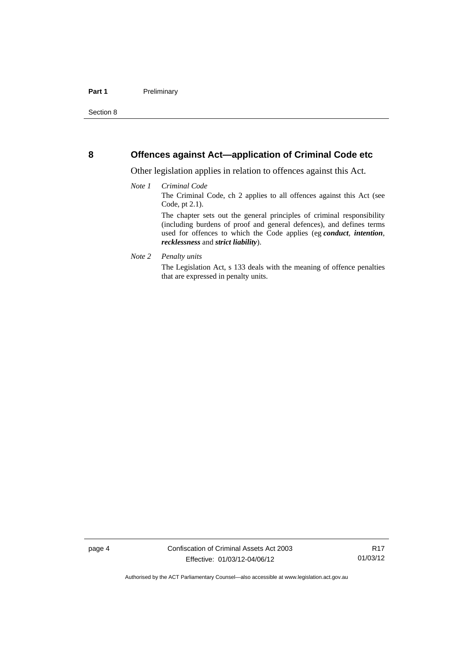## <span id="page-17-0"></span>**8 Offences against Act—application of Criminal Code etc**

Other legislation applies in relation to offences against this Act.

### *Note 1 Criminal Code* The Criminal Code, ch 2 applies to all offences against this Act (see Code, pt 2.1). The chapter sets out the general principles of criminal responsibility (including burdens of proof and general defences), and defines terms used for offences to which the Code applies (eg *conduct*, *intention*, *recklessness* and *strict liability*).

### *Note 2 Penalty units*

The Legislation Act, s 133 deals with the meaning of offence penalties that are expressed in penalty units.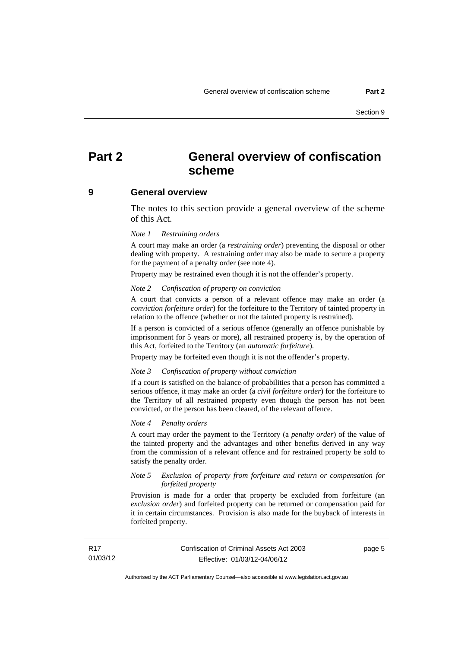# <span id="page-18-0"></span>**Part 2 General overview of confiscation scheme**

### <span id="page-18-1"></span>**9 General overview**

The notes to this section provide a general overview of the scheme of this Act.

### *Note 1 Restraining orders*

A court may make an order (a *restraining order*) preventing the disposal or other dealing with property. A restraining order may also be made to secure a property for the payment of a penalty order (see note 4).

Property may be restrained even though it is not the offender's property.

#### *Note 2 Confiscation of property on conviction*

A court that convicts a person of a relevant offence may make an order (a *conviction forfeiture order*) for the forfeiture to the Territory of tainted property in relation to the offence (whether or not the tainted property is restrained).

If a person is convicted of a serious offence (generally an offence punishable by imprisonment for 5 years or more), all restrained property is, by the operation of this Act, forfeited to the Territory (an *automatic forfeiture*).

Property may be forfeited even though it is not the offender's property.

#### *Note 3 Confiscation of property without conviction*

If a court is satisfied on the balance of probabilities that a person has committed a serious offence, it may make an order (a *civil forfeiture order*) for the forfeiture to the Territory of all restrained property even though the person has not been convicted, or the person has been cleared, of the relevant offence.

### *Note 4 Penalty orders*

A court may order the payment to the Territory (a *penalty order*) of the value of the tainted property and the advantages and other benefits derived in any way from the commission of a relevant offence and for restrained property be sold to satisfy the penalty order.

### *Note 5 Exclusion of property from forfeiture and return or compensation for forfeited property*

Provision is made for a order that property be excluded from forfeiture (an *exclusion order*) and forfeited property can be returned or compensation paid for it in certain circumstances. Provision is also made for the buyback of interests in forfeited property.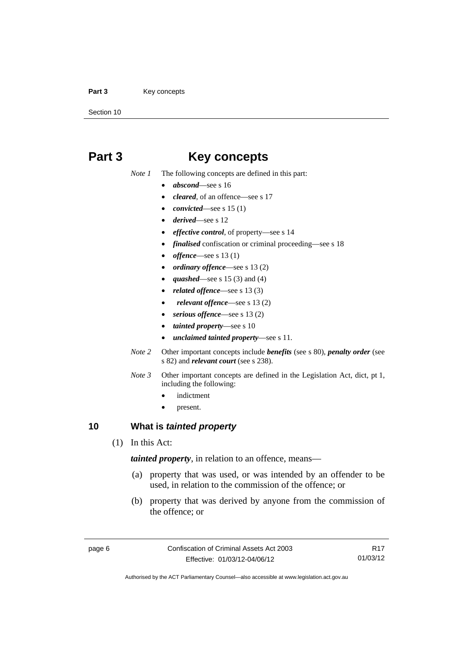### Part 3 **Key concepts**

Section 10

# <span id="page-19-0"></span>**Part 3 Key concepts**

*Note 1* The following concepts are defined in this part:

- *abscond*—see s 16
- *cleared*, of an offence—see s 17
- *convicted*—see s 15 (1)
- *derived*—see s 12
- *effective control*, of property—see s 14
- *finalised* confiscation or criminal proceeding—see s 18
- *offence*—see s 13 (1)
- *ordinary offence*—see s 13 (2)
- *quashed*—see s 15 (3) and (4)
- *related offence*—see s 13 (3)
- *relevant offence*—see s 13 (2)
- *serious offence*—see s 13 (2)
- *tainted property*—see s 10
- *unclaimed tainted property*—see s 11.
- *Note 2* Other important concepts include *benefits* (see s 80), *penalty order* (see s 82) and *relevant court* (see s 238).
- *Note 3* Other important concepts are defined in the Legislation Act, dict, pt 1, including the following:
	- indictment
	- present.

# <span id="page-19-1"></span>**10 What is** *tainted property*

(1) In this Act:

*tainted property*, in relation to an offence, means—

- (a) property that was used, or was intended by an offender to be used, in relation to the commission of the offence; or
- (b) property that was derived by anyone from the commission of the offence; or

R17 01/03/12

Authorised by the ACT Parliamentary Counsel—also accessible at www.legislation.act.gov.au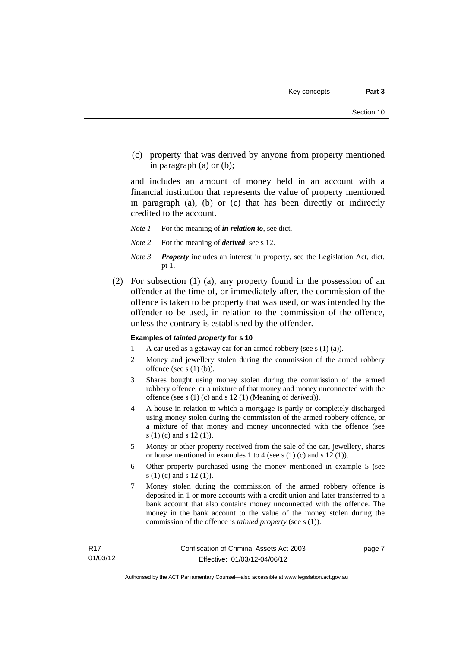(c) property that was derived by anyone from property mentioned in paragraph (a) or (b);

and includes an amount of money held in an account with a financial institution that represents the value of property mentioned in paragraph (a), (b) or (c) that has been directly or indirectly credited to the account.

- *Note 1* For the meaning of *in relation to*, see dict.
- *Note 2* For the meaning of *derived*, see s 12.
- *Note 3 Property* includes an interest in property, see the Legislation Act, dict, pt 1.
- (2) For subsection (1) (a), any property found in the possession of an offender at the time of, or immediately after, the commission of the offence is taken to be property that was used, or was intended by the offender to be used, in relation to the commission of the offence, unless the contrary is established by the offender.

### **Examples of** *tainted property* **for s 10**

- 1 A car used as a getaway car for an armed robbery (see s (1) (a)).
- 2 Money and jewellery stolen during the commission of the armed robbery offence (see s (1) (b)).
- 3 Shares bought using money stolen during the commission of the armed robbery offence, or a mixture of that money and money unconnected with the offence (see s (1) (c) and s 12 (1) (Meaning of *derived*)).
- 4 A house in relation to which a mortgage is partly or completely discharged using money stolen during the commission of the armed robbery offence, or a mixture of that money and money unconnected with the offence (see s (1) (c) and s 12 (1)).
- 5 Money or other property received from the sale of the car, jewellery, shares or house mentioned in examples 1 to 4 (see s (1) (c) and s 12 (1)).
- 6 Other property purchased using the money mentioned in example 5 (see s (1) (c) and s 12 (1)).
- 7 Money stolen during the commission of the armed robbery offence is deposited in 1 or more accounts with a credit union and later transferred to a bank account that also contains money unconnected with the offence. The money in the bank account to the value of the money stolen during the commission of the offence is *tainted property* (see s (1)).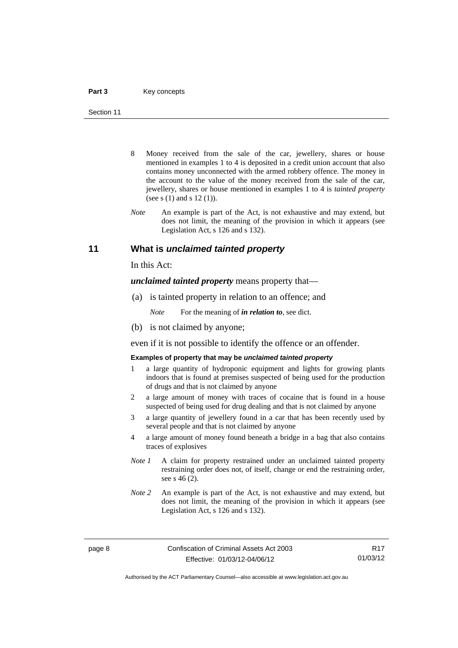- 8 Money received from the sale of the car, jewellery, shares or house mentioned in examples 1 to 4 is deposited in a credit union account that also contains money unconnected with the armed robbery offence. The money in the account to the value of the money received from the sale of the car, jewellery, shares or house mentioned in examples 1 to 4 is *tainted property* (see s (1) and s 12 (1)).
- *Note* An example is part of the Act, is not exhaustive and may extend, but does not limit, the meaning of the provision in which it appears (see Legislation Act, s 126 and s 132).

## <span id="page-21-0"></span>**11 What is** *unclaimed tainted property*

In this Act:

*unclaimed tainted property* means property that—

(a) is tainted property in relation to an offence; and

*Note* For the meaning of *in relation to*, see dict.

(b) is not claimed by anyone;

even if it is not possible to identify the offence or an offender.

### **Examples of property that may be** *unclaimed tainted property*

- 1 a large quantity of hydroponic equipment and lights for growing plants indoors that is found at premises suspected of being used for the production of drugs and that is not claimed by anyone
- 2 a large amount of money with traces of cocaine that is found in a house suspected of being used for drug dealing and that is not claimed by anyone
- 3 a large quantity of jewellery found in a car that has been recently used by several people and that is not claimed by anyone
- 4 a large amount of money found beneath a bridge in a bag that also contains traces of explosives
- *Note 1* A claim for property restrained under an unclaimed tainted property restraining order does not, of itself, change or end the restraining order, see s 46 (2).
- *Note 2* An example is part of the Act, is not exhaustive and may extend, but does not limit, the meaning of the provision in which it appears (see Legislation Act, s 126 and s 132).

R17 01/03/12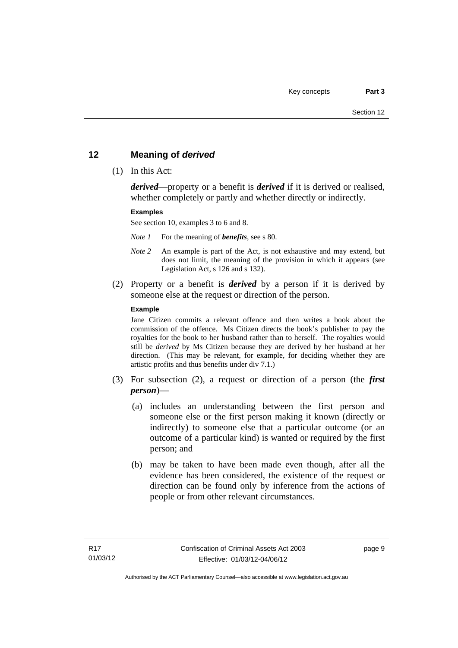# <span id="page-22-0"></span>**12 Meaning of** *derived*

(1) In this Act:

*derived*—property or a benefit is *derived* if it is derived or realised, whether completely or partly and whether directly or indirectly.

### **Examples**

See section 10, examples 3 to 6 and 8.

*Note 1* For the meaning of *benefits*, see s 80.

- *Note 2* An example is part of the Act, is not exhaustive and may extend, but does not limit, the meaning of the provision in which it appears (see Legislation Act, s 126 and s 132).
- (2) Property or a benefit is *derived* by a person if it is derived by someone else at the request or direction of the person.

### **Example**

Jane Citizen commits a relevant offence and then writes a book about the commission of the offence. Ms Citizen directs the book's publisher to pay the royalties for the book to her husband rather than to herself. The royalties would still be *derived* by Ms Citizen because they are derived by her husband at her direction. (This may be relevant, for example, for deciding whether they are artistic profits and thus benefits under div 7.1.)

- (3) For subsection (2), a request or direction of a person (the *first person*)—
	- (a) includes an understanding between the first person and someone else or the first person making it known (directly or indirectly) to someone else that a particular outcome (or an outcome of a particular kind) is wanted or required by the first person; and
	- (b) may be taken to have been made even though, after all the evidence has been considered, the existence of the request or direction can be found only by inference from the actions of people or from other relevant circumstances.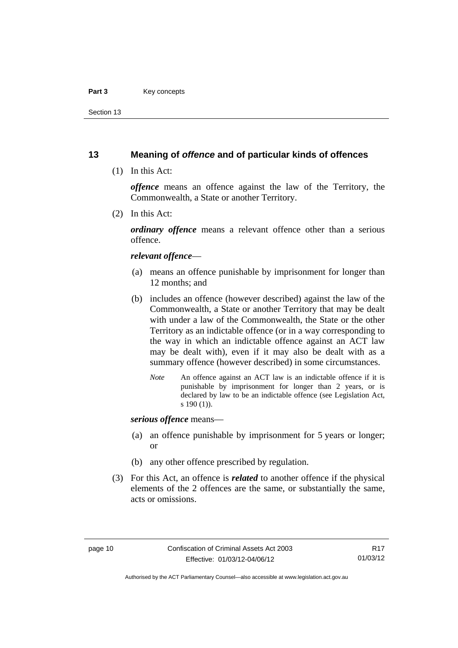### Part 3 **Key concepts**

Section 13

# <span id="page-23-0"></span>**13 Meaning of** *offence* **and of particular kinds of offences**

(1) In this Act:

*offence* means an offence against the law of the Territory, the Commonwealth, a State or another Territory.

(2) In this Act:

*ordinary offence* means a relevant offence other than a serious offence.

### *relevant offence*—

- (a) means an offence punishable by imprisonment for longer than 12 months; and
- (b) includes an offence (however described) against the law of the Commonwealth, a State or another Territory that may be dealt with under a law of the Commonwealth, the State or the other Territory as an indictable offence (or in a way corresponding to the way in which an indictable offence against an ACT law may be dealt with), even if it may also be dealt with as a summary offence (however described) in some circumstances.
	- *Note* An offence against an ACT law is an indictable offence if it is punishable by imprisonment for longer than 2 years, or is declared by law to be an indictable offence (see Legislation Act, s 190 (1)).

*serious offence* means—

- (a) an offence punishable by imprisonment for 5 years or longer; or
- (b) any other offence prescribed by regulation.
- (3) For this Act, an offence is *related* to another offence if the physical elements of the 2 offences are the same, or substantially the same, acts or omissions.

Authorised by the ACT Parliamentary Counsel—also accessible at www.legislation.act.gov.au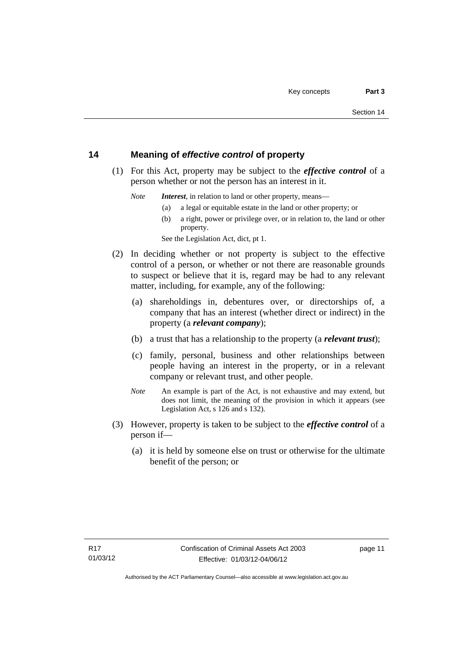# <span id="page-24-0"></span>**14 Meaning of** *effective control* **of property**

 (1) For this Act, property may be subject to the *effective control* of a person whether or not the person has an interest in it.

*Note Interest*, in relation to land or other property, means—

- (a) a legal or equitable estate in the land or other property; or
- (b) a right, power or privilege over, or in relation to, the land or other property.

See the Legislation Act, dict, pt 1.

- (2) In deciding whether or not property is subject to the effective control of a person, or whether or not there are reasonable grounds to suspect or believe that it is, regard may be had to any relevant matter, including, for example, any of the following:
	- (a) shareholdings in, debentures over, or directorships of, a company that has an interest (whether direct or indirect) in the property (a *relevant company*);
	- (b) a trust that has a relationship to the property (a *relevant trust*);
	- (c) family, personal, business and other relationships between people having an interest in the property, or in a relevant company or relevant trust, and other people.
	- *Note* An example is part of the Act, is not exhaustive and may extend, but does not limit, the meaning of the provision in which it appears (see Legislation Act, s 126 and s 132).
- (3) However, property is taken to be subject to the *effective control* of a person if—
	- (a) it is held by someone else on trust or otherwise for the ultimate benefit of the person; or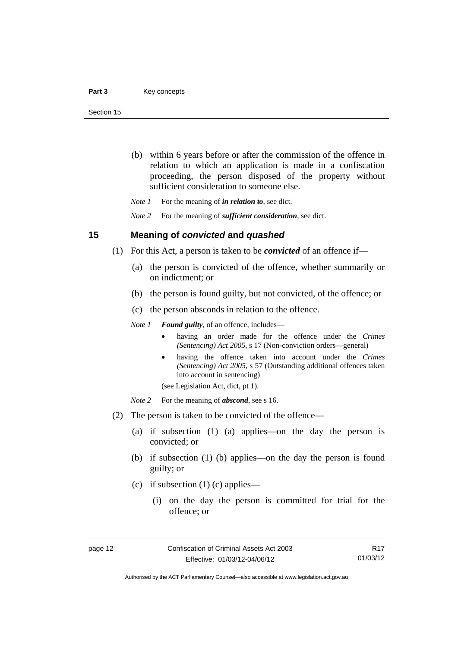- (b) within 6 years before or after the commission of the offence in relation to which an application is made in a confiscation proceeding, the person disposed of the property without sufficient consideration to someone else.
- *Note 1* For the meaning of *in relation to*, see dict.

*Note 2* For the meaning of *sufficient consideration*, see dict.

## <span id="page-25-0"></span>**15 Meaning of** *convicted* **and** *quashed*

- (1) For this Act, a person is taken to be *convicted* of an offence if—
	- (a) the person is convicted of the offence, whether summarily or on indictment; or
	- (b) the person is found guilty, but not convicted, of the offence; or
	- (c) the person absconds in relation to the offence.

*Note 1 Found guilty*, of an offence, includes—

- having an order made for the offence under the *Crimes (Sentencing) Act 2005*, s 17 (Non-conviction orders—general)
- having the offence taken into account under the *Crimes (Sentencing) Act 2005*, s 57 (Outstanding additional offences taken into account in sentencing)

(see Legislation Act, dict, pt 1).

- *Note* 2 For the meaning of *abscond*, see s 16.
- (2) The person is taken to be convicted of the offence—
	- (a) if subsection (1) (a) applies—on the day the person is convicted; or
	- (b) if subsection (1) (b) applies—on the day the person is found guilty; or
	- (c) if subsection  $(1)$  (c) applies—
		- (i) on the day the person is committed for trial for the offence; or

R17 01/03/12

Authorised by the ACT Parliamentary Counsel—also accessible at www.legislation.act.gov.au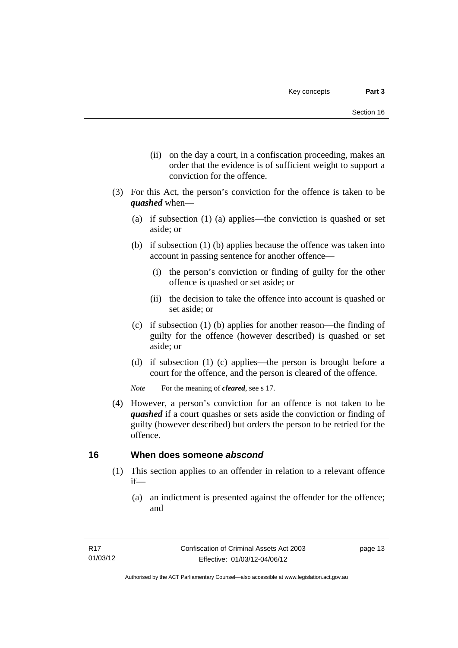- (ii) on the day a court, in a confiscation proceeding, makes an order that the evidence is of sufficient weight to support a conviction for the offence.
- (3) For this Act, the person's conviction for the offence is taken to be *quashed* when—
	- (a) if subsection (1) (a) applies—the conviction is quashed or set aside; or
	- (b) if subsection (1) (b) applies because the offence was taken into account in passing sentence for another offence—
		- (i) the person's conviction or finding of guilty for the other offence is quashed or set aside; or
		- (ii) the decision to take the offence into account is quashed or set aside; or
	- (c) if subsection (1) (b) applies for another reason—the finding of guilty for the offence (however described) is quashed or set aside; or
	- (d) if subsection (1) (c) applies—the person is brought before a court for the offence, and the person is cleared of the offence.

*Note* For the meaning of *cleared*, see s 17.

 (4) However, a person's conviction for an offence is not taken to be *quashed* if a court quashes or sets aside the conviction or finding of guilty (however described) but orders the person to be retried for the offence.

# <span id="page-26-0"></span>**16 When does someone** *abscond*

- (1) This section applies to an offender in relation to a relevant offence if—
	- (a) an indictment is presented against the offender for the offence; and

page 13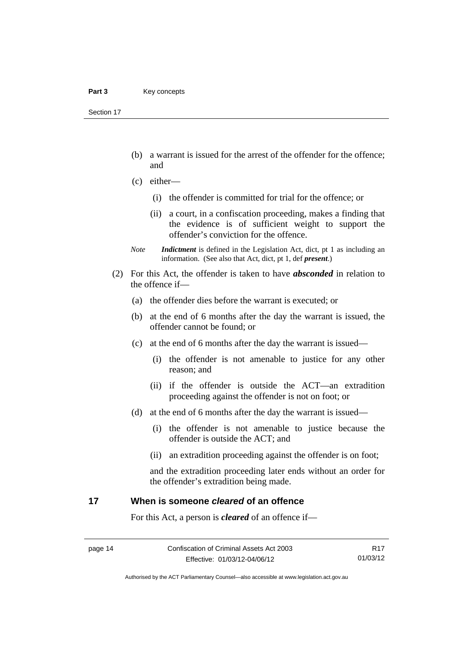Section 17

- (b) a warrant is issued for the arrest of the offender for the offence; and
- (c) either—
	- (i) the offender is committed for trial for the offence; or
	- (ii) a court, in a confiscation proceeding, makes a finding that the evidence is of sufficient weight to support the offender's conviction for the offence.
- *Note Indictment* is defined in the Legislation Act, dict, pt 1 as including an information. (See also that Act, dict, pt 1, def *present*.)
- (2) For this Act, the offender is taken to have *absconded* in relation to the offence if—
	- (a) the offender dies before the warrant is executed; or
	- (b) at the end of 6 months after the day the warrant is issued, the offender cannot be found; or
	- (c) at the end of 6 months after the day the warrant is issued—
		- (i) the offender is not amenable to justice for any other reason; and
		- (ii) if the offender is outside the ACT—an extradition proceeding against the offender is not on foot; or
	- (d) at the end of 6 months after the day the warrant is issued—
		- (i) the offender is not amenable to justice because the offender is outside the ACT; and
		- (ii) an extradition proceeding against the offender is on foot;

and the extradition proceeding later ends without an order for the offender's extradition being made.

# <span id="page-27-0"></span>**17 When is someone** *cleared* **of an offence**

For this Act, a person is *cleared* of an offence if—

Authorised by the ACT Parliamentary Counsel—also accessible at www.legislation.act.gov.au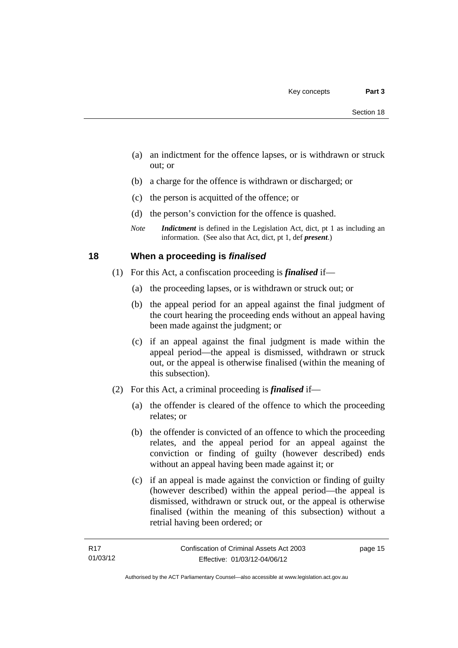- (a) an indictment for the offence lapses, or is withdrawn or struck out; or
- (b) a charge for the offence is withdrawn or discharged; or
- (c) the person is acquitted of the offence; or
- (d) the person's conviction for the offence is quashed.
- *Note Indictment* is defined in the Legislation Act, dict, pt 1 as including an information. (See also that Act, dict, pt 1, def *present*.)

# <span id="page-28-0"></span>**18 When a proceeding is** *finalised*

- (1) For this Act, a confiscation proceeding is *finalised* if—
	- (a) the proceeding lapses, or is withdrawn or struck out; or
	- (b) the appeal period for an appeal against the final judgment of the court hearing the proceeding ends without an appeal having been made against the judgment; or
	- (c) if an appeal against the final judgment is made within the appeal period—the appeal is dismissed, withdrawn or struck out, or the appeal is otherwise finalised (within the meaning of this subsection).
- (2) For this Act, a criminal proceeding is *finalised* if—
	- (a) the offender is cleared of the offence to which the proceeding relates; or
	- (b) the offender is convicted of an offence to which the proceeding relates, and the appeal period for an appeal against the conviction or finding of guilty (however described) ends without an appeal having been made against it; or
	- (c) if an appeal is made against the conviction or finding of guilty (however described) within the appeal period—the appeal is dismissed, withdrawn or struck out, or the appeal is otherwise finalised (within the meaning of this subsection) without a retrial having been ordered; or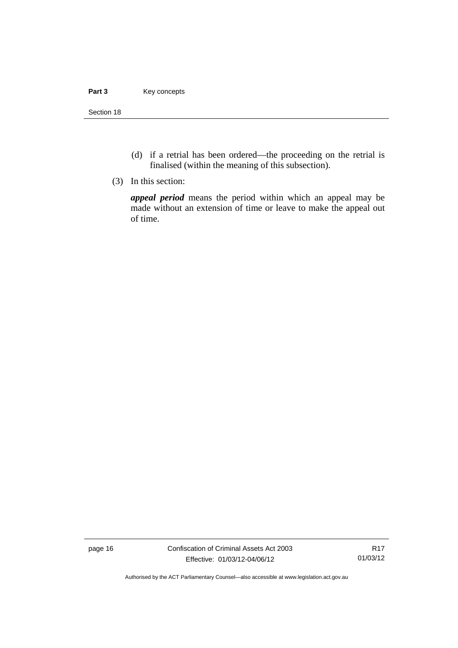### Part 3 **Key concepts**

Section 18

- (d) if a retrial has been ordered—the proceeding on the retrial is finalised (within the meaning of this subsection).
- (3) In this section:

*appeal period* means the period within which an appeal may be made without an extension of time or leave to make the appeal out of time.

page 16 Confiscation of Criminal Assets Act 2003 Effective: 01/03/12-04/06/12

R17 01/03/12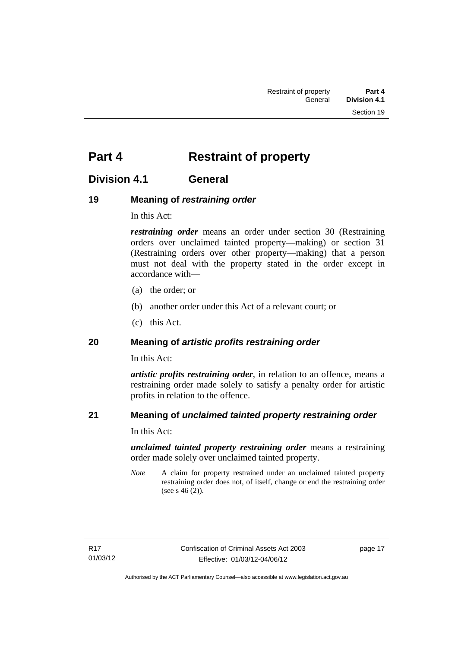# <span id="page-30-0"></span>**Part 4** Restraint of property

# <span id="page-30-1"></span>**Division 4.1 General**

# <span id="page-30-2"></span>**19 Meaning of** *restraining order*

In this Act:

*restraining order* means an order under section 30 (Restraining orders over unclaimed tainted property—making) or section 31 (Restraining orders over other property—making) that a person must not deal with the property stated in the order except in accordance with—

- (a) the order; or
- (b) another order under this Act of a relevant court; or
- (c) this Act.

# <span id="page-30-3"></span>**20 Meaning of** *artistic profits restraining order*

In this Act:

*artistic profits restraining order*, in relation to an offence, means a restraining order made solely to satisfy a penalty order for artistic profits in relation to the offence.

# <span id="page-30-4"></span>**21 Meaning of** *unclaimed tainted property restraining order*

In this Act:

*unclaimed tainted property restraining order* means a restraining order made solely over unclaimed tainted property.

*Note* A claim for property restrained under an unclaimed tainted property restraining order does not, of itself, change or end the restraining order (see s 46 (2)).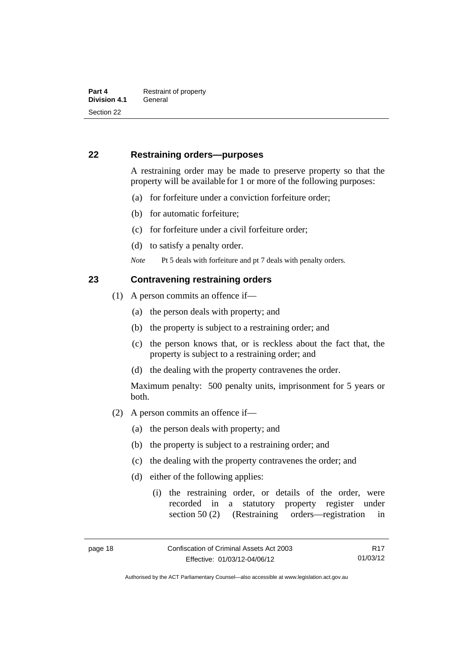# <span id="page-31-0"></span>**22 Restraining orders—purposes**

A restraining order may be made to preserve property so that the property will be available for 1 or more of the following purposes:

- (a) for forfeiture under a conviction forfeiture order;
- (b) for automatic forfeiture;
- (c) for forfeiture under a civil forfeiture order;
- (d) to satisfy a penalty order.

*Note* Pt 5 deals with forfeiture and pt 7 deals with penalty orders.

## <span id="page-31-1"></span>**23 Contravening restraining orders**

- (1) A person commits an offence if—
	- (a) the person deals with property; and
	- (b) the property is subject to a restraining order; and
	- (c) the person knows that, or is reckless about the fact that, the property is subject to a restraining order; and
	- (d) the dealing with the property contravenes the order.

Maximum penalty: 500 penalty units, imprisonment for 5 years or both.

- (2) A person commits an offence if—
	- (a) the person deals with property; and
	- (b) the property is subject to a restraining order; and
	- (c) the dealing with the property contravenes the order; and
	- (d) either of the following applies:
		- (i) the restraining order, or details of the order, were recorded in a statutory property register under section 50 (2) (Restraining orders—registration in

Authorised by the ACT Parliamentary Counsel—also accessible at www.legislation.act.gov.au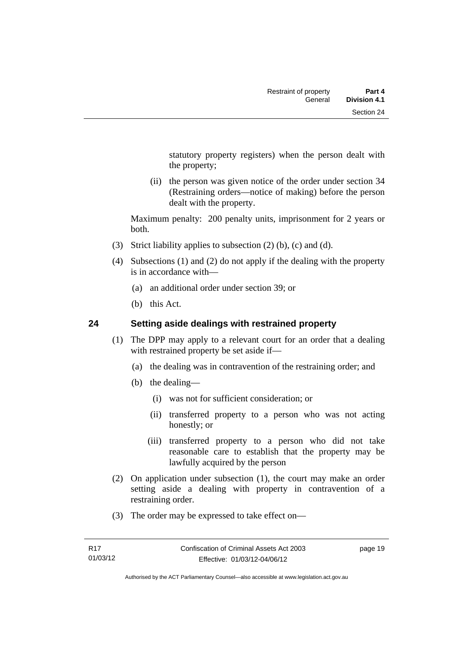statutory property registers) when the person dealt with the property;

 (ii) the person was given notice of the order under section 34 (Restraining orders—notice of making) before the person dealt with the property.

Maximum penalty: 200 penalty units, imprisonment for 2 years or both.

- (3) Strict liability applies to subsection (2) (b), (c) and (d).
- (4) Subsections (1) and (2) do not apply if the dealing with the property is in accordance with—
	- (a) an additional order under section 39; or
	- (b) this Act.

# <span id="page-32-0"></span>**24 Setting aside dealings with restrained property**

- (1) The DPP may apply to a relevant court for an order that a dealing with restrained property be set aside if—
	- (a) the dealing was in contravention of the restraining order; and
	- (b) the dealing—
		- (i) was not for sufficient consideration; or
		- (ii) transferred property to a person who was not acting honestly; or
		- (iii) transferred property to a person who did not take reasonable care to establish that the property may be lawfully acquired by the person
- (2) On application under subsection (1), the court may make an order setting aside a dealing with property in contravention of a restraining order.
- (3) The order may be expressed to take effect on—

page 19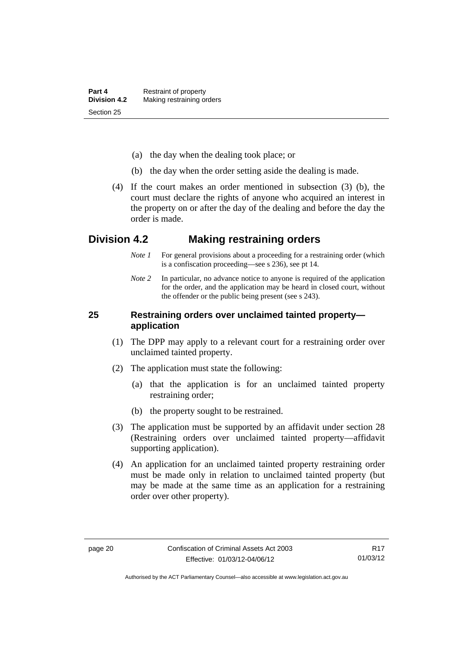- (a) the day when the dealing took place; or
- (b) the day when the order setting aside the dealing is made.
- (4) If the court makes an order mentioned in subsection (3) (b), the court must declare the rights of anyone who acquired an interest in the property on or after the day of the dealing and before the day the order is made.

# <span id="page-33-0"></span>**Division 4.2 Making restraining orders**

- *Note 1* For general provisions about a proceeding for a restraining order (which is a confiscation proceeding—see s 236), see pt 14.
- *Note* 2 In particular, no advance notice to anyone is required of the application for the order, and the application may be heard in closed court, without the offender or the public being present (see s 243).

# <span id="page-33-1"></span>**25 Restraining orders over unclaimed tainted property application**

- (1) The DPP may apply to a relevant court for a restraining order over unclaimed tainted property.
- (2) The application must state the following:
	- (a) that the application is for an unclaimed tainted property restraining order;
	- (b) the property sought to be restrained.
- (3) The application must be supported by an affidavit under section 28 (Restraining orders over unclaimed tainted property—affidavit supporting application).
- (4) An application for an unclaimed tainted property restraining order must be made only in relation to unclaimed tainted property (but may be made at the same time as an application for a restraining order over other property).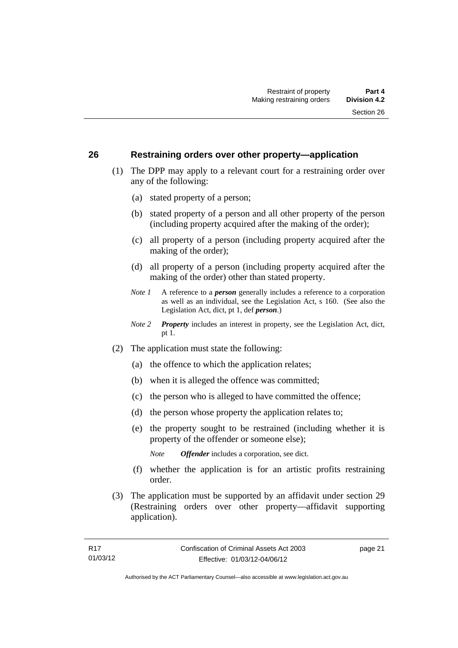## <span id="page-34-0"></span>**26 Restraining orders over other property—application**

- (1) The DPP may apply to a relevant court for a restraining order over any of the following:
	- (a) stated property of a person;
	- (b) stated property of a person and all other property of the person (including property acquired after the making of the order);
	- (c) all property of a person (including property acquired after the making of the order);
	- (d) all property of a person (including property acquired after the making of the order) other than stated property.
	- *Note 1* A reference to a *person* generally includes a reference to a corporation as well as an individual, see the Legislation Act, s 160. (See also the Legislation Act, dict, pt 1, def *person*.)
	- *Note 2 Property* includes an interest in property, see the Legislation Act, dict, pt 1.
- (2) The application must state the following:
	- (a) the offence to which the application relates;
	- (b) when it is alleged the offence was committed;
	- (c) the person who is alleged to have committed the offence;
	- (d) the person whose property the application relates to;
	- (e) the property sought to be restrained (including whether it is property of the offender or someone else);

*Note Offender* includes a corporation, see dict.

- (f) whether the application is for an artistic profits restraining order.
- (3) The application must be supported by an affidavit under section 29 (Restraining orders over other property—affidavit supporting application).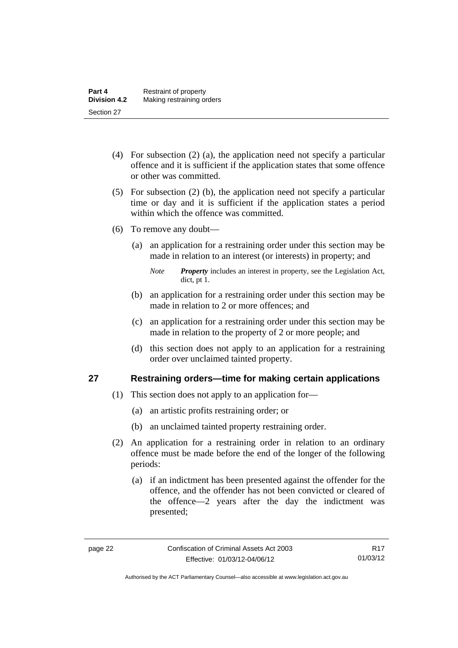- (4) For subsection (2) (a), the application need not specify a particular offence and it is sufficient if the application states that some offence or other was committed.
- (5) For subsection (2) (b), the application need not specify a particular time or day and it is sufficient if the application states a period within which the offence was committed.
- (6) To remove any doubt—
	- (a) an application for a restraining order under this section may be made in relation to an interest (or interests) in property; and
		- *Note Property* includes an interest in property, see the Legislation Act, dict, pt 1.
	- (b) an application for a restraining order under this section may be made in relation to 2 or more offences; and
	- (c) an application for a restraining order under this section may be made in relation to the property of 2 or more people; and
	- (d) this section does not apply to an application for a restraining order over unclaimed tainted property.

# <span id="page-35-0"></span>**27 Restraining orders—time for making certain applications**

- (1) This section does not apply to an application for—
	- (a) an artistic profits restraining order; or
	- (b) an unclaimed tainted property restraining order.
- (2) An application for a restraining order in relation to an ordinary offence must be made before the end of the longer of the following periods:
	- (a) if an indictment has been presented against the offender for the offence, and the offender has not been convicted or cleared of the offence—2 years after the day the indictment was presented;

R17 01/03/12

Authorised by the ACT Parliamentary Counsel—also accessible at www.legislation.act.gov.au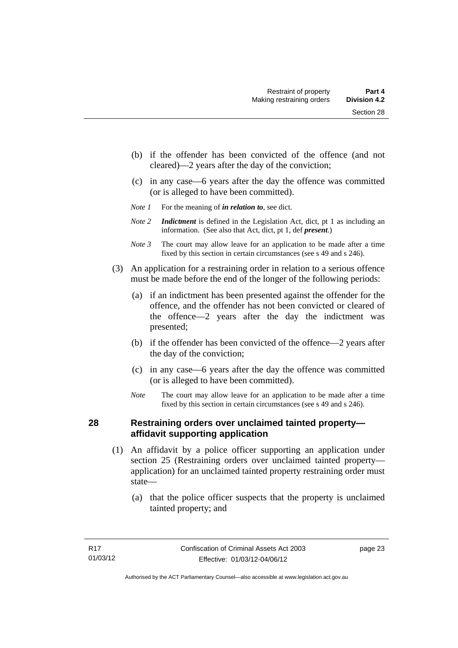- (b) if the offender has been convicted of the offence (and not cleared)—2 years after the day of the conviction;
- (c) in any case—6 years after the day the offence was committed (or is alleged to have been committed).
- *Note 1* For the meaning of *in relation to*, see dict.
- *Note 2 Indictment* is defined in the Legislation Act, dict, pt 1 as including an information. (See also that Act, dict, pt 1, def *present*.)
- *Note 3* The court may allow leave for an application to be made after a time fixed by this section in certain circumstances (see s 49 and s 246).
- (3) An application for a restraining order in relation to a serious offence must be made before the end of the longer of the following periods:
	- (a) if an indictment has been presented against the offender for the offence, and the offender has not been convicted or cleared of the offence—2 years after the day the indictment was presented;
	- (b) if the offender has been convicted of the offence—2 years after the day of the conviction;
	- (c) in any case—6 years after the day the offence was committed (or is alleged to have been committed).
	- *Note* The court may allow leave for an application to be made after a time fixed by this section in certain circumstances (see s 49 and s 246).

# **28 Restraining orders over unclaimed tainted property affidavit supporting application**

- (1) An affidavit by a police officer supporting an application under section 25 (Restraining orders over unclaimed tainted property application) for an unclaimed tainted property restraining order must state—
	- (a) that the police officer suspects that the property is unclaimed tainted property; and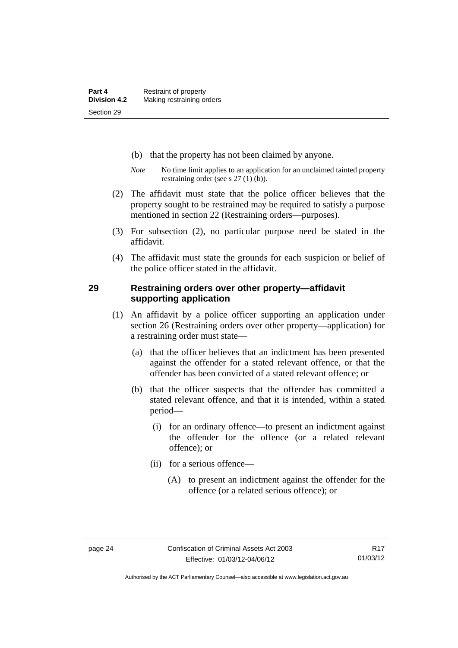- (b) that the property has not been claimed by anyone.
- *Note* No time limit applies to an application for an unclaimed tainted property restraining order (see s 27 (1) (b)).
- (2) The affidavit must state that the police officer believes that the property sought to be restrained may be required to satisfy a purpose mentioned in section 22 (Restraining orders—purposes).
- (3) For subsection (2), no particular purpose need be stated in the affidavit.
- (4) The affidavit must state the grounds for each suspicion or belief of the police officer stated in the affidavit.

#### **29 Restraining orders over other property—affidavit supporting application**

- (1) An affidavit by a police officer supporting an application under section 26 (Restraining orders over other property—application) for a restraining order must state—
	- (a) that the officer believes that an indictment has been presented against the offender for a stated relevant offence, or that the offender has been convicted of a stated relevant offence; or
	- (b) that the officer suspects that the offender has committed a stated relevant offence, and that it is intended, within a stated period—
		- (i) for an ordinary offence—to present an indictment against the offender for the offence (or a related relevant offence); or
		- (ii) for a serious offence—
			- (A) to present an indictment against the offender for the offence (or a related serious offence); or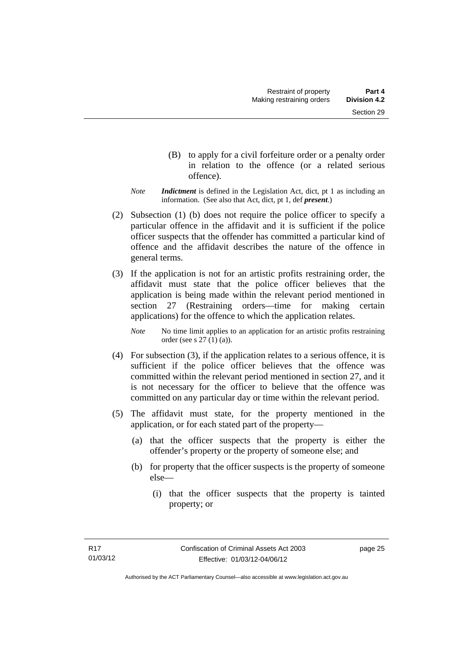- (B) to apply for a civil forfeiture order or a penalty order in relation to the offence (or a related serious offence).
- *Note Indictment* is defined in the Legislation Act, dict, pt 1 as including an information. (See also that Act, dict, pt 1, def *present*.)
- (2) Subsection (1) (b) does not require the police officer to specify a particular offence in the affidavit and it is sufficient if the police officer suspects that the offender has committed a particular kind of offence and the affidavit describes the nature of the offence in general terms.
- (3) If the application is not for an artistic profits restraining order, the affidavit must state that the police officer believes that the application is being made within the relevant period mentioned in section 27 (Restraining orders—time for making certain applications) for the offence to which the application relates.

*Note* No time limit applies to an application for an artistic profits restraining order (see s 27 (1) (a)).

- (4) For subsection (3), if the application relates to a serious offence, it is sufficient if the police officer believes that the offence was committed within the relevant period mentioned in section 27, and it is not necessary for the officer to believe that the offence was committed on any particular day or time within the relevant period.
- (5) The affidavit must state, for the property mentioned in the application, or for each stated part of the property—
	- (a) that the officer suspects that the property is either the offender's property or the property of someone else; and
	- (b) for property that the officer suspects is the property of someone else—
		- (i) that the officer suspects that the property is tainted property; or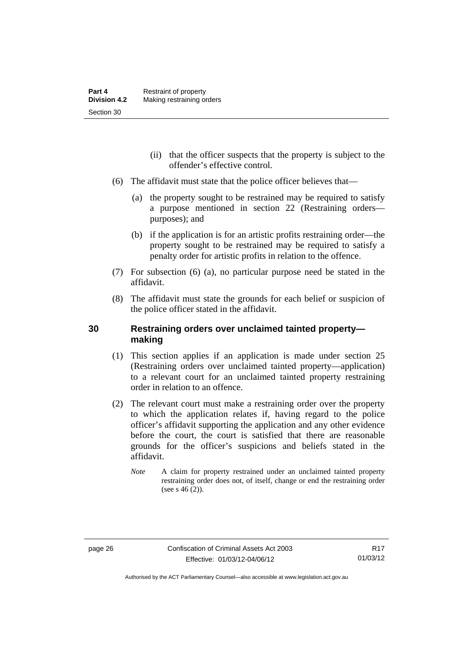- (ii) that the officer suspects that the property is subject to the offender's effective control.
- (6) The affidavit must state that the police officer believes that—
	- (a) the property sought to be restrained may be required to satisfy a purpose mentioned in section 22 (Restraining orders purposes); and
	- (b) if the application is for an artistic profits restraining order—the property sought to be restrained may be required to satisfy a penalty order for artistic profits in relation to the offence.
- (7) For subsection (6) (a), no particular purpose need be stated in the affidavit.
- (8) The affidavit must state the grounds for each belief or suspicion of the police officer stated in the affidavit.

# **30 Restraining orders over unclaimed tainted property making**

- (1) This section applies if an application is made under section 25 (Restraining orders over unclaimed tainted property—application) to a relevant court for an unclaimed tainted property restraining order in relation to an offence.
- (2) The relevant court must make a restraining order over the property to which the application relates if, having regard to the police officer's affidavit supporting the application and any other evidence before the court, the court is satisfied that there are reasonable grounds for the officer's suspicions and beliefs stated in the affidavit.
	- *Note* A claim for property restrained under an unclaimed tainted property restraining order does not, of itself, change or end the restraining order (see s  $46(2)$ ).

Authorised by the ACT Parliamentary Counsel—also accessible at www.legislation.act.gov.au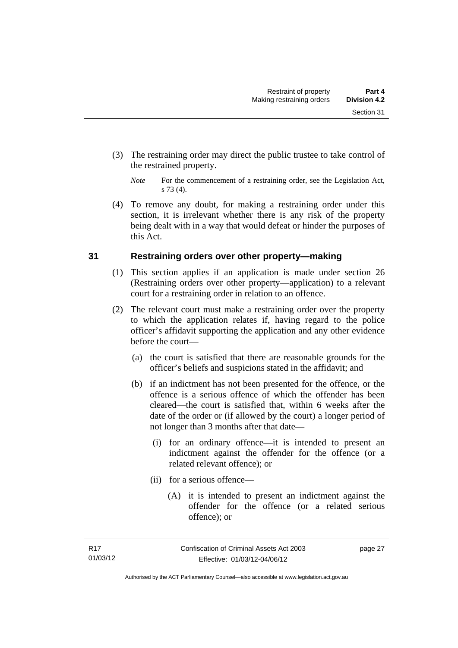- (3) The restraining order may direct the public trustee to take control of the restrained property.
	- *Note* For the commencement of a restraining order, see the Legislation Act, s 73 (4).
- (4) To remove any doubt, for making a restraining order under this section, it is irrelevant whether there is any risk of the property being dealt with in a way that would defeat or hinder the purposes of this Act.

# **31 Restraining orders over other property—making**

- (1) This section applies if an application is made under section 26 (Restraining orders over other property—application) to a relevant court for a restraining order in relation to an offence.
- (2) The relevant court must make a restraining order over the property to which the application relates if, having regard to the police officer's affidavit supporting the application and any other evidence before the court—
	- (a) the court is satisfied that there are reasonable grounds for the officer's beliefs and suspicions stated in the affidavit; and
	- (b) if an indictment has not been presented for the offence, or the offence is a serious offence of which the offender has been cleared—the court is satisfied that, within 6 weeks after the date of the order or (if allowed by the court) a longer period of not longer than 3 months after that date—
		- (i) for an ordinary offence—it is intended to present an indictment against the offender for the offence (or a related relevant offence); or
		- (ii) for a serious offence—
			- (A) it is intended to present an indictment against the offender for the offence (or a related serious offence); or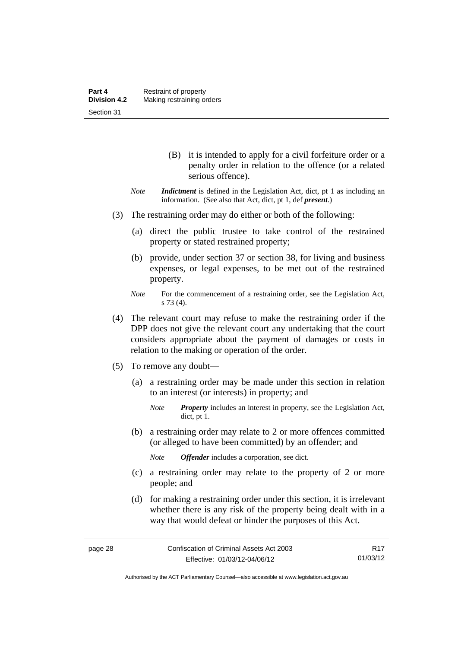- (B) it is intended to apply for a civil forfeiture order or a penalty order in relation to the offence (or a related serious offence).
- *Note Indictment* is defined in the Legislation Act, dict, pt 1 as including an information. (See also that Act, dict, pt 1, def *present*.)
- (3) The restraining order may do either or both of the following:
	- (a) direct the public trustee to take control of the restrained property or stated restrained property;
	- (b) provide, under section 37 or section 38, for living and business expenses, or legal expenses, to be met out of the restrained property.
	- *Note* For the commencement of a restraining order, see the Legislation Act, s 73 (4).
- (4) The relevant court may refuse to make the restraining order if the DPP does not give the relevant court any undertaking that the court considers appropriate about the payment of damages or costs in relation to the making or operation of the order.
- (5) To remove any doubt—
	- (a) a restraining order may be made under this section in relation to an interest (or interests) in property; and
		- *Note Property* includes an interest in property, see the Legislation Act, dict, pt 1.
	- (b) a restraining order may relate to 2 or more offences committed (or alleged to have been committed) by an offender; and

*Note Offender* includes a corporation, see dict.

- (c) a restraining order may relate to the property of 2 or more people; and
- (d) for making a restraining order under this section, it is irrelevant whether there is any risk of the property being dealt with in a way that would defeat or hinder the purposes of this Act.

R17 01/03/12

Authorised by the ACT Parliamentary Counsel—also accessible at www.legislation.act.gov.au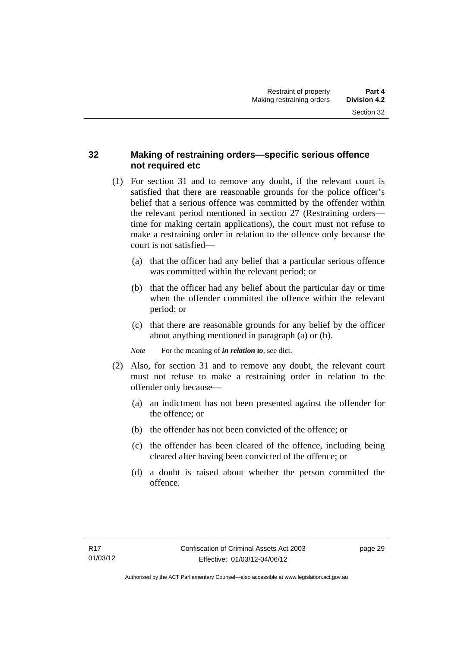# **32 Making of restraining orders—specific serious offence not required etc**

- (1) For section 31 and to remove any doubt, if the relevant court is satisfied that there are reasonable grounds for the police officer's belief that a serious offence was committed by the offender within the relevant period mentioned in section 27 (Restraining orders time for making certain applications), the court must not refuse to make a restraining order in relation to the offence only because the court is not satisfied—
	- (a) that the officer had any belief that a particular serious offence was committed within the relevant period; or
	- (b) that the officer had any belief about the particular day or time when the offender committed the offence within the relevant period; or
	- (c) that there are reasonable grounds for any belief by the officer about anything mentioned in paragraph (a) or (b).

*Note* For the meaning of *in relation to*, see dict.

- (2) Also, for section 31 and to remove any doubt, the relevant court must not refuse to make a restraining order in relation to the offender only because—
	- (a) an indictment has not been presented against the offender for the offence; or
	- (b) the offender has not been convicted of the offence; or
	- (c) the offender has been cleared of the offence, including being cleared after having been convicted of the offence; or
	- (d) a doubt is raised about whether the person committed the offence.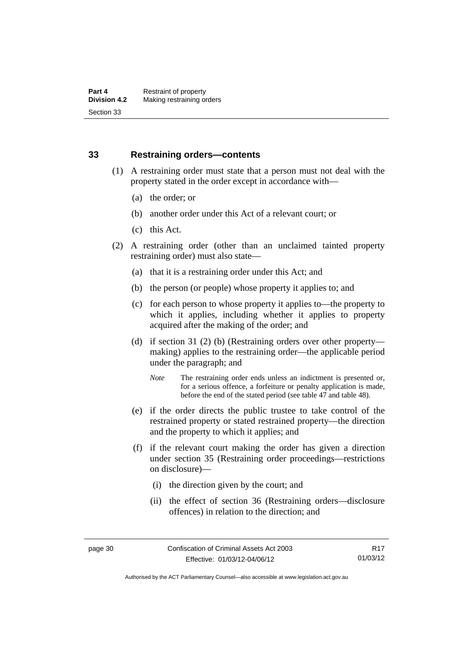## **33 Restraining orders—contents**

- (1) A restraining order must state that a person must not deal with the property stated in the order except in accordance with—
	- (a) the order; or
	- (b) another order under this Act of a relevant court; or
	- (c) this Act.
- (2) A restraining order (other than an unclaimed tainted property restraining order) must also state—
	- (a) that it is a restraining order under this Act; and
	- (b) the person (or people) whose property it applies to; and
	- (c) for each person to whose property it applies to—the property to which it applies, including whether it applies to property acquired after the making of the order; and
	- (d) if section 31 (2) (b) (Restraining orders over other property making) applies to the restraining order—the applicable period under the paragraph; and
		- *Note* The restraining order ends unless an indictment is presented or, for a serious offence, a forfeiture or penalty application is made, before the end of the stated period (see table 47 and table 48).
	- (e) if the order directs the public trustee to take control of the restrained property or stated restrained property—the direction and the property to which it applies; and
	- (f) if the relevant court making the order has given a direction under section 35 (Restraining order proceedings—restrictions on disclosure)—
		- (i) the direction given by the court; and
		- (ii) the effect of section 36 (Restraining orders—disclosure offences) in relation to the direction; and

Authorised by the ACT Parliamentary Counsel—also accessible at www.legislation.act.gov.au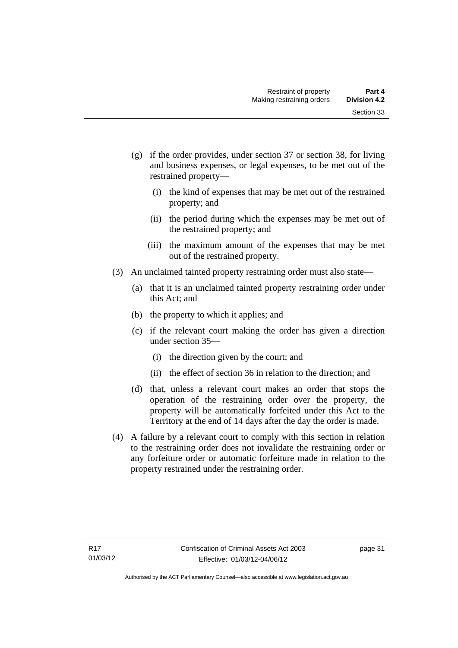- (g) if the order provides, under section 37 or section 38, for living and business expenses, or legal expenses, to be met out of the restrained property—
	- (i) the kind of expenses that may be met out of the restrained property; and
	- (ii) the period during which the expenses may be met out of the restrained property; and
	- (iii) the maximum amount of the expenses that may be met out of the restrained property.
- (3) An unclaimed tainted property restraining order must also state—
	- (a) that it is an unclaimed tainted property restraining order under this Act; and
	- (b) the property to which it applies; and
	- (c) if the relevant court making the order has given a direction under section 35—
		- (i) the direction given by the court; and
		- (ii) the effect of section 36 in relation to the direction; and
	- (d) that, unless a relevant court makes an order that stops the operation of the restraining order over the property, the property will be automatically forfeited under this Act to the Territory at the end of 14 days after the day the order is made.
- (4) A failure by a relevant court to comply with this section in relation to the restraining order does not invalidate the restraining order or any forfeiture order or automatic forfeiture made in relation to the property restrained under the restraining order.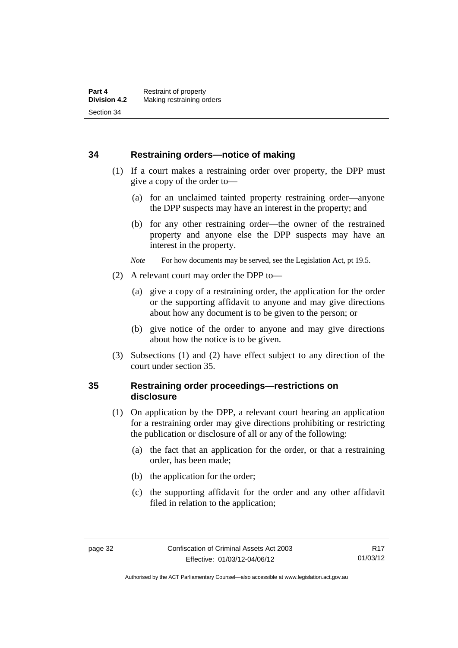#### **34 Restraining orders—notice of making**

- (1) If a court makes a restraining order over property, the DPP must give a copy of the order to—
	- (a) for an unclaimed tainted property restraining order—anyone the DPP suspects may have an interest in the property; and
	- (b) for any other restraining order—the owner of the restrained property and anyone else the DPP suspects may have an interest in the property.
	- *Note* For how documents may be served, see the Legislation Act, pt 19.5.
- (2) A relevant court may order the DPP to—
	- (a) give a copy of a restraining order, the application for the order or the supporting affidavit to anyone and may give directions about how any document is to be given to the person; or
	- (b) give notice of the order to anyone and may give directions about how the notice is to be given.
- (3) Subsections (1) and (2) have effect subject to any direction of the court under section 35.

# **35 Restraining order proceedings—restrictions on disclosure**

- (1) On application by the DPP, a relevant court hearing an application for a restraining order may give directions prohibiting or restricting the publication or disclosure of all or any of the following:
	- (a) the fact that an application for the order, or that a restraining order, has been made;
	- (b) the application for the order;
	- (c) the supporting affidavit for the order and any other affidavit filed in relation to the application;

Authorised by the ACT Parliamentary Counsel—also accessible at www.legislation.act.gov.au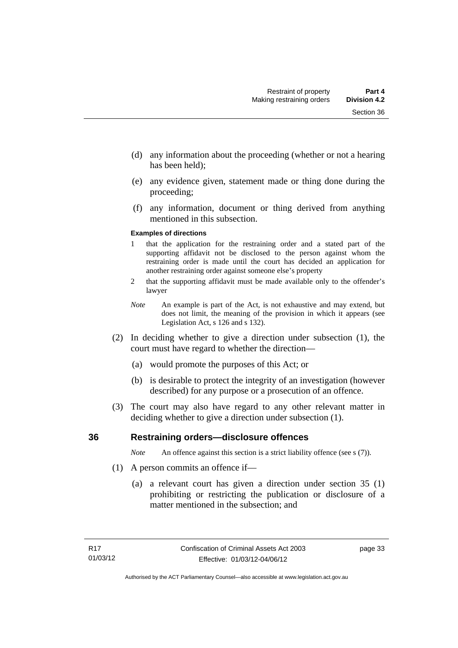- (d) any information about the proceeding (whether or not a hearing has been held);
- (e) any evidence given, statement made or thing done during the proceeding;
- (f) any information, document or thing derived from anything mentioned in this subsection.

#### **Examples of directions**

- 1 that the application for the restraining order and a stated part of the supporting affidavit not be disclosed to the person against whom the restraining order is made until the court has decided an application for another restraining order against someone else's property
- 2 that the supporting affidavit must be made available only to the offender's lawyer
- *Note* An example is part of the Act, is not exhaustive and may extend, but does not limit, the meaning of the provision in which it appears (see Legislation Act, s 126 and s 132).
- (2) In deciding whether to give a direction under subsection (1), the court must have regard to whether the direction—
	- (a) would promote the purposes of this Act; or
	- (b) is desirable to protect the integrity of an investigation (however described) for any purpose or a prosecution of an offence.
- (3) The court may also have regard to any other relevant matter in deciding whether to give a direction under subsection (1).

#### **36 Restraining orders—disclosure offences**

*Note* An offence against this section is a strict liability offence (see s (7)).

- (1) A person commits an offence if—
	- (a) a relevant court has given a direction under section 35 (1) prohibiting or restricting the publication or disclosure of a matter mentioned in the subsection; and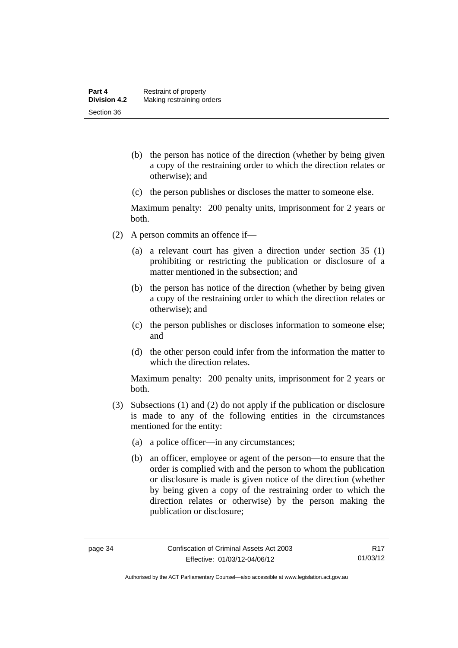- (b) the person has notice of the direction (whether by being given a copy of the restraining order to which the direction relates or otherwise); and
- (c) the person publishes or discloses the matter to someone else.

Maximum penalty: 200 penalty units, imprisonment for 2 years or both.

- (2) A person commits an offence if—
	- (a) a relevant court has given a direction under section 35 (1) prohibiting or restricting the publication or disclosure of a matter mentioned in the subsection; and
	- (b) the person has notice of the direction (whether by being given a copy of the restraining order to which the direction relates or otherwise); and
	- (c) the person publishes or discloses information to someone else; and
	- (d) the other person could infer from the information the matter to which the direction relates.

Maximum penalty: 200 penalty units, imprisonment for 2 years or both.

- (3) Subsections (1) and (2) do not apply if the publication or disclosure is made to any of the following entities in the circumstances mentioned for the entity:
	- (a) a police officer—in any circumstances;
	- (b) an officer, employee or agent of the person—to ensure that the order is complied with and the person to whom the publication or disclosure is made is given notice of the direction (whether by being given a copy of the restraining order to which the direction relates or otherwise) by the person making the publication or disclosure;

Authorised by the ACT Parliamentary Counsel—also accessible at www.legislation.act.gov.au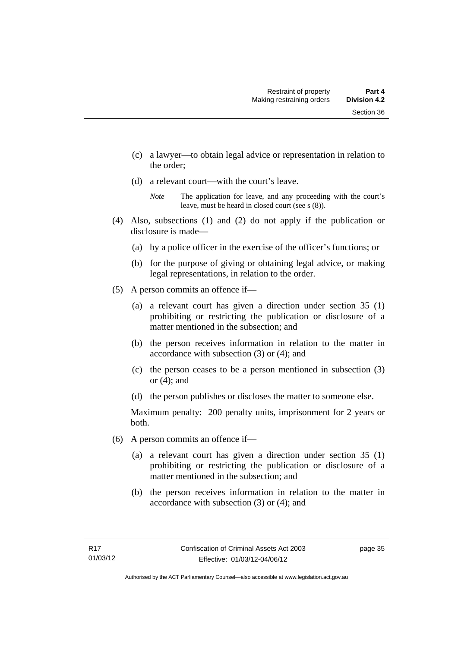- (c) a lawyer—to obtain legal advice or representation in relation to the order;
- (d) a relevant court—with the court's leave.

- (4) Also, subsections (1) and (2) do not apply if the publication or disclosure is made—
	- (a) by a police officer in the exercise of the officer's functions; or
	- (b) for the purpose of giving or obtaining legal advice, or making legal representations, in relation to the order.
- (5) A person commits an offence if—
	- (a) a relevant court has given a direction under section 35 (1) prohibiting or restricting the publication or disclosure of a matter mentioned in the subsection; and
	- (b) the person receives information in relation to the matter in accordance with subsection (3) or (4); and
	- (c) the person ceases to be a person mentioned in subsection (3) or (4); and
	- (d) the person publishes or discloses the matter to someone else.

Maximum penalty: 200 penalty units, imprisonment for 2 years or both.

- (6) A person commits an offence if—
	- (a) a relevant court has given a direction under section 35 (1) prohibiting or restricting the publication or disclosure of a matter mentioned in the subsection; and
	- (b) the person receives information in relation to the matter in accordance with subsection (3) or (4); and

*Note* The application for leave, and any proceeding with the court's leave, must be heard in closed court (see s (8)).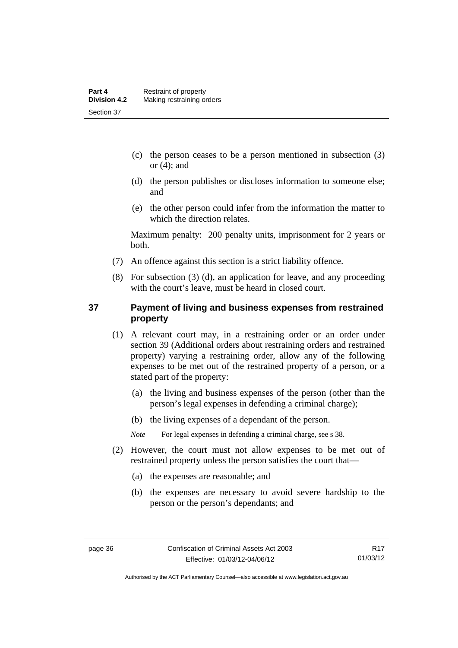- (c) the person ceases to be a person mentioned in subsection (3) or  $(4)$ ; and
- (d) the person publishes or discloses information to someone else; and
- (e) the other person could infer from the information the matter to which the direction relates.

Maximum penalty: 200 penalty units, imprisonment for 2 years or both.

- (7) An offence against this section is a strict liability offence.
- (8) For subsection (3) (d), an application for leave, and any proceeding with the court's leave, must be heard in closed court.

## **37 Payment of living and business expenses from restrained property**

- (1) A relevant court may, in a restraining order or an order under section 39 (Additional orders about restraining orders and restrained property) varying a restraining order, allow any of the following expenses to be met out of the restrained property of a person, or a stated part of the property:
	- (a) the living and business expenses of the person (other than the person's legal expenses in defending a criminal charge);
	- (b) the living expenses of a dependant of the person.

*Note* For legal expenses in defending a criminal charge, see s 38.

- (2) However, the court must not allow expenses to be met out of restrained property unless the person satisfies the court that—
	- (a) the expenses are reasonable; and
	- (b) the expenses are necessary to avoid severe hardship to the person or the person's dependants; and

Authorised by the ACT Parliamentary Counsel—also accessible at www.legislation.act.gov.au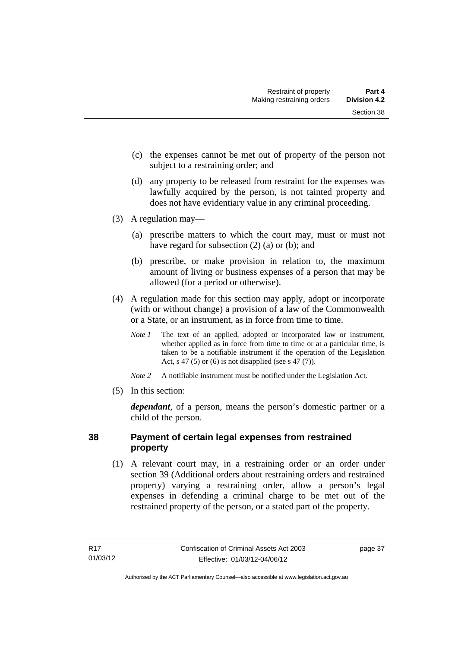- (c) the expenses cannot be met out of property of the person not subject to a restraining order; and
- (d) any property to be released from restraint for the expenses was lawfully acquired by the person, is not tainted property and does not have evidentiary value in any criminal proceeding.
- (3) A regulation may—
	- (a) prescribe matters to which the court may, must or must not have regard for subsection (2) (a) or (b); and
	- (b) prescribe, or make provision in relation to, the maximum amount of living or business expenses of a person that may be allowed (for a period or otherwise).
- (4) A regulation made for this section may apply, adopt or incorporate (with or without change) a provision of a law of the Commonwealth or a State, or an instrument, as in force from time to time.
	- *Note 1* The text of an applied, adopted or incorporated law or instrument, whether applied as in force from time to time or at a particular time, is taken to be a notifiable instrument if the operation of the Legislation Act, s 47 (5) or (6) is not disapplied (see s 47 (7)).
	- *Note 2* A notifiable instrument must be notified under the Legislation Act.
- (5) In this section:

*dependant*, of a person, means the person's domestic partner or a child of the person.

# **38 Payment of certain legal expenses from restrained property**

 (1) A relevant court may, in a restraining order or an order under section 39 (Additional orders about restraining orders and restrained property) varying a restraining order, allow a person's legal expenses in defending a criminal charge to be met out of the restrained property of the person, or a stated part of the property.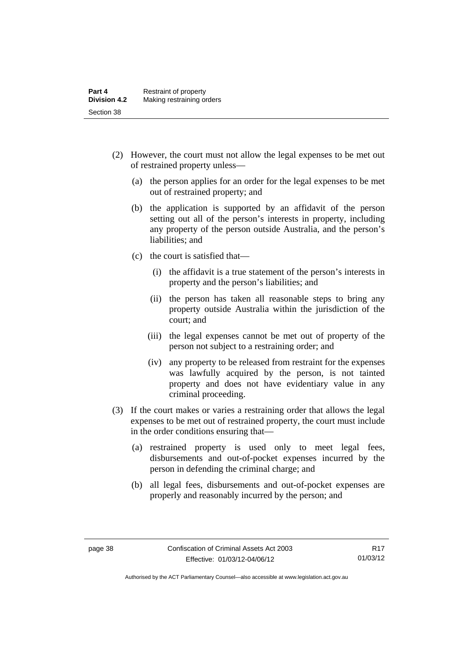- (2) However, the court must not allow the legal expenses to be met out of restrained property unless—
	- (a) the person applies for an order for the legal expenses to be met out of restrained property; and
	- (b) the application is supported by an affidavit of the person setting out all of the person's interests in property, including any property of the person outside Australia, and the person's liabilities; and
	- (c) the court is satisfied that—
		- (i) the affidavit is a true statement of the person's interests in property and the person's liabilities; and
		- (ii) the person has taken all reasonable steps to bring any property outside Australia within the jurisdiction of the court; and
		- (iii) the legal expenses cannot be met out of property of the person not subject to a restraining order; and
		- (iv) any property to be released from restraint for the expenses was lawfully acquired by the person, is not tainted property and does not have evidentiary value in any criminal proceeding.
- (3) If the court makes or varies a restraining order that allows the legal expenses to be met out of restrained property, the court must include in the order conditions ensuring that—
	- (a) restrained property is used only to meet legal fees, disbursements and out-of-pocket expenses incurred by the person in defending the criminal charge; and
	- (b) all legal fees, disbursements and out-of-pocket expenses are properly and reasonably incurred by the person; and

Authorised by the ACT Parliamentary Counsel—also accessible at www.legislation.act.gov.au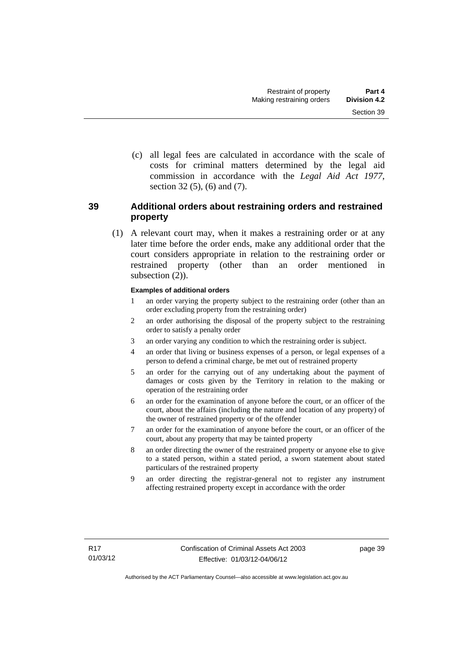(c) all legal fees are calculated in accordance with the scale of costs for criminal matters determined by the legal aid commission in accordance with the *Legal Aid Act 1977*, section 32 (5), (6) and (7).

# **39 Additional orders about restraining orders and restrained property**

 (1) A relevant court may, when it makes a restraining order or at any later time before the order ends, make any additional order that the court considers appropriate in relation to the restraining order or restrained property (other than an order mentioned in subsection  $(2)$ ).

#### **Examples of additional orders**

- 1 an order varying the property subject to the restraining order (other than an order excluding property from the restraining order)
- 2 an order authorising the disposal of the property subject to the restraining order to satisfy a penalty order
- 3 an order varying any condition to which the restraining order is subject.
- 4 an order that living or business expenses of a person, or legal expenses of a person to defend a criminal charge, be met out of restrained property
- 5 an order for the carrying out of any undertaking about the payment of damages or costs given by the Territory in relation to the making or operation of the restraining order
- 6 an order for the examination of anyone before the court, or an officer of the court, about the affairs (including the nature and location of any property) of the owner of restrained property or of the offender
- 7 an order for the examination of anyone before the court, or an officer of the court, about any property that may be tainted property
- 8 an order directing the owner of the restrained property or anyone else to give to a stated person, within a stated period, a sworn statement about stated particulars of the restrained property
- 9 an order directing the registrar-general not to register any instrument affecting restrained property except in accordance with the order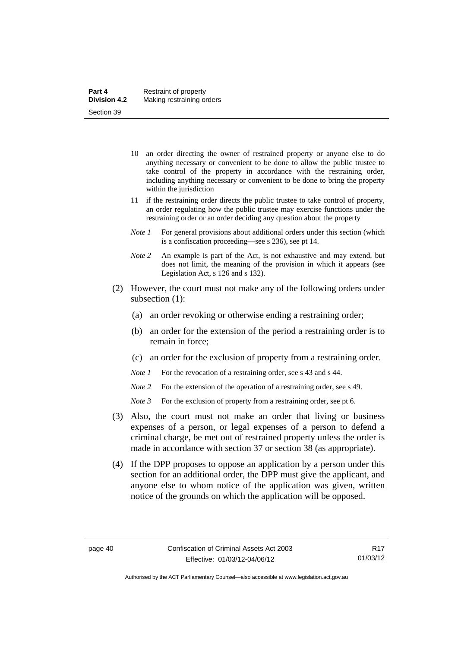- 10 an order directing the owner of restrained property or anyone else to do anything necessary or convenient to be done to allow the public trustee to take control of the property in accordance with the restraining order, including anything necessary or convenient to be done to bring the property within the jurisdiction
- 11 if the restraining order directs the public trustee to take control of property, an order regulating how the public trustee may exercise functions under the restraining order or an order deciding any question about the property
- *Note 1* For general provisions about additional orders under this section (which is a confiscation proceeding—see s 236), see pt 14.
- *Note 2* An example is part of the Act, is not exhaustive and may extend, but does not limit, the meaning of the provision in which it appears (see Legislation Act, s 126 and s 132).
- (2) However, the court must not make any of the following orders under subsection (1):
	- (a) an order revoking or otherwise ending a restraining order;
	- (b) an order for the extension of the period a restraining order is to remain in force;
	- (c) an order for the exclusion of property from a restraining order.
	- *Note 1* For the revocation of a restraining order, see s 43 and s 44.
	- *Note* 2 For the extension of the operation of a restraining order, see s 49.
	- *Note 3* For the exclusion of property from a restraining order, see pt 6.
- (3) Also, the court must not make an order that living or business expenses of a person, or legal expenses of a person to defend a criminal charge, be met out of restrained property unless the order is made in accordance with section 37 or section 38 (as appropriate).
- (4) If the DPP proposes to oppose an application by a person under this section for an additional order, the DPP must give the applicant, and anyone else to whom notice of the application was given, written notice of the grounds on which the application will be opposed.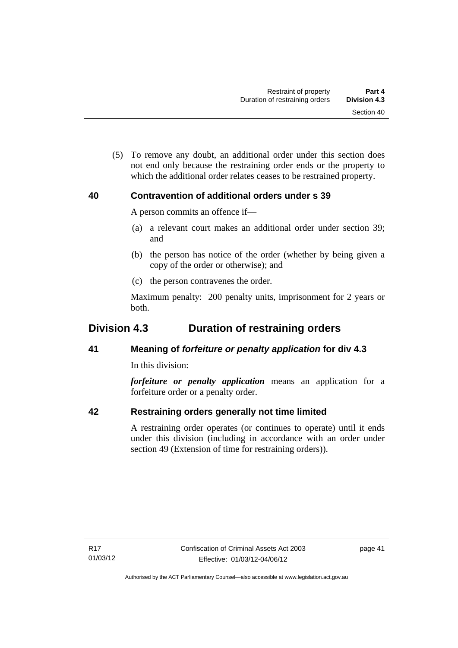(5) To remove any doubt, an additional order under this section does not end only because the restraining order ends or the property to which the additional order relates ceases to be restrained property.

# **40 Contravention of additional orders under s 39**

A person commits an offence if—

- (a) a relevant court makes an additional order under section 39; and
- (b) the person has notice of the order (whether by being given a copy of the order or otherwise); and
- (c) the person contravenes the order.

Maximum penalty: 200 penalty units, imprisonment for 2 years or both.

# **Division 4.3 Duration of restraining orders**

# **41 Meaning of** *forfeiture or penalty application* **for div 4.3**

In this division:

*forfeiture or penalty application* means an application for a forfeiture order or a penalty order.

# **42 Restraining orders generally not time limited**

A restraining order operates (or continues to operate) until it ends under this division (including in accordance with an order under section 49 (Extension of time for restraining orders)).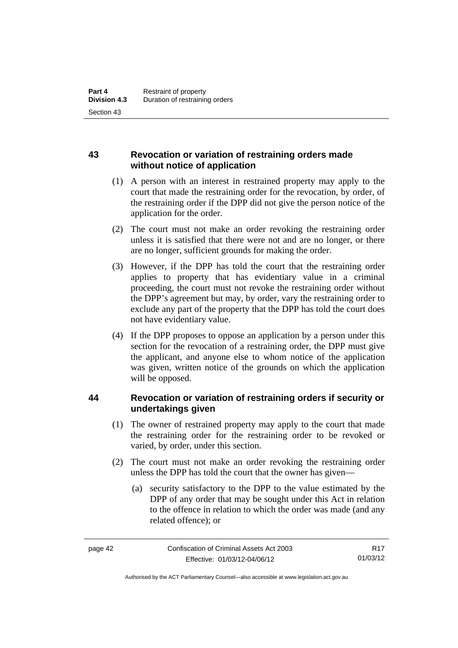# **43 Revocation or variation of restraining orders made without notice of application**

- (1) A person with an interest in restrained property may apply to the court that made the restraining order for the revocation, by order, of the restraining order if the DPP did not give the person notice of the application for the order.
- (2) The court must not make an order revoking the restraining order unless it is satisfied that there were not and are no longer, or there are no longer, sufficient grounds for making the order.
- (3) However, if the DPP has told the court that the restraining order applies to property that has evidentiary value in a criminal proceeding, the court must not revoke the restraining order without the DPP's agreement but may, by order, vary the restraining order to exclude any part of the property that the DPP has told the court does not have evidentiary value.
- (4) If the DPP proposes to oppose an application by a person under this section for the revocation of a restraining order, the DPP must give the applicant, and anyone else to whom notice of the application was given, written notice of the grounds on which the application will be opposed.

# **44 Revocation or variation of restraining orders if security or undertakings given**

- (1) The owner of restrained property may apply to the court that made the restraining order for the restraining order to be revoked or varied, by order, under this section.
- (2) The court must not make an order revoking the restraining order unless the DPP has told the court that the owner has given—
	- (a) security satisfactory to the DPP to the value estimated by the DPP of any order that may be sought under this Act in relation to the offence in relation to which the order was made (and any related offence); or

R17 01/03/12

Authorised by the ACT Parliamentary Counsel—also accessible at www.legislation.act.gov.au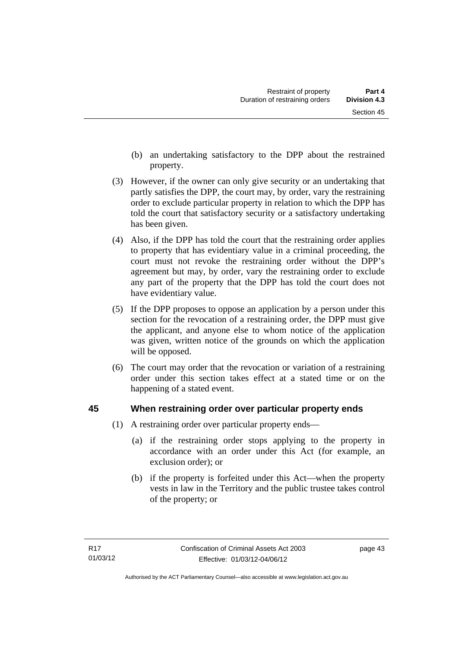- (b) an undertaking satisfactory to the DPP about the restrained property.
- (3) However, if the owner can only give security or an undertaking that partly satisfies the DPP, the court may, by order, vary the restraining order to exclude particular property in relation to which the DPP has told the court that satisfactory security or a satisfactory undertaking has been given.
- (4) Also, if the DPP has told the court that the restraining order applies to property that has evidentiary value in a criminal proceeding, the court must not revoke the restraining order without the DPP's agreement but may, by order, vary the restraining order to exclude any part of the property that the DPP has told the court does not have evidentiary value.
- (5) If the DPP proposes to oppose an application by a person under this section for the revocation of a restraining order, the DPP must give the applicant, and anyone else to whom notice of the application was given, written notice of the grounds on which the application will be opposed.
- (6) The court may order that the revocation or variation of a restraining order under this section takes effect at a stated time or on the happening of a stated event.

# **45 When restraining order over particular property ends**

- (1) A restraining order over particular property ends—
	- (a) if the restraining order stops applying to the property in accordance with an order under this Act (for example, an exclusion order); or
	- (b) if the property is forfeited under this Act—when the property vests in law in the Territory and the public trustee takes control of the property; or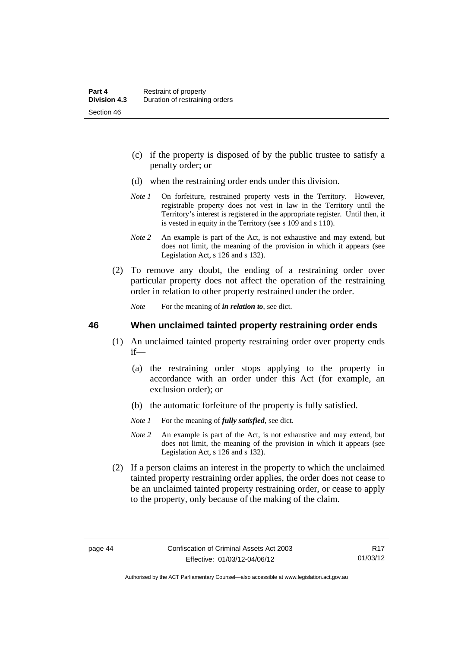- (c) if the property is disposed of by the public trustee to satisfy a penalty order; or
- (d) when the restraining order ends under this division.
- *Note 1* On forfeiture, restrained property vests in the Territory. However, registrable property does not vest in law in the Territory until the Territory's interest is registered in the appropriate register. Until then, it is vested in equity in the Territory (see s 109 and s 110).
- *Note 2* An example is part of the Act, is not exhaustive and may extend, but does not limit, the meaning of the provision in which it appears (see Legislation Act, s 126 and s 132).
- (2) To remove any doubt, the ending of a restraining order over particular property does not affect the operation of the restraining order in relation to other property restrained under the order.

*Note* For the meaning of *in relation to*, see dict.

#### **46 When unclaimed tainted property restraining order ends**

- (1) An unclaimed tainted property restraining order over property ends if—
	- (a) the restraining order stops applying to the property in accordance with an order under this Act (for example, an exclusion order); or
	- (b) the automatic forfeiture of the property is fully satisfied.
	- *Note 1* For the meaning of *fully satisfied*, see dict.
	- *Note 2* An example is part of the Act, is not exhaustive and may extend, but does not limit, the meaning of the provision in which it appears (see Legislation Act, s 126 and s 132).
- (2) If a person claims an interest in the property to which the unclaimed tainted property restraining order applies, the order does not cease to be an unclaimed tainted property restraining order, or cease to apply to the property, only because of the making of the claim.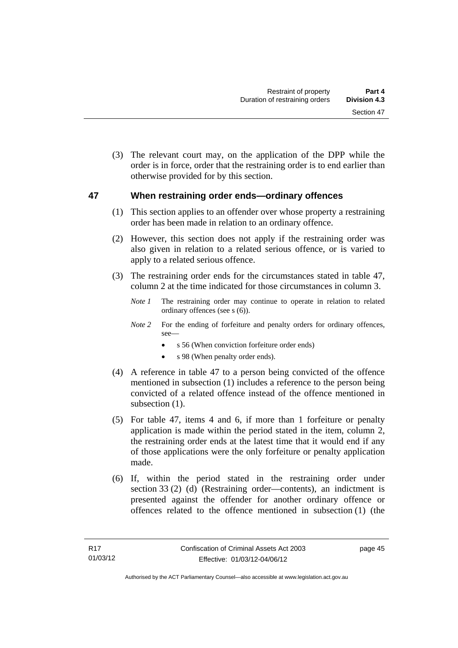(3) The relevant court may, on the application of the DPP while the order is in force, order that the restraining order is to end earlier than otherwise provided for by this section.

#### **47 When restraining order ends—ordinary offences**

- (1) This section applies to an offender over whose property a restraining order has been made in relation to an ordinary offence.
- (2) However, this section does not apply if the restraining order was also given in relation to a related serious offence, or is varied to apply to a related serious offence.
- (3) The restraining order ends for the circumstances stated in table 47, column 2 at the time indicated for those circumstances in column 3.
	- *Note 1* The restraining order may continue to operate in relation to related ordinary offences (see s (6)).
	- *Note* 2 For the ending of forfeiture and penalty orders for ordinary offences, see
		- s 56 (When conviction forfeiture order ends)
		- s 98 (When penalty order ends).
- (4) A reference in table 47 to a person being convicted of the offence mentioned in subsection (1) includes a reference to the person being convicted of a related offence instead of the offence mentioned in subsection  $(1)$ .
- (5) For table 47, items 4 and 6, if more than 1 forfeiture or penalty application is made within the period stated in the item, column 2, the restraining order ends at the latest time that it would end if any of those applications were the only forfeiture or penalty application made.
- (6) If, within the period stated in the restraining order under section 33 (2) (d) (Restraining order—contents), an indictment is presented against the offender for another ordinary offence or offences related to the offence mentioned in subsection (1) (the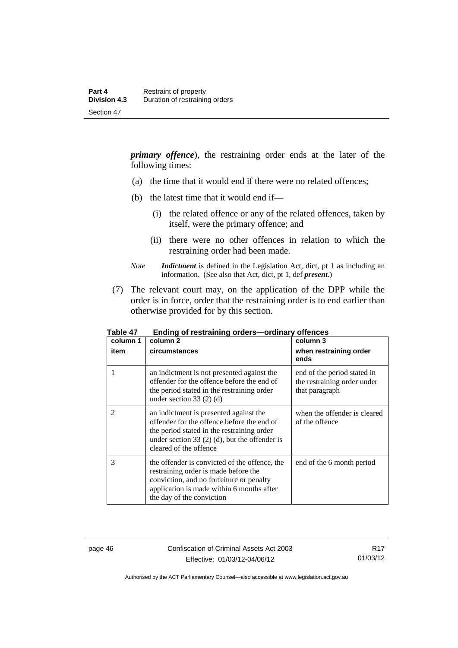*primary offence*), the restraining order ends at the later of the following times:

- (a) the time that it would end if there were no related offences;
- (b) the latest time that it would end if—
	- (i) the related offence or any of the related offences, taken by itself, were the primary offence; and
	- (ii) there were no other offences in relation to which the restraining order had been made.
- *Note Indictment* is defined in the Legislation Act, dict, pt 1 as including an information. (See also that Act, dict, pt 1, def *present*.)
- (7) The relevant court may, on the application of the DPP while the order is in force, order that the restraining order is to end earlier than otherwise provided for by this section.

| column 1<br>item | column 2<br>circumstances                                                                                                                                                                                       | column 3<br>when restraining order<br>ends                                   |
|------------------|-----------------------------------------------------------------------------------------------------------------------------------------------------------------------------------------------------------------|------------------------------------------------------------------------------|
| 1                | an indictment is not presented against the<br>offender for the offence before the end of<br>the period stated in the restraining order<br>under section 33 $(2)$ $(d)$                                          | end of the period stated in<br>the restraining order under<br>that paragraph |
| $\overline{2}$   | an indictment is presented against the<br>offender for the offence before the end of<br>the period stated in the restraining order<br>under section 33 $(2)$ (d), but the offender is<br>cleared of the offence | when the offender is cleared<br>of the offence                               |
| 3                | the offender is convicted of the offence, the<br>restraining order is made before the<br>conviction, and no forfeiture or penalty<br>application is made within 6 months after<br>the day of the conviction     | end of the 6 month period                                                    |

**Table 47 Ending of restraining orders—ordinary offences** 

page 46 Confiscation of Criminal Assets Act 2003 Effective: 01/03/12-04/06/12

Authorised by the ACT Parliamentary Counsel—also accessible at www.legislation.act.gov.au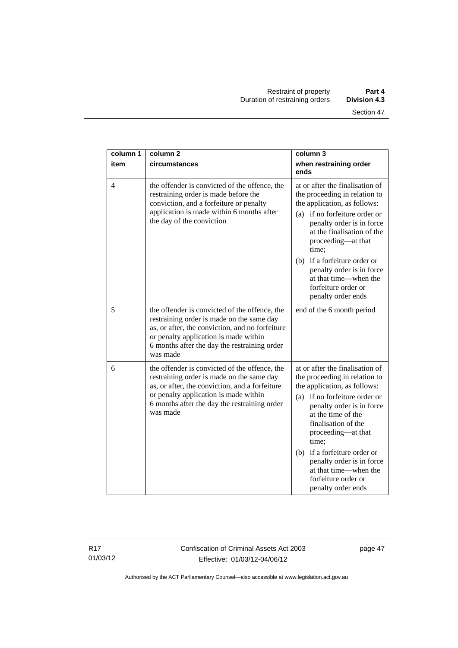| column 1       | column <sub>2</sub>                                                                                                                                                                                                                                | column 3                                                                                                                                                                                                                                                                                                                                                                      |
|----------------|----------------------------------------------------------------------------------------------------------------------------------------------------------------------------------------------------------------------------------------------------|-------------------------------------------------------------------------------------------------------------------------------------------------------------------------------------------------------------------------------------------------------------------------------------------------------------------------------------------------------------------------------|
| item           | circumstances                                                                                                                                                                                                                                      | when restraining order<br>ends                                                                                                                                                                                                                                                                                                                                                |
| $\overline{4}$ | the offender is convicted of the offence, the<br>restraining order is made before the<br>conviction, and a forfeiture or penalty<br>application is made within 6 months after<br>the day of the conviction                                         | at or after the finalisation of<br>the proceeding in relation to<br>the application, as follows:<br>if no forfeiture order or<br>(a)<br>penalty order is in force<br>at the finalisation of the<br>proceeding—at that<br>time:                                                                                                                                                |
|                |                                                                                                                                                                                                                                                    | if a forfeiture order or<br>(b)<br>penalty order is in force<br>at that time—when the<br>forfeiture order or<br>penalty order ends                                                                                                                                                                                                                                            |
| 5              | the offender is convicted of the offence, the<br>restraining order is made on the same day<br>as, or after, the conviction, and no forfeiture<br>or penalty application is made within<br>6 months after the day the restraining order<br>was made | end of the 6 month period                                                                                                                                                                                                                                                                                                                                                     |
| 6              | the offender is convicted of the offence, the<br>restraining order is made on the same day<br>as, or after, the conviction, and a forfeiture<br>or penalty application is made within<br>6 months after the day the restraining order<br>was made  | at or after the finalisation of<br>the proceeding in relation to<br>the application, as follows:<br>(a) if no forfeiture order or<br>penalty order is in force<br>at the time of the<br>finalisation of the<br>proceeding-at that<br>time;<br>(b) if a forfeiture order or<br>penalty order is in force<br>at that time—when the<br>forfeiture order or<br>penalty order ends |

R17 01/03/12

Confiscation of Criminal Assets Act 2003 Effective: 01/03/12-04/06/12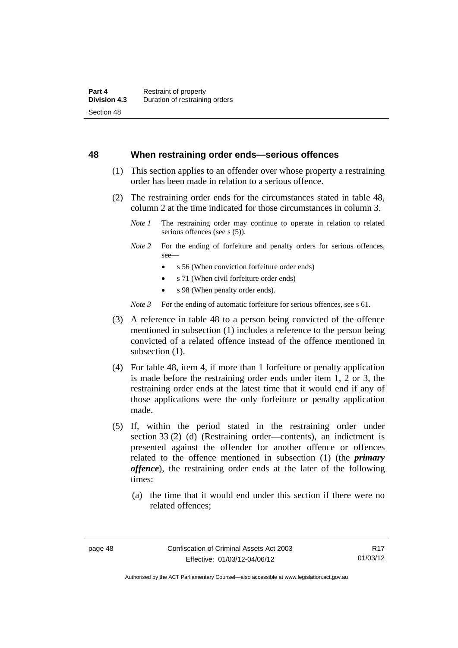#### **48 When restraining order ends—serious offences**

- (1) This section applies to an offender over whose property a restraining order has been made in relation to a serious offence.
- (2) The restraining order ends for the circumstances stated in table 48, column 2 at the time indicated for those circumstances in column 3.
	- *Note 1* The restraining order may continue to operate in relation to related serious offences (see s (5)).
	- *Note* 2 For the ending of forfeiture and penalty orders for serious offences, see—
		- s 56 (When conviction forfeiture order ends)
		- s 71 (When civil forfeiture order ends)
		- s 98 (When penalty order ends).

*Note 3* For the ending of automatic forfeiture for serious offences, see s 61.

- (3) A reference in table 48 to a person being convicted of the offence mentioned in subsection (1) includes a reference to the person being convicted of a related offence instead of the offence mentioned in subsection  $(1)$ .
- (4) For table 48, item 4, if more than 1 forfeiture or penalty application is made before the restraining order ends under item 1, 2 or 3, the restraining order ends at the latest time that it would end if any of those applications were the only forfeiture or penalty application made.
- (5) If, within the period stated in the restraining order under section 33 (2) (d) (Restraining order—contents), an indictment is presented against the offender for another offence or offences related to the offence mentioned in subsection (1) (the *primary offence*), the restraining order ends at the later of the following times:
	- (a) the time that it would end under this section if there were no related offences;

Authorised by the ACT Parliamentary Counsel—also accessible at www.legislation.act.gov.au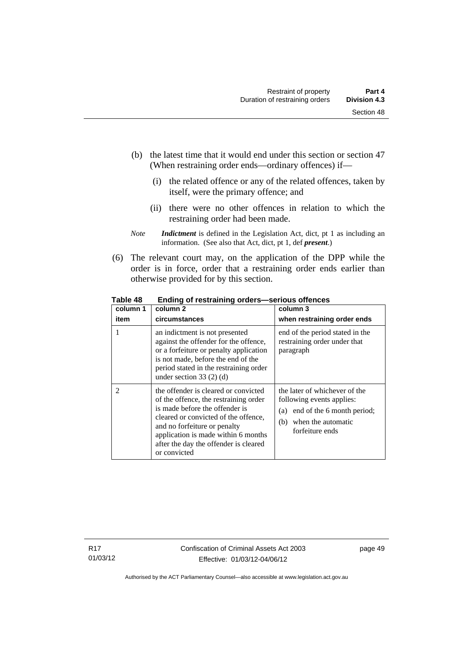- (b) the latest time that it would end under this section or section 47 (When restraining order ends—ordinary offences) if—
	- (i) the related offence or any of the related offences, taken by itself, were the primary offence; and
	- (ii) there were no other offences in relation to which the restraining order had been made.
- *Note Indictment* is defined in the Legislation Act, dict, pt 1 as including an information. (See also that Act, dict, pt 1, def *present*.)
- (6) The relevant court may, on the application of the DPP while the order is in force, order that a restraining order ends earlier than otherwise provided for by this section.

| column 1       | column 2                                                                                                                                                                                                                                                                                | column 3                                                                                                                                        |
|----------------|-----------------------------------------------------------------------------------------------------------------------------------------------------------------------------------------------------------------------------------------------------------------------------------------|-------------------------------------------------------------------------------------------------------------------------------------------------|
| item           | circumstances                                                                                                                                                                                                                                                                           | when restraining order ends                                                                                                                     |
|                | an indictment is not presented<br>against the offender for the offence,<br>or a forfeiture or penalty application<br>is not made, before the end of the<br>period stated in the restraining order<br>under section $33(2)(d)$                                                           | end of the period stated in the<br>restraining order under that<br>paragraph                                                                    |
| $\overline{2}$ | the offender is cleared or convicted<br>of the offence, the restraining order<br>is made before the offender is<br>cleared or convicted of the offence,<br>and no forfeiture or penalty<br>application is made within 6 months<br>after the day the offender is cleared<br>or convicted | the later of whichever of the<br>following events applies:<br>end of the 6 month period;<br>(a)<br>when the automatic<br>(b)<br>forfeiture ends |

**Table 48 Ending of restraining orders—serious offences**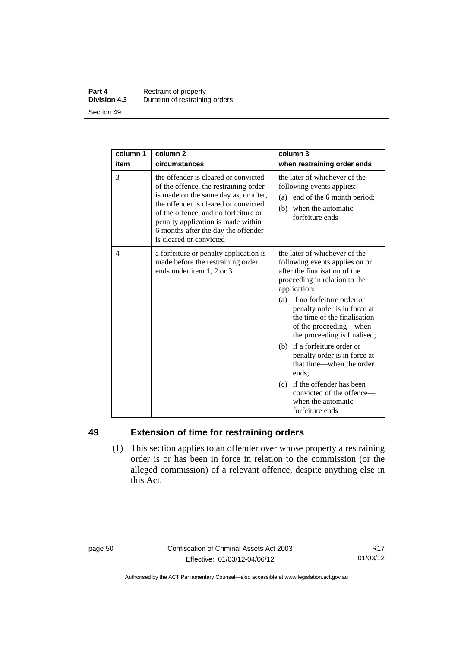#### **Part 4 Restraint of property**<br>**Division 4.3** Duration of restraining **Division 4.3** Duration of restraining orders Section 49

| column 1 | column <sub>2</sub>                                                                                                                                                                                                                                                                                            | column 3                                                                                                                                                                                                                                                                                                                                                                                                          |
|----------|----------------------------------------------------------------------------------------------------------------------------------------------------------------------------------------------------------------------------------------------------------------------------------------------------------------|-------------------------------------------------------------------------------------------------------------------------------------------------------------------------------------------------------------------------------------------------------------------------------------------------------------------------------------------------------------------------------------------------------------------|
| item     | circumstances                                                                                                                                                                                                                                                                                                  | when restraining order ends                                                                                                                                                                                                                                                                                                                                                                                       |
| 3        | the offender is cleared or convicted<br>of the offence, the restraining order<br>is made on the same day as, or after,<br>the offender is cleared or convicted<br>of the offence, and no forfeiture or<br>penalty application is made within<br>6 months after the day the offender<br>is cleared or convicted | the later of whichever of the<br>following events applies:<br>(a) end of the 6 month period;<br>when the automatic<br>(b)<br>forfeiture ends                                                                                                                                                                                                                                                                      |
| 4        | a forfeiture or penalty application is<br>made before the restraining order<br>ends under item 1, 2 or 3                                                                                                                                                                                                       | the later of whichever of the<br>following events applies on or<br>after the finalisation of the<br>proceeding in relation to the<br>application:<br>(a) if no forfeiture order or<br>penalty order is in force at<br>the time of the finalisation<br>of the proceeding—when<br>the proceeding is finalised;<br>(b) if a forfeiture order or<br>penalty order is in force at<br>that time—when the order<br>ends: |
|          |                                                                                                                                                                                                                                                                                                                | (c) if the offender has been<br>convicted of the offence-<br>when the automatic<br>forfeiture ends                                                                                                                                                                                                                                                                                                                |

# **49 Extension of time for restraining orders**

 (1) This section applies to an offender over whose property a restraining order is or has been in force in relation to the commission (or the alleged commission) of a relevant offence, despite anything else in this Act.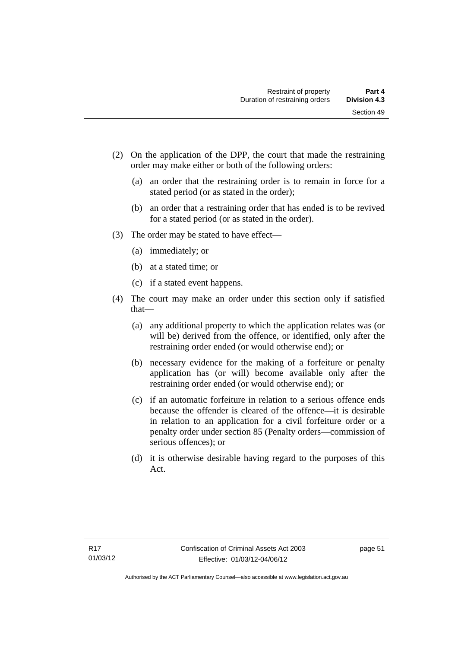- (2) On the application of the DPP, the court that made the restraining order may make either or both of the following orders:
	- (a) an order that the restraining order is to remain in force for a stated period (or as stated in the order);
	- (b) an order that a restraining order that has ended is to be revived for a stated period (or as stated in the order).
- (3) The order may be stated to have effect—
	- (a) immediately; or
	- (b) at a stated time; or
	- (c) if a stated event happens.
- (4) The court may make an order under this section only if satisfied that—
	- (a) any additional property to which the application relates was (or will be) derived from the offence, or identified, only after the restraining order ended (or would otherwise end); or
	- (b) necessary evidence for the making of a forfeiture or penalty application has (or will) become available only after the restraining order ended (or would otherwise end); or
	- (c) if an automatic forfeiture in relation to a serious offence ends because the offender is cleared of the offence—it is desirable in relation to an application for a civil forfeiture order or a penalty order under section 85 (Penalty orders—commission of serious offences); or
	- (d) it is otherwise desirable having regard to the purposes of this Act.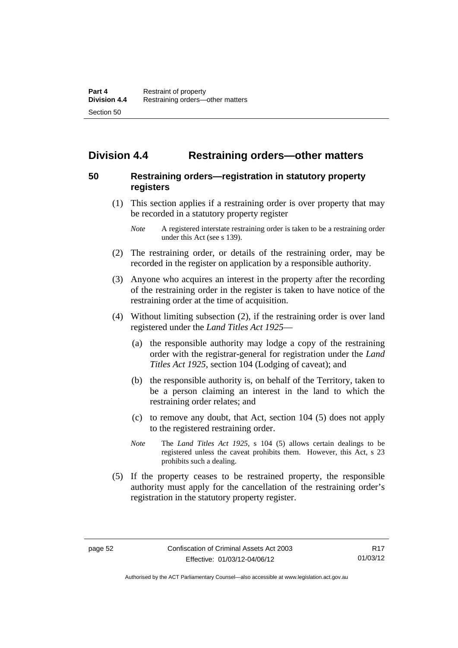# **Division 4.4 Restraining orders—other matters**

# **50 Restraining orders—registration in statutory property registers**

 (1) This section applies if a restraining order is over property that may be recorded in a statutory property register

- (2) The restraining order, or details of the restraining order, may be recorded in the register on application by a responsible authority.
- (3) Anyone who acquires an interest in the property after the recording of the restraining order in the register is taken to have notice of the restraining order at the time of acquisition.
- (4) Without limiting subsection (2), if the restraining order is over land registered under the *Land Titles Act 1925*—
	- (a) the responsible authority may lodge a copy of the restraining order with the registrar-general for registration under the *Land Titles Act 1925*, section 104 (Lodging of caveat); and
	- (b) the responsible authority is, on behalf of the Territory, taken to be a person claiming an interest in the land to which the restraining order relates; and
	- (c) to remove any doubt, that Act, section 104 (5) does not apply to the registered restraining order.
	- *Note* The *Land Titles Act 1925*, s 104 (5) allows certain dealings to be registered unless the caveat prohibits them. However, this Act, s 23 prohibits such a dealing.
- (5) If the property ceases to be restrained property, the responsible authority must apply for the cancellation of the restraining order's registration in the statutory property register.

*Note* A registered interstate restraining order is taken to be a restraining order under this Act (see s 139).

Authorised by the ACT Parliamentary Counsel—also accessible at www.legislation.act.gov.au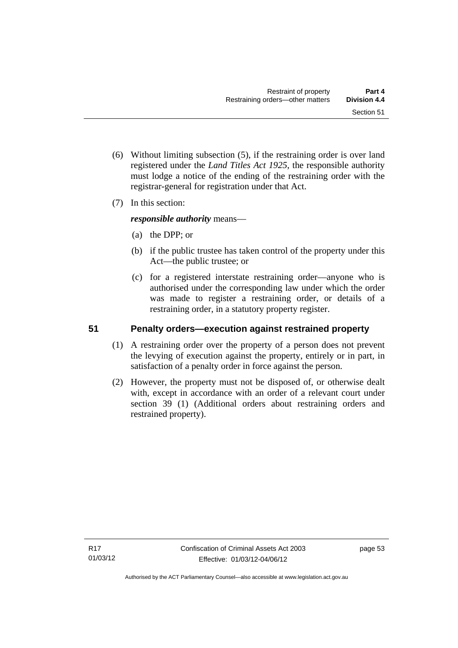- (6) Without limiting subsection (5), if the restraining order is over land registered under the *Land Titles Act 1925*, the responsible authority must lodge a notice of the ending of the restraining order with the registrar-general for registration under that Act.
- (7) In this section:

*responsible authority* means—

- (a) the DPP; or
- (b) if the public trustee has taken control of the property under this Act—the public trustee; or
- (c) for a registered interstate restraining order—anyone who is authorised under the corresponding law under which the order was made to register a restraining order, or details of a restraining order, in a statutory property register.

# **51 Penalty orders—execution against restrained property**

- (1) A restraining order over the property of a person does not prevent the levying of execution against the property, entirely or in part, in satisfaction of a penalty order in force against the person.
- (2) However, the property must not be disposed of, or otherwise dealt with, except in accordance with an order of a relevant court under section 39 (1) (Additional orders about restraining orders and restrained property).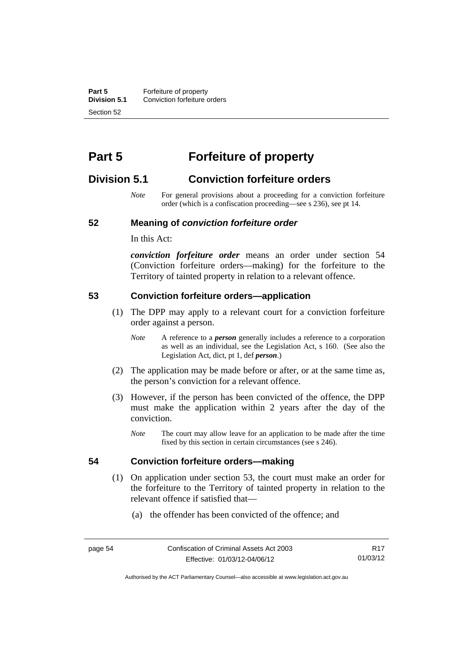**Part 5 Forfeiture of property**<br>**Division 5.1** Conviction forfeiture of **Division 5.1** Conviction forfeiture orders Section 52

# **Part 5 Forfeiture of property**

# **Division 5.1 Conviction forfeiture orders**

*Note* For general provisions about a proceeding for a conviction forfeiture order (which is a confiscation proceeding—see s 236), see pt 14.

#### **52 Meaning of** *conviction forfeiture order*

In this Act:

*conviction forfeiture order* means an order under section 54 (Conviction forfeiture orders—making) for the forfeiture to the Territory of tainted property in relation to a relevant offence.

#### **53 Conviction forfeiture orders—application**

- (1) The DPP may apply to a relevant court for a conviction forfeiture order against a person.
	- *Note* A reference to a *person* generally includes a reference to a corporation as well as an individual, see the Legislation Act, s 160. (See also the Legislation Act, dict, pt 1, def *person*.)
- (2) The application may be made before or after, or at the same time as, the person's conviction for a relevant offence.
- (3) However, if the person has been convicted of the offence, the DPP must make the application within 2 years after the day of the conviction.
	- *Note* The court may allow leave for an application to be made after the time fixed by this section in certain circumstances (see s 246).

#### **54 Conviction forfeiture orders—making**

- (1) On application under section 53, the court must make an order for the forfeiture to the Territory of tainted property in relation to the relevant offence if satisfied that—
	- (a) the offender has been convicted of the offence; and

Authorised by the ACT Parliamentary Counsel—also accessible at www.legislation.act.gov.au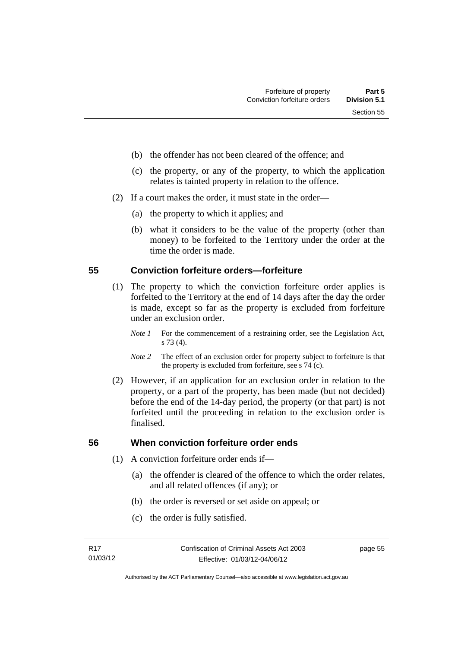- (b) the offender has not been cleared of the offence; and
- (c) the property, or any of the property, to which the application relates is tainted property in relation to the offence.
- (2) If a court makes the order, it must state in the order—
	- (a) the property to which it applies; and
	- (b) what it considers to be the value of the property (other than money) to be forfeited to the Territory under the order at the time the order is made.

#### **55 Conviction forfeiture orders—forfeiture**

- (1) The property to which the conviction forfeiture order applies is forfeited to the Territory at the end of 14 days after the day the order is made, except so far as the property is excluded from forfeiture under an exclusion order.
	- *Note 1* For the commencement of a restraining order, see the Legislation Act, s 73 (4).
	- *Note 2* The effect of an exclusion order for property subject to forfeiture is that the property is excluded from forfeiture, see s 74 (c).
- (2) However, if an application for an exclusion order in relation to the property, or a part of the property, has been made (but not decided) before the end of the 14-day period, the property (or that part) is not forfeited until the proceeding in relation to the exclusion order is finalised.

# **56 When conviction forfeiture order ends**

- (1) A conviction forfeiture order ends if—
	- (a) the offender is cleared of the offence to which the order relates, and all related offences (if any); or
	- (b) the order is reversed or set aside on appeal; or
	- (c) the order is fully satisfied.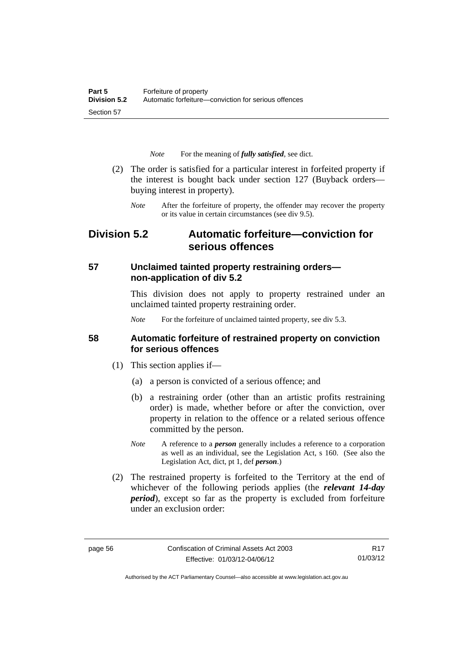*Note* For the meaning of *fully satisfied*, see dict.

- (2) The order is satisfied for a particular interest in forfeited property if the interest is bought back under section 127 (Buyback orders buying interest in property).
	- *Note* After the forfeiture of property, the offender may recover the property or its value in certain circumstances (see div 9.5).

# **Division 5.2 Automatic forfeiture—conviction for serious offences**

# **57 Unclaimed tainted property restraining orders non-application of div 5.2**

This division does not apply to property restrained under an unclaimed tainted property restraining order.

*Note* For the forfeiture of unclaimed tainted property, see div 5.3.

#### **58 Automatic forfeiture of restrained property on conviction for serious offences**

- (1) This section applies if—
	- (a) a person is convicted of a serious offence; and
	- (b) a restraining order (other than an artistic profits restraining order) is made, whether before or after the conviction, over property in relation to the offence or a related serious offence committed by the person.
	- *Note* A reference to a *person* generally includes a reference to a corporation as well as an individual, see the Legislation Act, s 160. (See also the Legislation Act, dict, pt 1, def *person*.)
- (2) The restrained property is forfeited to the Territory at the end of whichever of the following periods applies (the *relevant 14-day period*), except so far as the property is excluded from forfeiture under an exclusion order:

R17 01/03/12

Authorised by the ACT Parliamentary Counsel—also accessible at www.legislation.act.gov.au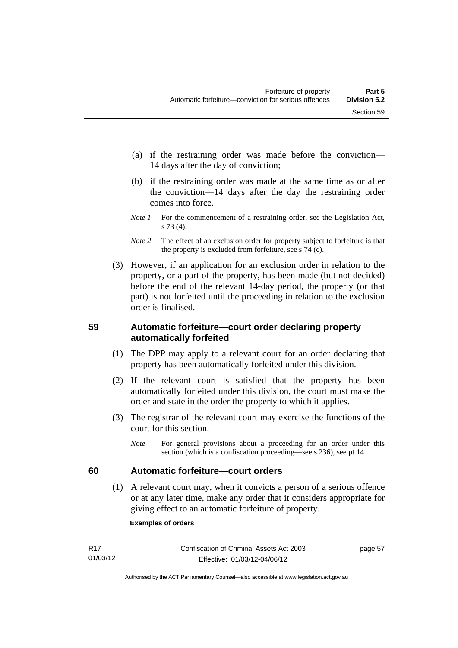- (a) if the restraining order was made before the conviction— 14 days after the day of conviction;
- (b) if the restraining order was made at the same time as or after the conviction—14 days after the day the restraining order comes into force.
- *Note 1* For the commencement of a restraining order, see the Legislation Act, s 73 (4).
- *Note* 2 The effect of an exclusion order for property subject to forfeiture is that the property is excluded from forfeiture, see s 74 (c).
- (3) However, if an application for an exclusion order in relation to the property, or a part of the property, has been made (but not decided) before the end of the relevant 14-day period, the property (or that part) is not forfeited until the proceeding in relation to the exclusion order is finalised.

# **59 Automatic forfeiture—court order declaring property automatically forfeited**

- (1) The DPP may apply to a relevant court for an order declaring that property has been automatically forfeited under this division.
- (2) If the relevant court is satisfied that the property has been automatically forfeited under this division, the court must make the order and state in the order the property to which it applies.
- (3) The registrar of the relevant court may exercise the functions of the court for this section.
	- *Note* For general provisions about a proceeding for an order under this section (which is a confiscation proceeding—see s 236), see pt 14.

# **60 Automatic forfeiture—court orders**

 (1) A relevant court may, when it convicts a person of a serious offence or at any later time, make any order that it considers appropriate for giving effect to an automatic forfeiture of property.

#### **Examples of orders**

| R17      | Confiscation of Criminal Assets Act 2003 | page 57 |
|----------|------------------------------------------|---------|
| 01/03/12 | Effective: 01/03/12-04/06/12             |         |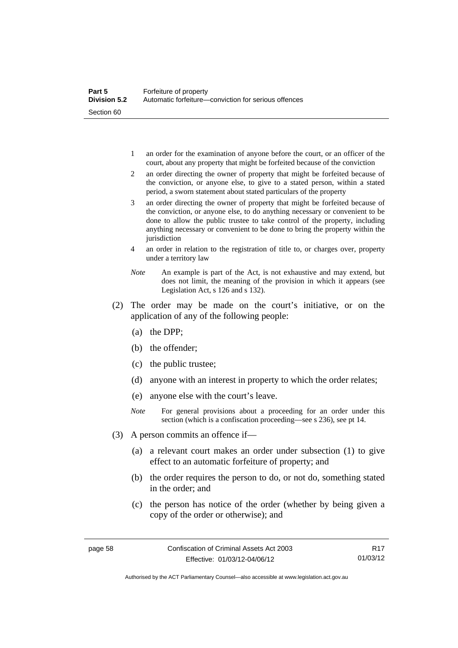- 1 an order for the examination of anyone before the court, or an officer of the court, about any property that might be forfeited because of the conviction
- 2 an order directing the owner of property that might be forfeited because of the conviction, or anyone else, to give to a stated person, within a stated period, a sworn statement about stated particulars of the property
- 3 an order directing the owner of property that might be forfeited because of the conviction, or anyone else, to do anything necessary or convenient to be done to allow the public trustee to take control of the property, including anything necessary or convenient to be done to bring the property within the jurisdiction
- 4 an order in relation to the registration of title to, or charges over, property under a territory law
- *Note* An example is part of the Act, is not exhaustive and may extend, but does not limit, the meaning of the provision in which it appears (see Legislation Act, s 126 and s 132).
- (2) The order may be made on the court's initiative, or on the application of any of the following people:
	- (a) the DPP;
	- (b) the offender;
	- (c) the public trustee;
	- (d) anyone with an interest in property to which the order relates;
	- (e) anyone else with the court's leave.
	- *Note* For general provisions about a proceeding for an order under this section (which is a confiscation proceeding—see s 236), see pt 14.
- (3) A person commits an offence if—
	- (a) a relevant court makes an order under subsection (1) to give effect to an automatic forfeiture of property; and
	- (b) the order requires the person to do, or not do, something stated in the order; and
	- (c) the person has notice of the order (whether by being given a copy of the order or otherwise); and

Authorised by the ACT Parliamentary Counsel—also accessible at www.legislation.act.gov.au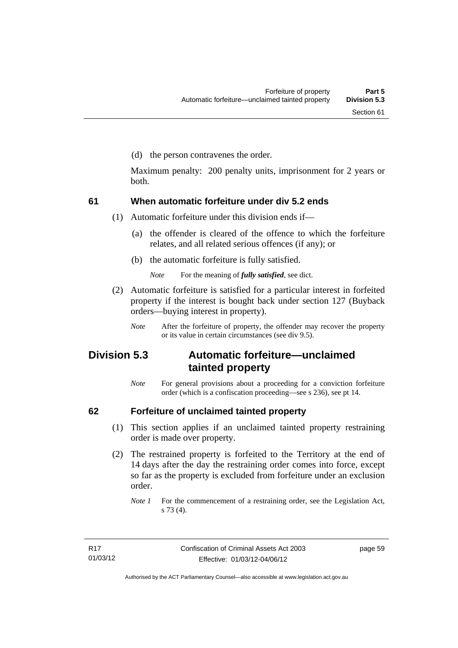(d) the person contravenes the order.

Maximum penalty: 200 penalty units, imprisonment for 2 years or both.

### **61 When automatic forfeiture under div 5.2 ends**

(1) Automatic forfeiture under this division ends if—

- (a) the offender is cleared of the offence to which the forfeiture relates, and all related serious offences (if any); or
- (b) the automatic forfeiture is fully satisfied.

*Note* For the meaning of *fully satisfied*, see dict.

- (2) Automatic forfeiture is satisfied for a particular interest in forfeited property if the interest is bought back under section 127 (Buyback orders—buying interest in property).
	- *Note* After the forfeiture of property, the offender may recover the property or its value in certain circumstances (see div 9.5).

# **Division 5.3 Automatic forfeiture—unclaimed tainted property**

*Note* For general provisions about a proceeding for a conviction forfeiture order (which is a confiscation proceeding—see s 236), see pt 14.

### **62 Forfeiture of unclaimed tainted property**

- (1) This section applies if an unclaimed tainted property restraining order is made over property.
- (2) The restrained property is forfeited to the Territory at the end of 14 days after the day the restraining order comes into force, except so far as the property is excluded from forfeiture under an exclusion order.

*Note 1* For the commencement of a restraining order, see the Legislation Act, s 73 (4).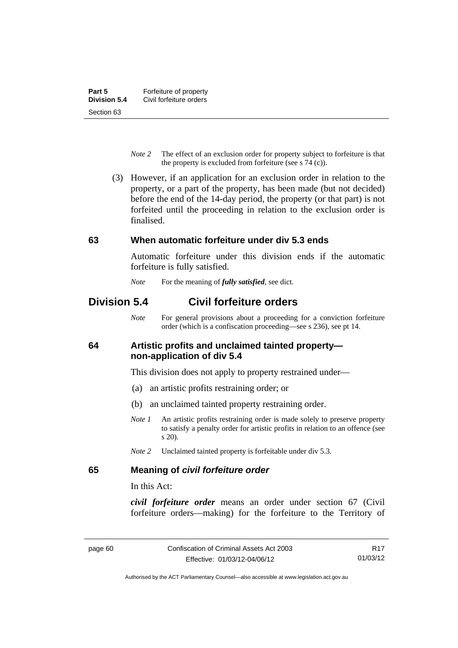- *Note 2* The effect of an exclusion order for property subject to forfeiture is that the property is excluded from forfeiture (see s 74 (c)).
- (3) However, if an application for an exclusion order in relation to the property, or a part of the property, has been made (but not decided) before the end of the 14-day period, the property (or that part) is not forfeited until the proceeding in relation to the exclusion order is finalised.

#### **63 When automatic forfeiture under div 5.3 ends**

Automatic forfeiture under this division ends if the automatic forfeiture is fully satisfied.

*Note* For the meaning of *fully satisfied*, see dict.

# **Division 5.4 Civil forfeiture orders**

*Note* For general provisions about a proceeding for a conviction forfeiture order (which is a confiscation proceeding—see s 236), see pt 14.

#### **64 Artistic profits and unclaimed tainted property non-application of div 5.4**

This division does not apply to property restrained under—

- (a) an artistic profits restraining order; or
- (b) an unclaimed tainted property restraining order.
- *Note 1* An artistic profits restraining order is made solely to preserve property to satisfy a penalty order for artistic profits in relation to an offence (see s 20).
- *Note 2* Unclaimed tainted property is forfeitable under div 5.3.

### **65 Meaning of** *civil forfeiture order*

In this Act:

*civil forfeiture order* means an order under section 67 (Civil forfeiture orders—making) for the forfeiture to the Territory of

R17 01/03/12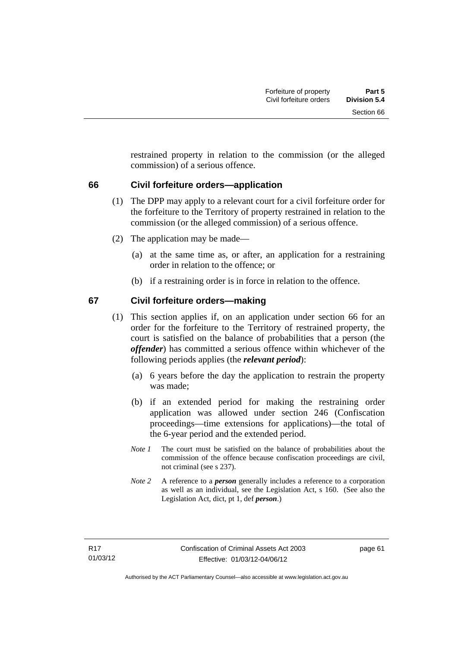restrained property in relation to the commission (or the alleged commission) of a serious offence.

#### **66 Civil forfeiture orders—application**

- (1) The DPP may apply to a relevant court for a civil forfeiture order for the forfeiture to the Territory of property restrained in relation to the commission (or the alleged commission) of a serious offence.
- (2) The application may be made—
	- (a) at the same time as, or after, an application for a restraining order in relation to the offence; or
	- (b) if a restraining order is in force in relation to the offence.

#### **67 Civil forfeiture orders—making**

- (1) This section applies if, on an application under section 66 for an order for the forfeiture to the Territory of restrained property, the court is satisfied on the balance of probabilities that a person (the *offender*) has committed a serious offence within whichever of the following periods applies (the *relevant period*):
	- (a) 6 years before the day the application to restrain the property was made;
	- (b) if an extended period for making the restraining order application was allowed under section 246 (Confiscation proceedings—time extensions for applications)—the total of the 6-year period and the extended period.
	- *Note 1* The court must be satisfied on the balance of probabilities about the commission of the offence because confiscation proceedings are civil, not criminal (see s 237).
	- *Note 2* A reference to a *person* generally includes a reference to a corporation as well as an individual, see the Legislation Act, s 160. (See also the Legislation Act, dict, pt 1, def *person*.)

page 61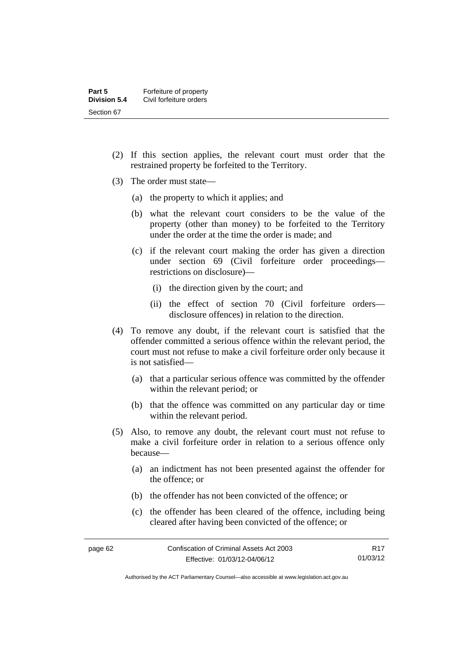- (2) If this section applies, the relevant court must order that the restrained property be forfeited to the Territory.
- (3) The order must state—
	- (a) the property to which it applies; and
	- (b) what the relevant court considers to be the value of the property (other than money) to be forfeited to the Territory under the order at the time the order is made; and
	- (c) if the relevant court making the order has given a direction under section 69 (Civil forfeiture order proceedings restrictions on disclosure)—
		- (i) the direction given by the court; and
		- (ii) the effect of section 70 (Civil forfeiture orders disclosure offences) in relation to the direction.
- (4) To remove any doubt, if the relevant court is satisfied that the offender committed a serious offence within the relevant period, the court must not refuse to make a civil forfeiture order only because it is not satisfied—
	- (a) that a particular serious offence was committed by the offender within the relevant period; or
	- (b) that the offence was committed on any particular day or time within the relevant period.
- (5) Also, to remove any doubt, the relevant court must not refuse to make a civil forfeiture order in relation to a serious offence only because—
	- (a) an indictment has not been presented against the offender for the offence; or
	- (b) the offender has not been convicted of the offence; or
	- (c) the offender has been cleared of the offence, including being cleared after having been convicted of the offence; or

Authorised by the ACT Parliamentary Counsel—also accessible at www.legislation.act.gov.au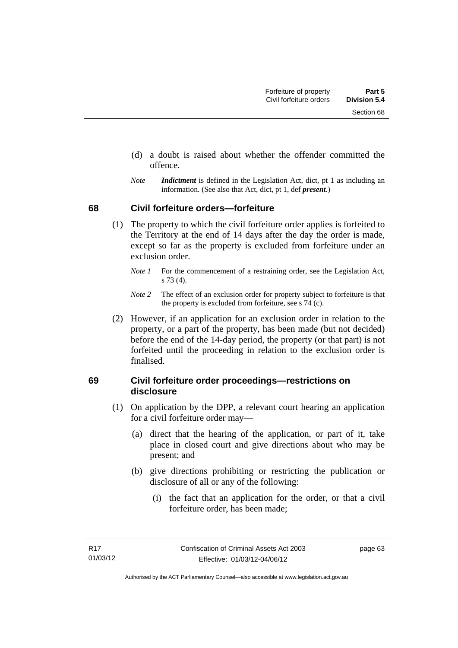- (d) a doubt is raised about whether the offender committed the offence.
- *Note Indictment* is defined in the Legislation Act, dict, pt 1 as including an information. (See also that Act, dict, pt 1, def *present*.)

#### **68 Civil forfeiture orders—forfeiture**

- (1) The property to which the civil forfeiture order applies is forfeited to the Territory at the end of 14 days after the day the order is made, except so far as the property is excluded from forfeiture under an exclusion order.
	- *Note 1* For the commencement of a restraining order, see the Legislation Act, s 73 (4).
	- *Note 2* The effect of an exclusion order for property subject to forfeiture is that the property is excluded from forfeiture, see s 74 (c).
- (2) However, if an application for an exclusion order in relation to the property, or a part of the property, has been made (but not decided) before the end of the 14-day period, the property (or that part) is not forfeited until the proceeding in relation to the exclusion order is finalised.

#### **69 Civil forfeiture order proceedings—restrictions on disclosure**

- (1) On application by the DPP, a relevant court hearing an application for a civil forfeiture order may—
	- (a) direct that the hearing of the application, or part of it, take place in closed court and give directions about who may be present; and
	- (b) give directions prohibiting or restricting the publication or disclosure of all or any of the following:
		- (i) the fact that an application for the order, or that a civil forfeiture order, has been made;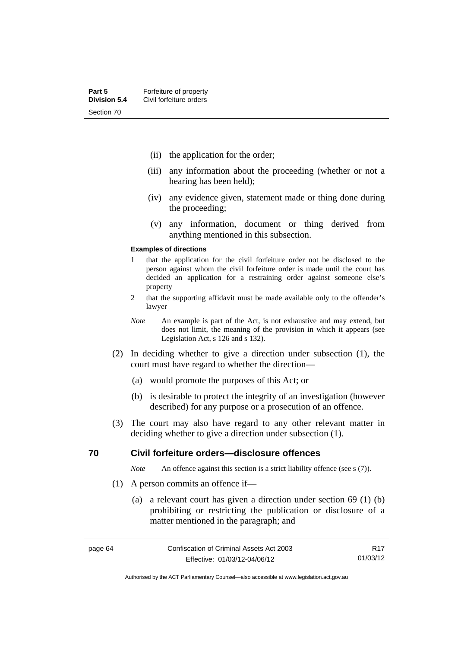- (ii) the application for the order;
- (iii) any information about the proceeding (whether or not a hearing has been held);
- (iv) any evidence given, statement made or thing done during the proceeding;
- (v) any information, document or thing derived from anything mentioned in this subsection.

#### **Examples of directions**

- 1 that the application for the civil forfeiture order not be disclosed to the person against whom the civil forfeiture order is made until the court has decided an application for a restraining order against someone else's property
- 2 that the supporting affidavit must be made available only to the offender's lawyer
- *Note* An example is part of the Act, is not exhaustive and may extend, but does not limit, the meaning of the provision in which it appears (see Legislation Act, s 126 and s 132).
- (2) In deciding whether to give a direction under subsection (1), the court must have regard to whether the direction—
	- (a) would promote the purposes of this Act; or
	- (b) is desirable to protect the integrity of an investigation (however described) for any purpose or a prosecution of an offence.
- (3) The court may also have regard to any other relevant matter in deciding whether to give a direction under subsection (1).

#### **70 Civil forfeiture orders—disclosure offences**

*Note* An offence against this section is a strict liability offence (see s (7)).

- (1) A person commits an offence if—
	- (a) a relevant court has given a direction under section 69 (1) (b) prohibiting or restricting the publication or disclosure of a matter mentioned in the paragraph; and

R17 01/03/12

Authorised by the ACT Parliamentary Counsel—also accessible at www.legislation.act.gov.au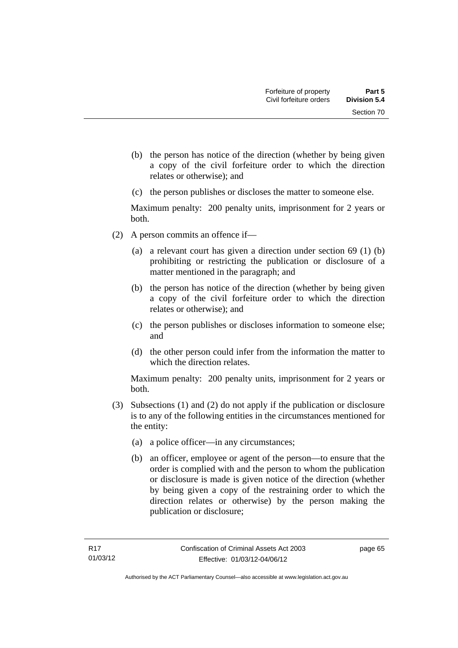- (b) the person has notice of the direction (whether by being given a copy of the civil forfeiture order to which the direction relates or otherwise); and
- (c) the person publishes or discloses the matter to someone else.

Maximum penalty: 200 penalty units, imprisonment for 2 years or both.

- (2) A person commits an offence if—
	- (a) a relevant court has given a direction under section 69 (1) (b) prohibiting or restricting the publication or disclosure of a matter mentioned in the paragraph; and
	- (b) the person has notice of the direction (whether by being given a copy of the civil forfeiture order to which the direction relates or otherwise); and
	- (c) the person publishes or discloses information to someone else; and
	- (d) the other person could infer from the information the matter to which the direction relates.

Maximum penalty: 200 penalty units, imprisonment for 2 years or both.

- (3) Subsections (1) and (2) do not apply if the publication or disclosure is to any of the following entities in the circumstances mentioned for the entity:
	- (a) a police officer—in any circumstances;
	- (b) an officer, employee or agent of the person—to ensure that the order is complied with and the person to whom the publication or disclosure is made is given notice of the direction (whether by being given a copy of the restraining order to which the direction relates or otherwise) by the person making the publication or disclosure;

page 65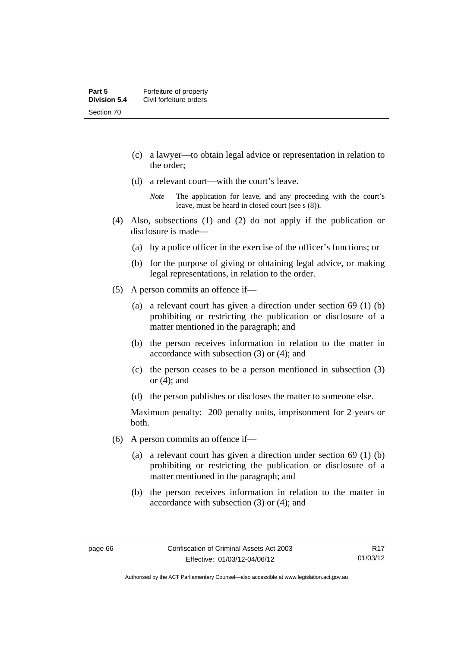- (c) a lawyer—to obtain legal advice or representation in relation to the order;
- (d) a relevant court—with the court's leave.

- (4) Also, subsections (1) and (2) do not apply if the publication or disclosure is made—
	- (a) by a police officer in the exercise of the officer's functions; or
	- (b) for the purpose of giving or obtaining legal advice, or making legal representations, in relation to the order.
- (5) A person commits an offence if—
	- (a) a relevant court has given a direction under section 69 (1) (b) prohibiting or restricting the publication or disclosure of a matter mentioned in the paragraph; and
	- (b) the person receives information in relation to the matter in accordance with subsection (3) or (4); and
	- (c) the person ceases to be a person mentioned in subsection (3) or (4); and
	- (d) the person publishes or discloses the matter to someone else.

Maximum penalty: 200 penalty units, imprisonment for 2 years or both.

- (6) A person commits an offence if—
	- (a) a relevant court has given a direction under section 69 (1) (b) prohibiting or restricting the publication or disclosure of a matter mentioned in the paragraph; and
	- (b) the person receives information in relation to the matter in accordance with subsection (3) or (4); and

*Note* The application for leave, and any proceeding with the court's leave, must be heard in closed court (see s (8)).

Authorised by the ACT Parliamentary Counsel—also accessible at www.legislation.act.gov.au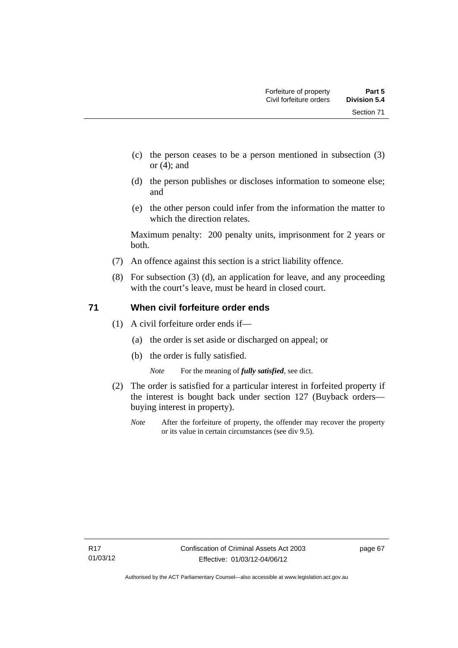Section 71

- (c) the person ceases to be a person mentioned in subsection (3) or (4); and
- (d) the person publishes or discloses information to someone else; and
- (e) the other person could infer from the information the matter to which the direction relates.

Maximum penalty: 200 penalty units, imprisonment for 2 years or both.

- (7) An offence against this section is a strict liability offence.
- (8) For subsection (3) (d), an application for leave, and any proceeding with the court's leave, must be heard in closed court.

#### **71 When civil forfeiture order ends**

- (1) A civil forfeiture order ends if—
	- (a) the order is set aside or discharged on appeal; or
	- (b) the order is fully satisfied.

*Note* For the meaning of *fully satisfied*, see dict.

- (2) The order is satisfied for a particular interest in forfeited property if the interest is bought back under section 127 (Buyback orders buying interest in property).
	- *Note* After the forfeiture of property, the offender may recover the property or its value in certain circumstances (see div 9.5).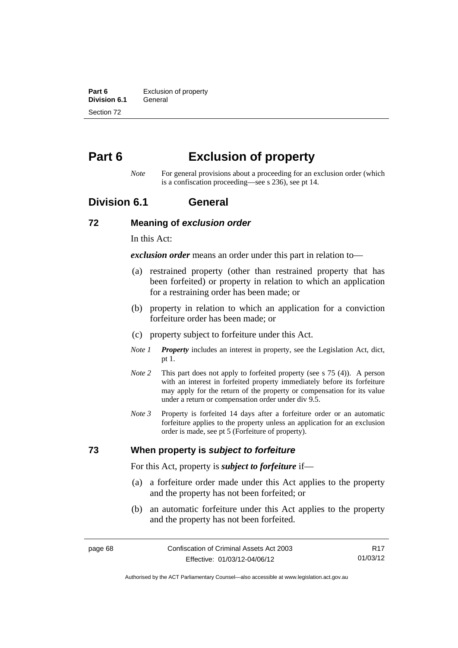**Part 6 Exclusion of property**<br>**Division 6.1 General Division 6.1** Section 72

# **Part 6 Exclusion of property**

*Note* For general provisions about a proceeding for an exclusion order (which is a confiscation proceeding—see s 236), see pt 14.

## **Division 6.1 General**

#### **72 Meaning of** *exclusion order*

In this Act:

*exclusion order* means an order under this part in relation to—

- (a) restrained property (other than restrained property that has been forfeited) or property in relation to which an application for a restraining order has been made; or
- (b) property in relation to which an application for a conviction forfeiture order has been made; or
- (c) property subject to forfeiture under this Act.
- *Note 1 Property* includes an interest in property, see the Legislation Act, dict, pt 1.
- *Note 2* This part does not apply to forfeited property (see s 75 (4)). A person with an interest in forfeited property immediately before its forfeiture may apply for the return of the property or compensation for its value under a return or compensation order under div 9.5.
- *Note 3* Property is forfeited 14 days after a forfeiture order or an automatic forfeiture applies to the property unless an application for an exclusion order is made, see pt 5 (Forfeiture of property).

#### **73 When property is** *subject to forfeiture*

For this Act, property is *subject to forfeiture* if—

- (a) a forfeiture order made under this Act applies to the property and the property has not been forfeited; or
- (b) an automatic forfeiture under this Act applies to the property and the property has not been forfeited.

R17 01/03/12

Authorised by the ACT Parliamentary Counsel—also accessible at www.legislation.act.gov.au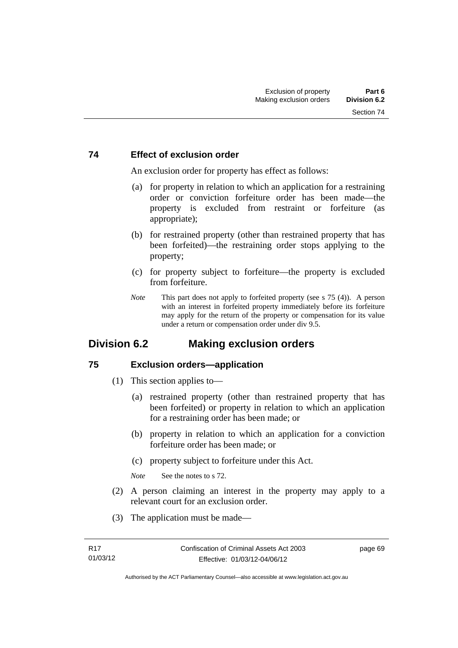#### **74 Effect of exclusion order**

An exclusion order for property has effect as follows:

- (a) for property in relation to which an application for a restraining order or conviction forfeiture order has been made—the property is excluded from restraint or forfeiture (as appropriate);
- (b) for restrained property (other than restrained property that has been forfeited)—the restraining order stops applying to the property;
- (c) for property subject to forfeiture—the property is excluded from forfeiture.
- *Note* This part does not apply to forfeited property (see s 75 (4)). A person with an interest in forfeited property immediately before its forfeiture may apply for the return of the property or compensation for its value under a return or compensation order under div 9.5.

# **Division 6.2 Making exclusion orders**

#### **75 Exclusion orders—application**

- (1) This section applies to—
	- (a) restrained property (other than restrained property that has been forfeited) or property in relation to which an application for a restraining order has been made; or
	- (b) property in relation to which an application for a conviction forfeiture order has been made; or
	- (c) property subject to forfeiture under this Act.

*Note* See the notes to s 72.

- (2) A person claiming an interest in the property may apply to a relevant court for an exclusion order.
- (3) The application must be made—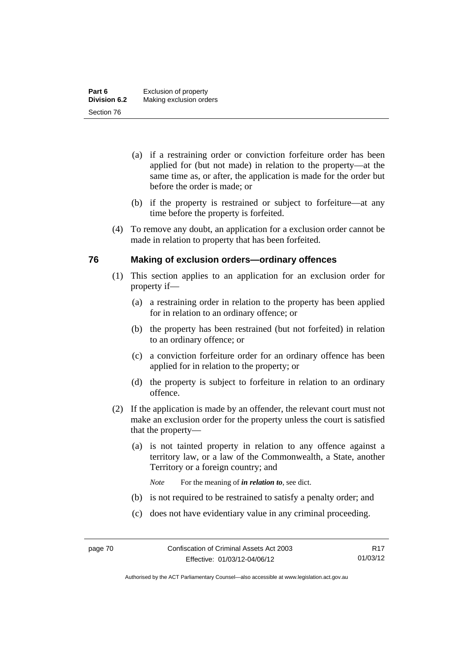- (a) if a restraining order or conviction forfeiture order has been applied for (but not made) in relation to the property—at the same time as, or after, the application is made for the order but before the order is made; or
- (b) if the property is restrained or subject to forfeiture—at any time before the property is forfeited.
- (4) To remove any doubt, an application for a exclusion order cannot be made in relation to property that has been forfeited.

#### **76 Making of exclusion orders—ordinary offences**

- (1) This section applies to an application for an exclusion order for property if—
	- (a) a restraining order in relation to the property has been applied for in relation to an ordinary offence; or
	- (b) the property has been restrained (but not forfeited) in relation to an ordinary offence; or
	- (c) a conviction forfeiture order for an ordinary offence has been applied for in relation to the property; or
	- (d) the property is subject to forfeiture in relation to an ordinary offence.
- (2) If the application is made by an offender, the relevant court must not make an exclusion order for the property unless the court is satisfied that the property—
	- (a) is not tainted property in relation to any offence against a territory law, or a law of the Commonwealth, a State, another Territory or a foreign country; and
		- *Note* For the meaning of *in relation to*, see dict.
	- (b) is not required to be restrained to satisfy a penalty order; and
	- (c) does not have evidentiary value in any criminal proceeding.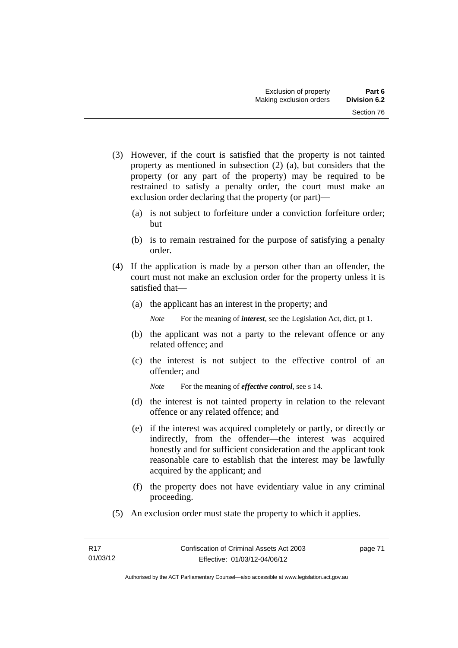- (3) However, if the court is satisfied that the property is not tainted property as mentioned in subsection (2) (a), but considers that the property (or any part of the property) may be required to be restrained to satisfy a penalty order, the court must make an exclusion order declaring that the property (or part)—
	- (a) is not subject to forfeiture under a conviction forfeiture order; but
	- (b) is to remain restrained for the purpose of satisfying a penalty order.
- (4) If the application is made by a person other than an offender, the court must not make an exclusion order for the property unless it is satisfied that—
	- (a) the applicant has an interest in the property; and

*Note* For the meaning of *interest*, see the Legislation Act, dict, pt 1.

- (b) the applicant was not a party to the relevant offence or any related offence; and
- (c) the interest is not subject to the effective control of an offender; and
	- *Note* For the meaning of *effective control*, see s 14.
- (d) the interest is not tainted property in relation to the relevant offence or any related offence; and
- (e) if the interest was acquired completely or partly, or directly or indirectly, from the offender—the interest was acquired honestly and for sufficient consideration and the applicant took reasonable care to establish that the interest may be lawfully acquired by the applicant; and
- (f) the property does not have evidentiary value in any criminal proceeding.
- (5) An exclusion order must state the property to which it applies.

page 71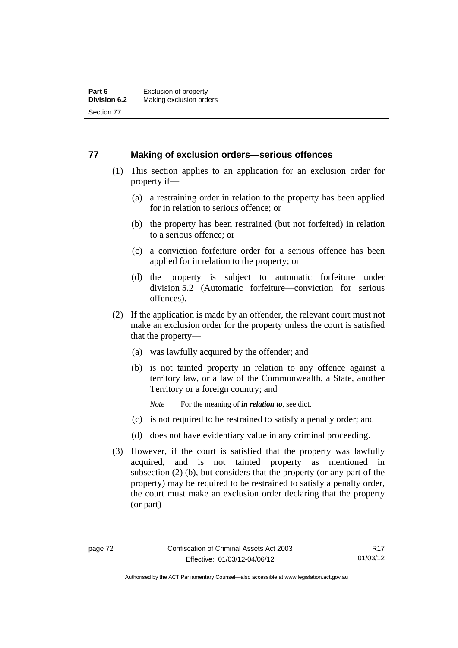#### **77 Making of exclusion orders—serious offences**

- (1) This section applies to an application for an exclusion order for property if—
	- (a) a restraining order in relation to the property has been applied for in relation to serious offence; or
	- (b) the property has been restrained (but not forfeited) in relation to a serious offence; or
	- (c) a conviction forfeiture order for a serious offence has been applied for in relation to the property; or
	- (d) the property is subject to automatic forfeiture under division 5.2 (Automatic forfeiture—conviction for serious offences).
- (2) If the application is made by an offender, the relevant court must not make an exclusion order for the property unless the court is satisfied that the property—
	- (a) was lawfully acquired by the offender; and
	- (b) is not tainted property in relation to any offence against a territory law, or a law of the Commonwealth, a State, another Territory or a foreign country; and
		- *Note* For the meaning of *in relation to*, see dict.
	- (c) is not required to be restrained to satisfy a penalty order; and
	- (d) does not have evidentiary value in any criminal proceeding.
- (3) However, if the court is satisfied that the property was lawfully acquired, and is not tainted property as mentioned in subsection (2) (b), but considers that the property (or any part of the property) may be required to be restrained to satisfy a penalty order, the court must make an exclusion order declaring that the property (or part)—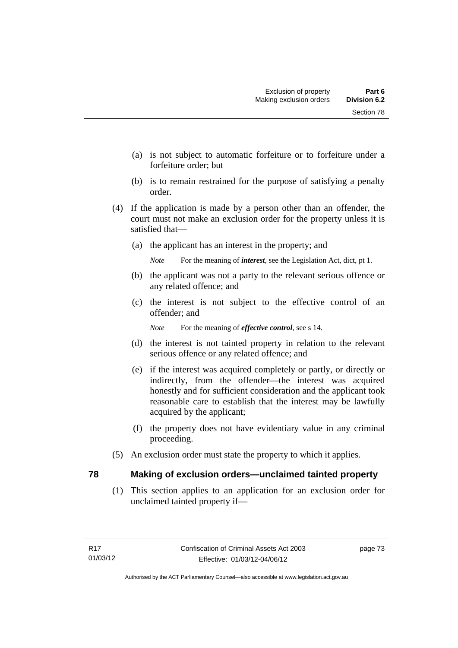- (a) is not subject to automatic forfeiture or to forfeiture under a forfeiture order; but
- (b) is to remain restrained for the purpose of satisfying a penalty order.
- (4) If the application is made by a person other than an offender, the court must not make an exclusion order for the property unless it is satisfied that—
	- (a) the applicant has an interest in the property; and

*Note* For the meaning of *interest*, see the Legislation Act, dict, pt 1.

- (b) the applicant was not a party to the relevant serious offence or any related offence; and
- (c) the interest is not subject to the effective control of an offender; and

*Note* For the meaning of *effective control*, see s 14.

- (d) the interest is not tainted property in relation to the relevant serious offence or any related offence; and
- (e) if the interest was acquired completely or partly, or directly or indirectly, from the offender—the interest was acquired honestly and for sufficient consideration and the applicant took reasonable care to establish that the interest may be lawfully acquired by the applicant;
- (f) the property does not have evidentiary value in any criminal proceeding.
- (5) An exclusion order must state the property to which it applies.

#### **78 Making of exclusion orders—unclaimed tainted property**

 (1) This section applies to an application for an exclusion order for unclaimed tainted property if—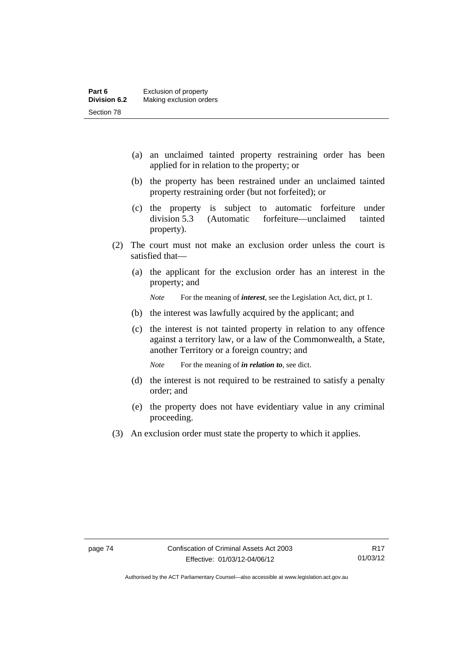- (a) an unclaimed tainted property restraining order has been applied for in relation to the property; or
- (b) the property has been restrained under an unclaimed tainted property restraining order (but not forfeited); or
- (c) the property is subject to automatic forfeiture under division 5.3 (Automatic forfeiture—unclaimed tainted property).
- (2) The court must not make an exclusion order unless the court is satisfied that—
	- (a) the applicant for the exclusion order has an interest in the property; and

*Note* For the meaning of *interest*, see the Legislation Act, dict, pt 1.

- (b) the interest was lawfully acquired by the applicant; and
- (c) the interest is not tainted property in relation to any offence against a territory law, or a law of the Commonwealth, a State, another Territory or a foreign country; and

*Note* For the meaning of *in relation to*, see dict.

- (d) the interest is not required to be restrained to satisfy a penalty order; and
- (e) the property does not have evidentiary value in any criminal proceeding.
- (3) An exclusion order must state the property to which it applies.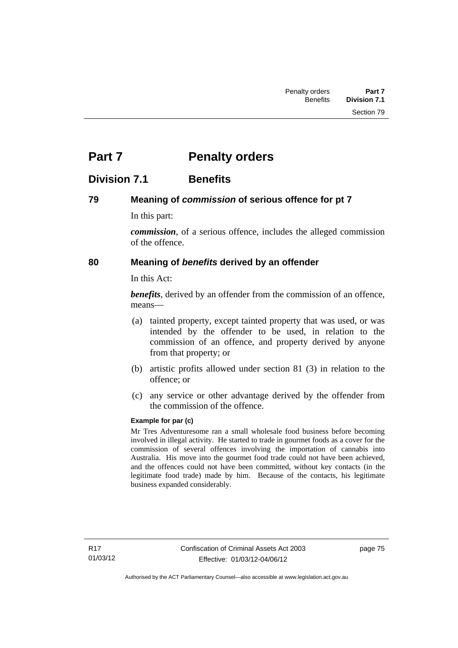# **Part 7** Penalty orders

# **Division 7.1 Benefits**

### **79 Meaning of** *commission* **of serious offence for pt 7**

In this part:

*commission*, of a serious offence, includes the alleged commission of the offence.

## **80 Meaning of** *benefits* **derived by an offender**

In this Act:

*benefits*, derived by an offender from the commission of an offence, means—

- (a) tainted property, except tainted property that was used, or was intended by the offender to be used, in relation to the commission of an offence, and property derived by anyone from that property; or
- (b) artistic profits allowed under section 81 (3) in relation to the offence; or
- (c) any service or other advantage derived by the offender from the commission of the offence.

#### **Example for par (c)**

Mr Tres Adventuresome ran a small wholesale food business before becoming involved in illegal activity. He started to trade in gourmet foods as a cover for the commission of several offences involving the importation of cannabis into Australia. His move into the gourmet food trade could not have been achieved, and the offences could not have been committed, without key contacts (in the legitimate food trade) made by him. Because of the contacts, his legitimate business expanded considerably.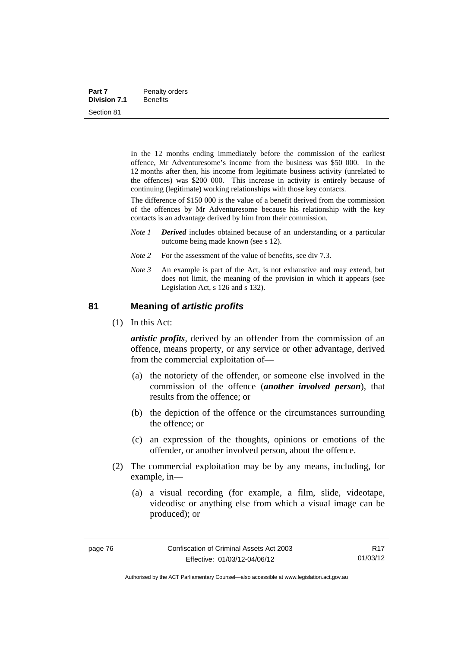| Part 7              | Penalty orders  |
|---------------------|-----------------|
| <b>Division 7.1</b> | <b>Benefits</b> |
| Section 81          |                 |

In the 12 months ending immediately before the commission of the earliest offence, Mr Adventuresome's income from the business was \$50 000. In the 12 months after then, his income from legitimate business activity (unrelated to the offences) was \$200 000. This increase in activity is entirely because of continuing (legitimate) working relationships with those key contacts.

The difference of \$150 000 is the value of a benefit derived from the commission of the offences by Mr Adventuresome because his relationship with the key contacts is an advantage derived by him from their commission.

- *Note 1 Derived* includes obtained because of an understanding or a particular outcome being made known (see s 12).
- *Note* 2 For the assessment of the value of benefits, see div 7.3.
- *Note 3* An example is part of the Act, is not exhaustive and may extend, but does not limit, the meaning of the provision in which it appears (see Legislation Act, s 126 and s 132).

#### **81 Meaning of** *artistic profits*

(1) In this Act:

*artistic profits*, derived by an offender from the commission of an offence, means property, or any service or other advantage, derived from the commercial exploitation of—

- (a) the notoriety of the offender, or someone else involved in the commission of the offence (*another involved person*), that results from the offence; or
- (b) the depiction of the offence or the circumstances surrounding the offence; or
- (c) an expression of the thoughts, opinions or emotions of the offender, or another involved person, about the offence.
- (2) The commercial exploitation may be by any means, including, for example, in—
	- (a) a visual recording (for example, a film, slide, videotape, videodisc or anything else from which a visual image can be produced); or

Authorised by the ACT Parliamentary Counsel—also accessible at www.legislation.act.gov.au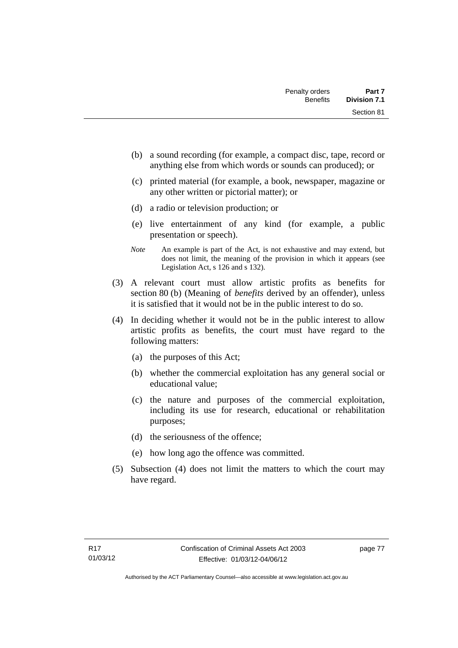- (b) a sound recording (for example, a compact disc, tape, record or anything else from which words or sounds can produced); or
- (c) printed material (for example, a book, newspaper, magazine or any other written or pictorial matter); or
- (d) a radio or television production; or
- (e) live entertainment of any kind (for example, a public presentation or speech).
- *Note* An example is part of the Act, is not exhaustive and may extend, but does not limit, the meaning of the provision in which it appears (see Legislation Act, s 126 and s 132).
- (3) A relevant court must allow artistic profits as benefits for section 80 (b) (Meaning of *benefits* derived by an offender), unless it is satisfied that it would not be in the public interest to do so.
- (4) In deciding whether it would not be in the public interest to allow artistic profits as benefits, the court must have regard to the following matters:
	- (a) the purposes of this Act;
	- (b) whether the commercial exploitation has any general social or educational value;
	- (c) the nature and purposes of the commercial exploitation, including its use for research, educational or rehabilitation purposes;
	- (d) the seriousness of the offence;
	- (e) how long ago the offence was committed.
- (5) Subsection (4) does not limit the matters to which the court may have regard.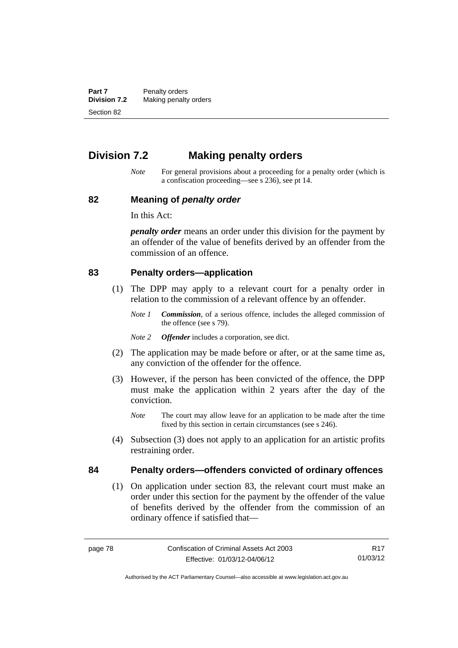**Part 7** Penalty orders<br>**Division 7.2** Making penalty **Making penalty orders** Section 82

# **Division 7.2 Making penalty orders**

*Note* For general provisions about a proceeding for a penalty order (which is a confiscation proceeding—see s 236), see pt 14.

#### **82 Meaning of** *penalty order*

In this Act:

*penalty order* means an order under this division for the payment by an offender of the value of benefits derived by an offender from the commission of an offence.

#### **83 Penalty orders—application**

- (1) The DPP may apply to a relevant court for a penalty order in relation to the commission of a relevant offence by an offender.
	- *Note 1 Commission*, of a serious offence, includes the alleged commission of the offence (see s 79).
	- *Note 2 Offender* includes a corporation, see dict.
- (2) The application may be made before or after, or at the same time as, any conviction of the offender for the offence.
- (3) However, if the person has been convicted of the offence, the DPP must make the application within 2 years after the day of the conviction.
	- *Note* The court may allow leave for an application to be made after the time fixed by this section in certain circumstances (see s 246).
- (4) Subsection (3) does not apply to an application for an artistic profits restraining order.

#### **84 Penalty orders—offenders convicted of ordinary offences**

(1) On application under section 83, the relevant court must make an order under this section for the payment by the offender of the value of benefits derived by the offender from the commission of an ordinary offence if satisfied that—

R17 01/03/12

Authorised by the ACT Parliamentary Counsel—also accessible at www.legislation.act.gov.au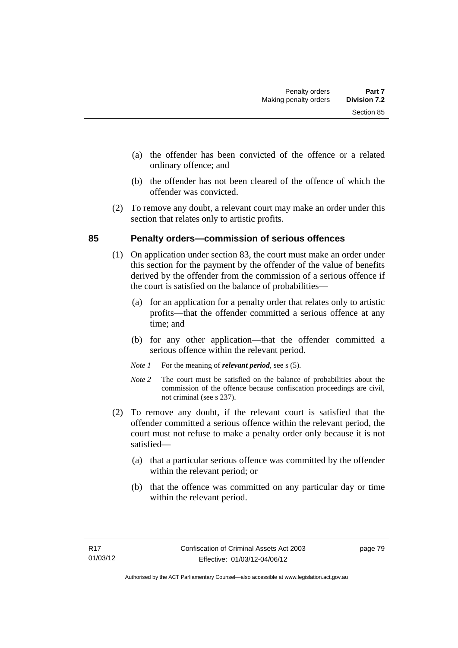- (a) the offender has been convicted of the offence or a related ordinary offence; and
- (b) the offender has not been cleared of the offence of which the offender was convicted.
- (2) To remove any doubt, a relevant court may make an order under this section that relates only to artistic profits.

### **85 Penalty orders—commission of serious offences**

- (1) On application under section 83, the court must make an order under this section for the payment by the offender of the value of benefits derived by the offender from the commission of a serious offence if the court is satisfied on the balance of probabilities—
	- (a) for an application for a penalty order that relates only to artistic profits—that the offender committed a serious offence at any time; and
	- (b) for any other application—that the offender committed a serious offence within the relevant period.
	- *Note 1* For the meaning of *relevant period*, see s (5).
	- *Note* 2 The court must be satisfied on the balance of probabilities about the commission of the offence because confiscation proceedings are civil, not criminal (see s 237).
- (2) To remove any doubt, if the relevant court is satisfied that the offender committed a serious offence within the relevant period, the court must not refuse to make a penalty order only because it is not satisfied—
	- (a) that a particular serious offence was committed by the offender within the relevant period; or
	- (b) that the offence was committed on any particular day or time within the relevant period.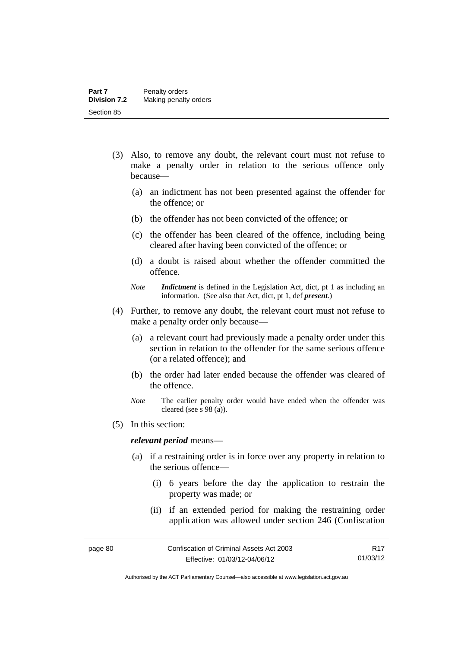- (3) Also, to remove any doubt, the relevant court must not refuse to make a penalty order in relation to the serious offence only because—
	- (a) an indictment has not been presented against the offender for the offence; or
	- (b) the offender has not been convicted of the offence; or
	- (c) the offender has been cleared of the offence, including being cleared after having been convicted of the offence; or
	- (d) a doubt is raised about whether the offender committed the offence.
	- *Note Indictment* is defined in the Legislation Act, dict, pt 1 as including an information. (See also that Act, dict, pt 1, def *present*.)
- (4) Further, to remove any doubt, the relevant court must not refuse to make a penalty order only because—
	- (a) a relevant court had previously made a penalty order under this section in relation to the offender for the same serious offence (or a related offence); and
	- (b) the order had later ended because the offender was cleared of the offence.
	- *Note* The earlier penalty order would have ended when the offender was cleared (see s 98 (a)).
- (5) In this section:

#### *relevant period* means—

- (a) if a restraining order is in force over any property in relation to the serious offence—
	- (i) 6 years before the day the application to restrain the property was made; or
	- (ii) if an extended period for making the restraining order application was allowed under section 246 (Confiscation

Authorised by the ACT Parliamentary Counsel—also accessible at www.legislation.act.gov.au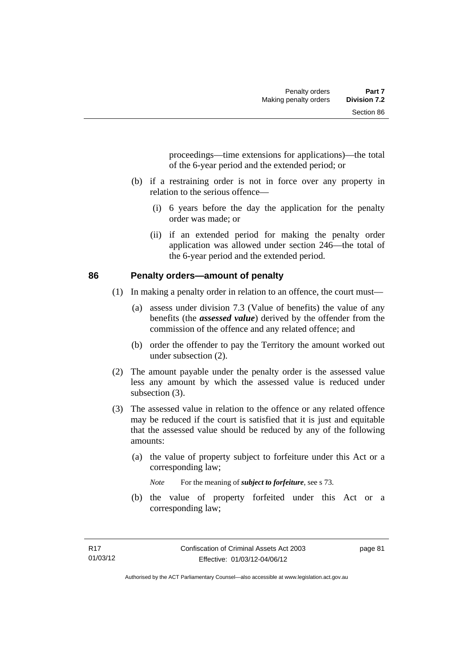proceedings—time extensions for applications)—the total of the 6-year period and the extended period; or

- (b) if a restraining order is not in force over any property in relation to the serious offence—
	- (i) 6 years before the day the application for the penalty order was made; or
	- (ii) if an extended period for making the penalty order application was allowed under section 246—the total of the 6-year period and the extended period.

#### **86 Penalty orders—amount of penalty**

- (1) In making a penalty order in relation to an offence, the court must—
	- (a) assess under division 7.3 (Value of benefits) the value of any benefits (the *assessed value*) derived by the offender from the commission of the offence and any related offence; and
	- (b) order the offender to pay the Territory the amount worked out under subsection (2).
- (2) The amount payable under the penalty order is the assessed value less any amount by which the assessed value is reduced under subsection  $(3)$ .
- (3) The assessed value in relation to the offence or any related offence may be reduced if the court is satisfied that it is just and equitable that the assessed value should be reduced by any of the following amounts:
	- (a) the value of property subject to forfeiture under this Act or a corresponding law;

*Note* For the meaning of *subject to forfeiture*, see s 73.

 (b) the value of property forfeited under this Act or a corresponding law;

page 81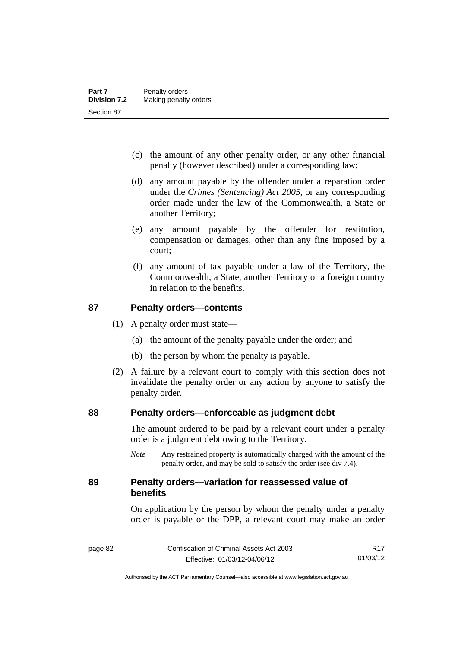- (c) the amount of any other penalty order, or any other financial penalty (however described) under a corresponding law;
- (d) any amount payable by the offender under a reparation order under the *Crimes (Sentencing) Act 2005*, or any corresponding order made under the law of the Commonwealth, a State or another Territory;
- (e) any amount payable by the offender for restitution, compensation or damages, other than any fine imposed by a court;
- (f) any amount of tax payable under a law of the Territory, the Commonwealth, a State, another Territory or a foreign country in relation to the benefits.

#### **87 Penalty orders—contents**

- (1) A penalty order must state—
	- (a) the amount of the penalty payable under the order; and
	- (b) the person by whom the penalty is payable.
- (2) A failure by a relevant court to comply with this section does not invalidate the penalty order or any action by anyone to satisfy the penalty order.

#### **88 Penalty orders—enforceable as judgment debt**

The amount ordered to be paid by a relevant court under a penalty order is a judgment debt owing to the Territory.

*Note* Any restrained property is automatically charged with the amount of the penalty order, and may be sold to satisfy the order (see div 7.4).

#### **89 Penalty orders—variation for reassessed value of benefits**

On application by the person by whom the penalty under a penalty order is payable or the DPP, a relevant court may make an order

R17 01/03/12

Authorised by the ACT Parliamentary Counsel—also accessible at www.legislation.act.gov.au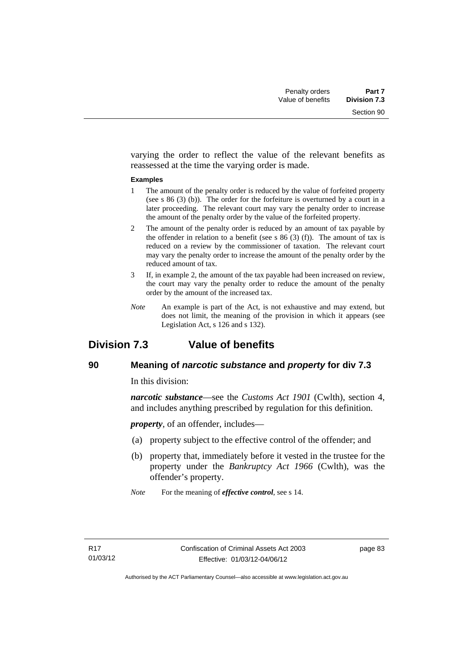varying the order to reflect the value of the relevant benefits as reassessed at the time the varying order is made.

#### **Examples**

- 1 The amount of the penalty order is reduced by the value of forfeited property (see s 86 (3) (b)). The order for the forfeiture is overturned by a court in a later proceeding. The relevant court may vary the penalty order to increase the amount of the penalty order by the value of the forfeited property.
- 2 The amount of the penalty order is reduced by an amount of tax payable by the offender in relation to a benefit (see s  $86(3)(f)$ ). The amount of tax is reduced on a review by the commissioner of taxation. The relevant court may vary the penalty order to increase the amount of the penalty order by the reduced amount of tax.
- 3 If, in example 2, the amount of the tax payable had been increased on review, the court may vary the penalty order to reduce the amount of the penalty order by the amount of the increased tax.
- *Note* An example is part of the Act, is not exhaustive and may extend, but does not limit, the meaning of the provision in which it appears (see Legislation Act, s 126 and s 132).

# **Division 7.3 Value of benefits**

### **90 Meaning of** *narcotic substance* **and** *property* **for div 7.3**

In this division:

*narcotic substance*—see the *Customs Act 1901* (Cwlth), section 4, and includes anything prescribed by regulation for this definition.

*property*, of an offender, includes—

- (a) property subject to the effective control of the offender; and
- (b) property that, immediately before it vested in the trustee for the property under the *Bankruptcy Act 1966* (Cwlth), was the offender's property.
- *Note* For the meaning of *effective control*, see s 14.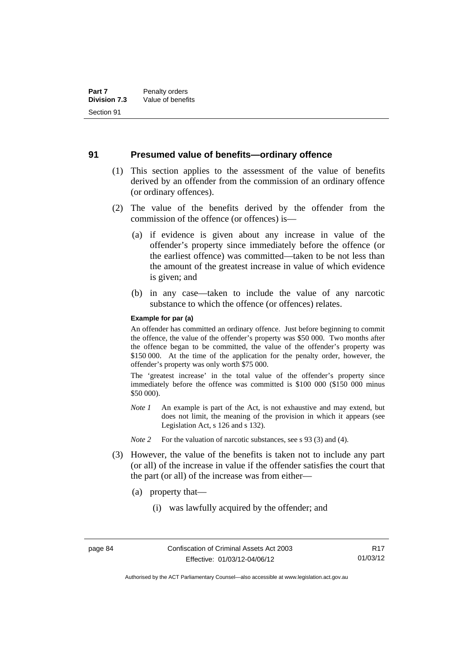#### **91 Presumed value of benefits—ordinary offence**

- (1) This section applies to the assessment of the value of benefits derived by an offender from the commission of an ordinary offence (or ordinary offences).
- (2) The value of the benefits derived by the offender from the commission of the offence (or offences) is—
	- (a) if evidence is given about any increase in value of the offender's property since immediately before the offence (or the earliest offence) was committed—taken to be not less than the amount of the greatest increase in value of which evidence is given; and
	- (b) in any case—taken to include the value of any narcotic substance to which the offence (or offences) relates.

#### **Example for par (a)**

An offender has committed an ordinary offence. Just before beginning to commit the offence, the value of the offender's property was \$50 000. Two months after the offence began to be committed, the value of the offender's property was \$150 000. At the time of the application for the penalty order, however, the offender's property was only worth \$75 000.

The 'greatest increase' in the total value of the offender's property since immediately before the offence was committed is \$100 000 (\$150 000 minus \$50 000).

- *Note 1* An example is part of the Act, is not exhaustive and may extend, but does not limit, the meaning of the provision in which it appears (see Legislation Act, s 126 and s 132).
- *Note 2* For the valuation of narcotic substances, see s 93 (3) and (4).
- (3) However, the value of the benefits is taken not to include any part (or all) of the increase in value if the offender satisfies the court that the part (or all) of the increase was from either—
	- (a) property that—
		- (i) was lawfully acquired by the offender; and

Authorised by the ACT Parliamentary Counsel—also accessible at www.legislation.act.gov.au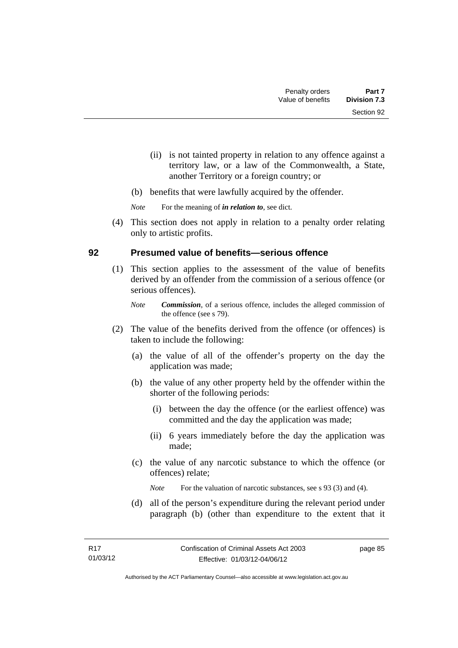- (ii) is not tainted property in relation to any offence against a territory law, or a law of the Commonwealth, a State, another Territory or a foreign country; or
- (b) benefits that were lawfully acquired by the offender.

*Note* For the meaning of *in relation to*, see dict.

 (4) This section does not apply in relation to a penalty order relating only to artistic profits.

#### **92 Presumed value of benefits—serious offence**

- (1) This section applies to the assessment of the value of benefits derived by an offender from the commission of a serious offence (or serious offences).
	- *Note Commission*, of a serious offence, includes the alleged commission of the offence (see s 79).
- (2) The value of the benefits derived from the offence (or offences) is taken to include the following:
	- (a) the value of all of the offender's property on the day the application was made;
	- (b) the value of any other property held by the offender within the shorter of the following periods:
		- (i) between the day the offence (or the earliest offence) was committed and the day the application was made;
		- (ii) 6 years immediately before the day the application was made;
	- (c) the value of any narcotic substance to which the offence (or offences) relate;

*Note* For the valuation of narcotic substances, see s 93 (3) and (4).

 (d) all of the person's expenditure during the relevant period under paragraph (b) (other than expenditure to the extent that it

page 85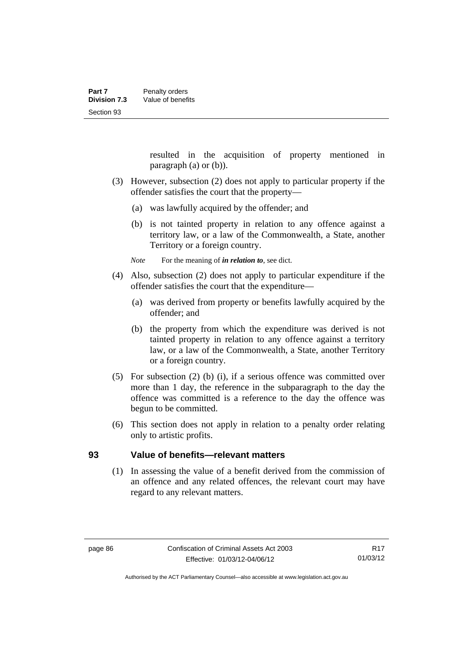resulted in the acquisition of property mentioned in paragraph (a) or (b)).

- (3) However, subsection (2) does not apply to particular property if the offender satisfies the court that the property—
	- (a) was lawfully acquired by the offender; and
	- (b) is not tainted property in relation to any offence against a territory law, or a law of the Commonwealth, a State, another Territory or a foreign country.

*Note* For the meaning of *in relation to*, see dict.

- (4) Also, subsection (2) does not apply to particular expenditure if the offender satisfies the court that the expenditure—
	- (a) was derived from property or benefits lawfully acquired by the offender; and
	- (b) the property from which the expenditure was derived is not tainted property in relation to any offence against a territory law, or a law of the Commonwealth, a State, another Territory or a foreign country.
- (5) For subsection (2) (b) (i), if a serious offence was committed over more than 1 day, the reference in the subparagraph to the day the offence was committed is a reference to the day the offence was begun to be committed.
- (6) This section does not apply in relation to a penalty order relating only to artistic profits.

#### **93 Value of benefits—relevant matters**

(1) In assessing the value of a benefit derived from the commission of an offence and any related offences, the relevant court may have regard to any relevant matters.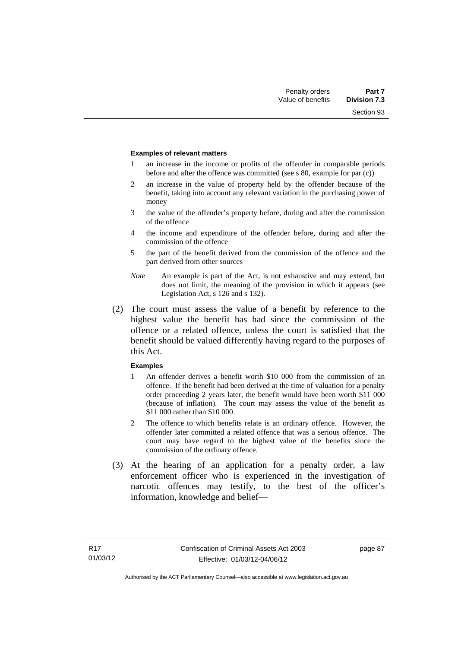Section 93

#### **Examples of relevant matters**

- 1 an increase in the income or profits of the offender in comparable periods before and after the offence was committed (see s 80, example for par (c))
- 2 an increase in the value of property held by the offender because of the benefit, taking into account any relevant variation in the purchasing power of money
- 3 the value of the offender's property before, during and after the commission of the offence
- 4 the income and expenditure of the offender before, during and after the commission of the offence
- 5 the part of the benefit derived from the commission of the offence and the part derived from other sources
- *Note* An example is part of the Act, is not exhaustive and may extend, but does not limit, the meaning of the provision in which it appears (see Legislation Act, s 126 and s 132).
- (2) The court must assess the value of a benefit by reference to the highest value the benefit has had since the commission of the offence or a related offence, unless the court is satisfied that the benefit should be valued differently having regard to the purposes of this Act.

#### **Examples**

- 1 An offender derives a benefit worth \$10 000 from the commission of an offence. If the benefit had been derived at the time of valuation for a penalty order proceeding 2 years later, the benefit would have been worth \$11 000 (because of inflation). The court may assess the value of the benefit as \$11 000 rather than \$10 000.
- 2 The offence to which benefits relate is an ordinary offence. However, the offender later committed a related offence that was a serious offence. The court may have regard to the highest value of the benefits since the commission of the ordinary offence.
- (3) At the hearing of an application for a penalty order, a law enforcement officer who is experienced in the investigation of narcotic offences may testify, to the best of the officer's information, knowledge and belief—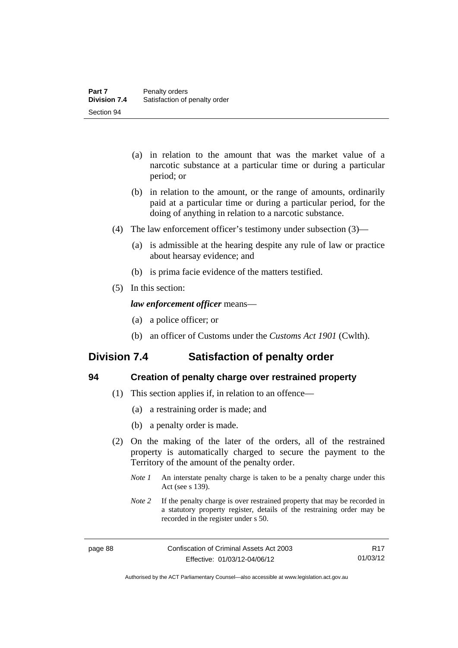- (a) in relation to the amount that was the market value of a narcotic substance at a particular time or during a particular period; or
- (b) in relation to the amount, or the range of amounts, ordinarily paid at a particular time or during a particular period, for the doing of anything in relation to a narcotic substance.
- (4) The law enforcement officer's testimony under subsection (3)—
	- (a) is admissible at the hearing despite any rule of law or practice about hearsay evidence; and
	- (b) is prima facie evidence of the matters testified.
- (5) In this section:

#### *law enforcement officer* means—

- (a) a police officer; or
- (b) an officer of Customs under the *Customs Act 1901* (Cwlth).

# **Division 7.4 Satisfaction of penalty order**

| r.                |
|-------------------|
| ×<br>۰.<br>×<br>v |

#### **94 Creation of penalty charge over restrained property**

- (1) This section applies if, in relation to an offence—
	- (a) a restraining order is made; and
	- (b) a penalty order is made.
- (2) On the making of the later of the orders, all of the restrained property is automatically charged to secure the payment to the Territory of the amount of the penalty order.
	- *Note 1* An interstate penalty charge is taken to be a penalty charge under this Act (see s 139).
	- *Note 2* If the penalty charge is over restrained property that may be recorded in a statutory property register, details of the restraining order may be recorded in the register under s 50.

R17 01/03/12

Authorised by the ACT Parliamentary Counsel—also accessible at www.legislation.act.gov.au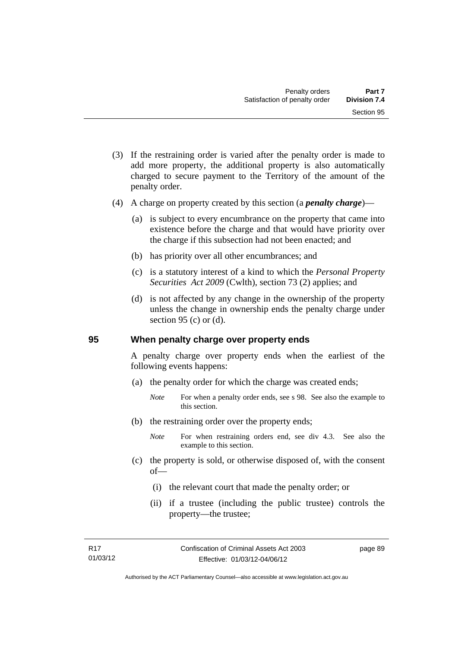- (3) If the restraining order is varied after the penalty order is made to add more property, the additional property is also automatically charged to secure payment to the Territory of the amount of the penalty order.
- (4) A charge on property created by this section (a *penalty charge*)—
	- (a) is subject to every encumbrance on the property that came into existence before the charge and that would have priority over the charge if this subsection had not been enacted; and
	- (b) has priority over all other encumbrances; and
	- (c) is a statutory interest of a kind to which the *Personal Property Securities Act 2009* (Cwlth), section 73 (2) applies; and
	- (d) is not affected by any change in the ownership of the property unless the change in ownership ends the penalty charge under section 95 (c) or  $(d)$ .

#### **95 When penalty charge over property ends**

A penalty charge over property ends when the earliest of the following events happens:

- (a) the penalty order for which the charge was created ends;
	- *Note* For when a penalty order ends, see s 98. See also the example to this section.
- (b) the restraining order over the property ends;
	- *Note* For when restraining orders end, see div 4.3. See also the example to this section.
- (c) the property is sold, or otherwise disposed of, with the consent of—
	- (i) the relevant court that made the penalty order; or
	- (ii) if a trustee (including the public trustee) controls the property—the trustee;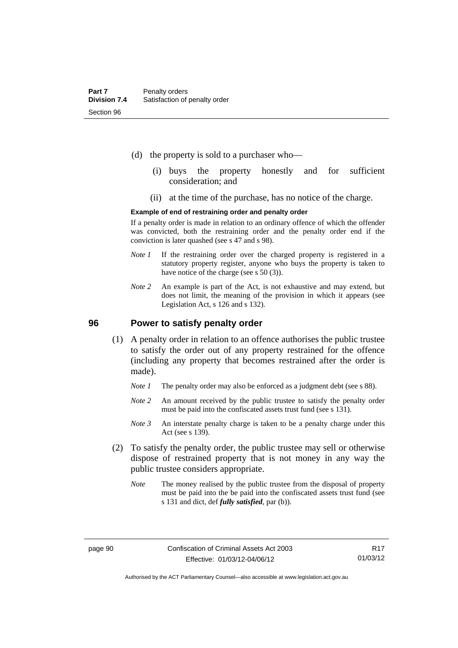- (d) the property is sold to a purchaser who—
	- (i) buys the property honestly and for sufficient consideration; and
	- (ii) at the time of the purchase, has no notice of the charge.

#### **Example of end of restraining order and penalty order**

If a penalty order is made in relation to an ordinary offence of which the offender was convicted, both the restraining order and the penalty order end if the conviction is later quashed (see s 47 and s 98).

- *Note 1* If the restraining order over the charged property is registered in a statutory property register, anyone who buys the property is taken to have notice of the charge (see s 50 (3)).
- *Note* 2 An example is part of the Act, is not exhaustive and may extend, but does not limit, the meaning of the provision in which it appears (see Legislation Act, s 126 and s 132).

#### **96 Power to satisfy penalty order**

- (1) A penalty order in relation to an offence authorises the public trustee to satisfy the order out of any property restrained for the offence (including any property that becomes restrained after the order is made).
	- *Note 1* The penalty order may also be enforced as a judgment debt (see s 88).
	- *Note* 2 An amount received by the public trustee to satisfy the penalty order must be paid into the confiscated assets trust fund (see s 131).
	- *Note 3* An interstate penalty charge is taken to be a penalty charge under this Act (see s 139).
- (2) To satisfy the penalty order, the public trustee may sell or otherwise dispose of restrained property that is not money in any way the public trustee considers appropriate.
	- *Note* The money realised by the public trustee from the disposal of property must be paid into the be paid into the confiscated assets trust fund (see s 131 and dict, def *fully satisfied*, par (b)).

Authorised by the ACT Parliamentary Counsel—also accessible at www.legislation.act.gov.au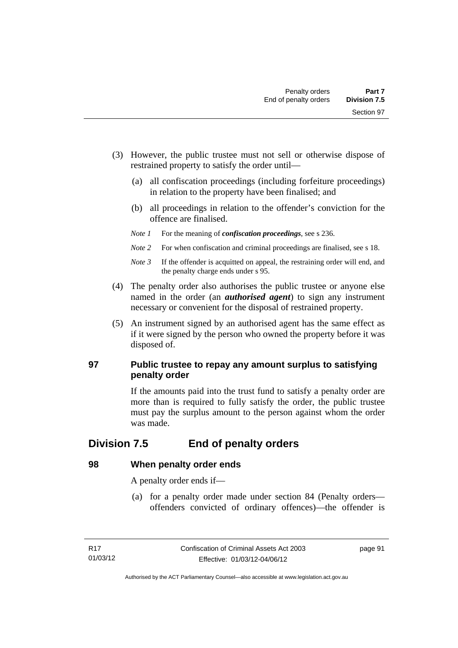- (3) However, the public trustee must not sell or otherwise dispose of restrained property to satisfy the order until—
	- (a) all confiscation proceedings (including forfeiture proceedings) in relation to the property have been finalised; and
	- (b) all proceedings in relation to the offender's conviction for the offence are finalised.
	- *Note 1* For the meaning of *confiscation proceedings*, see s 236.
	- *Note 2* For when confiscation and criminal proceedings are finalised, see s 18.
	- *Note 3* If the offender is acquitted on appeal, the restraining order will end, and the penalty charge ends under s 95.
- (4) The penalty order also authorises the public trustee or anyone else named in the order (an *authorised agent*) to sign any instrument necessary or convenient for the disposal of restrained property.
- (5) An instrument signed by an authorised agent has the same effect as if it were signed by the person who owned the property before it was disposed of.

### **97 Public trustee to repay any amount surplus to satisfying penalty order**

If the amounts paid into the trust fund to satisfy a penalty order are more than is required to fully satisfy the order, the public trustee must pay the surplus amount to the person against whom the order was made.

# **Division 7.5 End of penalty orders**

### **98 When penalty order ends**

A penalty order ends if—

 (a) for a penalty order made under section 84 (Penalty orders offenders convicted of ordinary offences)—the offender is

page 91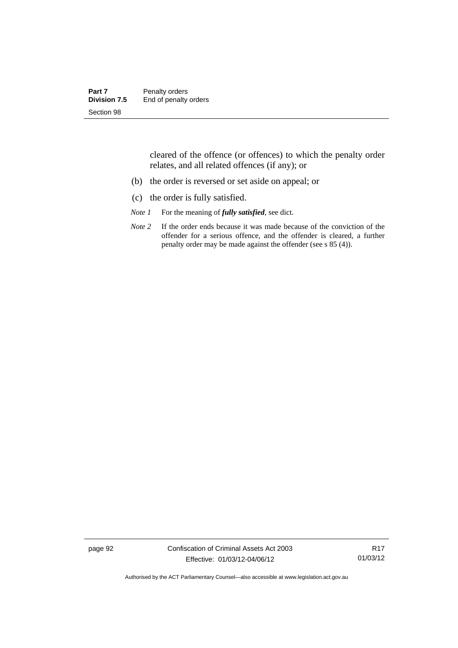| Part 7       | Penalty orders        |
|--------------|-----------------------|
| Division 7.5 | End of penalty orders |
| Section 98   |                       |

cleared of the offence (or offences) to which the penalty order relates, and all related offences (if any); or

- (b) the order is reversed or set aside on appeal; or
- (c) the order is fully satisfied.
- *Note 1* For the meaning of *fully satisfied*, see dict.
- *Note* 2 If the order ends because it was made because of the conviction of the offender for a serious offence, and the offender is cleared, a further penalty order may be made against the offender (see s 85 (4)).

page 92 Confiscation of Criminal Assets Act 2003 Effective: 01/03/12-04/06/12

R17 01/03/12

Authorised by the ACT Parliamentary Counsel—also accessible at www.legislation.act.gov.au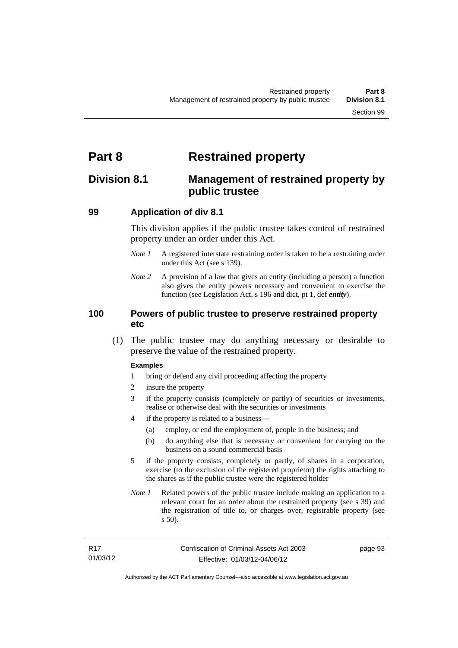# **Part 8 Restrained property**

## **Division 8.1 Management of restrained property by public trustee**

### **99 Application of div 8.1**

This division applies if the public trustee takes control of restrained property under an order under this Act.

- *Note 1* A registered interstate restraining order is taken to be a restraining order under this Act (see s 139).
- *Note 2* A provision of a law that gives an entity (including a person) a function also gives the entity powers necessary and convenient to exercise the function (see Legislation Act, s 196 and dict, pt 1, def *entity*).

#### **100 Powers of public trustee to preserve restrained property etc**

 (1) The public trustee may do anything necessary or desirable to preserve the value of the restrained property.

#### **Examples**

- 1 bring or defend any civil proceeding affecting the property
- 2 insure the property
- 3 if the property consists (completely or partly) of securities or investments, realise or otherwise deal with the securities or investments
- 4 if the property is related to a business—
	- (a) employ, or end the employment of, people in the business; and
	- (b) do anything else that is necessary or convenient for carrying on the business on a sound commercial basis
- 5 if the property consists, completely or partly, of shares in a corporation, exercise (to the exclusion of the registered proprietor) the rights attaching to the shares as if the public trustee were the registered holder
- *Note 1* Related powers of the public trustee include making an application to a relevant court for an order about the restrained property (see s 39) and the registration of title to, or charges over, registrable property (see s 50).

page 93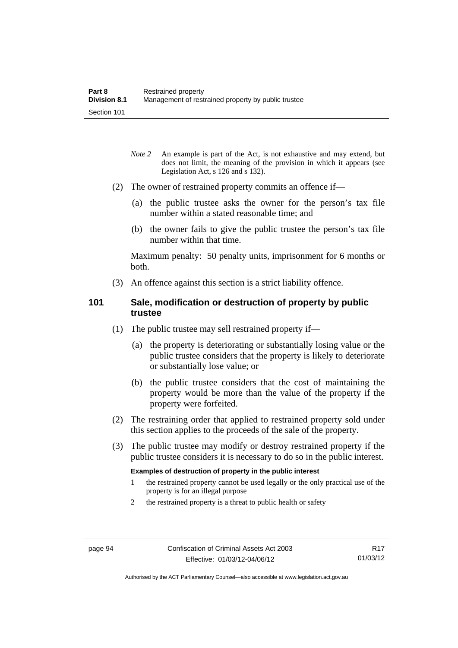- *Note* 2 An example is part of the Act, is not exhaustive and may extend, but does not limit, the meaning of the provision in which it appears (see Legislation Act, s 126 and s 132).
- (2) The owner of restrained property commits an offence if—
	- (a) the public trustee asks the owner for the person's tax file number within a stated reasonable time; and
	- (b) the owner fails to give the public trustee the person's tax file number within that time.

Maximum penalty: 50 penalty units, imprisonment for 6 months or both.

(3) An offence against this section is a strict liability offence.

#### **101 Sale, modification or destruction of property by public trustee**

- (1) The public trustee may sell restrained property if—
	- (a) the property is deteriorating or substantially losing value or the public trustee considers that the property is likely to deteriorate or substantially lose value; or
	- (b) the public trustee considers that the cost of maintaining the property would be more than the value of the property if the property were forfeited.
- (2) The restraining order that applied to restrained property sold under this section applies to the proceeds of the sale of the property.
- (3) The public trustee may modify or destroy restrained property if the public trustee considers it is necessary to do so in the public interest.

#### **Examples of destruction of property in the public interest**

- 1 the restrained property cannot be used legally or the only practical use of the property is for an illegal purpose
- 2 the restrained property is a threat to public health or safety

Authorised by the ACT Parliamentary Counsel—also accessible at www.legislation.act.gov.au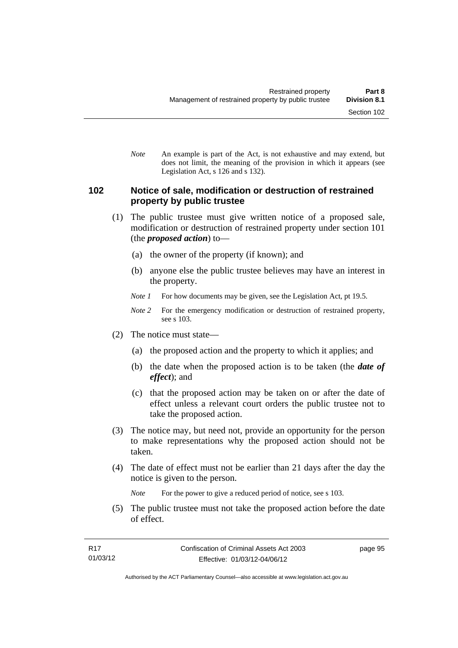*Note* An example is part of the Act, is not exhaustive and may extend, but does not limit, the meaning of the provision in which it appears (see Legislation Act, s 126 and s 132).

#### **102 Notice of sale, modification or destruction of restrained property by public trustee**

- (1) The public trustee must give written notice of a proposed sale, modification or destruction of restrained property under section 101 (the *proposed action*) to—
	- (a) the owner of the property (if known); and
	- (b) anyone else the public trustee believes may have an interest in the property.
	- *Note 1* For how documents may be given, see the Legislation Act, pt 19.5.
	- *Note 2* For the emergency modification or destruction of restrained property, see s 103.
- (2) The notice must state—
	- (a) the proposed action and the property to which it applies; and
	- (b) the date when the proposed action is to be taken (the *date of effect*); and
	- (c) that the proposed action may be taken on or after the date of effect unless a relevant court orders the public trustee not to take the proposed action.
- (3) The notice may, but need not, provide an opportunity for the person to make representations why the proposed action should not be taken.
- (4) The date of effect must not be earlier than 21 days after the day the notice is given to the person.

*Note* For the power to give a reduced period of notice, see s 103.

 (5) The public trustee must not take the proposed action before the date of effect.

page 95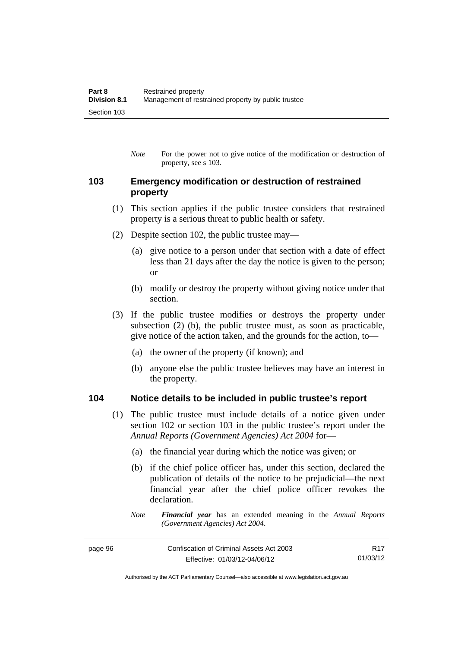*Note* For the power not to give notice of the modification or destruction of property, see s 103.

## **103 Emergency modification or destruction of restrained property**

- (1) This section applies if the public trustee considers that restrained property is a serious threat to public health or safety.
- (2) Despite section 102, the public trustee may—
	- (a) give notice to a person under that section with a date of effect less than 21 days after the day the notice is given to the person; or
	- (b) modify or destroy the property without giving notice under that section.
- (3) If the public trustee modifies or destroys the property under subsection (2) (b), the public trustee must, as soon as practicable, give notice of the action taken, and the grounds for the action, to—
	- (a) the owner of the property (if known); and
	- (b) anyone else the public trustee believes may have an interest in the property.

### **104 Notice details to be included in public trustee's report**

- (1) The public trustee must include details of a notice given under section 102 or section 103 in the public trustee's report under the *Annual Reports (Government Agencies) Act 2004* for—
	- (a) the financial year during which the notice was given; or
	- (b) if the chief police officer has, under this section, declared the publication of details of the notice to be prejudicial—the next financial year after the chief police officer revokes the declaration.
	- *Note Financial year* has an extended meaning in the *Annual Reports (Government Agencies) Act 2004*.

| page 96 | Confiscation of Criminal Assets Act 2003 | R17      |
|---------|------------------------------------------|----------|
|         | Effective: 01/03/12-04/06/12             | 01/03/12 |

Authorised by the ACT Parliamentary Counsel—also accessible at www.legislation.act.gov.au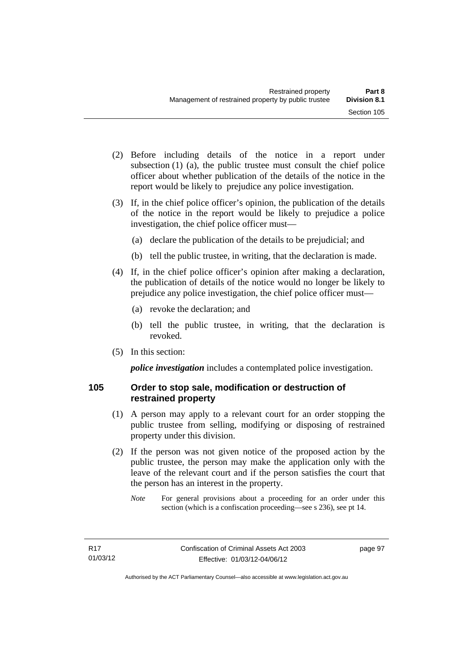- (2) Before including details of the notice in a report under subsection (1) (a), the public trustee must consult the chief police officer about whether publication of the details of the notice in the report would be likely to prejudice any police investigation.
- (3) If, in the chief police officer's opinion, the publication of the details of the notice in the report would be likely to prejudice a police investigation, the chief police officer must—
	- (a) declare the publication of the details to be prejudicial; and
	- (b) tell the public trustee, in writing, that the declaration is made.
- (4) If, in the chief police officer's opinion after making a declaration, the publication of details of the notice would no longer be likely to prejudice any police investigation, the chief police officer must—
	- (a) revoke the declaration; and
	- (b) tell the public trustee, in writing, that the declaration is revoked.
- (5) In this section:

*police investigation* includes a contemplated police investigation.

## **105 Order to stop sale, modification or destruction of restrained property**

- (1) A person may apply to a relevant court for an order stopping the public trustee from selling, modifying or disposing of restrained property under this division.
- (2) If the person was not given notice of the proposed action by the public trustee, the person may make the application only with the leave of the relevant court and if the person satisfies the court that the person has an interest in the property.
	- *Note* For general provisions about a proceeding for an order under this section (which is a confiscation proceeding—see s 236), see pt 14.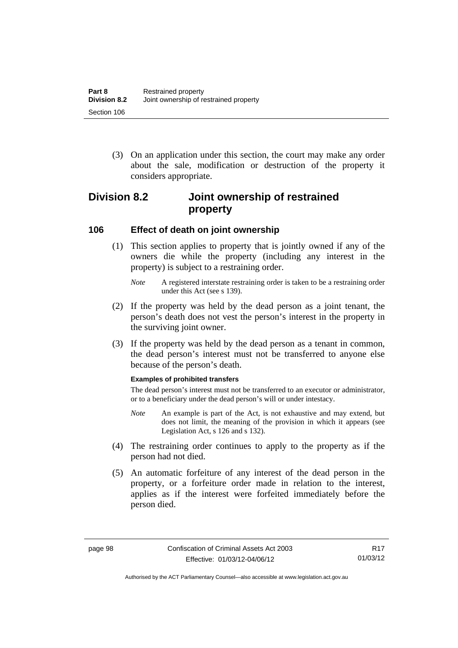(3) On an application under this section, the court may make any order about the sale, modification or destruction of the property it considers appropriate.

# **Division 8.2 Joint ownership of restrained property**

### **106 Effect of death on joint ownership**

- (1) This section applies to property that is jointly owned if any of the owners die while the property (including any interest in the property) is subject to a restraining order.
	- *Note* A registered interstate restraining order is taken to be a restraining order under this Act (see s 139).
- (2) If the property was held by the dead person as a joint tenant, the person's death does not vest the person's interest in the property in the surviving joint owner.
- (3) If the property was held by the dead person as a tenant in common, the dead person's interest must not be transferred to anyone else because of the person's death.

#### **Examples of prohibited transfers**

The dead person's interest must not be transferred to an executor or administrator, or to a beneficiary under the dead person's will or under intestacy.

- *Note* An example is part of the Act, is not exhaustive and may extend, but does not limit, the meaning of the provision in which it appears (see Legislation Act, s 126 and s 132).
- (4) The restraining order continues to apply to the property as if the person had not died.
- (5) An automatic forfeiture of any interest of the dead person in the property, or a forfeiture order made in relation to the interest, applies as if the interest were forfeited immediately before the person died.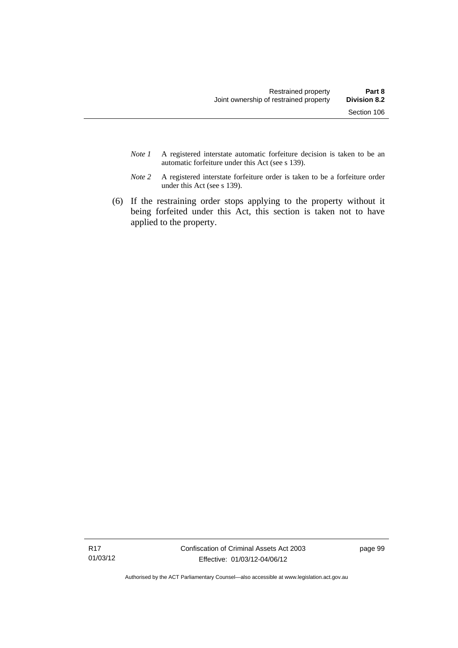- *Note 1* A registered interstate automatic forfeiture decision is taken to be an automatic forfeiture under this Act (see s 139).
- *Note 2* A registered interstate forfeiture order is taken to be a forfeiture order under this Act (see s 139).
- (6) If the restraining order stops applying to the property without it being forfeited under this Act, this section is taken not to have applied to the property.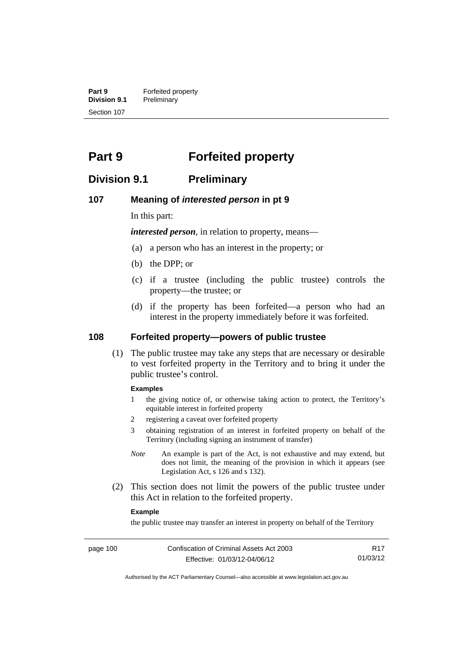**Part 9 Forfeited property**<br>**Division 9.1 Preliminary Division 9.1** Preliminary Section 107

# **Part 9 Forfeited property**

## **Division 9.1 Preliminary**

#### **107 Meaning of** *interested person* **in pt 9**

In this part:

*interested person*, in relation to property, means—

- (a) a person who has an interest in the property; or
- (b) the DPP; or
- (c) if a trustee (including the public trustee) controls the property—the trustee; or
- (d) if the property has been forfeited—a person who had an interest in the property immediately before it was forfeited.

## **108 Forfeited property—powers of public trustee**

(1) The public trustee may take any steps that are necessary or desirable to vest forfeited property in the Territory and to bring it under the public trustee's control.

#### **Examples**

- 1 the giving notice of, or otherwise taking action to protect, the Territory's equitable interest in forfeited property
- 2 registering a caveat over forfeited property
- 3 obtaining registration of an interest in forfeited property on behalf of the Territory (including signing an instrument of transfer)
- *Note* An example is part of the Act, is not exhaustive and may extend, but does not limit, the meaning of the provision in which it appears (see Legislation Act, s 126 and s 132).
- (2) This section does not limit the powers of the public trustee under this Act in relation to the forfeited property.

#### **Example**

the public trustee may transfer an interest in property on behalf of the Territory

R17 01/03/12

Authorised by the ACT Parliamentary Counsel—also accessible at www.legislation.act.gov.au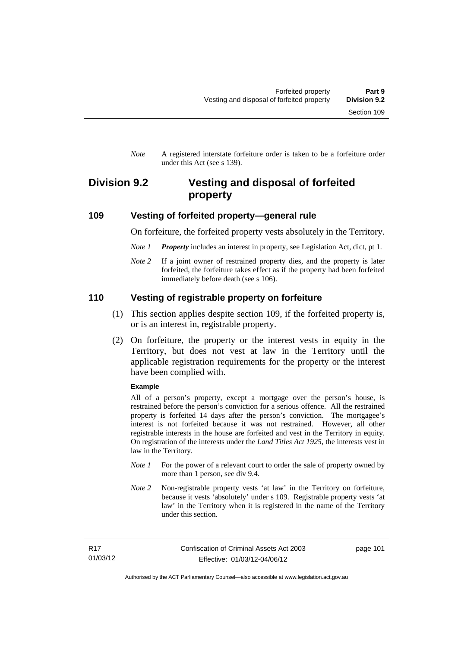*Note* A registered interstate forfeiture order is taken to be a forfeiture order under this Act (see s 139).

## **Division 9.2 Vesting and disposal of forfeited property**

### **109 Vesting of forfeited property—general rule**

On forfeiture, the forfeited property vests absolutely in the Territory.

- *Note 1 Property* includes an interest in property, see Legislation Act, dict, pt 1.
- *Note* 2 If a joint owner of restrained property dies, and the property is later forfeited, the forfeiture takes effect as if the property had been forfeited immediately before death (see s 106).

### **110 Vesting of registrable property on forfeiture**

- (1) This section applies despite section 109, if the forfeited property is, or is an interest in, registrable property.
- (2) On forfeiture, the property or the interest vests in equity in the Territory, but does not vest at law in the Territory until the applicable registration requirements for the property or the interest have been complied with.

#### **Example**

All of a person's property, except a mortgage over the person's house, is restrained before the person's conviction for a serious offence. All the restrained property is forfeited 14 days after the person's conviction. The mortgagee's interest is not forfeited because it was not restrained. However, all other registrable interests in the house are forfeited and vest in the Territory in equity. On registration of the interests under the *Land Titles Act 1925*, the interests vest in law in the Territory.

- *Note 1* For the power of a relevant court to order the sale of property owned by more than 1 person, see div 9.4.
- *Note 2* Non-registrable property vests 'at law' in the Territory on forfeiture, because it vests 'absolutely' under s 109. Registrable property vests 'at law' in the Territory when it is registered in the name of the Territory under this section.

page 101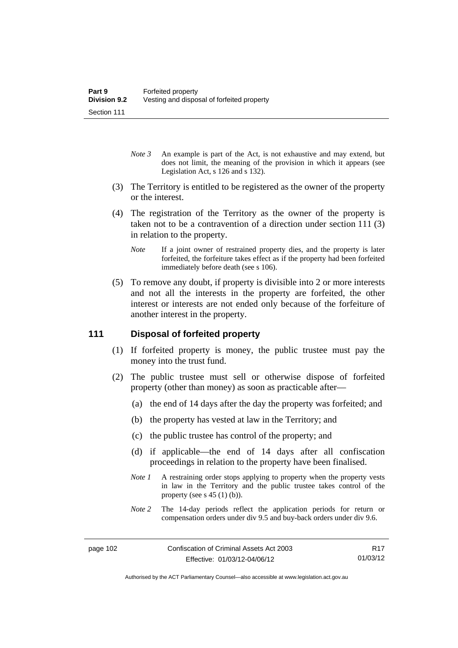- *Note 3* An example is part of the Act, is not exhaustive and may extend, but does not limit, the meaning of the provision in which it appears (see Legislation Act, s 126 and s 132).
- (3) The Territory is entitled to be registered as the owner of the property or the interest.
- (4) The registration of the Territory as the owner of the property is taken not to be a contravention of a direction under section 111 (3) in relation to the property.
	- *Note* If a joint owner of restrained property dies, and the property is later forfeited, the forfeiture takes effect as if the property had been forfeited immediately before death (see s 106).
- (5) To remove any doubt, if property is divisible into 2 or more interests and not all the interests in the property are forfeited, the other interest or interests are not ended only because of the forfeiture of another interest in the property.

## **111 Disposal of forfeited property**

- (1) If forfeited property is money, the public trustee must pay the money into the trust fund.
- (2) The public trustee must sell or otherwise dispose of forfeited property (other than money) as soon as practicable after—
	- (a) the end of 14 days after the day the property was forfeited; and
	- (b) the property has vested at law in the Territory; and
	- (c) the public trustee has control of the property; and
	- (d) if applicable—the end of 14 days after all confiscation proceedings in relation to the property have been finalised.
	- *Note 1* A restraining order stops applying to property when the property vests in law in the Territory and the public trustee takes control of the property (see s  $45(1)(b)$ ).
	- *Note 2* The 14-day periods reflect the application periods for return or compensation orders under div 9.5 and buy-back orders under div 9.6.

R17 01/03/12

Authorised by the ACT Parliamentary Counsel—also accessible at www.legislation.act.gov.au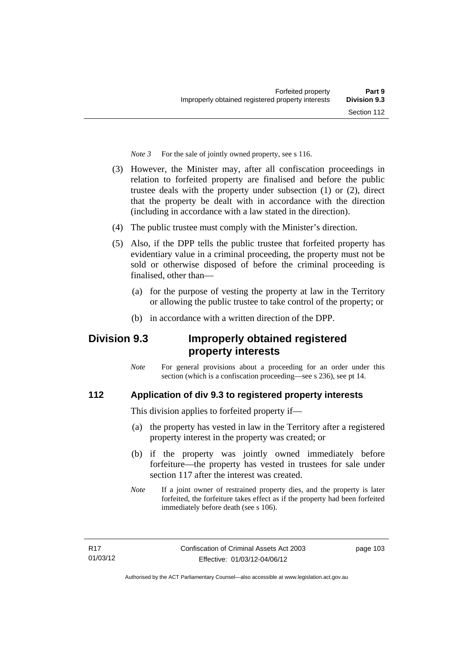*Note 3* For the sale of jointly owned property, see s 116.

- (3) However, the Minister may, after all confiscation proceedings in relation to forfeited property are finalised and before the public trustee deals with the property under subsection (1) or (2), direct that the property be dealt with in accordance with the direction (including in accordance with a law stated in the direction).
- (4) The public trustee must comply with the Minister's direction.
- (5) Also, if the DPP tells the public trustee that forfeited property has evidentiary value in a criminal proceeding, the property must not be sold or otherwise disposed of before the criminal proceeding is finalised, other than-
	- (a) for the purpose of vesting the property at law in the Territory or allowing the public trustee to take control of the property; or
	- (b) in accordance with a written direction of the DPP.

# **Division 9.3 Improperly obtained registered property interests**

*Note* For general provisions about a proceeding for an order under this section (which is a confiscation proceeding—see s 236), see pt 14.

## **112 Application of div 9.3 to registered property interests**

This division applies to forfeited property if—

- (a) the property has vested in law in the Territory after a registered property interest in the property was created; or
- (b) if the property was jointly owned immediately before forfeiture—the property has vested in trustees for sale under section 117 after the interest was created.
- *Note* If a joint owner of restrained property dies, and the property is later forfeited, the forfeiture takes effect as if the property had been forfeited immediately before death (see s 106).

page 103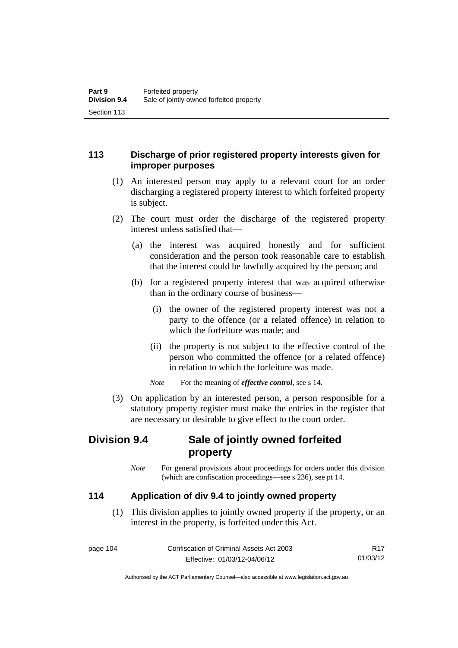## **113 Discharge of prior registered property interests given for improper purposes**

- (1) An interested person may apply to a relevant court for an order discharging a registered property interest to which forfeited property is subject.
- (2) The court must order the discharge of the registered property interest unless satisfied that—
	- (a) the interest was acquired honestly and for sufficient consideration and the person took reasonable care to establish that the interest could be lawfully acquired by the person; and
	- (b) for a registered property interest that was acquired otherwise than in the ordinary course of business—
		- (i) the owner of the registered property interest was not a party to the offence (or a related offence) in relation to which the forfeiture was made; and
		- (ii) the property is not subject to the effective control of the person who committed the offence (or a related offence) in relation to which the forfeiture was made.

*Note* For the meaning of *effective control*, see s 14.

 (3) On application by an interested person, a person responsible for a statutory property register must make the entries in the register that are necessary or desirable to give effect to the court order.

# **Division 9.4 Sale of jointly owned forfeited property**

*Note* For general provisions about proceedings for orders under this division (which are confiscation proceedings—see s 236), see pt 14.

## **114 Application of div 9.4 to jointly owned property**

 (1) This division applies to jointly owned property if the property, or an interest in the property, is forfeited under this Act.

page 104 Confiscation of Criminal Assets Act 2003 Effective: 01/03/12-04/06/12 R17 01/03/12

Authorised by the ACT Parliamentary Counsel—also accessible at www.legislation.act.gov.au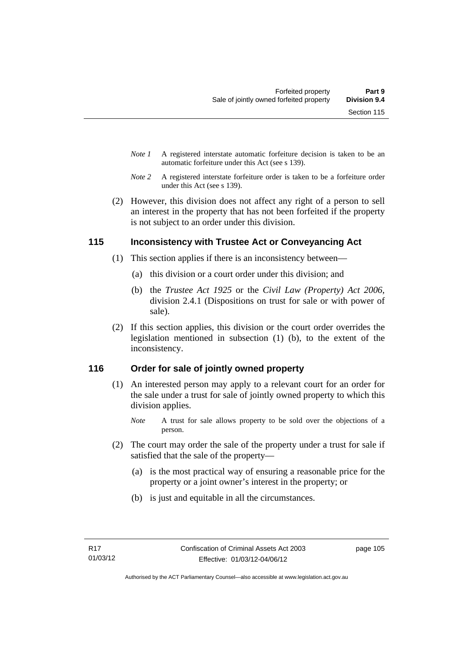- *Note 1* A registered interstate automatic forfeiture decision is taken to be an automatic forfeiture under this Act (see s 139).
- *Note 2* A registered interstate forfeiture order is taken to be a forfeiture order under this Act (see s 139).
- (2) However, this division does not affect any right of a person to sell an interest in the property that has not been forfeited if the property is not subject to an order under this division.

## **115 Inconsistency with Trustee Act or Conveyancing Act**

- (1) This section applies if there is an inconsistency between—
	- (a) this division or a court order under this division; and
	- (b) the *Trustee Act 1925* or the *Civil Law (Property) Act 2006*, division 2.4.1 (Dispositions on trust for sale or with power of sale).
- (2) If this section applies, this division or the court order overrides the legislation mentioned in subsection (1) (b), to the extent of the inconsistency.

## **116 Order for sale of jointly owned property**

- (1) An interested person may apply to a relevant court for an order for the sale under a trust for sale of jointly owned property to which this division applies.
	- *Note* A trust for sale allows property to be sold over the objections of a person.
- (2) The court may order the sale of the property under a trust for sale if satisfied that the sale of the property—
	- (a) is the most practical way of ensuring a reasonable price for the property or a joint owner's interest in the property; or
	- (b) is just and equitable in all the circumstances.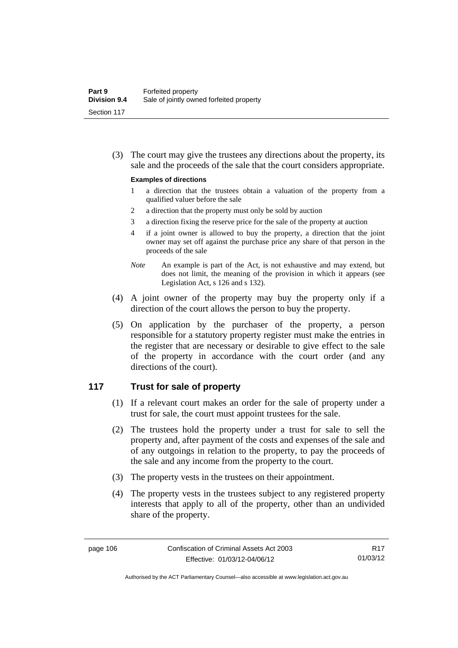(3) The court may give the trustees any directions about the property, its sale and the proceeds of the sale that the court considers appropriate.

#### **Examples of directions**

- 1 a direction that the trustees obtain a valuation of the property from a qualified valuer before the sale
- 2 a direction that the property must only be sold by auction
- 3 a direction fixing the reserve price for the sale of the property at auction
- 4 if a joint owner is allowed to buy the property, a direction that the joint owner may set off against the purchase price any share of that person in the proceeds of the sale
- *Note* An example is part of the Act, is not exhaustive and may extend, but does not limit, the meaning of the provision in which it appears (see Legislation Act, s 126 and s 132).
- (4) A joint owner of the property may buy the property only if a direction of the court allows the person to buy the property.
- (5) On application by the purchaser of the property, a person responsible for a statutory property register must make the entries in the register that are necessary or desirable to give effect to the sale of the property in accordance with the court order (and any directions of the court).

### **117 Trust for sale of property**

- (1) If a relevant court makes an order for the sale of property under a trust for sale, the court must appoint trustees for the sale.
- (2) The trustees hold the property under a trust for sale to sell the property and, after payment of the costs and expenses of the sale and of any outgoings in relation to the property, to pay the proceeds of the sale and any income from the property to the court.
- (3) The property vests in the trustees on their appointment.
- (4) The property vests in the trustees subject to any registered property interests that apply to all of the property, other than an undivided share of the property.

R17 01/03/12

Authorised by the ACT Parliamentary Counsel—also accessible at www.legislation.act.gov.au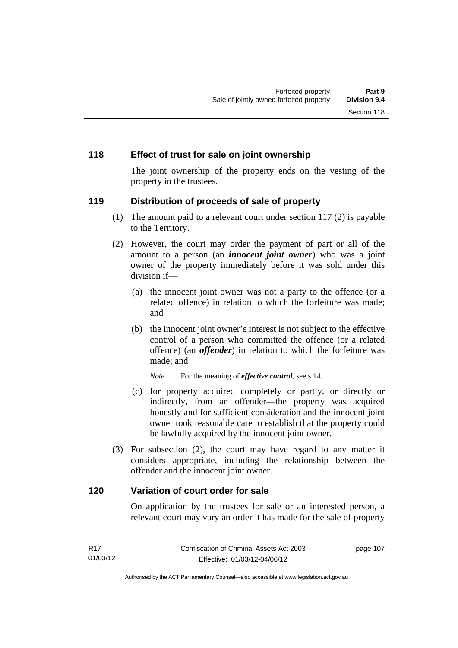### **118 Effect of trust for sale on joint ownership**

The joint ownership of the property ends on the vesting of the property in the trustees.

### **119 Distribution of proceeds of sale of property**

- (1) The amount paid to a relevant court under section 117 (2) is payable to the Territory.
- (2) However, the court may order the payment of part or all of the amount to a person (an *innocent joint owner*) who was a joint owner of the property immediately before it was sold under this division if—
	- (a) the innocent joint owner was not a party to the offence (or a related offence) in relation to which the forfeiture was made; and
	- (b) the innocent joint owner's interest is not subject to the effective control of a person who committed the offence (or a related offence) (an *offender*) in relation to which the forfeiture was made; and

*Note* For the meaning of *effective control*, see s 14.

- (c) for property acquired completely or partly, or directly or indirectly, from an offender—the property was acquired honestly and for sufficient consideration and the innocent joint owner took reasonable care to establish that the property could be lawfully acquired by the innocent joint owner.
- (3) For subsection (2), the court may have regard to any matter it considers appropriate, including the relationship between the offender and the innocent joint owner.

#### **120 Variation of court order for sale**

On application by the trustees for sale or an interested person, a relevant court may vary an order it has made for the sale of property

| R17      | Confiscation of Criminal Assets Act 2003 | page 107 |
|----------|------------------------------------------|----------|
| 01/03/12 | Effective: 01/03/12-04/06/12             |          |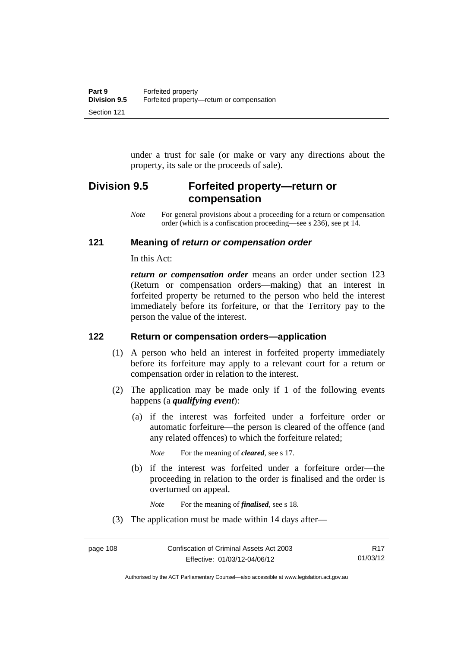under a trust for sale (or make or vary any directions about the property, its sale or the proceeds of sale).

# **Division 9.5 Forfeited property—return or compensation**

*Note* For general provisions about a proceeding for a return or compensation order (which is a confiscation proceeding—see s 236), see pt 14.

## **121 Meaning of** *return or compensation order*

In this Act:

*return or compensation order* means an order under section 123 (Return or compensation orders—making) that an interest in forfeited property be returned to the person who held the interest immediately before its forfeiture, or that the Territory pay to the person the value of the interest.

## **122 Return or compensation orders—application**

- (1) A person who held an interest in forfeited property immediately before its forfeiture may apply to a relevant court for a return or compensation order in relation to the interest.
- (2) The application may be made only if 1 of the following events happens (a *qualifying event*):
	- (a) if the interest was forfeited under a forfeiture order or automatic forfeiture—the person is cleared of the offence (and any related offences) to which the forfeiture related;

*Note* For the meaning of *cleared*, see s 17.

 (b) if the interest was forfeited under a forfeiture order—the proceeding in relation to the order is finalised and the order is overturned on appeal.

*Note* For the meaning of *finalised*, see s 18.

(3) The application must be made within 14 days after—

Authorised by the ACT Parliamentary Counsel—also accessible at www.legislation.act.gov.au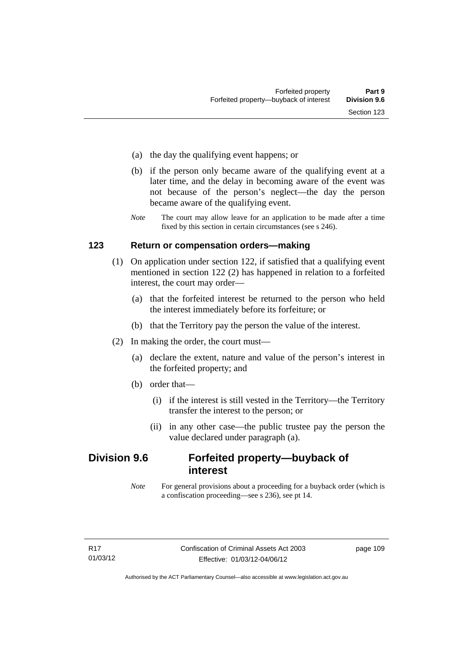- (a) the day the qualifying event happens; or
- (b) if the person only became aware of the qualifying event at a later time, and the delay in becoming aware of the event was not because of the person's neglect—the day the person became aware of the qualifying event.
- *Note* The court may allow leave for an application to be made after a time fixed by this section in certain circumstances (see s 246).

### **123 Return or compensation orders—making**

- (1) On application under section 122, if satisfied that a qualifying event mentioned in section 122 (2) has happened in relation to a forfeited interest, the court may order—
	- (a) that the forfeited interest be returned to the person who held the interest immediately before its forfeiture; or
	- (b) that the Territory pay the person the value of the interest.
- (2) In making the order, the court must—
	- (a) declare the extent, nature and value of the person's interest in the forfeited property; and
	- (b) order that—
		- (i) if the interest is still vested in the Territory—the Territory transfer the interest to the person; or
		- (ii) in any other case—the public trustee pay the person the value declared under paragraph (a).

## **Division 9.6 Forfeited property—buyback of interest**

*Note* For general provisions about a proceeding for a buyback order (which is a confiscation proceeding—see s 236), see pt 14.

page 109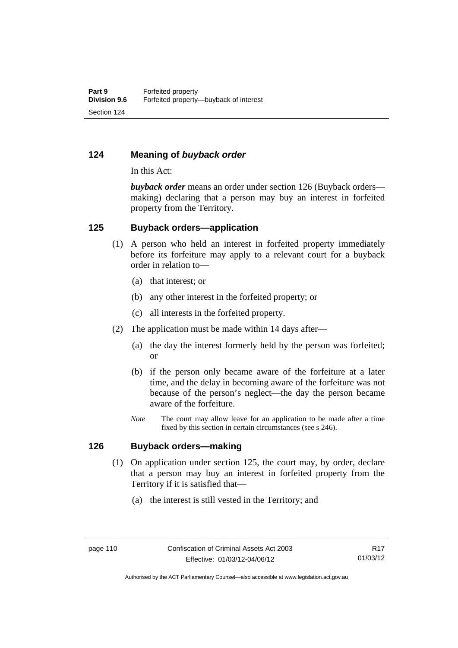## **124 Meaning of** *buyback order*

In this Act:

*buyback order* means an order under section 126 (Buyback orders making) declaring that a person may buy an interest in forfeited property from the Territory.

### **125 Buyback orders—application**

- (1) A person who held an interest in forfeited property immediately before its forfeiture may apply to a relevant court for a buyback order in relation to—
	- (a) that interest; or
	- (b) any other interest in the forfeited property; or
	- (c) all interests in the forfeited property.
- (2) The application must be made within 14 days after—
	- (a) the day the interest formerly held by the person was forfeited; or
	- (b) if the person only became aware of the forfeiture at a later time, and the delay in becoming aware of the forfeiture was not because of the person's neglect—the day the person became aware of the forfeiture.
	- *Note* The court may allow leave for an application to be made after a time fixed by this section in certain circumstances (see s 246).

### **126 Buyback orders—making**

- (1) On application under section 125, the court may, by order, declare that a person may buy an interest in forfeited property from the Territory if it is satisfied that—
	- (a) the interest is still vested in the Territory; and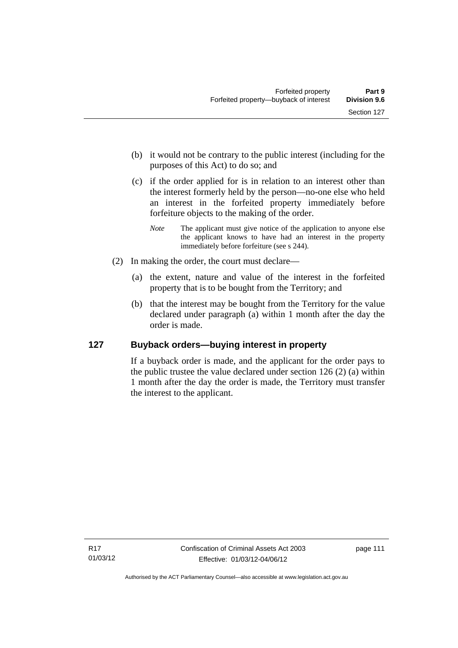- (b) it would not be contrary to the public interest (including for the purposes of this Act) to do so; and
- (c) if the order applied for is in relation to an interest other than the interest formerly held by the person—no-one else who held an interest in the forfeited property immediately before forfeiture objects to the making of the order.
	- *Note* The applicant must give notice of the application to anyone else the applicant knows to have had an interest in the property immediately before forfeiture (see s 244).
- (2) In making the order, the court must declare—
	- (a) the extent, nature and value of the interest in the forfeited property that is to be bought from the Territory; and
	- (b) that the interest may be bought from the Territory for the value declared under paragraph (a) within 1 month after the day the order is made.

## **127 Buyback orders—buying interest in property**

If a buyback order is made, and the applicant for the order pays to the public trustee the value declared under section 126 (2) (a) within 1 month after the day the order is made, the Territory must transfer the interest to the applicant.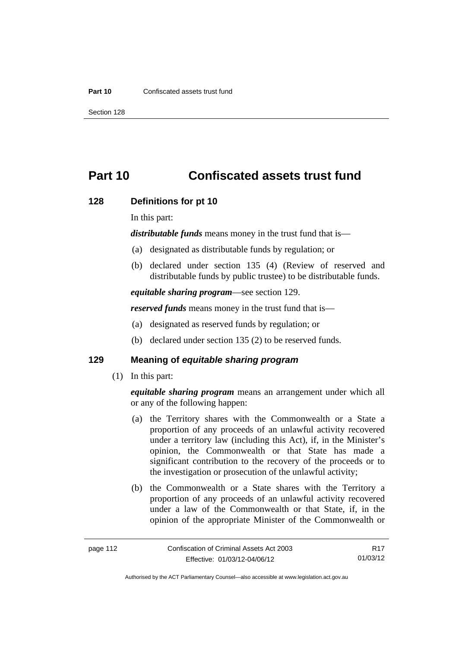#### **Part 10** Confiscated assets trust fund

Section 128

# **Part 10 Confiscated assets trust fund**

#### **128 Definitions for pt 10**

In this part:

*distributable funds* means money in the trust fund that is—

- (a) designated as distributable funds by regulation; or
- (b) declared under section 135 (4) (Review of reserved and distributable funds by public trustee) to be distributable funds.

*equitable sharing program*—see section 129.

*reserved funds* means money in the trust fund that is—

- (a) designated as reserved funds by regulation; or
- (b) declared under section 135 (2) to be reserved funds.

## **129 Meaning of** *equitable sharing program*

(1) In this part:

*equitable sharing program* means an arrangement under which all or any of the following happen:

- (a) the Territory shares with the Commonwealth or a State a proportion of any proceeds of an unlawful activity recovered under a territory law (including this Act), if, in the Minister's opinion, the Commonwealth or that State has made a significant contribution to the recovery of the proceeds or to the investigation or prosecution of the unlawful activity;
- (b) the Commonwealth or a State shares with the Territory a proportion of any proceeds of an unlawful activity recovered under a law of the Commonwealth or that State, if, in the opinion of the appropriate Minister of the Commonwealth or

R17 01/03/12

Authorised by the ACT Parliamentary Counsel—also accessible at www.legislation.act.gov.au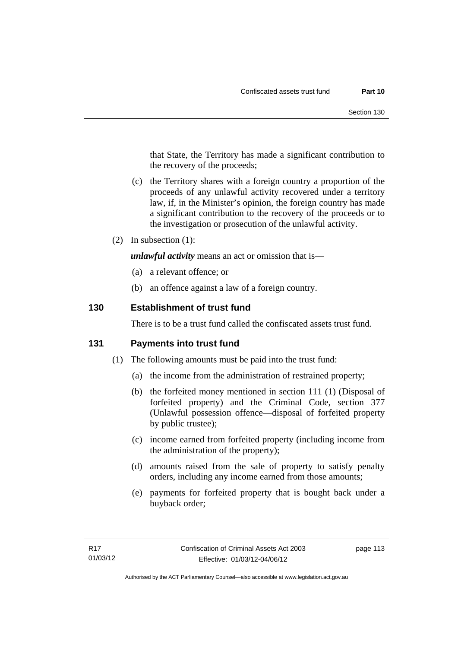that State, the Territory has made a significant contribution to the recovery of the proceeds;

- (c) the Territory shares with a foreign country a proportion of the proceeds of any unlawful activity recovered under a territory law, if, in the Minister's opinion, the foreign country has made a significant contribution to the recovery of the proceeds or to the investigation or prosecution of the unlawful activity.
- (2) In subsection (1):

*unlawful activity* means an act or omission that is—

- (a) a relevant offence; or
- (b) an offence against a law of a foreign country.

## **130 Establishment of trust fund**

There is to be a trust fund called the confiscated assets trust fund.

### **131 Payments into trust fund**

- (1) The following amounts must be paid into the trust fund:
	- (a) the income from the administration of restrained property;
	- (b) the forfeited money mentioned in section 111 (1) (Disposal of forfeited property) and the Criminal Code, section 377 (Unlawful possession offence—disposal of forfeited property by public trustee);
	- (c) income earned from forfeited property (including income from the administration of the property);
	- (d) amounts raised from the sale of property to satisfy penalty orders, including any income earned from those amounts;
	- (e) payments for forfeited property that is bought back under a buyback order;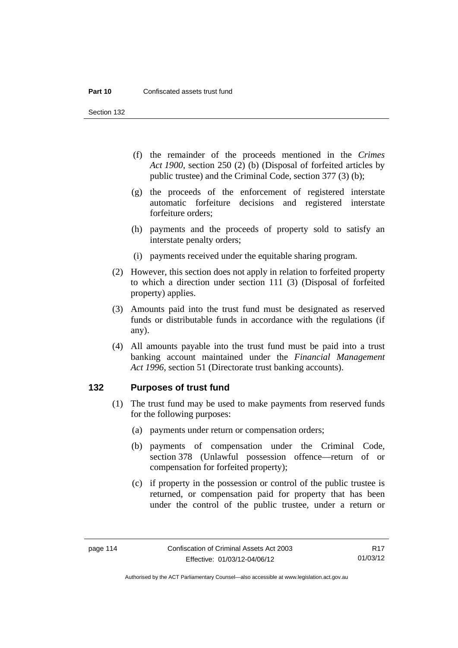Section 132

- (f) the remainder of the proceeds mentioned in the *Crimes Act 1900*, section 250 (2) (b) (Disposal of forfeited articles by public trustee) and the Criminal Code, section 377 (3) (b);
- (g) the proceeds of the enforcement of registered interstate automatic forfeiture decisions and registered interstate forfeiture orders;
- (h) payments and the proceeds of property sold to satisfy an interstate penalty orders;
- (i) payments received under the equitable sharing program.
- (2) However, this section does not apply in relation to forfeited property to which a direction under section 111 (3) (Disposal of forfeited property) applies.
- (3) Amounts paid into the trust fund must be designated as reserved funds or distributable funds in accordance with the regulations (if any).
- (4) All amounts payable into the trust fund must be paid into a trust banking account maintained under the *Financial Management Act 1996*, section 51 (Directorate trust banking accounts).

### **132 Purposes of trust fund**

- (1) The trust fund may be used to make payments from reserved funds for the following purposes:
	- (a) payments under return or compensation orders;
	- (b) payments of compensation under the Criminal Code, section 378 (Unlawful possession offence—return of or compensation for forfeited property);
	- (c) if property in the possession or control of the public trustee is returned, or compensation paid for property that has been under the control of the public trustee, under a return or

R17 01/03/12

Authorised by the ACT Parliamentary Counsel—also accessible at www.legislation.act.gov.au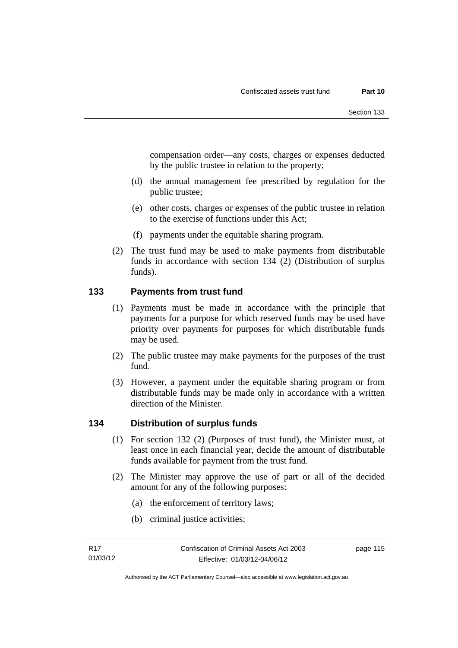compensation order—any costs, charges or expenses deducted by the public trustee in relation to the property;

- (d) the annual management fee prescribed by regulation for the public trustee;
- (e) other costs, charges or expenses of the public trustee in relation to the exercise of functions under this Act;
- (f) payments under the equitable sharing program.
- (2) The trust fund may be used to make payments from distributable funds in accordance with section 134 (2) (Distribution of surplus funds).

## **133 Payments from trust fund**

- (1) Payments must be made in accordance with the principle that payments for a purpose for which reserved funds may be used have priority over payments for purposes for which distributable funds may be used.
- (2) The public trustee may make payments for the purposes of the trust fund.
- (3) However, a payment under the equitable sharing program or from distributable funds may be made only in accordance with a written direction of the Minister.

## **134 Distribution of surplus funds**

- (1) For section 132 (2) (Purposes of trust fund), the Minister must, at least once in each financial year, decide the amount of distributable funds available for payment from the trust fund.
- (2) The Minister may approve the use of part or all of the decided amount for any of the following purposes:
	- (a) the enforcement of territory laws;
	- (b) criminal justice activities;

page 115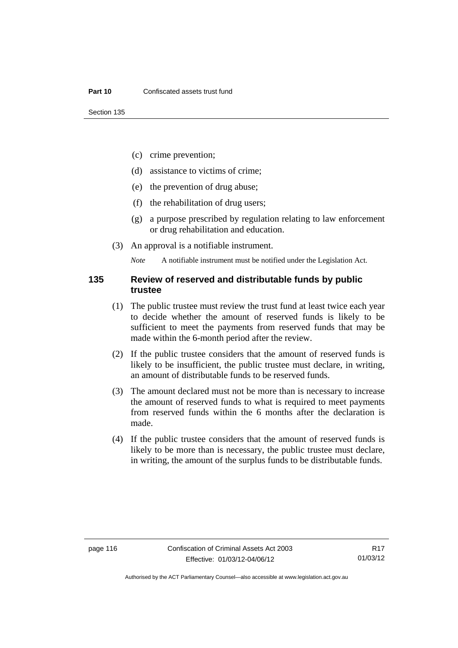- (c) crime prevention;
- (d) assistance to victims of crime;
- (e) the prevention of drug abuse;
- (f) the rehabilitation of drug users;
- (g) a purpose prescribed by regulation relating to law enforcement or drug rehabilitation and education.
- (3) An approval is a notifiable instrument.

*Note* A notifiable instrument must be notified under the Legislation Act.

### **135 Review of reserved and distributable funds by public trustee**

- (1) The public trustee must review the trust fund at least twice each year to decide whether the amount of reserved funds is likely to be sufficient to meet the payments from reserved funds that may be made within the 6-month period after the review.
- (2) If the public trustee considers that the amount of reserved funds is likely to be insufficient, the public trustee must declare, in writing, an amount of distributable funds to be reserved funds.
- (3) The amount declared must not be more than is necessary to increase the amount of reserved funds to what is required to meet payments from reserved funds within the 6 months after the declaration is made.
- (4) If the public trustee considers that the amount of reserved funds is likely to be more than is necessary, the public trustee must declare, in writing, the amount of the surplus funds to be distributable funds.

R17 01/03/12

Authorised by the ACT Parliamentary Counsel—also accessible at www.legislation.act.gov.au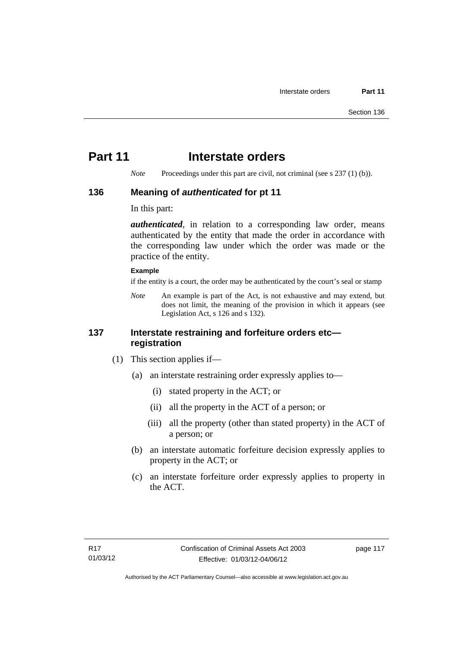# **Part 11** Interstate orders

*Note* Proceedings under this part are civil, not criminal (see s 237 (1) (b)).

### **136 Meaning of** *authenticated* **for pt 11**

In this part:

*authenticated*, in relation to a corresponding law order, means authenticated by the entity that made the order in accordance with the corresponding law under which the order was made or the practice of the entity.

#### **Example**

if the entity is a court, the order may be authenticated by the court's seal or stamp

*Note* An example is part of the Act, is not exhaustive and may extend, but does not limit, the meaning of the provision in which it appears (see Legislation Act, s 126 and s 132).

## **137 Interstate restraining and forfeiture orders etc registration**

- (1) This section applies if—
	- (a) an interstate restraining order expressly applies to—
		- (i) stated property in the ACT; or
		- (ii) all the property in the ACT of a person; or
		- (iii) all the property (other than stated property) in the ACT of a person; or
	- (b) an interstate automatic forfeiture decision expressly applies to property in the ACT; or
	- (c) an interstate forfeiture order expressly applies to property in the ACT.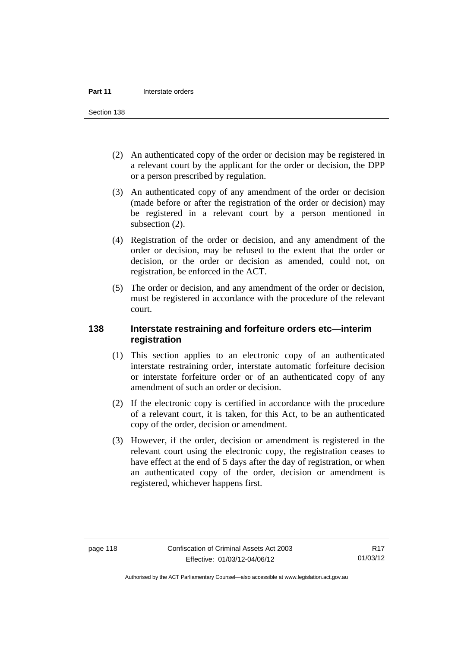Section 138

- (2) An authenticated copy of the order or decision may be registered in a relevant court by the applicant for the order or decision, the DPP or a person prescribed by regulation.
- (3) An authenticated copy of any amendment of the order or decision (made before or after the registration of the order or decision) may be registered in a relevant court by a person mentioned in subsection  $(2)$ .
- (4) Registration of the order or decision, and any amendment of the order or decision, may be refused to the extent that the order or decision, or the order or decision as amended, could not, on registration, be enforced in the ACT.
- (5) The order or decision, and any amendment of the order or decision, must be registered in accordance with the procedure of the relevant court.

## **138 Interstate restraining and forfeiture orders etc—interim registration**

- (1) This section applies to an electronic copy of an authenticated interstate restraining order, interstate automatic forfeiture decision or interstate forfeiture order or of an authenticated copy of any amendment of such an order or decision.
- (2) If the electronic copy is certified in accordance with the procedure of a relevant court, it is taken, for this Act, to be an authenticated copy of the order, decision or amendment.
- (3) However, if the order, decision or amendment is registered in the relevant court using the electronic copy, the registration ceases to have effect at the end of 5 days after the day of registration, or when an authenticated copy of the order, decision or amendment is registered, whichever happens first.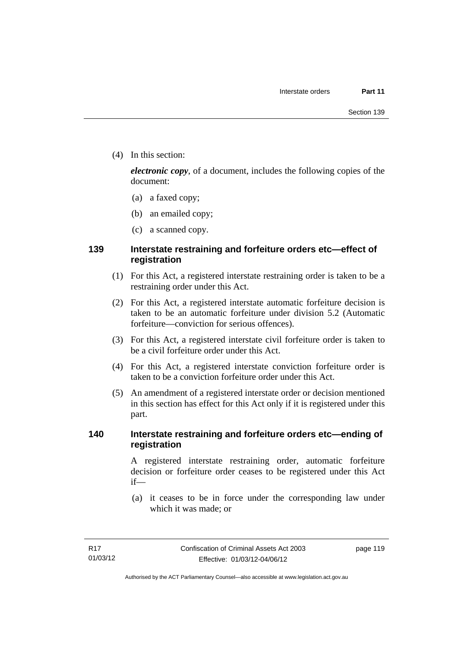(4) In this section:

*electronic copy*, of a document, includes the following copies of the document:

- (a) a faxed copy;
- (b) an emailed copy;
- (c) a scanned copy.

## **139 Interstate restraining and forfeiture orders etc—effect of registration**

- (1) For this Act, a registered interstate restraining order is taken to be a restraining order under this Act.
- (2) For this Act, a registered interstate automatic forfeiture decision is taken to be an automatic forfeiture under division 5.2 (Automatic forfeiture—conviction for serious offences).
- (3) For this Act, a registered interstate civil forfeiture order is taken to be a civil forfeiture order under this Act.
- (4) For this Act, a registered interstate conviction forfeiture order is taken to be a conviction forfeiture order under this Act.
- (5) An amendment of a registered interstate order or decision mentioned in this section has effect for this Act only if it is registered under this part.

## **140 Interstate restraining and forfeiture orders etc—ending of registration**

A registered interstate restraining order, automatic forfeiture decision or forfeiture order ceases to be registered under this Act if—

 (a) it ceases to be in force under the corresponding law under which it was made; or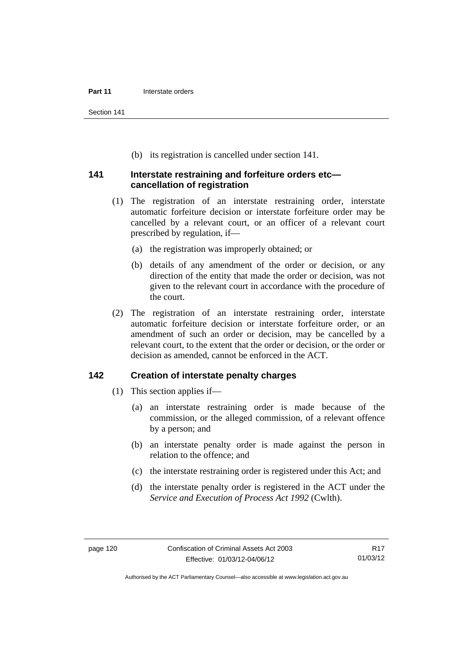Section 141

(b) its registration is cancelled under section 141.

### **141 Interstate restraining and forfeiture orders etc cancellation of registration**

- (1) The registration of an interstate restraining order, interstate automatic forfeiture decision or interstate forfeiture order may be cancelled by a relevant court, or an officer of a relevant court prescribed by regulation, if—
	- (a) the registration was improperly obtained; or
	- (b) details of any amendment of the order or decision, or any direction of the entity that made the order or decision, was not given to the relevant court in accordance with the procedure of the court.
- (2) The registration of an interstate restraining order, interstate automatic forfeiture decision or interstate forfeiture order, or an amendment of such an order or decision, may be cancelled by a relevant court, to the extent that the order or decision, or the order or decision as amended, cannot be enforced in the ACT.

## **142 Creation of interstate penalty charges**

- (1) This section applies if—
	- (a) an interstate restraining order is made because of the commission, or the alleged commission, of a relevant offence by a person; and
	- (b) an interstate penalty order is made against the person in relation to the offence; and
	- (c) the interstate restraining order is registered under this Act; and
	- (d) the interstate penalty order is registered in the ACT under the *Service and Execution of Process Act 1992* (Cwlth).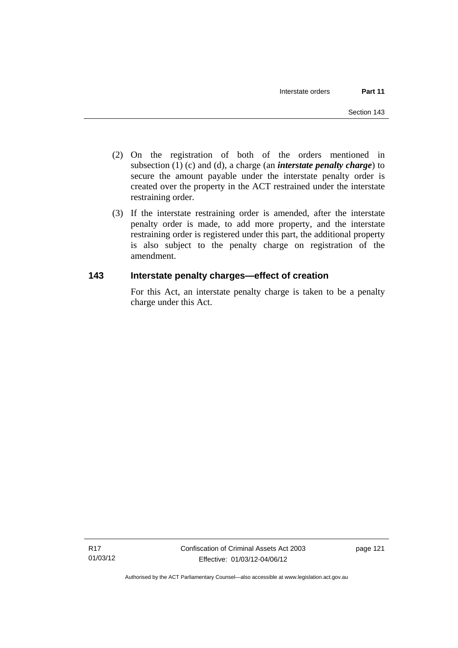- (2) On the registration of both of the orders mentioned in subsection (1) (c) and (d), a charge (an *interstate penalty charge*) to secure the amount payable under the interstate penalty order is created over the property in the ACT restrained under the interstate restraining order.
- (3) If the interstate restraining order is amended, after the interstate penalty order is made, to add more property, and the interstate restraining order is registered under this part, the additional property is also subject to the penalty charge on registration of the amendment.

## **143 Interstate penalty charges—effect of creation**

For this Act, an interstate penalty charge is taken to be a penalty charge under this Act.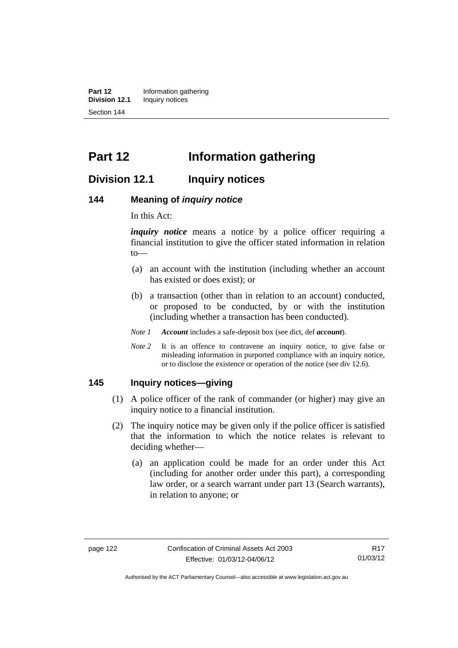**Part 12** Information gathering<br>**Division 12.1** Inquiry notices **Inquiry notices** Section 144

# **Part 12 Information gathering**

## **Division 12.1 Inquiry notices**

#### **144 Meaning of** *inquiry notice*

In this Act:

*inquiry notice* means a notice by a police officer requiring a financial institution to give the officer stated information in relation to—

- (a) an account with the institution (including whether an account has existed or does exist); or
- (b) a transaction (other than in relation to an account) conducted, or proposed to be conducted, by or with the institution (including whether a transaction has been conducted).
- *Note 1 Account* includes a safe-deposit box (see dict, def *account*).
- *Note* 2 It is an offence to contravene an inquiry notice, to give false or misleading information in purported compliance with an inquiry notice, or to disclose the existence or operation of the notice (see div 12.6).

#### **145 Inquiry notices—giving**

- (1) A police officer of the rank of commander (or higher) may give an inquiry notice to a financial institution.
- (2) The inquiry notice may be given only if the police officer is satisfied that the information to which the notice relates is relevant to deciding whether—
	- (a) an application could be made for an order under this Act (including for another order under this part), a corresponding law order, or a search warrant under part 13 (Search warrants), in relation to anyone; or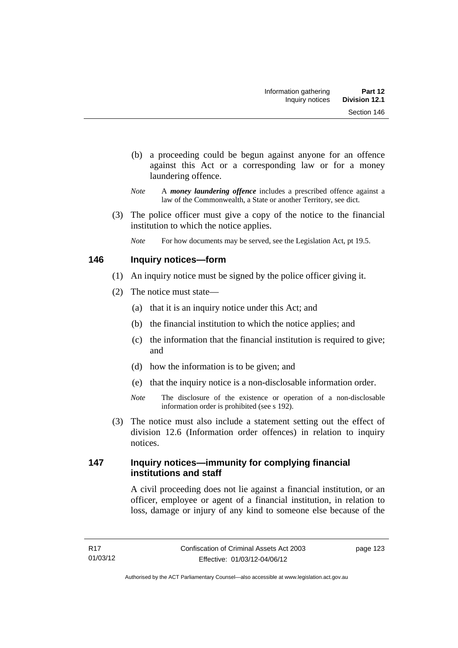- (b) a proceeding could be begun against anyone for an offence against this Act or a corresponding law or for a money laundering offence.
- *Note* A *money laundering offence* includes a prescribed offence against a law of the Commonwealth, a State or another Territory, see dict.
- (3) The police officer must give a copy of the notice to the financial institution to which the notice applies.
	- *Note* For how documents may be served, see the Legislation Act, pt 19.5.

## **146 Inquiry notices—form**

- (1) An inquiry notice must be signed by the police officer giving it.
- (2) The notice must state—
	- (a) that it is an inquiry notice under this Act; and
	- (b) the financial institution to which the notice applies; and
	- (c) the information that the financial institution is required to give; and
	- (d) how the information is to be given; and
	- (e) that the inquiry notice is a non-disclosable information order.
	- *Note* The disclosure of the existence or operation of a non-disclosable information order is prohibited (see s 192).
- (3) The notice must also include a statement setting out the effect of division 12.6 (Information order offences) in relation to inquiry notices.

## **147 Inquiry notices—immunity for complying financial institutions and staff**

A civil proceeding does not lie against a financial institution, or an officer, employee or agent of a financial institution, in relation to loss, damage or injury of any kind to someone else because of the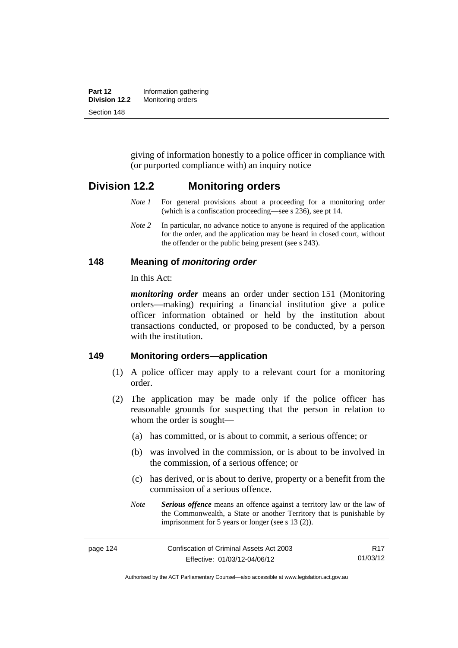| Part 12       | Information gathering |  |
|---------------|-----------------------|--|
| Division 12.2 | Monitoring orders     |  |
| Section 148   |                       |  |

giving of information honestly to a police officer in compliance with (or purported compliance with) an inquiry notice

## **Division 12.2 Monitoring orders**

- *Note 1* For general provisions about a proceeding for a monitoring order (which is a confiscation proceeding—see s 236), see pt 14.
- *Note 2* In particular, no advance notice to anyone is required of the application for the order, and the application may be heard in closed court, without the offender or the public being present (see s 243).

#### **148 Meaning of** *monitoring order*

In this Act:

*monitoring order* means an order under section 151 (Monitoring orders—making) requiring a financial institution give a police officer information obtained or held by the institution about transactions conducted, or proposed to be conducted, by a person with the institution.

#### **149 Monitoring orders—application**

- (1) A police officer may apply to a relevant court for a monitoring order.
- (2) The application may be made only if the police officer has reasonable grounds for suspecting that the person in relation to whom the order is sought—
	- (a) has committed, or is about to commit, a serious offence; or
	- (b) was involved in the commission, or is about to be involved in the commission, of a serious offence; or
	- (c) has derived, or is about to derive, property or a benefit from the commission of a serious offence.
	- *Note Serious offence* means an offence against a territory law or the law of the Commonwealth, a State or another Territory that is punishable by imprisonment for 5 years or longer (see s 13 (2)).

Authorised by the ACT Parliamentary Counsel—also accessible at www.legislation.act.gov.au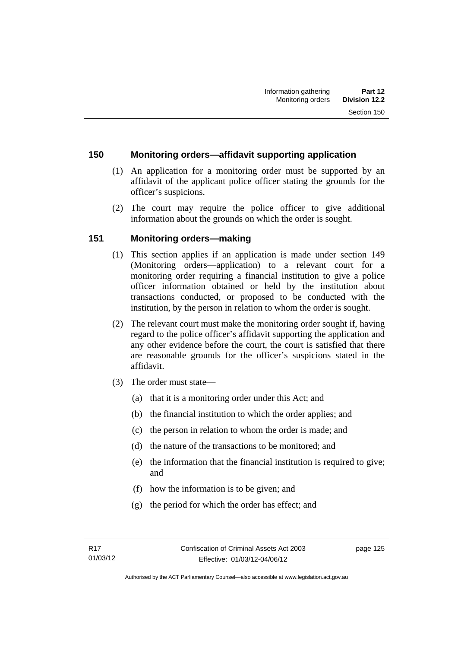## **150 Monitoring orders—affidavit supporting application**

- (1) An application for a monitoring order must be supported by an affidavit of the applicant police officer stating the grounds for the officer's suspicions.
- (2) The court may require the police officer to give additional information about the grounds on which the order is sought.

## **151 Monitoring orders—making**

- (1) This section applies if an application is made under section 149 (Monitoring orders—application) to a relevant court for a monitoring order requiring a financial institution to give a police officer information obtained or held by the institution about transactions conducted, or proposed to be conducted with the institution, by the person in relation to whom the order is sought.
- (2) The relevant court must make the monitoring order sought if, having regard to the police officer's affidavit supporting the application and any other evidence before the court, the court is satisfied that there are reasonable grounds for the officer's suspicions stated in the affidavit.
- (3) The order must state—
	- (a) that it is a monitoring order under this Act; and
	- (b) the financial institution to which the order applies; and
	- (c) the person in relation to whom the order is made; and
	- (d) the nature of the transactions to be monitored; and
	- (e) the information that the financial institution is required to give; and
	- (f) how the information is to be given; and
	- (g) the period for which the order has effect; and

page 125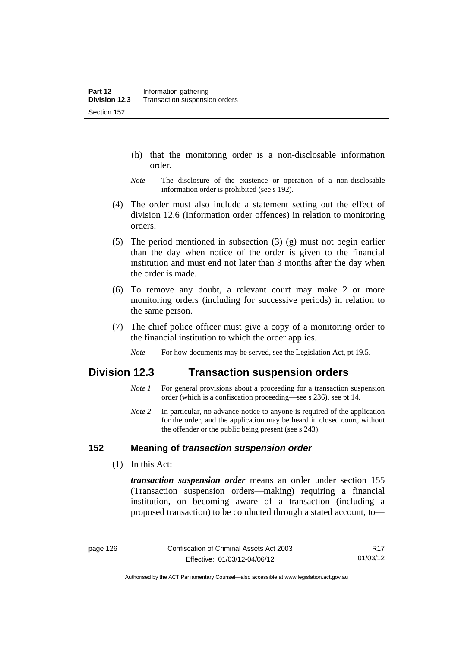- (h) that the monitoring order is a non-disclosable information order.
- *Note* The disclosure of the existence or operation of a non-disclosable information order is prohibited (see s 192).
- (4) The order must also include a statement setting out the effect of division 12.6 (Information order offences) in relation to monitoring orders.
- (5) The period mentioned in subsection (3) (g) must not begin earlier than the day when notice of the order is given to the financial institution and must end not later than 3 months after the day when the order is made.
- (6) To remove any doubt, a relevant court may make 2 or more monitoring orders (including for successive periods) in relation to the same person.
- (7) The chief police officer must give a copy of a monitoring order to the financial institution to which the order applies.
	- *Note* For how documents may be served, see the Legislation Act, pt 19.5.

## **Division 12.3 Transaction suspension orders**

- *Note 1* For general provisions about a proceeding for a transaction suspension order (which is a confiscation proceeding—see s 236), see pt 14.
- *Note 2* In particular, no advance notice to anyone is required of the application for the order, and the application may be heard in closed court, without the offender or the public being present (see s 243).

## **152 Meaning of** *transaction suspension order*

(1) In this Act:

*transaction suspension order* means an order under section 155 (Transaction suspension orders—making) requiring a financial institution, on becoming aware of a transaction (including a proposed transaction) to be conducted through a stated account, to—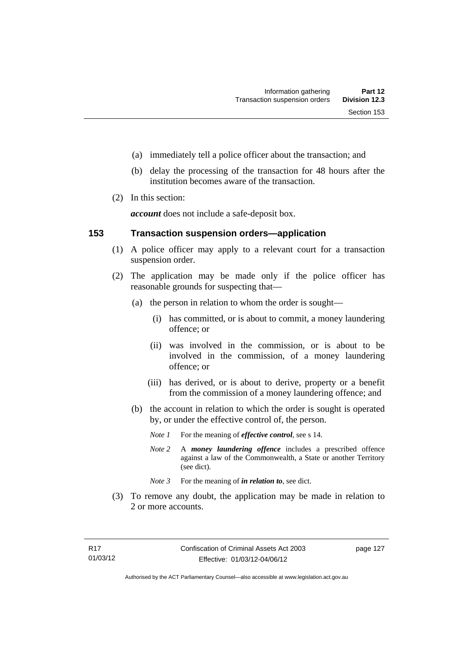- (a) immediately tell a police officer about the transaction; and
- (b) delay the processing of the transaction for 48 hours after the institution becomes aware of the transaction.
- (2) In this section:

*account* does not include a safe-deposit box.

#### **153 Transaction suspension orders—application**

- (1) A police officer may apply to a relevant court for a transaction suspension order.
- (2) The application may be made only if the police officer has reasonable grounds for suspecting that—
	- (a) the person in relation to whom the order is sought—
		- (i) has committed, or is about to commit, a money laundering offence; or
		- (ii) was involved in the commission, or is about to be involved in the commission, of a money laundering offence; or
		- (iii) has derived, or is about to derive, property or a benefit from the commission of a money laundering offence; and
	- (b) the account in relation to which the order is sought is operated by, or under the effective control of, the person.
		- *Note 1* For the meaning of *effective control*, see s 14.
		- *Note 2* A *money laundering offence* includes a prescribed offence against a law of the Commonwealth, a State or another Territory (see dict).
		- *Note* 3 For the meaning of *in relation to*, see dict.
- (3) To remove any doubt, the application may be made in relation to 2 or more accounts.

page 127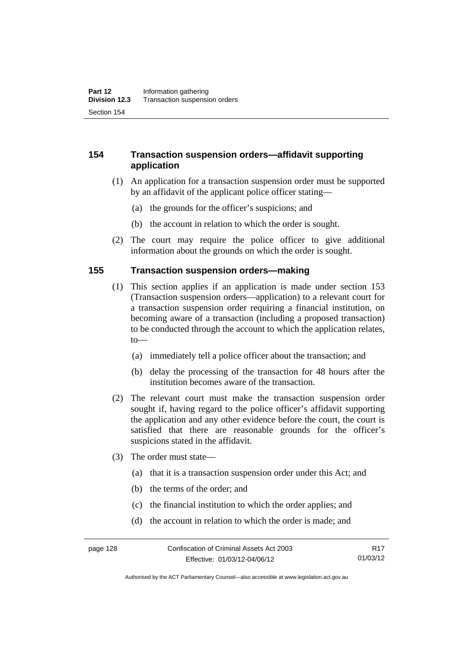## **154 Transaction suspension orders—affidavit supporting application**

- (1) An application for a transaction suspension order must be supported by an affidavit of the applicant police officer stating—
	- (a) the grounds for the officer's suspicions; and
	- (b) the account in relation to which the order is sought.
- (2) The court may require the police officer to give additional information about the grounds on which the order is sought.

#### **155 Transaction suspension orders—making**

- (1) This section applies if an application is made under section 153 (Transaction suspension orders—application) to a relevant court for a transaction suspension order requiring a financial institution, on becoming aware of a transaction (including a proposed transaction) to be conducted through the account to which the application relates, to—
	- (a) immediately tell a police officer about the transaction; and
	- (b) delay the processing of the transaction for 48 hours after the institution becomes aware of the transaction.
- (2) The relevant court must make the transaction suspension order sought if, having regard to the police officer's affidavit supporting the application and any other evidence before the court, the court is satisfied that there are reasonable grounds for the officer's suspicions stated in the affidavit.
- (3) The order must state—
	- (a) that it is a transaction suspension order under this Act; and
	- (b) the terms of the order; and
	- (c) the financial institution to which the order applies; and
	- (d) the account in relation to which the order is made; and

Authorised by the ACT Parliamentary Counsel—also accessible at www.legislation.act.gov.au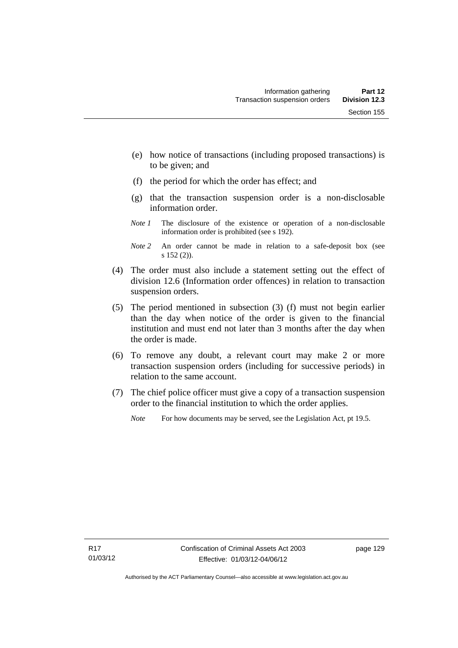- (e) how notice of transactions (including proposed transactions) is to be given; and
- (f) the period for which the order has effect; and
- (g) that the transaction suspension order is a non-disclosable information order.
- *Note 1* The disclosure of the existence or operation of a non-disclosable information order is prohibited (see s 192).
- *Note 2* An order cannot be made in relation to a safe-deposit box (see s 152 (2)).
- (4) The order must also include a statement setting out the effect of division 12.6 (Information order offences) in relation to transaction suspension orders.
- (5) The period mentioned in subsection (3) (f) must not begin earlier than the day when notice of the order is given to the financial institution and must end not later than 3 months after the day when the order is made.
- (6) To remove any doubt, a relevant court may make 2 or more transaction suspension orders (including for successive periods) in relation to the same account.
- (7) The chief police officer must give a copy of a transaction suspension order to the financial institution to which the order applies.
	- *Note* For how documents may be served, see the Legislation Act, pt 19.5.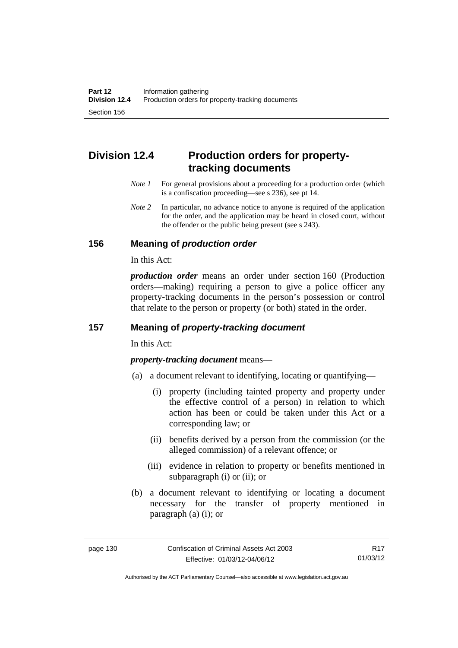# **Division 12.4 Production orders for propertytracking documents**

- *Note 1* For general provisions about a proceeding for a production order (which is a confiscation proceeding—see s 236), see pt 14.
- *Note* 2 In particular, no advance notice to anyone is required of the application for the order, and the application may be heard in closed court, without the offender or the public being present (see s 243).

### **156 Meaning of** *production order*

In this Act:

*production order* means an order under section 160 (Production orders—making) requiring a person to give a police officer any property-tracking documents in the person's possession or control that relate to the person or property (or both) stated in the order.

## **157 Meaning of** *property-tracking document*

In this Act:

*property-tracking document* means—

- (a) a document relevant to identifying, locating or quantifying—
	- (i) property (including tainted property and property under the effective control of a person) in relation to which action has been or could be taken under this Act or a corresponding law; or
	- (ii) benefits derived by a person from the commission (or the alleged commission) of a relevant offence; or
	- (iii) evidence in relation to property or benefits mentioned in subparagraph (i) or (ii); or
- (b) a document relevant to identifying or locating a document necessary for the transfer of property mentioned in paragraph (a) (i); or

Authorised by the ACT Parliamentary Counsel—also accessible at www.legislation.act.gov.au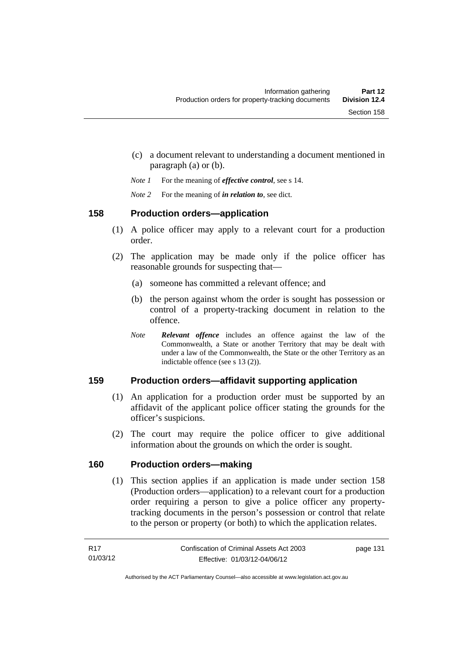- (c) a document relevant to understanding a document mentioned in paragraph (a) or (b).
- *Note 1* For the meaning of *effective control*, see s 14.
- *Note 2* For the meaning of *in relation to*, see dict.

### **158 Production orders—application**

- (1) A police officer may apply to a relevant court for a production order.
- (2) The application may be made only if the police officer has reasonable grounds for suspecting that—
	- (a) someone has committed a relevant offence; and
	- (b) the person against whom the order is sought has possession or control of a property-tracking document in relation to the offence.
	- *Note Relevant offence* includes an offence against the law of the Commonwealth, a State or another Territory that may be dealt with under a law of the Commonwealth, the State or the other Territory as an indictable offence (see s 13 (2)).

# **159 Production orders—affidavit supporting application**

- (1) An application for a production order must be supported by an affidavit of the applicant police officer stating the grounds for the officer's suspicions.
- (2) The court may require the police officer to give additional information about the grounds on which the order is sought.

### **160 Production orders—making**

(1) This section applies if an application is made under section 158 (Production orders—application) to a relevant court for a production order requiring a person to give a police officer any propertytracking documents in the person's possession or control that relate to the person or property (or both) to which the application relates.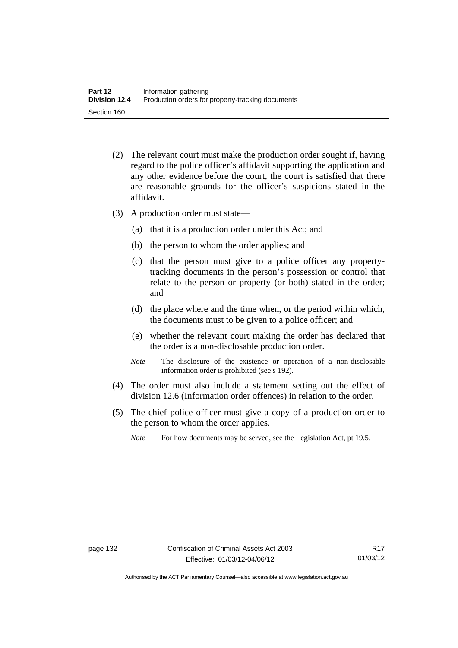- (2) The relevant court must make the production order sought if, having regard to the police officer's affidavit supporting the application and any other evidence before the court, the court is satisfied that there are reasonable grounds for the officer's suspicions stated in the affidavit.
- (3) A production order must state—
	- (a) that it is a production order under this Act; and
	- (b) the person to whom the order applies; and
	- (c) that the person must give to a police officer any propertytracking documents in the person's possession or control that relate to the person or property (or both) stated in the order; and
	- (d) the place where and the time when, or the period within which, the documents must to be given to a police officer; and
	- (e) whether the relevant court making the order has declared that the order is a non-disclosable production order.
	- *Note* The disclosure of the existence or operation of a non-disclosable information order is prohibited (see s 192).
- (4) The order must also include a statement setting out the effect of division 12.6 (Information order offences) in relation to the order.
- (5) The chief police officer must give a copy of a production order to the person to whom the order applies.
	- *Note* For how documents may be served, see the Legislation Act, pt 19.5.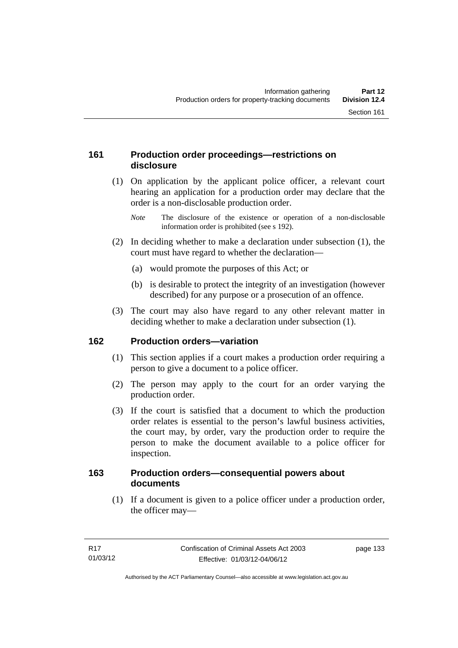### **161 Production order proceedings—restrictions on disclosure**

 (1) On application by the applicant police officer, a relevant court hearing an application for a production order may declare that the order is a non-disclosable production order.

- (2) In deciding whether to make a declaration under subsection (1), the court must have regard to whether the declaration—
	- (a) would promote the purposes of this Act; or
	- (b) is desirable to protect the integrity of an investigation (however described) for any purpose or a prosecution of an offence.
- (3) The court may also have regard to any other relevant matter in deciding whether to make a declaration under subsection (1).

### **162 Production orders—variation**

- (1) This section applies if a court makes a production order requiring a person to give a document to a police officer.
- (2) The person may apply to the court for an order varying the production order.
- (3) If the court is satisfied that a document to which the production order relates is essential to the person's lawful business activities, the court may, by order, vary the production order to require the person to make the document available to a police officer for inspection.

#### **163 Production orders—consequential powers about documents**

 (1) If a document is given to a police officer under a production order, the officer may—

*Note* The disclosure of the existence or operation of a non-disclosable information order is prohibited (see s 192).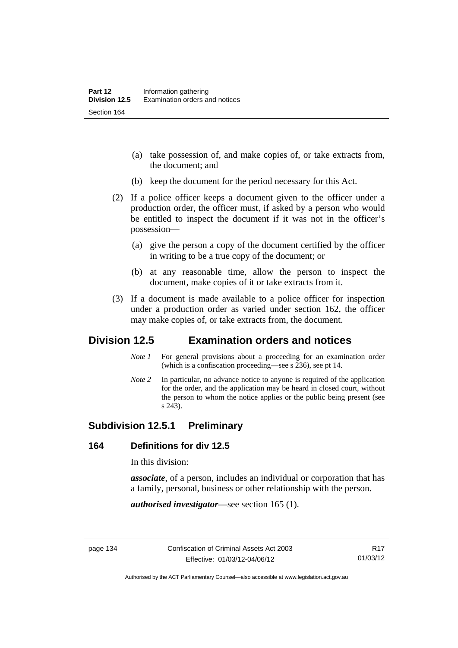- (a) take possession of, and make copies of, or take extracts from, the document; and
- (b) keep the document for the period necessary for this Act.
- (2) If a police officer keeps a document given to the officer under a production order, the officer must, if asked by a person who would be entitled to inspect the document if it was not in the officer's possession—
	- (a) give the person a copy of the document certified by the officer in writing to be a true copy of the document; or
	- (b) at any reasonable time, allow the person to inspect the document, make copies of it or take extracts from it.
- (3) If a document is made available to a police officer for inspection under a production order as varied under section 162, the officer may make copies of, or take extracts from, the document.

# **Division 12.5 Examination orders and notices**

- *Note 1* For general provisions about a proceeding for an examination order (which is a confiscation proceeding—see s 236), see pt 14.
- *Note 2* In particular, no advance notice to anyone is required of the application for the order, and the application may be heard in closed court, without the person to whom the notice applies or the public being present (see s 243).

### **Subdivision 12.5.1 Preliminary**

#### **164 Definitions for div 12.5**

In this division:

*associate*, of a person, includes an individual or corporation that has a family, personal, business or other relationship with the person.

*authorised investigator*—see section 165 (1).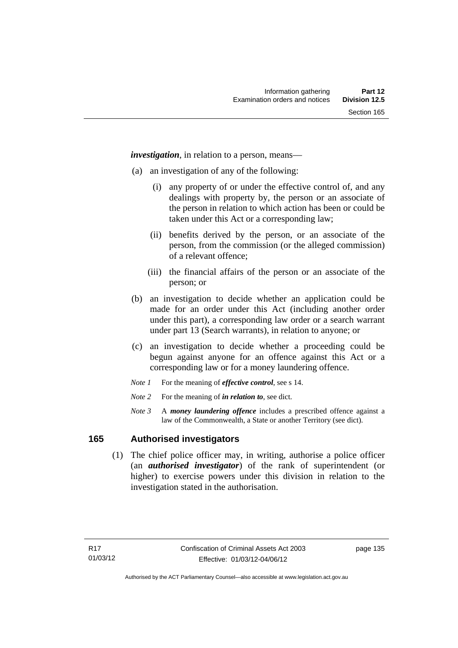*investigation*, in relation to a person, means—

- (a) an investigation of any of the following:
	- (i) any property of or under the effective control of, and any dealings with property by, the person or an associate of the person in relation to which action has been or could be taken under this Act or a corresponding law;
	- (ii) benefits derived by the person, or an associate of the person, from the commission (or the alleged commission) of a relevant offence;
	- (iii) the financial affairs of the person or an associate of the person; or
- (b) an investigation to decide whether an application could be made for an order under this Act (including another order under this part), a corresponding law order or a search warrant under part 13 (Search warrants), in relation to anyone; or
- (c) an investigation to decide whether a proceeding could be begun against anyone for an offence against this Act or a corresponding law or for a money laundering offence.
- *Note 1* For the meaning of *effective control*, see s 14.
- *Note* 2 For the meaning of *in relation to*, see dict.
- *Note 3* A *money laundering offence* includes a prescribed offence against a law of the Commonwealth, a State or another Territory (see dict).

#### **165 Authorised investigators**

 (1) The chief police officer may, in writing, authorise a police officer (an *authorised investigator*) of the rank of superintendent (or higher) to exercise powers under this division in relation to the investigation stated in the authorisation.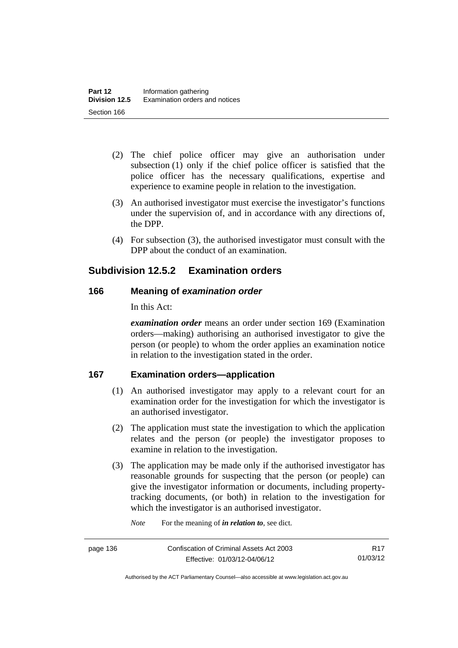- (2) The chief police officer may give an authorisation under subsection (1) only if the chief police officer is satisfied that the police officer has the necessary qualifications, expertise and experience to examine people in relation to the investigation.
- (3) An authorised investigator must exercise the investigator's functions under the supervision of, and in accordance with any directions of, the DPP.
- (4) For subsection (3), the authorised investigator must consult with the DPP about the conduct of an examination.

# **Subdivision 12.5.2 Examination orders**

### **166 Meaning of** *examination order*

In this Act:

*examination order* means an order under section 169 (Examination orders—making) authorising an authorised investigator to give the person (or people) to whom the order applies an examination notice in relation to the investigation stated in the order.

### **167 Examination orders—application**

- (1) An authorised investigator may apply to a relevant court for an examination order for the investigation for which the investigator is an authorised investigator.
- (2) The application must state the investigation to which the application relates and the person (or people) the investigator proposes to examine in relation to the investigation.
- (3) The application may be made only if the authorised investigator has reasonable grounds for suspecting that the person (or people) can give the investigator information or documents, including propertytracking documents, (or both) in relation to the investigation for which the investigator is an authorised investigator.

*Note* For the meaning of *in relation to*, see dict.

Authorised by the ACT Parliamentary Counsel—also accessible at www.legislation.act.gov.au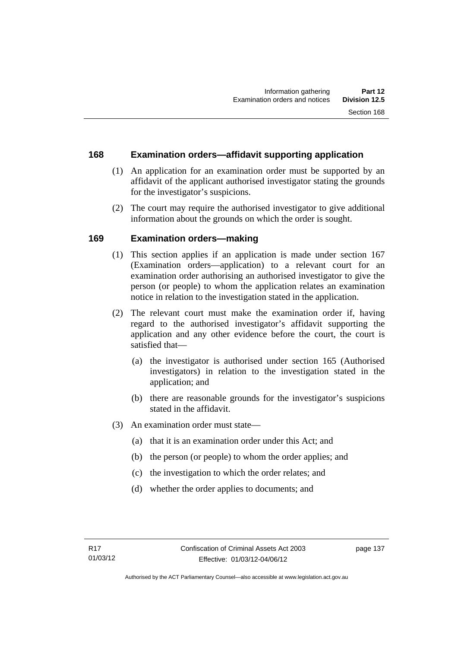#### **168 Examination orders—affidavit supporting application**

- (1) An application for an examination order must be supported by an affidavit of the applicant authorised investigator stating the grounds for the investigator's suspicions.
- (2) The court may require the authorised investigator to give additional information about the grounds on which the order is sought.

### **169 Examination orders—making**

- (1) This section applies if an application is made under section 167 (Examination orders—application) to a relevant court for an examination order authorising an authorised investigator to give the person (or people) to whom the application relates an examination notice in relation to the investigation stated in the application.
- (2) The relevant court must make the examination order if, having regard to the authorised investigator's affidavit supporting the application and any other evidence before the court, the court is satisfied that—
	- (a) the investigator is authorised under section 165 (Authorised investigators) in relation to the investigation stated in the application; and
	- (b) there are reasonable grounds for the investigator's suspicions stated in the affidavit.
- (3) An examination order must state—
	- (a) that it is an examination order under this Act; and
	- (b) the person (or people) to whom the order applies; and
	- (c) the investigation to which the order relates; and
	- (d) whether the order applies to documents; and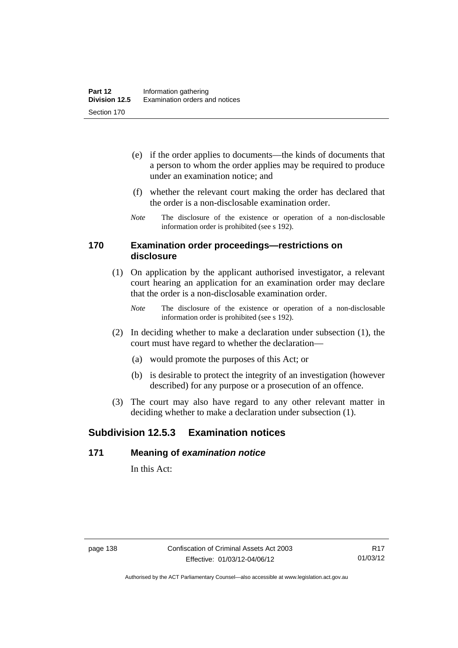- (e) if the order applies to documents—the kinds of documents that a person to whom the order applies may be required to produce under an examination notice; and
- (f) whether the relevant court making the order has declared that the order is a non-disclosable examination order.
- *Note* The disclosure of the existence or operation of a non-disclosable information order is prohibited (see s 192).

#### **170 Examination order proceedings—restrictions on disclosure**

- (1) On application by the applicant authorised investigator, a relevant court hearing an application for an examination order may declare that the order is a non-disclosable examination order.
	- *Note* The disclosure of the existence or operation of a non-disclosable information order is prohibited (see s 192).
- (2) In deciding whether to make a declaration under subsection (1), the court must have regard to whether the declaration—
	- (a) would promote the purposes of this Act; or
	- (b) is desirable to protect the integrity of an investigation (however described) for any purpose or a prosecution of an offence.
- (3) The court may also have regard to any other relevant matter in deciding whether to make a declaration under subsection (1).

# **Subdivision 12.5.3 Examination notices**

#### **171 Meaning of** *examination notice*

In this Act: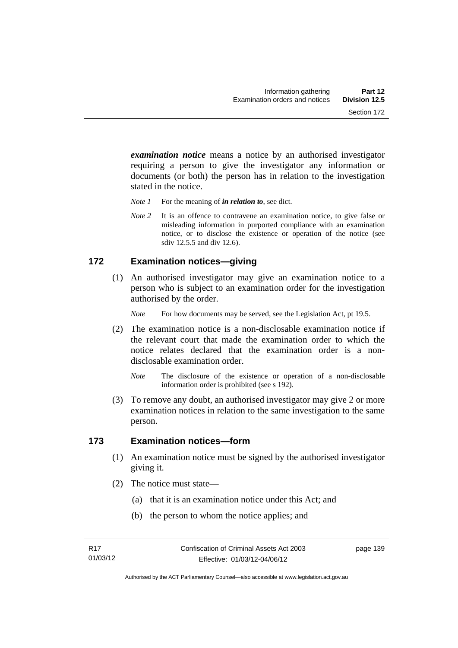*examination notice* means a notice by an authorised investigator requiring a person to give the investigator any information or documents (or both) the person has in relation to the investigation stated in the notice.

- *Note 1* For the meaning of *in relation to*, see dict.
- *Note* 2 It is an offence to contravene an examination notice, to give false or misleading information in purported compliance with an examination notice, or to disclose the existence or operation of the notice (see sdiv 12.5.5 and div 12.6).

#### **172 Examination notices—giving**

 (1) An authorised investigator may give an examination notice to a person who is subject to an examination order for the investigation authorised by the order.

*Note* For how documents may be served, see the Legislation Act, pt 19.5.

- (2) The examination notice is a non-disclosable examination notice if the relevant court that made the examination order to which the notice relates declared that the examination order is a nondisclosable examination order.
	- *Note* The disclosure of the existence or operation of a non-disclosable information order is prohibited (see s 192).
- (3) To remove any doubt, an authorised investigator may give 2 or more examination notices in relation to the same investigation to the same person.

#### **173 Examination notices—form**

- (1) An examination notice must be signed by the authorised investigator giving it.
- (2) The notice must state—
	- (a) that it is an examination notice under this Act; and
	- (b) the person to whom the notice applies; and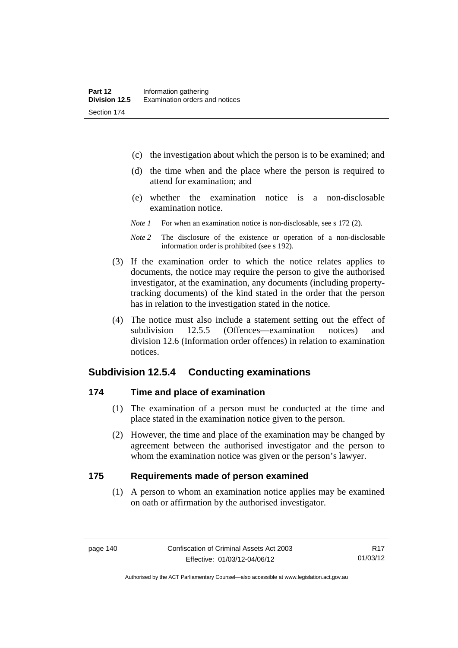- (c) the investigation about which the person is to be examined; and
- (d) the time when and the place where the person is required to attend for examination; and
- (e) whether the examination notice is a non-disclosable examination notice.
- *Note 1* For when an examination notice is non-disclosable, see s 172 (2).
- *Note 2* The disclosure of the existence or operation of a non-disclosable information order is prohibited (see s 192).
- (3) If the examination order to which the notice relates applies to documents, the notice may require the person to give the authorised investigator, at the examination, any documents (including propertytracking documents) of the kind stated in the order that the person has in relation to the investigation stated in the notice.
- (4) The notice must also include a statement setting out the effect of subdivision 12.5.5 (Offences—examination notices) and division 12.6 (Information order offences) in relation to examination notices.

### **Subdivision 12.5.4 Conducting examinations**

#### **174 Time and place of examination**

- (1) The examination of a person must be conducted at the time and place stated in the examination notice given to the person.
- (2) However, the time and place of the examination may be changed by agreement between the authorised investigator and the person to whom the examination notice was given or the person's lawyer.

#### **175 Requirements made of person examined**

(1) A person to whom an examination notice applies may be examined on oath or affirmation by the authorised investigator.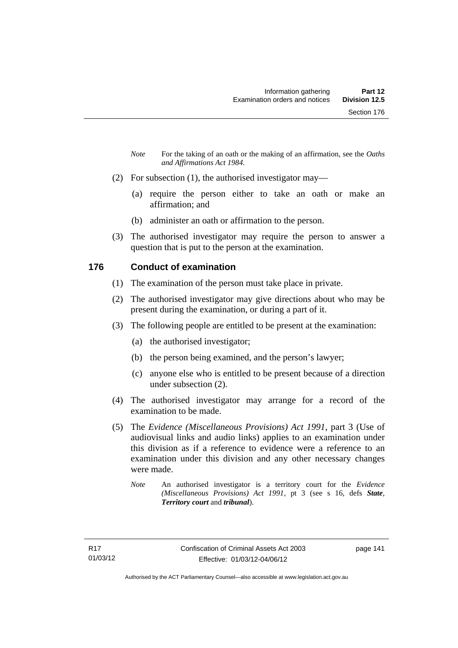- *Note* For the taking of an oath or the making of an affirmation, see the *Oaths and Affirmations Act 1984.*
- (2) For subsection (1), the authorised investigator may—
	- (a) require the person either to take an oath or make an affirmation; and
	- (b) administer an oath or affirmation to the person.
- (3) The authorised investigator may require the person to answer a question that is put to the person at the examination.

### **176 Conduct of examination**

- (1) The examination of the person must take place in private.
- (2) The authorised investigator may give directions about who may be present during the examination, or during a part of it.
- (3) The following people are entitled to be present at the examination:
	- (a) the authorised investigator;
	- (b) the person being examined, and the person's lawyer;
	- (c) anyone else who is entitled to be present because of a direction under subsection (2).
- (4) The authorised investigator may arrange for a record of the examination to be made.
- (5) The *Evidence (Miscellaneous Provisions) Act 1991*, part 3 (Use of audiovisual links and audio links) applies to an examination under this division as if a reference to evidence were a reference to an examination under this division and any other necessary changes were made.
	- *Note* An authorised investigator is a territory court for the *Evidence (Miscellaneous Provisions) Act 1991*, pt 3 (see s 16, defs *State*, *Territory court* and *tribunal*).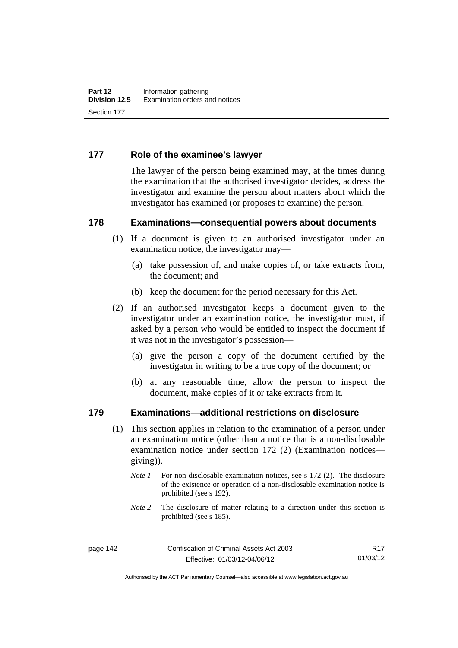#### **177 Role of the examinee's lawyer**

The lawyer of the person being examined may, at the times during the examination that the authorised investigator decides, address the investigator and examine the person about matters about which the investigator has examined (or proposes to examine) the person.

#### **178 Examinations—consequential powers about documents**

- (1) If a document is given to an authorised investigator under an examination notice, the investigator may—
	- (a) take possession of, and make copies of, or take extracts from, the document; and
	- (b) keep the document for the period necessary for this Act.
- (2) If an authorised investigator keeps a document given to the investigator under an examination notice, the investigator must, if asked by a person who would be entitled to inspect the document if it was not in the investigator's possession—
	- (a) give the person a copy of the document certified by the investigator in writing to be a true copy of the document; or
	- (b) at any reasonable time, allow the person to inspect the document, make copies of it or take extracts from it.

#### **179 Examinations—additional restrictions on disclosure**

- (1) This section applies in relation to the examination of a person under an examination notice (other than a notice that is a non-disclosable examination notice under section 172 (2) (Examination notices giving)).
	- *Note 1* For non-disclosable examination notices, see s 172 (2). The disclosure of the existence or operation of a non-disclosable examination notice is prohibited (see s 192).
	- *Note* 2 The disclosure of matter relating to a direction under this section is prohibited (see s 185).

R17 01/03/12

Authorised by the ACT Parliamentary Counsel—also accessible at www.legislation.act.gov.au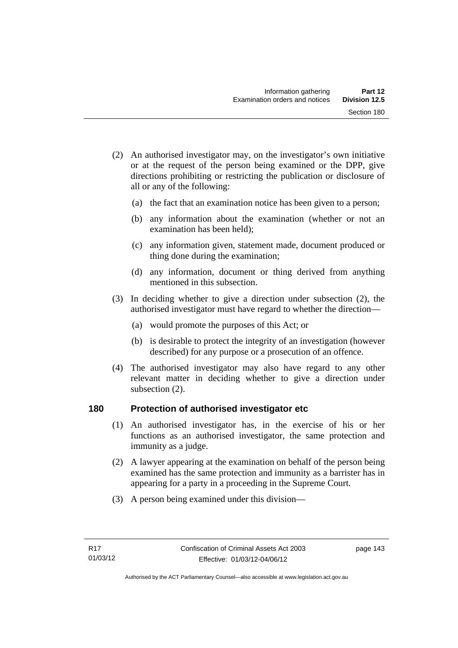- (2) An authorised investigator may, on the investigator's own initiative or at the request of the person being examined or the DPP, give directions prohibiting or restricting the publication or disclosure of all or any of the following:
	- (a) the fact that an examination notice has been given to a person;
	- (b) any information about the examination (whether or not an examination has been held);
	- (c) any information given, statement made, document produced or thing done during the examination;
	- (d) any information, document or thing derived from anything mentioned in this subsection.
- (3) In deciding whether to give a direction under subsection (2), the authorised investigator must have regard to whether the direction—
	- (a) would promote the purposes of this Act; or
	- (b) is desirable to protect the integrity of an investigation (however described) for any purpose or a prosecution of an offence.
- (4) The authorised investigator may also have regard to any other relevant matter in deciding whether to give a direction under subsection (2).

#### **180 Protection of authorised investigator etc**

- (1) An authorised investigator has, in the exercise of his or her functions as an authorised investigator, the same protection and immunity as a judge.
- (2) A lawyer appearing at the examination on behalf of the person being examined has the same protection and immunity as a barrister has in appearing for a party in a proceeding in the Supreme Court.
- (3) A person being examined under this division—

page 143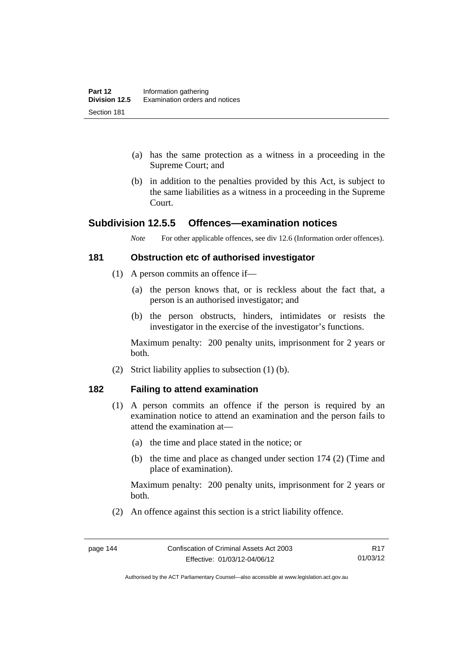- (a) has the same protection as a witness in a proceeding in the Supreme Court; and
- (b) in addition to the penalties provided by this Act, is subject to the same liabilities as a witness in a proceeding in the Supreme Court.

### **Subdivision 12.5.5 Offences—examination notices**

*Note* For other applicable offences, see div 12.6 (Information order offences).

#### **181 Obstruction etc of authorised investigator**

- (1) A person commits an offence if—
	- (a) the person knows that, or is reckless about the fact that, a person is an authorised investigator; and
	- (b) the person obstructs, hinders, intimidates or resists the investigator in the exercise of the investigator's functions.

Maximum penalty: 200 penalty units, imprisonment for 2 years or both.

(2) Strict liability applies to subsection (1) (b).

#### **182 Failing to attend examination**

- (1) A person commits an offence if the person is required by an examination notice to attend an examination and the person fails to attend the examination at—
	- (a) the time and place stated in the notice; or
	- (b) the time and place as changed under section 174 (2) (Time and place of examination).

Maximum penalty: 200 penalty units, imprisonment for 2 years or both.

(2) An offence against this section is a strict liability offence.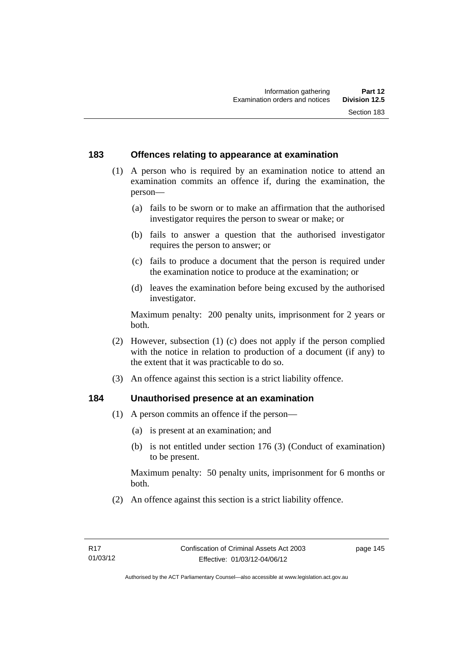#### **183 Offences relating to appearance at examination**

- (1) A person who is required by an examination notice to attend an examination commits an offence if, during the examination, the person—
	- (a) fails to be sworn or to make an affirmation that the authorised investigator requires the person to swear or make; or
	- (b) fails to answer a question that the authorised investigator requires the person to answer; or
	- (c) fails to produce a document that the person is required under the examination notice to produce at the examination; or
	- (d) leaves the examination before being excused by the authorised investigator.

Maximum penalty: 200 penalty units, imprisonment for 2 years or both.

- (2) However, subsection (1) (c) does not apply if the person complied with the notice in relation to production of a document (if any) to the extent that it was practicable to do so.
- (3) An offence against this section is a strict liability offence.

#### **184 Unauthorised presence at an examination**

- (1) A person commits an offence if the person—
	- (a) is present at an examination; and
	- (b) is not entitled under section 176 (3) (Conduct of examination) to be present.

Maximum penalty: 50 penalty units, imprisonment for 6 months or both.

(2) An offence against this section is a strict liability offence.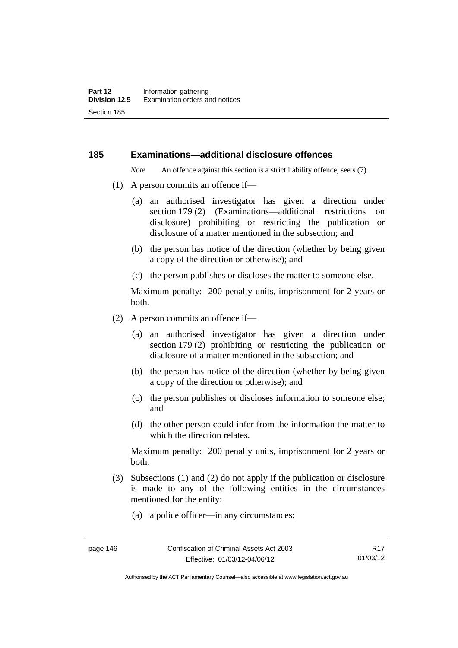#### **185 Examinations—additional disclosure offences**

*Note* An offence against this section is a strict liability offence, see s (7).

- (1) A person commits an offence if—
	- (a) an authorised investigator has given a direction under section 179 (2) (Examinations—additional restrictions on disclosure) prohibiting or restricting the publication or disclosure of a matter mentioned in the subsection; and
	- (b) the person has notice of the direction (whether by being given a copy of the direction or otherwise); and
	- (c) the person publishes or discloses the matter to someone else.

Maximum penalty: 200 penalty units, imprisonment for 2 years or both.

- (2) A person commits an offence if—
	- (a) an authorised investigator has given a direction under section 179 (2) prohibiting or restricting the publication or disclosure of a matter mentioned in the subsection; and
	- (b) the person has notice of the direction (whether by being given a copy of the direction or otherwise); and
	- (c) the person publishes or discloses information to someone else; and
	- (d) the other person could infer from the information the matter to which the direction relates.

Maximum penalty: 200 penalty units, imprisonment for 2 years or both.

- (3) Subsections (1) and (2) do not apply if the publication or disclosure is made to any of the following entities in the circumstances mentioned for the entity:
	- (a) a police officer—in any circumstances;

R17 01/03/12

Authorised by the ACT Parliamentary Counsel—also accessible at www.legislation.act.gov.au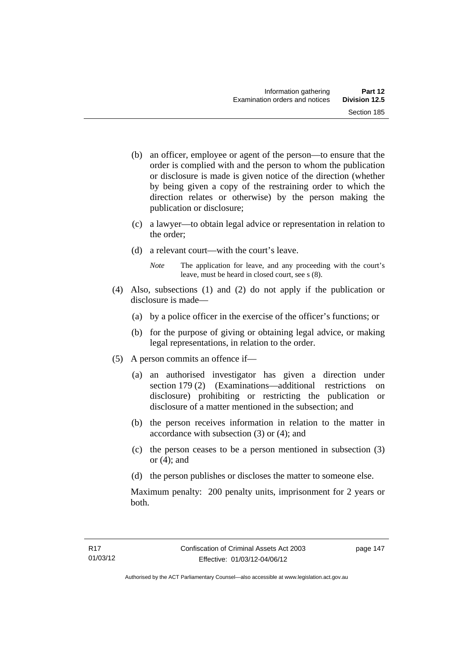- (b) an officer, employee or agent of the person—to ensure that the order is complied with and the person to whom the publication or disclosure is made is given notice of the direction (whether by being given a copy of the restraining order to which the direction relates or otherwise) by the person making the publication or disclosure;
- (c) a lawyer—to obtain legal advice or representation in relation to the order;
- (d) a relevant court—with the court's leave.
	- *Note* The application for leave, and any proceeding with the court's leave, must be heard in closed court, see s (8).
- (4) Also, subsections (1) and (2) do not apply if the publication or disclosure is made—
	- (a) by a police officer in the exercise of the officer's functions; or
	- (b) for the purpose of giving or obtaining legal advice, or making legal representations, in relation to the order.
- (5) A person commits an offence if—
	- (a) an authorised investigator has given a direction under section 179 (2) (Examinations—additional restrictions on disclosure) prohibiting or restricting the publication or disclosure of a matter mentioned in the subsection; and
	- (b) the person receives information in relation to the matter in accordance with subsection (3) or (4); and
	- (c) the person ceases to be a person mentioned in subsection (3) or  $(4)$ ; and
	- (d) the person publishes or discloses the matter to someone else.

Maximum penalty: 200 penalty units, imprisonment for 2 years or both.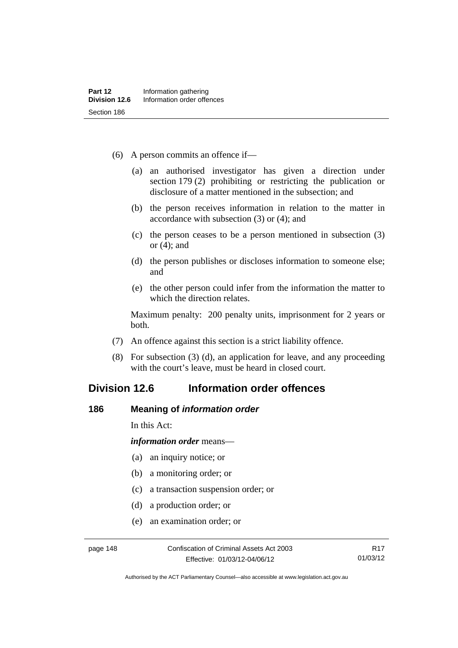- (6) A person commits an offence if—
	- (a) an authorised investigator has given a direction under section 179 (2) prohibiting or restricting the publication or disclosure of a matter mentioned in the subsection; and
	- (b) the person receives information in relation to the matter in accordance with subsection (3) or (4); and
	- (c) the person ceases to be a person mentioned in subsection (3) or (4); and
	- (d) the person publishes or discloses information to someone else; and
	- (e) the other person could infer from the information the matter to which the direction relates.

Maximum penalty: 200 penalty units, imprisonment for 2 years or both.

- (7) An offence against this section is a strict liability offence.
- (8) For subsection (3) (d), an application for leave, and any proceeding with the court's leave, must be heard in closed court.

# **Division 12.6 Information order offences**

#### **186 Meaning of** *information order*

In this Act:

*information order* means—

- (a) an inquiry notice; or
- (b) a monitoring order; or
- (c) a transaction suspension order; or
- (d) a production order; or
- (e) an examination order; or

Authorised by the ACT Parliamentary Counsel—also accessible at www.legislation.act.gov.au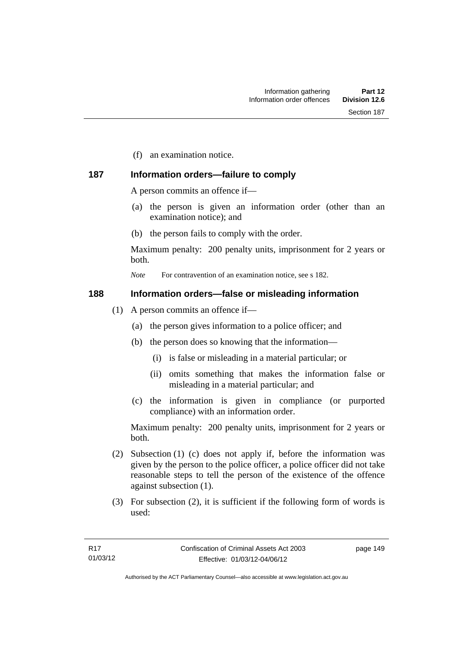(f) an examination notice.

### **187 Information orders—failure to comply**

A person commits an offence if—

- (a) the person is given an information order (other than an examination notice); and
- (b) the person fails to comply with the order.

Maximum penalty: 200 penalty units, imprisonment for 2 years or both.

*Note* For contravention of an examination notice, see s 182.

#### **188 Information orders—false or misleading information**

- (1) A person commits an offence if—
	- (a) the person gives information to a police officer; and
	- (b) the person does so knowing that the information—
		- (i) is false or misleading in a material particular; or
		- (ii) omits something that makes the information false or misleading in a material particular; and
	- (c) the information is given in compliance (or purported compliance) with an information order.

Maximum penalty: 200 penalty units, imprisonment for 2 years or both.

- (2) Subsection (1) (c) does not apply if, before the information was given by the person to the police officer, a police officer did not take reasonable steps to tell the person of the existence of the offence against subsection (1).
- (3) For subsection (2), it is sufficient if the following form of words is used:

page 149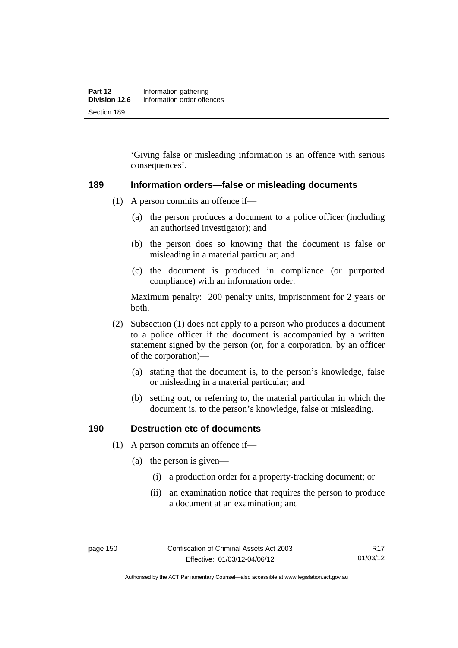'Giving false or misleading information is an offence with serious consequences'.

#### **189 Information orders—false or misleading documents**

- (1) A person commits an offence if—
	- (a) the person produces a document to a police officer (including an authorised investigator); and
	- (b) the person does so knowing that the document is false or misleading in a material particular; and
	- (c) the document is produced in compliance (or purported compliance) with an information order.

Maximum penalty: 200 penalty units, imprisonment for 2 years or both.

- (2) Subsection (1) does not apply to a person who produces a document to a police officer if the document is accompanied by a written statement signed by the person (or, for a corporation, by an officer of the corporation)—
	- (a) stating that the document is, to the person's knowledge, false or misleading in a material particular; and
	- (b) setting out, or referring to, the material particular in which the document is, to the person's knowledge, false or misleading.

#### **190 Destruction etc of documents**

- (1) A person commits an offence if—
	- (a) the person is given—
		- (i) a production order for a property-tracking document; or
		- (ii) an examination notice that requires the person to produce a document at an examination; and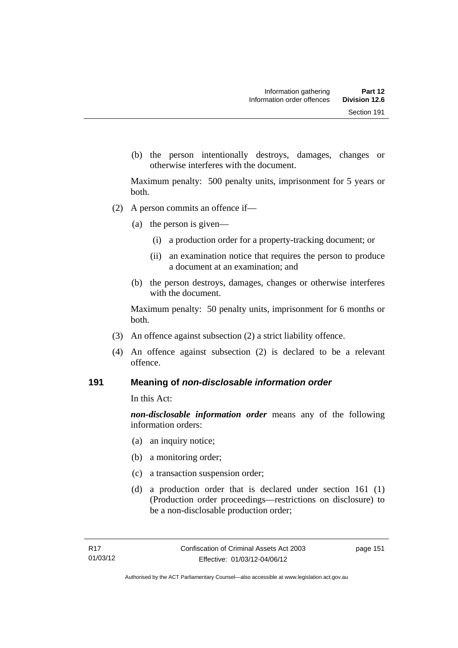(b) the person intentionally destroys, damages, changes or otherwise interferes with the document.

Maximum penalty: 500 penalty units, imprisonment for 5 years or both.

- (2) A person commits an offence if—
	- (a) the person is given—
		- (i) a production order for a property-tracking document; or
		- (ii) an examination notice that requires the person to produce a document at an examination; and
	- (b) the person destroys, damages, changes or otherwise interferes with the document.

Maximum penalty: 50 penalty units, imprisonment for 6 months or both.

- (3) An offence against subsection (2) a strict liability offence.
- (4) An offence against subsection (2) is declared to be a relevant offence.

#### **191 Meaning of** *non-disclosable information order*

In this Act:

*non-disclosable information order* means any of the following information orders:

- (a) an inquiry notice;
- (b) a monitoring order;
- (c) a transaction suspension order;
- (d) a production order that is declared under section 161 (1) (Production order proceedings—restrictions on disclosure) to be a non-disclosable production order;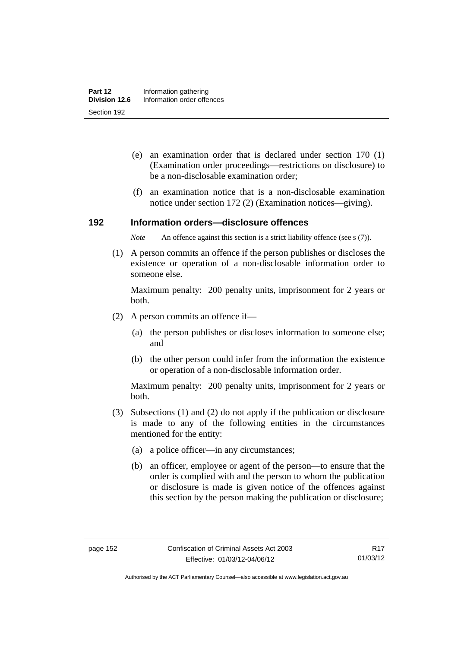- (e) an examination order that is declared under section 170 (1) (Examination order proceedings—restrictions on disclosure) to be a non-disclosable examination order;
- (f) an examination notice that is a non-disclosable examination notice under section 172 (2) (Examination notices—giving).

#### **192 Information orders—disclosure offences**

*Note* An offence against this section is a strict liability offence (see s (7)).

 (1) A person commits an offence if the person publishes or discloses the existence or operation of a non-disclosable information order to someone else.

Maximum penalty: 200 penalty units, imprisonment for 2 years or both.

- (2) A person commits an offence if—
	- (a) the person publishes or discloses information to someone else; and
	- (b) the other person could infer from the information the existence or operation of a non-disclosable information order.

Maximum penalty: 200 penalty units, imprisonment for 2 years or both.

- (3) Subsections (1) and (2) do not apply if the publication or disclosure is made to any of the following entities in the circumstances mentioned for the entity:
	- (a) a police officer—in any circumstances;
	- (b) an officer, employee or agent of the person—to ensure that the order is complied with and the person to whom the publication or disclosure is made is given notice of the offences against this section by the person making the publication or disclosure;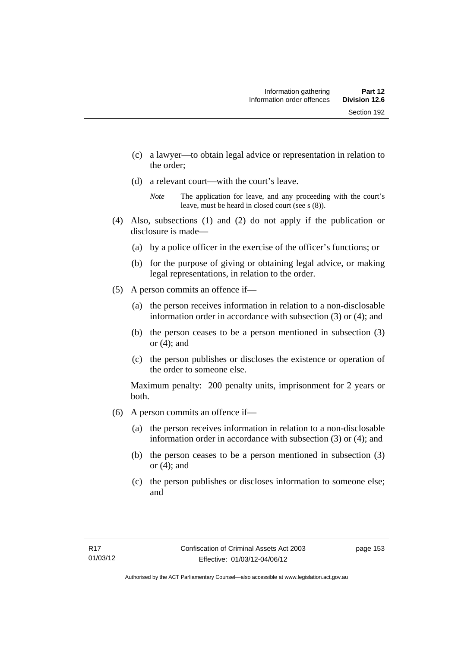- (c) a lawyer—to obtain legal advice or representation in relation to the order;
- (d) a relevant court—with the court's leave.

- (4) Also, subsections (1) and (2) do not apply if the publication or disclosure is made—
	- (a) by a police officer in the exercise of the officer's functions; or
	- (b) for the purpose of giving or obtaining legal advice, or making legal representations, in relation to the order.
- (5) A person commits an offence if—
	- (a) the person receives information in relation to a non-disclosable information order in accordance with subsection (3) or (4); and
	- (b) the person ceases to be a person mentioned in subsection (3) or  $(4)$ ; and
	- (c) the person publishes or discloses the existence or operation of the order to someone else.

Maximum penalty: 200 penalty units, imprisonment for 2 years or both.

- (6) A person commits an offence if—
	- (a) the person receives information in relation to a non-disclosable information order in accordance with subsection (3) or (4); and
	- (b) the person ceases to be a person mentioned in subsection (3) or  $(4)$ ; and
	- (c) the person publishes or discloses information to someone else; and

*Note* The application for leave, and any proceeding with the court's leave, must be heard in closed court (see s (8)).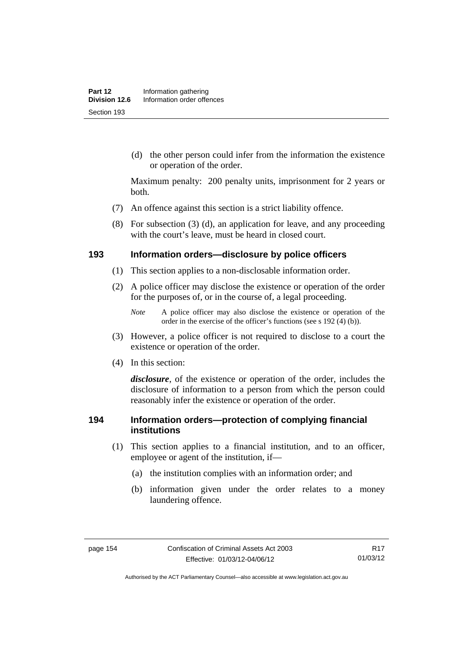(d) the other person could infer from the information the existence or operation of the order.

Maximum penalty: 200 penalty units, imprisonment for 2 years or both.

- (7) An offence against this section is a strict liability offence.
- (8) For subsection (3) (d), an application for leave, and any proceeding with the court's leave, must be heard in closed court.

#### **193 Information orders—disclosure by police officers**

- (1) This section applies to a non-disclosable information order.
- (2) A police officer may disclose the existence or operation of the order for the purposes of, or in the course of, a legal proceeding.

- (3) However, a police officer is not required to disclose to a court the existence or operation of the order.
- (4) In this section:

*disclosure*, of the existence or operation of the order, includes the disclosure of information to a person from which the person could reasonably infer the existence or operation of the order.

#### **194 Information orders—protection of complying financial institutions**

- (1) This section applies to a financial institution, and to an officer, employee or agent of the institution, if—
	- (a) the institution complies with an information order; and
	- (b) information given under the order relates to a money laundering offence.

*Note* A police officer may also disclose the existence or operation of the order in the exercise of the officer's functions (see s 192 (4) (b)).

Authorised by the ACT Parliamentary Counsel—also accessible at www.legislation.act.gov.au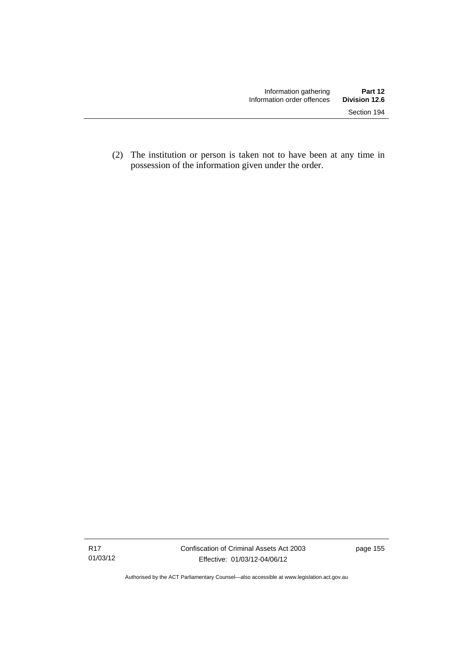(2) The institution or person is taken not to have been at any time in possession of the information given under the order.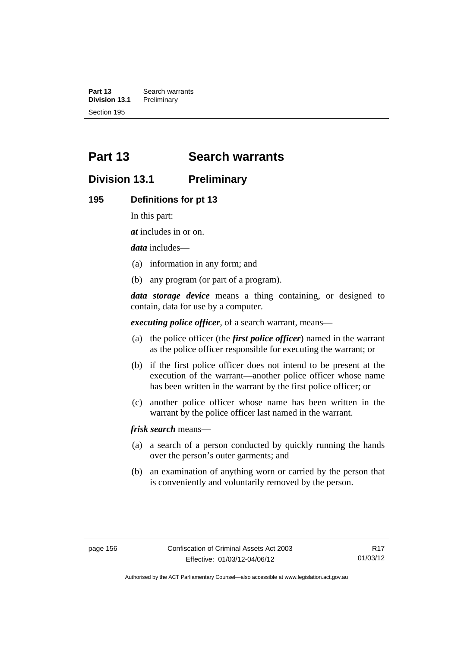**Part 13 Search warrants**<br>**Division 13.1 Preliminary Division 13.1** Section 195

# **Part 13 Search warrants**

# **Division 13.1 Preliminary**

#### **195 Definitions for pt 13**

In this part:

*at* includes in or on.

*data* includes—

- (a) information in any form; and
- (b) any program (or part of a program).

*data storage device* means a thing containing, or designed to contain, data for use by a computer.

*executing police officer*, of a search warrant, means—

- (a) the police officer (the *first police officer*) named in the warrant as the police officer responsible for executing the warrant; or
- (b) if the first police officer does not intend to be present at the execution of the warrant—another police officer whose name has been written in the warrant by the first police officer; or
- (c) another police officer whose name has been written in the warrant by the police officer last named in the warrant.

*frisk search* means—

- (a) a search of a person conducted by quickly running the hands over the person's outer garments; and
- (b) an examination of anything worn or carried by the person that is conveniently and voluntarily removed by the person.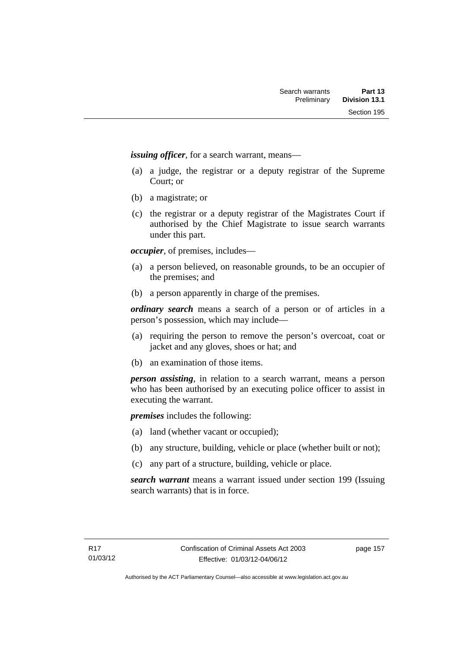*issuing officer*, for a search warrant, means—

- (a) a judge, the registrar or a deputy registrar of the Supreme Court; or
- (b) a magistrate; or
- (c) the registrar or a deputy registrar of the Magistrates Court if authorised by the Chief Magistrate to issue search warrants under this part.

*occupier*, of premises, includes—

- (a) a person believed, on reasonable grounds, to be an occupier of the premises; and
- (b) a person apparently in charge of the premises.

*ordinary search* means a search of a person or of articles in a person's possession, which may include—

- (a) requiring the person to remove the person's overcoat, coat or jacket and any gloves, shoes or hat; and
- (b) an examination of those items.

*person assisting*, in relation to a search warrant, means a person who has been authorised by an executing police officer to assist in executing the warrant.

*premises* includes the following:

- (a) land (whether vacant or occupied);
- (b) any structure, building, vehicle or place (whether built or not);
- (c) any part of a structure, building, vehicle or place.

*search warrant* means a warrant issued under section 199 (Issuing search warrants) that is in force.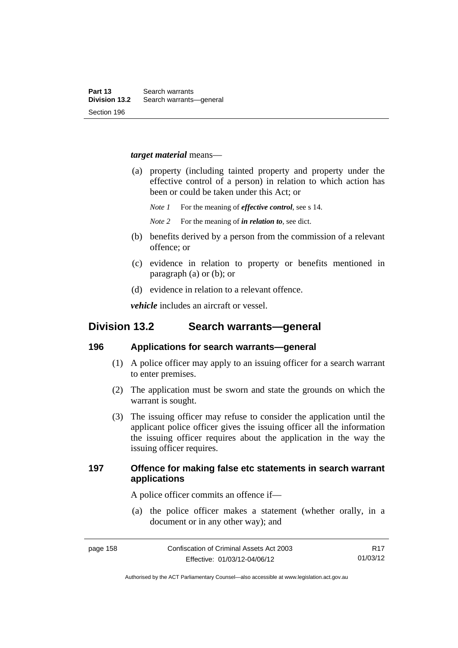#### *target material* means—

- (a) property (including tainted property and property under the effective control of a person) in relation to which action has been or could be taken under this Act; or
	- *Note 1* For the meaning of *effective control*, see s 14.
	- *Note 2* For the meaning of *in relation to*, see dict.
- (b) benefits derived by a person from the commission of a relevant offence; or
- (c) evidence in relation to property or benefits mentioned in paragraph (a) or (b); or
- (d) evidence in relation to a relevant offence.

*vehicle* includes an aircraft or vessel.

# **Division 13.2 Search warrants—general**

#### **196 Applications for search warrants—general**

- (1) A police officer may apply to an issuing officer for a search warrant to enter premises.
- (2) The application must be sworn and state the grounds on which the warrant is sought.
- (3) The issuing officer may refuse to consider the application until the applicant police officer gives the issuing officer all the information the issuing officer requires about the application in the way the issuing officer requires.

### **197 Offence for making false etc statements in search warrant applications**

A police officer commits an offence if—

 (a) the police officer makes a statement (whether orally, in a document or in any other way); and

R17 01/03/12

Authorised by the ACT Parliamentary Counsel—also accessible at www.legislation.act.gov.au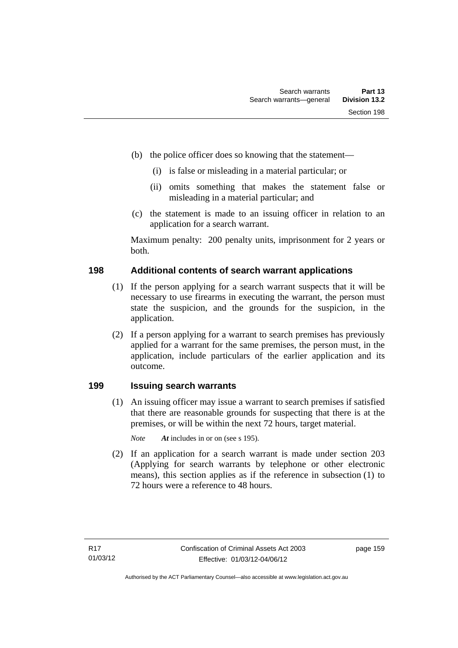- (b) the police officer does so knowing that the statement—
	- (i) is false or misleading in a material particular; or
	- (ii) omits something that makes the statement false or misleading in a material particular; and
- (c) the statement is made to an issuing officer in relation to an application for a search warrant.

Maximum penalty: 200 penalty units, imprisonment for 2 years or both.

### **198 Additional contents of search warrant applications**

- (1) If the person applying for a search warrant suspects that it will be necessary to use firearms in executing the warrant, the person must state the suspicion, and the grounds for the suspicion, in the application.
- (2) If a person applying for a warrant to search premises has previously applied for a warrant for the same premises, the person must, in the application, include particulars of the earlier application and its outcome.

### **199 Issuing search warrants**

(1) An issuing officer may issue a warrant to search premises if satisfied that there are reasonable grounds for suspecting that there is at the premises, or will be within the next 72 hours, target material.

*Note At* includes in or on (see s 195).

 (2) If an application for a search warrant is made under section 203 (Applying for search warrants by telephone or other electronic means), this section applies as if the reference in subsection (1) to 72 hours were a reference to 48 hours.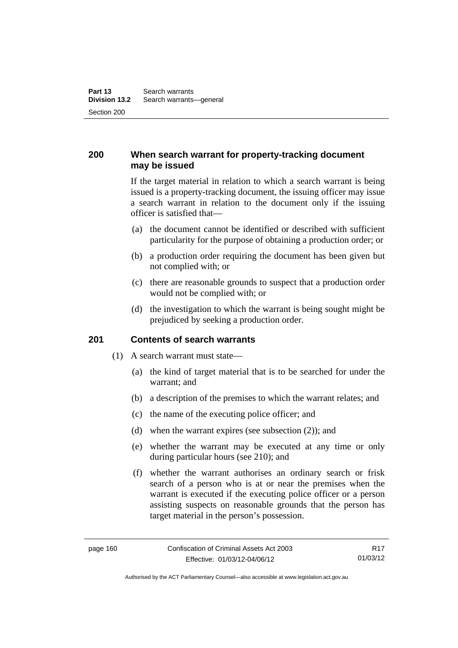### **200 When search warrant for property-tracking document may be issued**

If the target material in relation to which a search warrant is being issued is a property-tracking document, the issuing officer may issue a search warrant in relation to the document only if the issuing officer is satisfied that—

- (a) the document cannot be identified or described with sufficient particularity for the purpose of obtaining a production order; or
- (b) a production order requiring the document has been given but not complied with; or
- (c) there are reasonable grounds to suspect that a production order would not be complied with; or
- (d) the investigation to which the warrant is being sought might be prejudiced by seeking a production order.

#### **201 Contents of search warrants**

- (1) A search warrant must state—
	- (a) the kind of target material that is to be searched for under the warrant; and
	- (b) a description of the premises to which the warrant relates; and
	- (c) the name of the executing police officer; and
	- (d) when the warrant expires (see subsection (2)); and
	- (e) whether the warrant may be executed at any time or only during particular hours (see 210); and
	- (f) whether the warrant authorises an ordinary search or frisk search of a person who is at or near the premises when the warrant is executed if the executing police officer or a person assisting suspects on reasonable grounds that the person has target material in the person's possession.

Authorised by the ACT Parliamentary Counsel—also accessible at www.legislation.act.gov.au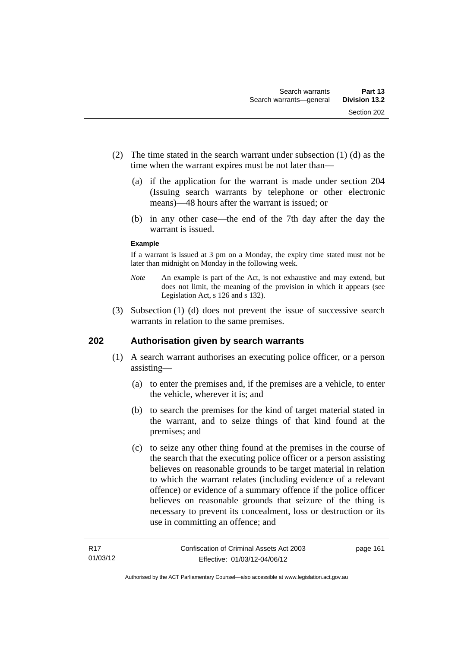- (2) The time stated in the search warrant under subsection (1) (d) as the time when the warrant expires must be not later than—
	- (a) if the application for the warrant is made under section 204 (Issuing search warrants by telephone or other electronic means)—48 hours after the warrant is issued; or
	- (b) in any other case—the end of the 7th day after the day the warrant is issued.

#### **Example**

If a warrant is issued at 3 pm on a Monday, the expiry time stated must not be later than midnight on Monday in the following week.

- *Note* An example is part of the Act, is not exhaustive and may extend, but does not limit, the meaning of the provision in which it appears (see Legislation Act, s 126 and s 132).
- (3) Subsection (1) (d) does not prevent the issue of successive search warrants in relation to the same premises.

### **202 Authorisation given by search warrants**

- (1) A search warrant authorises an executing police officer, or a person assisting—
	- (a) to enter the premises and, if the premises are a vehicle, to enter the vehicle, wherever it is; and
	- (b) to search the premises for the kind of target material stated in the warrant, and to seize things of that kind found at the premises; and
	- (c) to seize any other thing found at the premises in the course of the search that the executing police officer or a person assisting believes on reasonable grounds to be target material in relation to which the warrant relates (including evidence of a relevant offence) or evidence of a summary offence if the police officer believes on reasonable grounds that seizure of the thing is necessary to prevent its concealment, loss or destruction or its use in committing an offence; and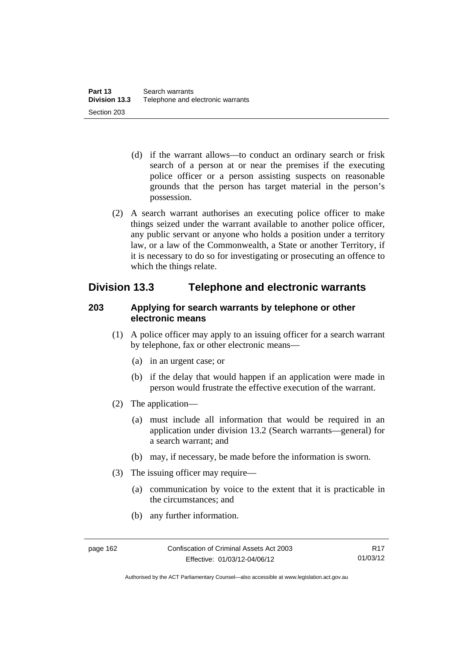- (d) if the warrant allows—to conduct an ordinary search or frisk search of a person at or near the premises if the executing police officer or a person assisting suspects on reasonable grounds that the person has target material in the person's possession.
- (2) A search warrant authorises an executing police officer to make things seized under the warrant available to another police officer, any public servant or anyone who holds a position under a territory law, or a law of the Commonwealth, a State or another Territory, if it is necessary to do so for investigating or prosecuting an offence to which the things relate.

# **Division 13.3 Telephone and electronic warrants**

### **203 Applying for search warrants by telephone or other electronic means**

- (1) A police officer may apply to an issuing officer for a search warrant by telephone, fax or other electronic means—
	- (a) in an urgent case; or
	- (b) if the delay that would happen if an application were made in person would frustrate the effective execution of the warrant.
- (2) The application—
	- (a) must include all information that would be required in an application under division 13.2 (Search warrants—general) for a search warrant; and
	- (b) may, if necessary, be made before the information is sworn.
- (3) The issuing officer may require—
	- (a) communication by voice to the extent that it is practicable in the circumstances; and
	- (b) any further information.

Authorised by the ACT Parliamentary Counsel—also accessible at www.legislation.act.gov.au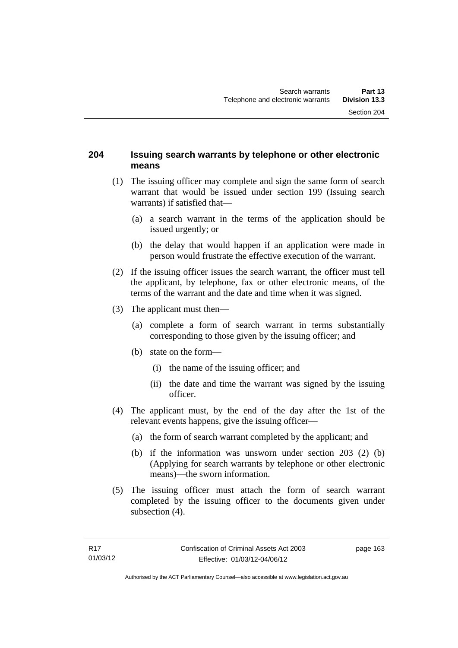### **204 Issuing search warrants by telephone or other electronic means**

- (1) The issuing officer may complete and sign the same form of search warrant that would be issued under section 199 (Issuing search warrants) if satisfied that—
	- (a) a search warrant in the terms of the application should be issued urgently; or
	- (b) the delay that would happen if an application were made in person would frustrate the effective execution of the warrant.
- (2) If the issuing officer issues the search warrant, the officer must tell the applicant, by telephone, fax or other electronic means, of the terms of the warrant and the date and time when it was signed.
- (3) The applicant must then—
	- (a) complete a form of search warrant in terms substantially corresponding to those given by the issuing officer; and
	- (b) state on the form—
		- (i) the name of the issuing officer; and
		- (ii) the date and time the warrant was signed by the issuing officer.
- (4) The applicant must, by the end of the day after the 1st of the relevant events happens, give the issuing officer—
	- (a) the form of search warrant completed by the applicant; and
	- (b) if the information was unsworn under section 203 (2) (b) (Applying for search warrants by telephone or other electronic means)—the sworn information.
- (5) The issuing officer must attach the form of search warrant completed by the issuing officer to the documents given under subsection  $(4)$ .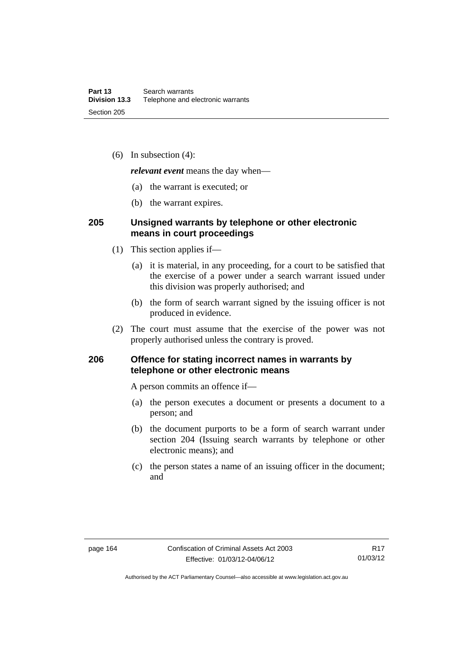(6) In subsection (4):

*relevant event* means the day when—

- (a) the warrant is executed; or
- (b) the warrant expires.

#### **205 Unsigned warrants by telephone or other electronic means in court proceedings**

- (1) This section applies if—
	- (a) it is material, in any proceeding, for a court to be satisfied that the exercise of a power under a search warrant issued under this division was properly authorised; and
	- (b) the form of search warrant signed by the issuing officer is not produced in evidence.
- (2) The court must assume that the exercise of the power was not properly authorised unless the contrary is proved.

### **206 Offence for stating incorrect names in warrants by telephone or other electronic means**

A person commits an offence if—

- (a) the person executes a document or presents a document to a person; and
- (b) the document purports to be a form of search warrant under section 204 (Issuing search warrants by telephone or other electronic means); and
- (c) the person states a name of an issuing officer in the document; and

R17 01/03/12

Authorised by the ACT Parliamentary Counsel—also accessible at www.legislation.act.gov.au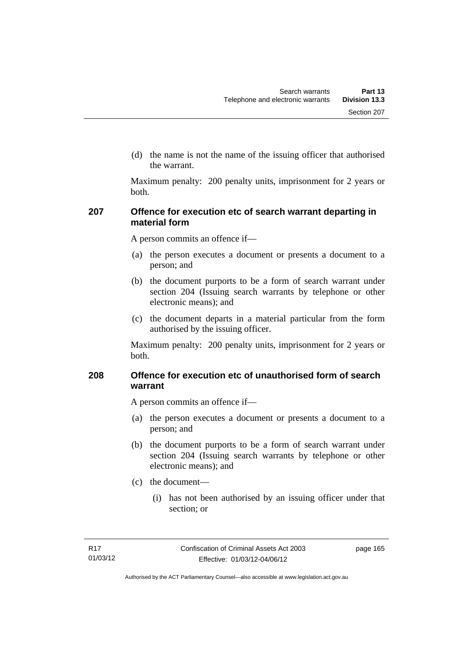(d) the name is not the name of the issuing officer that authorised the warrant.

Maximum penalty: 200 penalty units, imprisonment for 2 years or both.

### **207 Offence for execution etc of search warrant departing in material form**

A person commits an offence if—

- (a) the person executes a document or presents a document to a person; and
- (b) the document purports to be a form of search warrant under section 204 (Issuing search warrants by telephone or other electronic means); and
- (c) the document departs in a material particular from the form authorised by the issuing officer.

Maximum penalty: 200 penalty units, imprisonment for 2 years or both.

### **208 Offence for execution etc of unauthorised form of search warrant**

A person commits an offence if—

- (a) the person executes a document or presents a document to a person; and
- (b) the document purports to be a form of search warrant under section 204 (Issuing search warrants by telephone or other electronic means); and
- (c) the document—
	- (i) has not been authorised by an issuing officer under that section; or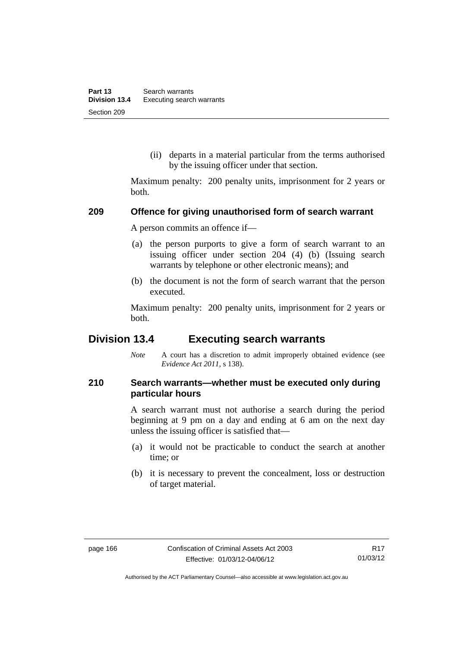(ii) departs in a material particular from the terms authorised by the issuing officer under that section.

Maximum penalty: 200 penalty units, imprisonment for 2 years or both.

#### **209 Offence for giving unauthorised form of search warrant**

A person commits an offence if—

- (a) the person purports to give a form of search warrant to an issuing officer under section 204 (4) (b) (Issuing search warrants by telephone or other electronic means); and
- (b) the document is not the form of search warrant that the person executed.

Maximum penalty: 200 penalty units, imprisonment for 2 years or both.

# **Division 13.4 Executing search warrants**

*Note* A court has a discretion to admit improperly obtained evidence (see *Evidence Act 2011*, s 138).

### **210 Search warrants—whether must be executed only during particular hours**

A search warrant must not authorise a search during the period beginning at 9 pm on a day and ending at 6 am on the next day unless the issuing officer is satisfied that—

- (a) it would not be practicable to conduct the search at another time; or
- (b) it is necessary to prevent the concealment, loss or destruction of target material.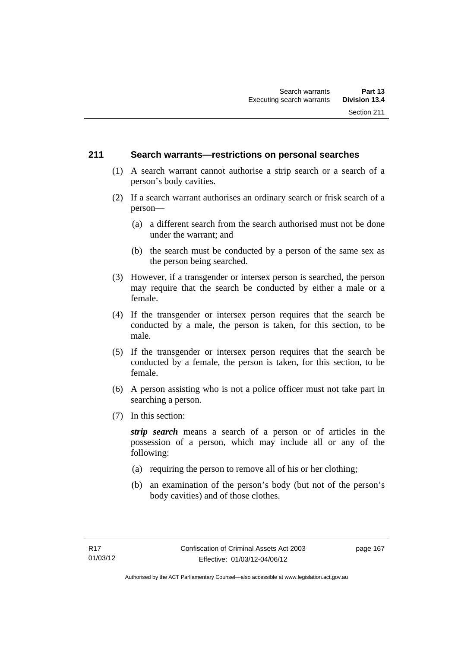### **211 Search warrants—restrictions on personal searches**

- (1) A search warrant cannot authorise a strip search or a search of a person's body cavities.
- (2) If a search warrant authorises an ordinary search or frisk search of a person—
	- (a) a different search from the search authorised must not be done under the warrant; and
	- (b) the search must be conducted by a person of the same sex as the person being searched.
- (3) However, if a transgender or intersex person is searched, the person may require that the search be conducted by either a male or a female.
- (4) If the transgender or intersex person requires that the search be conducted by a male, the person is taken, for this section, to be male.
- (5) If the transgender or intersex person requires that the search be conducted by a female, the person is taken, for this section, to be female.
- (6) A person assisting who is not a police officer must not take part in searching a person.
- (7) In this section:

*strip search* means a search of a person or of articles in the possession of a person, which may include all or any of the following:

- (a) requiring the person to remove all of his or her clothing;
- (b) an examination of the person's body (but not of the person's body cavities) and of those clothes.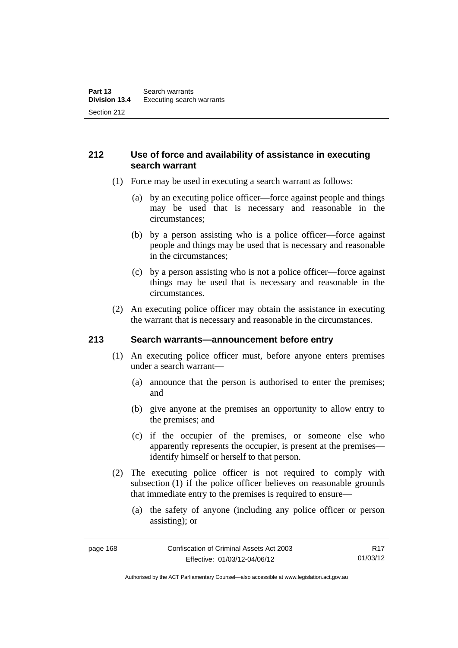# **212 Use of force and availability of assistance in executing search warrant**

- (1) Force may be used in executing a search warrant as follows:
	- (a) by an executing police officer—force against people and things may be used that is necessary and reasonable in the circumstances;
	- (b) by a person assisting who is a police officer—force against people and things may be used that is necessary and reasonable in the circumstances;
	- (c) by a person assisting who is not a police officer—force against things may be used that is necessary and reasonable in the circumstances.
- (2) An executing police officer may obtain the assistance in executing the warrant that is necessary and reasonable in the circumstances.

### **213 Search warrants—announcement before entry**

- (1) An executing police officer must, before anyone enters premises under a search warrant—
	- (a) announce that the person is authorised to enter the premises; and
	- (b) give anyone at the premises an opportunity to allow entry to the premises; and
	- (c) if the occupier of the premises, or someone else who apparently represents the occupier, is present at the premises identify himself or herself to that person.
- (2) The executing police officer is not required to comply with subsection (1) if the police officer believes on reasonable grounds that immediate entry to the premises is required to ensure—
	- (a) the safety of anyone (including any police officer or person assisting); or

R17 01/03/12

Authorised by the ACT Parliamentary Counsel—also accessible at www.legislation.act.gov.au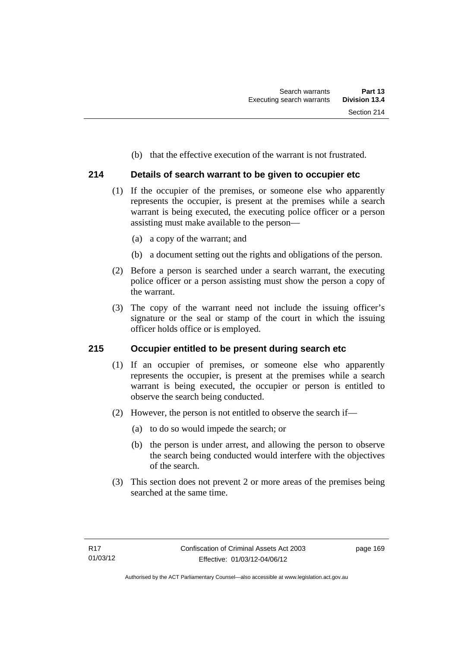(b) that the effective execution of the warrant is not frustrated.

# **214 Details of search warrant to be given to occupier etc**

- (1) If the occupier of the premises, or someone else who apparently represents the occupier, is present at the premises while a search warrant is being executed, the executing police officer or a person assisting must make available to the person—
	- (a) a copy of the warrant; and
	- (b) a document setting out the rights and obligations of the person.
- (2) Before a person is searched under a search warrant, the executing police officer or a person assisting must show the person a copy of the warrant.
- (3) The copy of the warrant need not include the issuing officer's signature or the seal or stamp of the court in which the issuing officer holds office or is employed.

### **215 Occupier entitled to be present during search etc**

- (1) If an occupier of premises, or someone else who apparently represents the occupier, is present at the premises while a search warrant is being executed, the occupier or person is entitled to observe the search being conducted.
- (2) However, the person is not entitled to observe the search if—
	- (a) to do so would impede the search; or
	- (b) the person is under arrest, and allowing the person to observe the search being conducted would interfere with the objectives of the search.
- (3) This section does not prevent 2 or more areas of the premises being searched at the same time.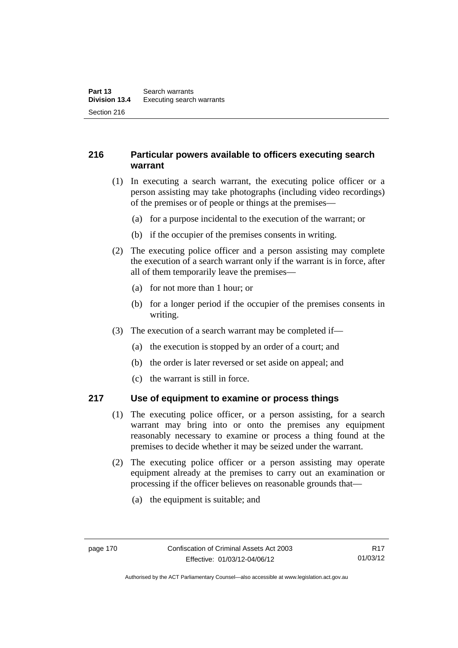# **216 Particular powers available to officers executing search warrant**

- (1) In executing a search warrant, the executing police officer or a person assisting may take photographs (including video recordings) of the premises or of people or things at the premises—
	- (a) for a purpose incidental to the execution of the warrant; or
	- (b) if the occupier of the premises consents in writing.
- (2) The executing police officer and a person assisting may complete the execution of a search warrant only if the warrant is in force, after all of them temporarily leave the premises—
	- (a) for not more than 1 hour; or
	- (b) for a longer period if the occupier of the premises consents in writing.
- (3) The execution of a search warrant may be completed if—
	- (a) the execution is stopped by an order of a court; and
	- (b) the order is later reversed or set aside on appeal; and
	- (c) the warrant is still in force.

### **217 Use of equipment to examine or process things**

- (1) The executing police officer, or a person assisting, for a search warrant may bring into or onto the premises any equipment reasonably necessary to examine or process a thing found at the premises to decide whether it may be seized under the warrant.
- (2) The executing police officer or a person assisting may operate equipment already at the premises to carry out an examination or processing if the officer believes on reasonable grounds that—
	- (a) the equipment is suitable; and

Authorised by the ACT Parliamentary Counsel—also accessible at www.legislation.act.gov.au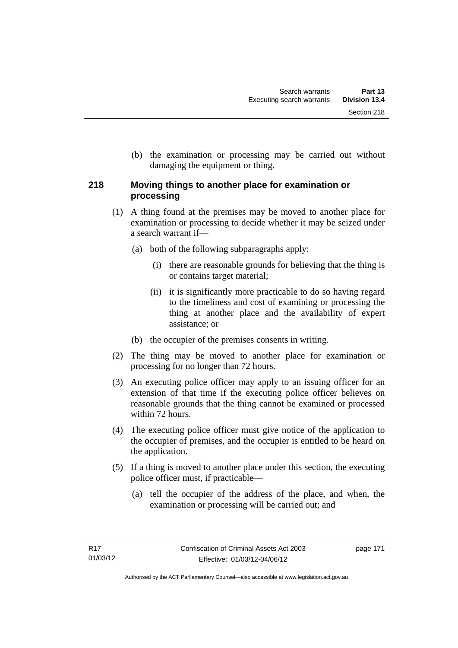(b) the examination or processing may be carried out without damaging the equipment or thing.

# **218 Moving things to another place for examination or processing**

- (1) A thing found at the premises may be moved to another place for examination or processing to decide whether it may be seized under a search warrant if—
	- (a) both of the following subparagraphs apply:
		- (i) there are reasonable grounds for believing that the thing is or contains target material;
		- (ii) it is significantly more practicable to do so having regard to the timeliness and cost of examining or processing the thing at another place and the availability of expert assistance; or
	- (b) the occupier of the premises consents in writing.
- (2) The thing may be moved to another place for examination or processing for no longer than 72 hours.
- (3) An executing police officer may apply to an issuing officer for an extension of that time if the executing police officer believes on reasonable grounds that the thing cannot be examined or processed within 72 hours.
- (4) The executing police officer must give notice of the application to the occupier of premises, and the occupier is entitled to be heard on the application.
- (5) If a thing is moved to another place under this section, the executing police officer must, if practicable—
	- (a) tell the occupier of the address of the place, and when, the examination or processing will be carried out; and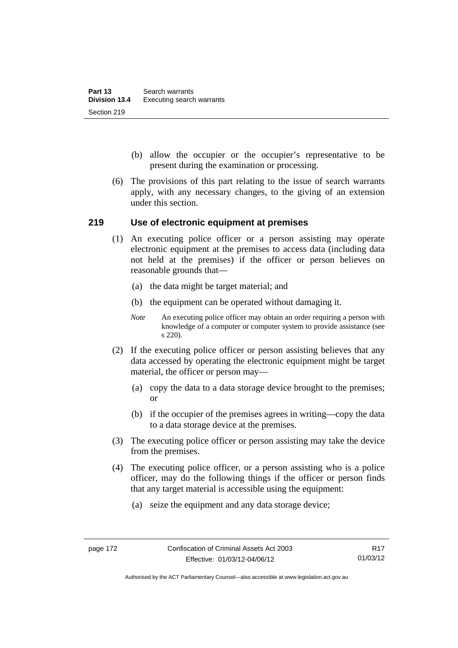- (b) allow the occupier or the occupier's representative to be present during the examination or processing.
- (6) The provisions of this part relating to the issue of search warrants apply, with any necessary changes, to the giving of an extension under this section.

### **219 Use of electronic equipment at premises**

- (1) An executing police officer or a person assisting may operate electronic equipment at the premises to access data (including data not held at the premises) if the officer or person believes on reasonable grounds that—
	- (a) the data might be target material; and
	- (b) the equipment can be operated without damaging it.
	- *Note* An executing police officer may obtain an order requiring a person with knowledge of a computer or computer system to provide assistance (see s 220).
- (2) If the executing police officer or person assisting believes that any data accessed by operating the electronic equipment might be target material, the officer or person may—
	- (a) copy the data to a data storage device brought to the premises; or
	- (b) if the occupier of the premises agrees in writing—copy the data to a data storage device at the premises.
- (3) The executing police officer or person assisting may take the device from the premises.
- (4) The executing police officer, or a person assisting who is a police officer, may do the following things if the officer or person finds that any target material is accessible using the equipment:
	- (a) seize the equipment and any data storage device;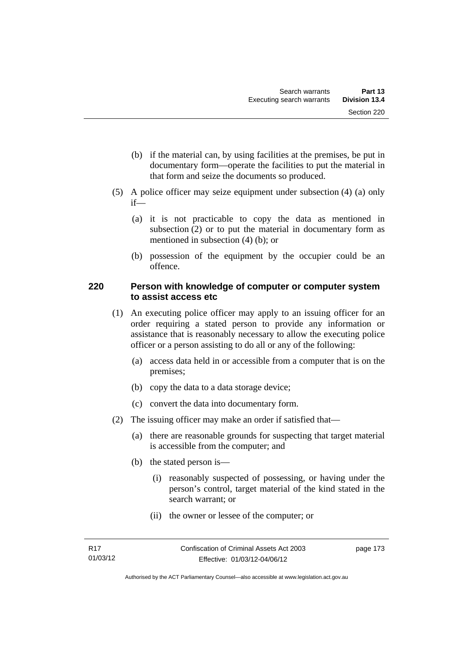- (b) if the material can, by using facilities at the premises, be put in documentary form—operate the facilities to put the material in that form and seize the documents so produced.
- (5) A police officer may seize equipment under subsection (4) (a) only if—
	- (a) it is not practicable to copy the data as mentioned in subsection (2) or to put the material in documentary form as mentioned in subsection (4) (b); or
	- (b) possession of the equipment by the occupier could be an offence.

### **220 Person with knowledge of computer or computer system to assist access etc**

- (1) An executing police officer may apply to an issuing officer for an order requiring a stated person to provide any information or assistance that is reasonably necessary to allow the executing police officer or a person assisting to do all or any of the following:
	- (a) access data held in or accessible from a computer that is on the premises;
	- (b) copy the data to a data storage device;
	- (c) convert the data into documentary form.
- (2) The issuing officer may make an order if satisfied that—
	- (a) there are reasonable grounds for suspecting that target material is accessible from the computer; and
	- (b) the stated person is—
		- (i) reasonably suspected of possessing, or having under the person's control, target material of the kind stated in the search warrant; or
		- (ii) the owner or lessee of the computer; or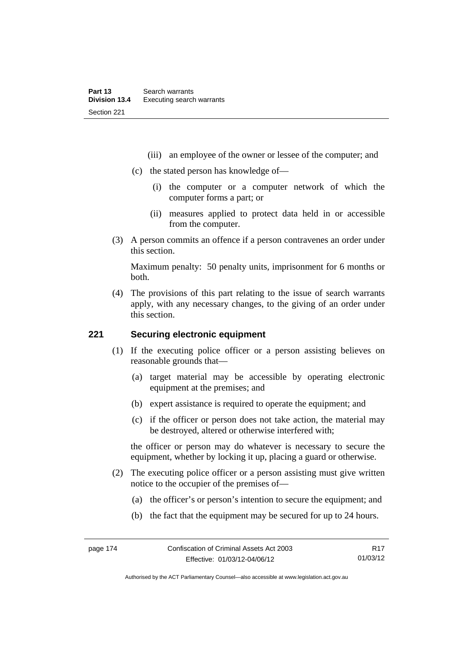- (iii) an employee of the owner or lessee of the computer; and
- (c) the stated person has knowledge of—
	- (i) the computer or a computer network of which the computer forms a part; or
	- (ii) measures applied to protect data held in or accessible from the computer.
- (3) A person commits an offence if a person contravenes an order under this section.

Maximum penalty: 50 penalty units, imprisonment for 6 months or both.

 (4) The provisions of this part relating to the issue of search warrants apply, with any necessary changes, to the giving of an order under this section.

### **221 Securing electronic equipment**

- (1) If the executing police officer or a person assisting believes on reasonable grounds that—
	- (a) target material may be accessible by operating electronic equipment at the premises; and
	- (b) expert assistance is required to operate the equipment; and
	- (c) if the officer or person does not take action, the material may be destroyed, altered or otherwise interfered with;

the officer or person may do whatever is necessary to secure the equipment, whether by locking it up, placing a guard or otherwise.

- (2) The executing police officer or a person assisting must give written notice to the occupier of the premises of—
	- (a) the officer's or person's intention to secure the equipment; and
	- (b) the fact that the equipment may be secured for up to 24 hours.

Authorised by the ACT Parliamentary Counsel—also accessible at www.legislation.act.gov.au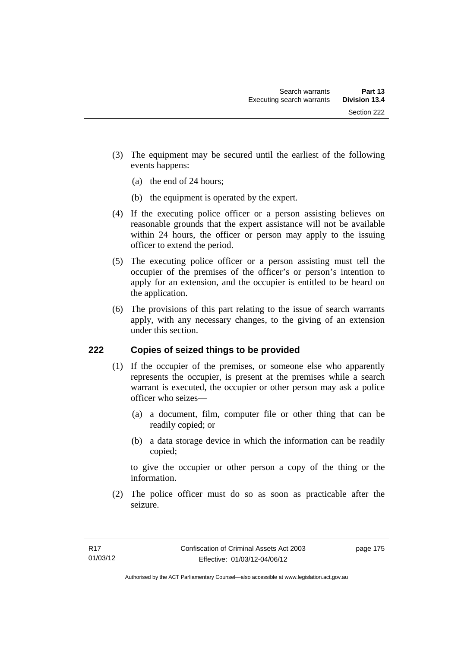- (3) The equipment may be secured until the earliest of the following events happens:
	- (a) the end of 24 hours;
	- (b) the equipment is operated by the expert.
- (4) If the executing police officer or a person assisting believes on reasonable grounds that the expert assistance will not be available within 24 hours, the officer or person may apply to the issuing officer to extend the period.
- (5) The executing police officer or a person assisting must tell the occupier of the premises of the officer's or person's intention to apply for an extension, and the occupier is entitled to be heard on the application.
- (6) The provisions of this part relating to the issue of search warrants apply, with any necessary changes, to the giving of an extension under this section.

# **222 Copies of seized things to be provided**

- (1) If the occupier of the premises, or someone else who apparently represents the occupier, is present at the premises while a search warrant is executed, the occupier or other person may ask a police officer who seizes—
	- (a) a document, film, computer file or other thing that can be readily copied; or
	- (b) a data storage device in which the information can be readily copied;

to give the occupier or other person a copy of the thing or the information.

 (2) The police officer must do so as soon as practicable after the seizure.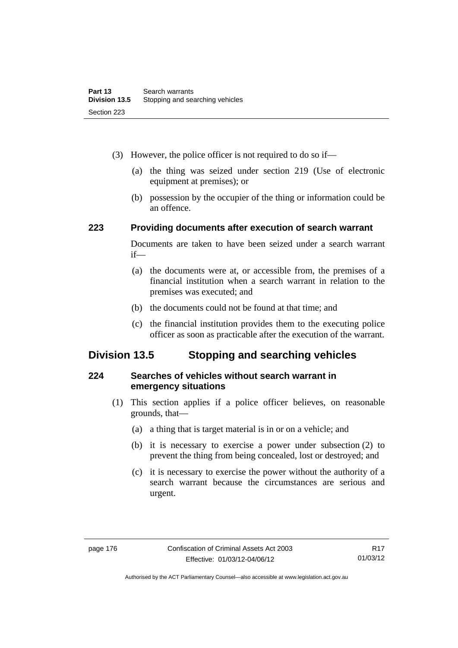- (3) However, the police officer is not required to do so if—
	- (a) the thing was seized under section 219 (Use of electronic equipment at premises); or
	- (b) possession by the occupier of the thing or information could be an offence.

### **223 Providing documents after execution of search warrant**

Documents are taken to have been seized under a search warrant if—

- (a) the documents were at, or accessible from, the premises of a financial institution when a search warrant in relation to the premises was executed; and
- (b) the documents could not be found at that time; and
- (c) the financial institution provides them to the executing police officer as soon as practicable after the execution of the warrant.

# **Division 13.5 Stopping and searching vehicles**

### **224 Searches of vehicles without search warrant in emergency situations**

- (1) This section applies if a police officer believes, on reasonable grounds, that—
	- (a) a thing that is target material is in or on a vehicle; and
	- (b) it is necessary to exercise a power under subsection (2) to prevent the thing from being concealed, lost or destroyed; and
	- (c) it is necessary to exercise the power without the authority of a search warrant because the circumstances are serious and urgent.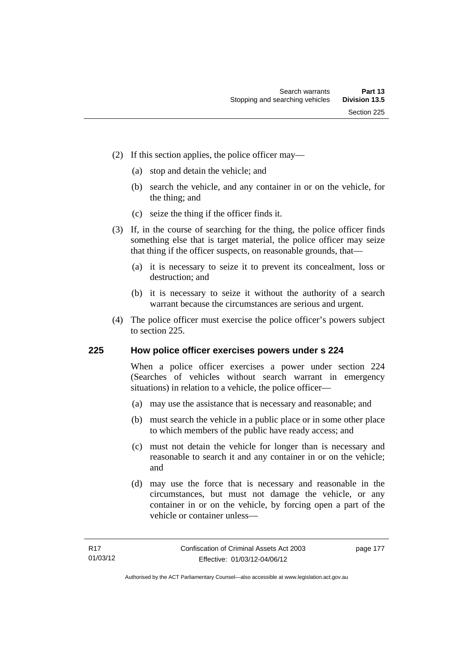- (2) If this section applies, the police officer may—
	- (a) stop and detain the vehicle; and
	- (b) search the vehicle, and any container in or on the vehicle, for the thing; and
	- (c) seize the thing if the officer finds it.
- (3) If, in the course of searching for the thing, the police officer finds something else that is target material, the police officer may seize that thing if the officer suspects, on reasonable grounds, that—
	- (a) it is necessary to seize it to prevent its concealment, loss or destruction; and
	- (b) it is necessary to seize it without the authority of a search warrant because the circumstances are serious and urgent.
- (4) The police officer must exercise the police officer's powers subject to section 225.

### **225 How police officer exercises powers under s 224**

When a police officer exercises a power under section 224 (Searches of vehicles without search warrant in emergency situations) in relation to a vehicle, the police officer—

- (a) may use the assistance that is necessary and reasonable; and
- (b) must search the vehicle in a public place or in some other place to which members of the public have ready access; and
- (c) must not detain the vehicle for longer than is necessary and reasonable to search it and any container in or on the vehicle; and
- (d) may use the force that is necessary and reasonable in the circumstances, but must not damage the vehicle, or any container in or on the vehicle, by forcing open a part of the vehicle or container unless—

page 177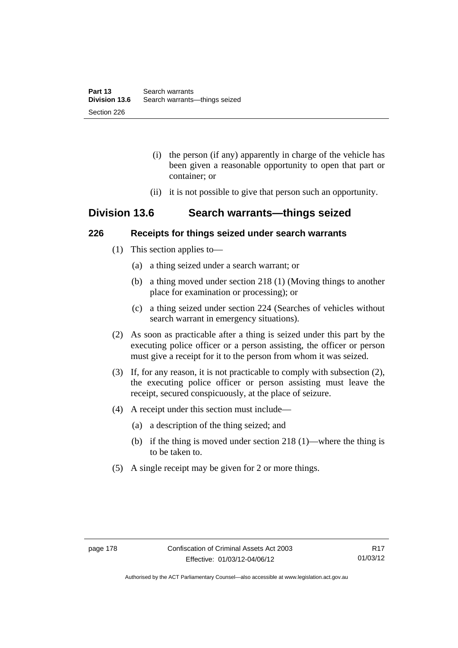- (i) the person (if any) apparently in charge of the vehicle has been given a reasonable opportunity to open that part or container; or
- (ii) it is not possible to give that person such an opportunity.

# **Division 13.6 Search warrants—things seized**

### **226 Receipts for things seized under search warrants**

- (1) This section applies to—
	- (a) a thing seized under a search warrant; or
	- (b) a thing moved under section 218 (1) (Moving things to another place for examination or processing); or
	- (c) a thing seized under section 224 (Searches of vehicles without search warrant in emergency situations).
- (2) As soon as practicable after a thing is seized under this part by the executing police officer or a person assisting, the officer or person must give a receipt for it to the person from whom it was seized.
- (3) If, for any reason, it is not practicable to comply with subsection (2), the executing police officer or person assisting must leave the receipt, secured conspicuously, at the place of seizure.
- (4) A receipt under this section must include—
	- (a) a description of the thing seized; and
	- (b) if the thing is moved under section 218 (1)—where the thing is to be taken to.
- (5) A single receipt may be given for 2 or more things.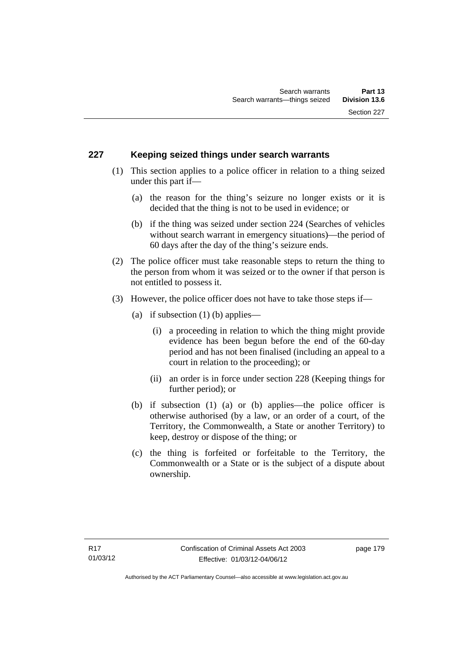### **227 Keeping seized things under search warrants**

- (1) This section applies to a police officer in relation to a thing seized under this part if—
	- (a) the reason for the thing's seizure no longer exists or it is decided that the thing is not to be used in evidence; or
	- (b) if the thing was seized under section 224 (Searches of vehicles without search warrant in emergency situations)—the period of 60 days after the day of the thing's seizure ends.
- (2) The police officer must take reasonable steps to return the thing to the person from whom it was seized or to the owner if that person is not entitled to possess it.
- (3) However, the police officer does not have to take those steps if—
	- (a) if subsection  $(1)$  (b) applies—
		- (i) a proceeding in relation to which the thing might provide evidence has been begun before the end of the 60-day period and has not been finalised (including an appeal to a court in relation to the proceeding); or
		- (ii) an order is in force under section 228 (Keeping things for further period); or
	- (b) if subsection (1) (a) or (b) applies—the police officer is otherwise authorised (by a law, or an order of a court, of the Territory, the Commonwealth, a State or another Territory) to keep, destroy or dispose of the thing; or
	- (c) the thing is forfeited or forfeitable to the Territory, the Commonwealth or a State or is the subject of a dispute about ownership.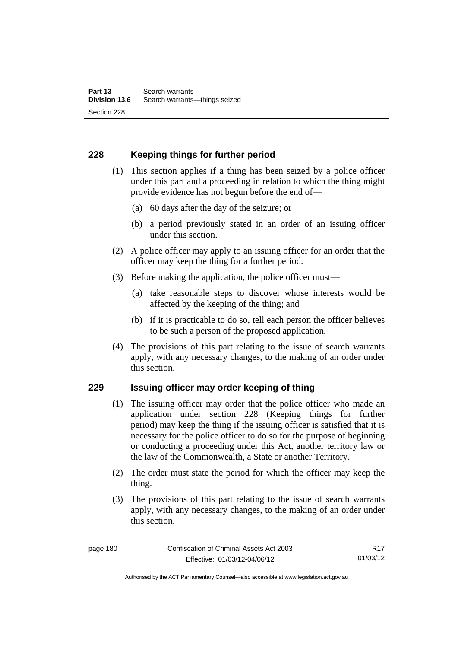# **228 Keeping things for further period**

- (1) This section applies if a thing has been seized by a police officer under this part and a proceeding in relation to which the thing might provide evidence has not begun before the end of—
	- (a) 60 days after the day of the seizure; or
	- (b) a period previously stated in an order of an issuing officer under this section.
- (2) A police officer may apply to an issuing officer for an order that the officer may keep the thing for a further period.
- (3) Before making the application, the police officer must—
	- (a) take reasonable steps to discover whose interests would be affected by the keeping of the thing; and
	- (b) if it is practicable to do so, tell each person the officer believes to be such a person of the proposed application.
- (4) The provisions of this part relating to the issue of search warrants apply, with any necessary changes, to the making of an order under this section.

### **229 Issuing officer may order keeping of thing**

- (1) The issuing officer may order that the police officer who made an application under section 228 (Keeping things for further period) may keep the thing if the issuing officer is satisfied that it is necessary for the police officer to do so for the purpose of beginning or conducting a proceeding under this Act, another territory law or the law of the Commonwealth, a State or another Territory.
- (2) The order must state the period for which the officer may keep the thing.
- (3) The provisions of this part relating to the issue of search warrants apply, with any necessary changes, to the making of an order under this section.

R17 01/03/12

Authorised by the ACT Parliamentary Counsel—also accessible at www.legislation.act.gov.au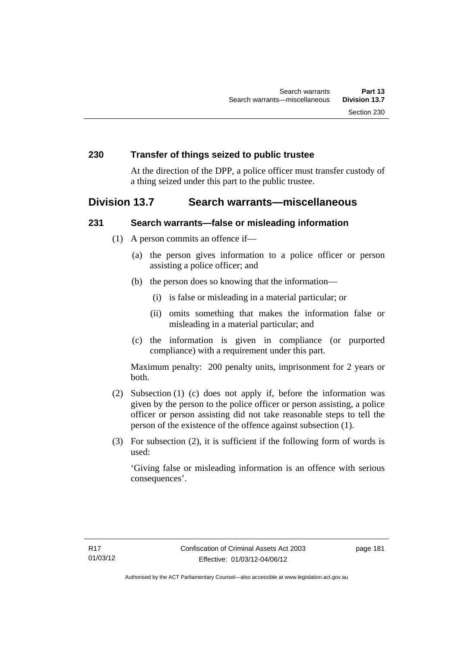### **230 Transfer of things seized to public trustee**

At the direction of the DPP, a police officer must transfer custody of a thing seized under this part to the public trustee.

# **Division 13.7 Search warrants—miscellaneous**

### **231 Search warrants—false or misleading information**

- (1) A person commits an offence if—
	- (a) the person gives information to a police officer or person assisting a police officer; and
	- (b) the person does so knowing that the information—
		- (i) is false or misleading in a material particular; or
		- (ii) omits something that makes the information false or misleading in a material particular; and
	- (c) the information is given in compliance (or purported compliance) with a requirement under this part.

Maximum penalty: 200 penalty units, imprisonment for 2 years or both.

- (2) Subsection (1) (c) does not apply if, before the information was given by the person to the police officer or person assisting, a police officer or person assisting did not take reasonable steps to tell the person of the existence of the offence against subsection (1).
- (3) For subsection (2), it is sufficient if the following form of words is used:

'Giving false or misleading information is an offence with serious consequences'.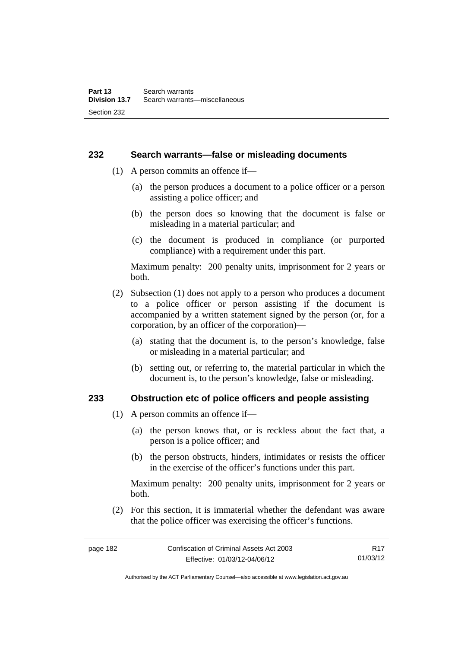### **232 Search warrants—false or misleading documents**

- (1) A person commits an offence if—
	- (a) the person produces a document to a police officer or a person assisting a police officer; and
	- (b) the person does so knowing that the document is false or misleading in a material particular; and
	- (c) the document is produced in compliance (or purported compliance) with a requirement under this part.

Maximum penalty: 200 penalty units, imprisonment for 2 years or both.

- (2) Subsection (1) does not apply to a person who produces a document to a police officer or person assisting if the document is accompanied by a written statement signed by the person (or, for a corporation, by an officer of the corporation)—
	- (a) stating that the document is, to the person's knowledge, false or misleading in a material particular; and
	- (b) setting out, or referring to, the material particular in which the document is, to the person's knowledge, false or misleading.

### **233 Obstruction etc of police officers and people assisting**

- (1) A person commits an offence if—
	- (a) the person knows that, or is reckless about the fact that, a person is a police officer; and
	- (b) the person obstructs, hinders, intimidates or resists the officer in the exercise of the officer's functions under this part.

Maximum penalty: 200 penalty units, imprisonment for 2 years or both.

 (2) For this section, it is immaterial whether the defendant was aware that the police officer was exercising the officer's functions.

Authorised by the ACT Parliamentary Counsel—also accessible at www.legislation.act.gov.au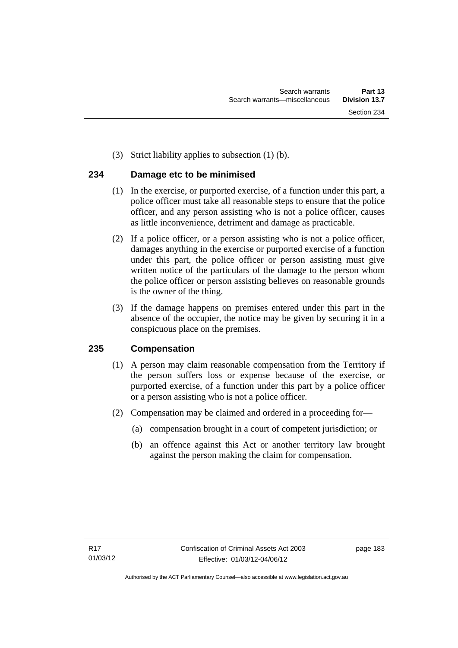(3) Strict liability applies to subsection (1) (b).

# **234 Damage etc to be minimised**

- (1) In the exercise, or purported exercise, of a function under this part, a police officer must take all reasonable steps to ensure that the police officer, and any person assisting who is not a police officer, causes as little inconvenience, detriment and damage as practicable.
- (2) If a police officer, or a person assisting who is not a police officer, damages anything in the exercise or purported exercise of a function under this part, the police officer or person assisting must give written notice of the particulars of the damage to the person whom the police officer or person assisting believes on reasonable grounds is the owner of the thing.
- (3) If the damage happens on premises entered under this part in the absence of the occupier, the notice may be given by securing it in a conspicuous place on the premises.

# **235 Compensation**

- (1) A person may claim reasonable compensation from the Territory if the person suffers loss or expense because of the exercise, or purported exercise, of a function under this part by a police officer or a person assisting who is not a police officer.
- (2) Compensation may be claimed and ordered in a proceeding for—
	- (a) compensation brought in a court of competent jurisdiction; or
	- (b) an offence against this Act or another territory law brought against the person making the claim for compensation.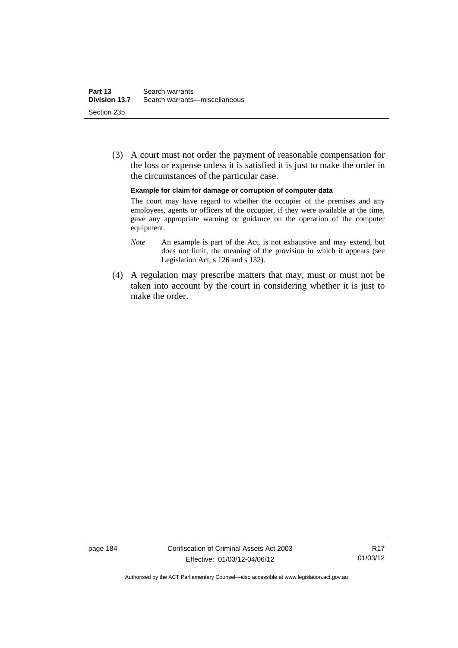(3) A court must not order the payment of reasonable compensation for the loss or expense unless it is satisfied it is just to make the order in the circumstances of the particular case.

**Example for claim for damage or corruption of computer data** 

The court may have regard to whether the occupier of the premises and any employees, agents or officers of the occupier, if they were available at the time, gave any appropriate warning or guidance on the operation of the computer equipment.

- *Note* An example is part of the Act, is not exhaustive and may extend, but does not limit, the meaning of the provision in which it appears (see Legislation Act, s 126 and s 132).
- (4) A regulation may prescribe matters that may, must or must not be taken into account by the court in considering whether it is just to make the order.

page 184 Confiscation of Criminal Assets Act 2003 Effective: 01/03/12-04/06/12

R17 01/03/12

Authorised by the ACT Parliamentary Counsel—also accessible at www.legislation.act.gov.au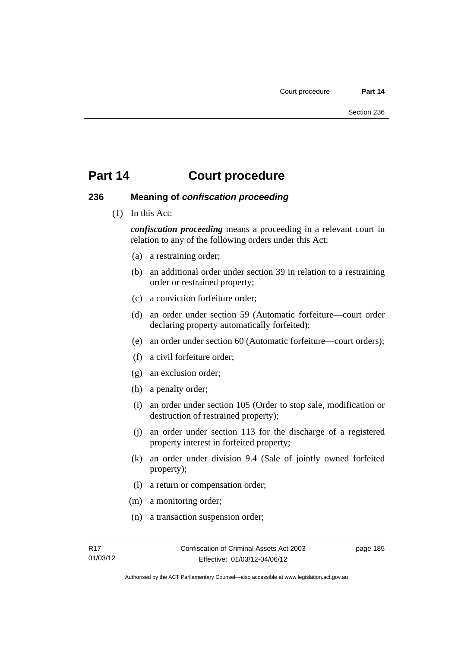### **236 Meaning of** *confiscation proceeding*

(1) In this Act:

*confiscation proceeding* means a proceeding in a relevant court in relation to any of the following orders under this Act:

- (a) a restraining order;
- (b) an additional order under section 39 in relation to a restraining order or restrained property;
- (c) a conviction forfeiture order;
- (d) an order under section 59 (Automatic forfeiture—court order declaring property automatically forfeited);
- (e) an order under section 60 (Automatic forfeiture—court orders);
- (f) a civil forfeiture order;
- (g) an exclusion order;
- (h) a penalty order;
- (i) an order under section 105 (Order to stop sale, modification or destruction of restrained property);
- (j) an order under section 113 for the discharge of a registered property interest in forfeited property;
- (k) an order under division 9.4 (Sale of jointly owned forfeited property);
- (l) a return or compensation order;
- (m) a monitoring order;
- (n) a transaction suspension order;

page 185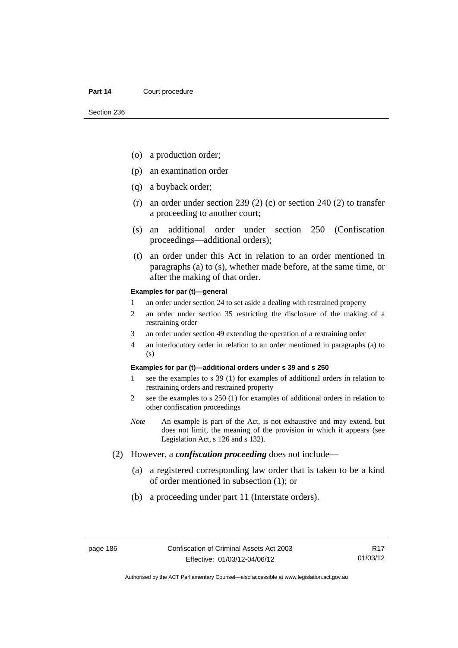- (o) a production order;
- (p) an examination order
- (q) a buyback order;
- (r) an order under section 239 (2) (c) or section 240 (2) to transfer a proceeding to another court;
- (s) an additional order under section 250 (Confiscation proceedings—additional orders);
- (t) an order under this Act in relation to an order mentioned in paragraphs (a) to (s), whether made before, at the same time, or after the making of that order.

#### **Examples for par (t)—general**

- 1 an order under section 24 to set aside a dealing with restrained property
- 2 an order under section 35 restricting the disclosure of the making of a restraining order
- 3 an order under section 49 extending the operation of a restraining order
- 4 an interlocutory order in relation to an order mentioned in paragraphs (a) to (s)

#### **Examples for par (t)—additional orders under s 39 and s 250**

- 1 see the examples to s 39 (1) for examples of additional orders in relation to restraining orders and restrained property
- 2 see the examples to s 250 (1) for examples of additional orders in relation to other confiscation proceedings
- *Note* An example is part of the Act, is not exhaustive and may extend, but does not limit, the meaning of the provision in which it appears (see Legislation Act, s 126 and s 132).
- (2) However, a *confiscation proceeding* does not include—
	- (a) a registered corresponding law order that is taken to be a kind of order mentioned in subsection (1); or
	- (b) a proceeding under part 11 (Interstate orders).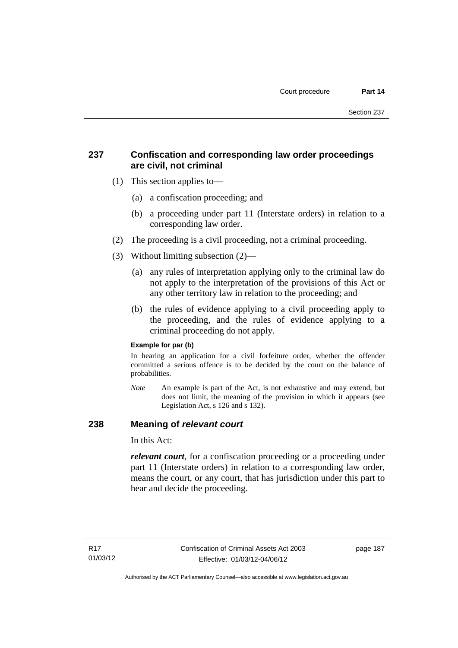# **237 Confiscation and corresponding law order proceedings are civil, not criminal**

- (1) This section applies to—
	- (a) a confiscation proceeding; and
	- (b) a proceeding under part 11 (Interstate orders) in relation to a corresponding law order.
- (2) The proceeding is a civil proceeding, not a criminal proceeding.
- (3) Without limiting subsection (2)—
	- (a) any rules of interpretation applying only to the criminal law do not apply to the interpretation of the provisions of this Act or any other territory law in relation to the proceeding; and
	- (b) the rules of evidence applying to a civil proceeding apply to the proceeding, and the rules of evidence applying to a criminal proceeding do not apply.

### **Example for par (b)**

In hearing an application for a civil forfeiture order, whether the offender committed a serious offence is to be decided by the court on the balance of probabilities.

*Note* An example is part of the Act, is not exhaustive and may extend, but does not limit, the meaning of the provision in which it appears (see Legislation Act, s 126 and s 132).

### **238 Meaning of** *relevant court*

In this Act:

*relevant court*, for a confiscation proceeding or a proceeding under part 11 (Interstate orders) in relation to a corresponding law order, means the court, or any court, that has jurisdiction under this part to hear and decide the proceeding.

page 187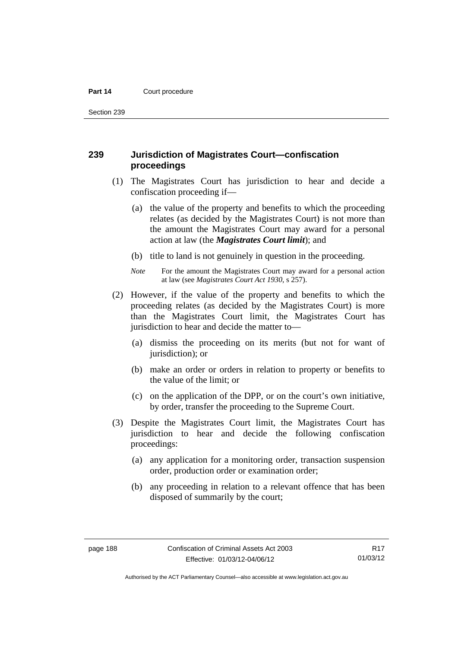Section 239

### **239 Jurisdiction of Magistrates Court—confiscation proceedings**

- (1) The Magistrates Court has jurisdiction to hear and decide a confiscation proceeding if—
	- (a) the value of the property and benefits to which the proceeding relates (as decided by the Magistrates Court) is not more than the amount the Magistrates Court may award for a personal action at law (the *Magistrates Court limit*); and
	- (b) title to land is not genuinely in question in the proceeding.
	- *Note* For the amount the Magistrates Court may award for a personal action at law (see *Magistrates Court Act 1930*, s 257).
- (2) However, if the value of the property and benefits to which the proceeding relates (as decided by the Magistrates Court) is more than the Magistrates Court limit, the Magistrates Court has jurisdiction to hear and decide the matter to—
	- (a) dismiss the proceeding on its merits (but not for want of jurisdiction); or
	- (b) make an order or orders in relation to property or benefits to the value of the limit; or
	- (c) on the application of the DPP, or on the court's own initiative, by order, transfer the proceeding to the Supreme Court.
- (3) Despite the Magistrates Court limit, the Magistrates Court has jurisdiction to hear and decide the following confiscation proceedings:
	- (a) any application for a monitoring order, transaction suspension order, production order or examination order;
	- (b) any proceeding in relation to a relevant offence that has been disposed of summarily by the court;

R17 01/03/12

Authorised by the ACT Parliamentary Counsel—also accessible at www.legislation.act.gov.au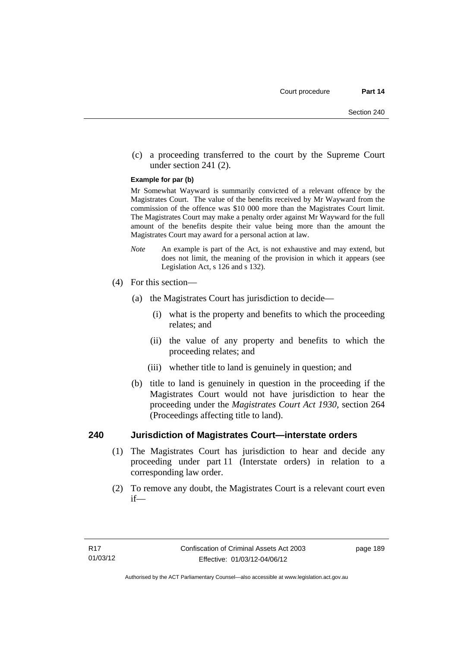(c) a proceeding transferred to the court by the Supreme Court under section 241 (2).

#### **Example for par (b)**

Mr Somewhat Wayward is summarily convicted of a relevant offence by the Magistrates Court. The value of the benefits received by Mr Wayward from the commission of the offence was \$10 000 more than the Magistrates Court limit. The Magistrates Court may make a penalty order against Mr Wayward for the full amount of the benefits despite their value being more than the amount the Magistrates Court may award for a personal action at law.

- *Note* An example is part of the Act, is not exhaustive and may extend, but does not limit, the meaning of the provision in which it appears (see Legislation Act, s 126 and s 132).
- (4) For this section—
	- (a) the Magistrates Court has jurisdiction to decide—
		- (i) what is the property and benefits to which the proceeding relates; and
		- (ii) the value of any property and benefits to which the proceeding relates; and
		- (iii) whether title to land is genuinely in question; and
	- (b) title to land is genuinely in question in the proceeding if the Magistrates Court would not have jurisdiction to hear the proceeding under the *Magistrates Court Act 1930*, section 264 (Proceedings affecting title to land).

### **240 Jurisdiction of Magistrates Court—interstate orders**

- (1) The Magistrates Court has jurisdiction to hear and decide any proceeding under part 11 (Interstate orders) in relation to a corresponding law order.
- (2) To remove any doubt, the Magistrates Court is a relevant court even if—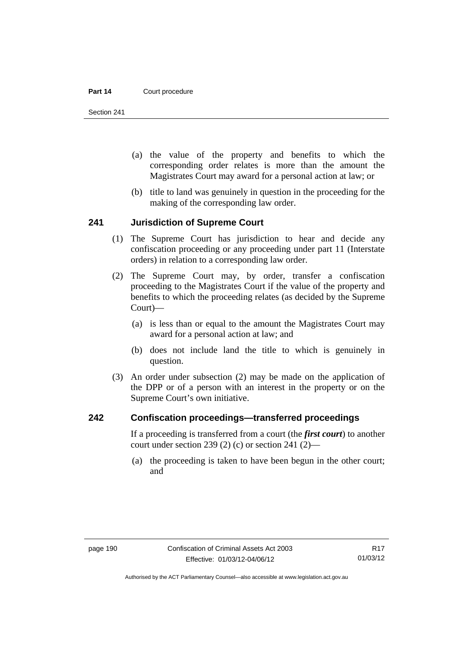Section 241

- (a) the value of the property and benefits to which the corresponding order relates is more than the amount the Magistrates Court may award for a personal action at law; or
- (b) title to land was genuinely in question in the proceeding for the making of the corresponding law order.

### **241 Jurisdiction of Supreme Court**

- (1) The Supreme Court has jurisdiction to hear and decide any confiscation proceeding or any proceeding under part 11 (Interstate orders) in relation to a corresponding law order.
- (2) The Supreme Court may, by order, transfer a confiscation proceeding to the Magistrates Court if the value of the property and benefits to which the proceeding relates (as decided by the Supreme Court)—
	- (a) is less than or equal to the amount the Magistrates Court may award for a personal action at law; and
	- (b) does not include land the title to which is genuinely in question.
- (3) An order under subsection (2) may be made on the application of the DPP or of a person with an interest in the property or on the Supreme Court's own initiative.

### **242 Confiscation proceedings—transferred proceedings**

If a proceeding is transferred from a court (the *first court*) to another court under section 239 (2) (c) or section 241 (2)—

 (a) the proceeding is taken to have been begun in the other court; and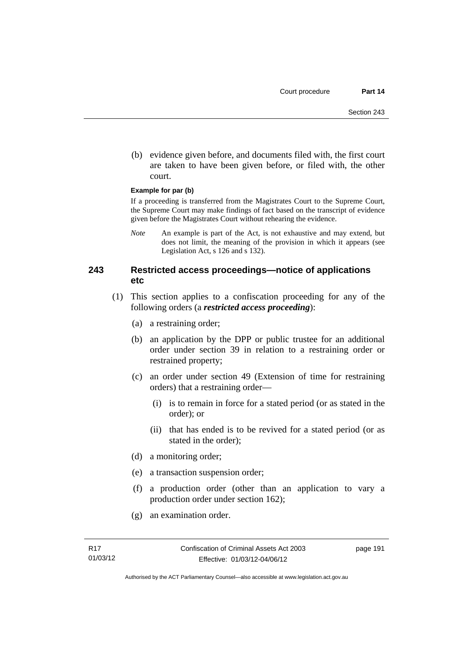(b) evidence given before, and documents filed with, the first court are taken to have been given before, or filed with, the other court.

#### **Example for par (b)**

If a proceeding is transferred from the Magistrates Court to the Supreme Court, the Supreme Court may make findings of fact based on the transcript of evidence given before the Magistrates Court without rehearing the evidence.

*Note* An example is part of the Act, is not exhaustive and may extend, but does not limit, the meaning of the provision in which it appears (see Legislation Act, s 126 and s 132).

### **243 Restricted access proceedings—notice of applications etc**

- (1) This section applies to a confiscation proceeding for any of the following orders (a *restricted access proceeding*):
	- (a) a restraining order;
	- (b) an application by the DPP or public trustee for an additional order under section 39 in relation to a restraining order or restrained property;
	- (c) an order under section 49 (Extension of time for restraining orders) that a restraining order—
		- (i) is to remain in force for a stated period (or as stated in the order); or
		- (ii) that has ended is to be revived for a stated period (or as stated in the order);
	- (d) a monitoring order;
	- (e) a transaction suspension order;
	- (f) a production order (other than an application to vary a production order under section 162);
	- (g) an examination order.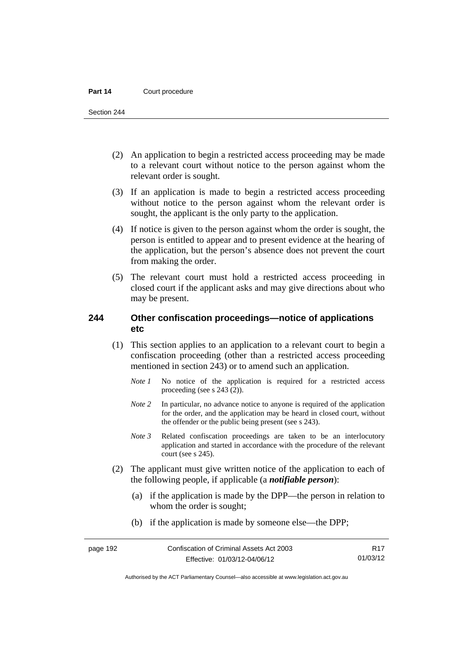Section 244

- (2) An application to begin a restricted access proceeding may be made to a relevant court without notice to the person against whom the relevant order is sought.
- (3) If an application is made to begin a restricted access proceeding without notice to the person against whom the relevant order is sought, the applicant is the only party to the application.
- (4) If notice is given to the person against whom the order is sought, the person is entitled to appear and to present evidence at the hearing of the application, but the person's absence does not prevent the court from making the order.
- (5) The relevant court must hold a restricted access proceeding in closed court if the applicant asks and may give directions about who may be present.

### **244 Other confiscation proceedings—notice of applications etc**

- (1) This section applies to an application to a relevant court to begin a confiscation proceeding (other than a restricted access proceeding mentioned in section 243) or to amend such an application.
	- *Note 1* No notice of the application is required for a restricted access proceeding (see s 243 (2)).
	- *Note 2* In particular, no advance notice to anyone is required of the application for the order, and the application may be heard in closed court, without the offender or the public being present (see s 243).
	- *Note 3* Related confiscation proceedings are taken to be an interlocutory application and started in accordance with the procedure of the relevant court (see s 245).
- (2) The applicant must give written notice of the application to each of the following people, if applicable (a *notifiable person*):
	- (a) if the application is made by the DPP—the person in relation to whom the order is sought;
	- (b) if the application is made by someone else—the DPP;

R17 01/03/12

Authorised by the ACT Parliamentary Counsel—also accessible at www.legislation.act.gov.au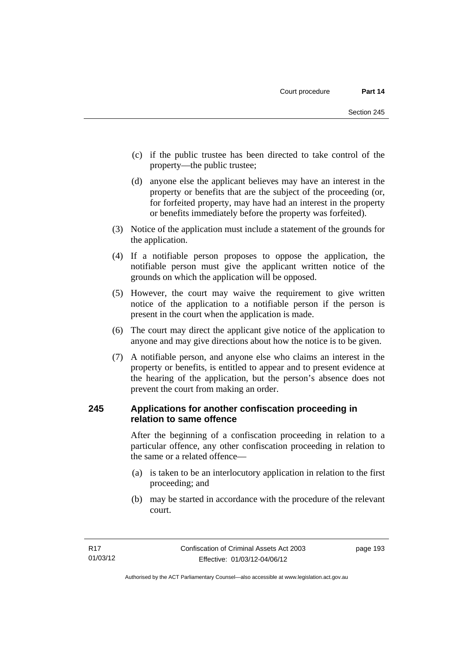- (c) if the public trustee has been directed to take control of the property—the public trustee;
- (d) anyone else the applicant believes may have an interest in the property or benefits that are the subject of the proceeding (or, for forfeited property, may have had an interest in the property or benefits immediately before the property was forfeited).
- (3) Notice of the application must include a statement of the grounds for the application.
- (4) If a notifiable person proposes to oppose the application, the notifiable person must give the applicant written notice of the grounds on which the application will be opposed.
- (5) However, the court may waive the requirement to give written notice of the application to a notifiable person if the person is present in the court when the application is made.
- (6) The court may direct the applicant give notice of the application to anyone and may give directions about how the notice is to be given.
- (7) A notifiable person, and anyone else who claims an interest in the property or benefits, is entitled to appear and to present evidence at the hearing of the application, but the person's absence does not prevent the court from making an order.

# **245 Applications for another confiscation proceeding in relation to same offence**

After the beginning of a confiscation proceeding in relation to a particular offence, any other confiscation proceeding in relation to the same or a related offence—

- (a) is taken to be an interlocutory application in relation to the first proceeding; and
- (b) may be started in accordance with the procedure of the relevant court.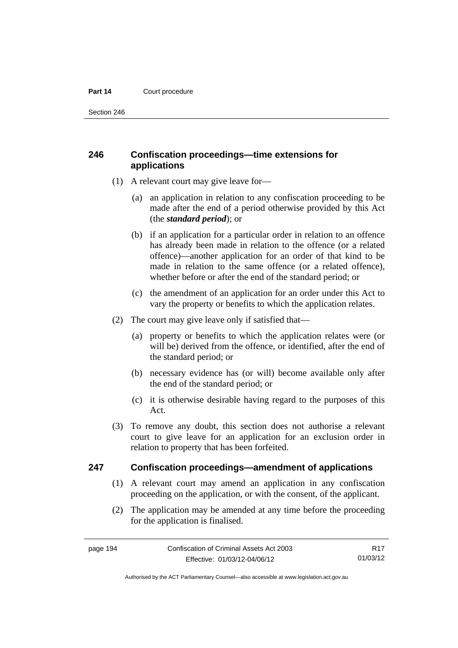Section 246

# **246 Confiscation proceedings—time extensions for applications**

- (1) A relevant court may give leave for—
	- (a) an application in relation to any confiscation proceeding to be made after the end of a period otherwise provided by this Act (the *standard period*); or
	- (b) if an application for a particular order in relation to an offence has already been made in relation to the offence (or a related offence)—another application for an order of that kind to be made in relation to the same offence (or a related offence), whether before or after the end of the standard period; or
	- (c) the amendment of an application for an order under this Act to vary the property or benefits to which the application relates.
- (2) The court may give leave only if satisfied that—
	- (a) property or benefits to which the application relates were (or will be) derived from the offence, or identified, after the end of the standard period; or
	- (b) necessary evidence has (or will) become available only after the end of the standard period; or
	- (c) it is otherwise desirable having regard to the purposes of this Act.
- (3) To remove any doubt, this section does not authorise a relevant court to give leave for an application for an exclusion order in relation to property that has been forfeited.

### **247 Confiscation proceedings—amendment of applications**

- (1) A relevant court may amend an application in any confiscation proceeding on the application, or with the consent, of the applicant.
- (2) The application may be amended at any time before the proceeding for the application is finalised.

R17 01/03/12

Authorised by the ACT Parliamentary Counsel—also accessible at www.legislation.act.gov.au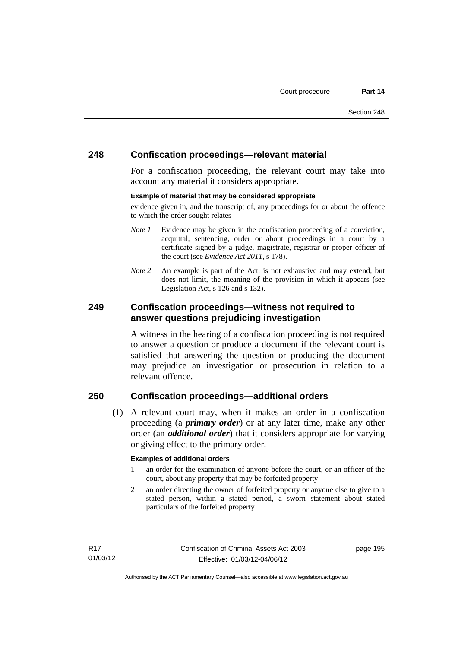### **248 Confiscation proceedings—relevant material**

For a confiscation proceeding, the relevant court may take into account any material it considers appropriate.

#### **Example of material that may be considered appropriate**

evidence given in, and the transcript of, any proceedings for or about the offence to which the order sought relates

- *Note 1* Evidence may be given in the confiscation proceeding of a conviction, acquittal, sentencing, order or about proceedings in a court by a certificate signed by a judge, magistrate, registrar or proper officer of the court (see *Evidence Act 2011*, s 178).
- *Note* 2 An example is part of the Act, is not exhaustive and may extend, but does not limit, the meaning of the provision in which it appears (see Legislation Act, s 126 and s 132).

### **249 Confiscation proceedings—witness not required to answer questions prejudicing investigation**

A witness in the hearing of a confiscation proceeding is not required to answer a question or produce a document if the relevant court is satisfied that answering the question or producing the document may prejudice an investigation or prosecution in relation to a relevant offence.

## **250 Confiscation proceedings—additional orders**

 (1) A relevant court may, when it makes an order in a confiscation proceeding (a *primary order*) or at any later time, make any other order (an *additional order*) that it considers appropriate for varying or giving effect to the primary order.

### **Examples of additional orders**

- 1 an order for the examination of anyone before the court, or an officer of the court, about any property that may be forfeited property
- 2 an order directing the owner of forfeited property or anyone else to give to a stated person, within a stated period, a sworn statement about stated particulars of the forfeited property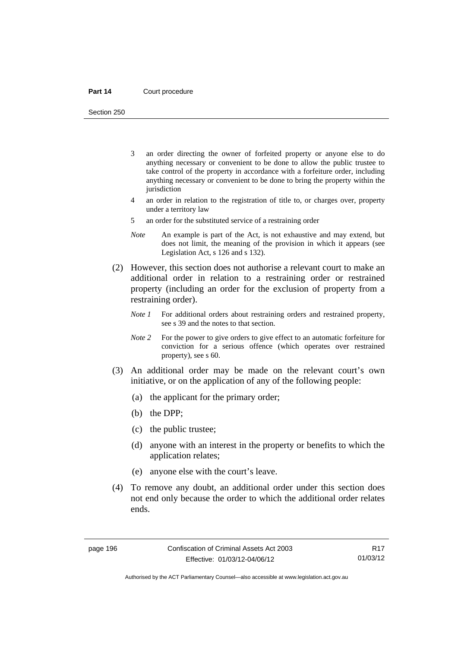Section 250

- 3 an order directing the owner of forfeited property or anyone else to do anything necessary or convenient to be done to allow the public trustee to take control of the property in accordance with a forfeiture order, including anything necessary or convenient to be done to bring the property within the iurisdiction
- 4 an order in relation to the registration of title to, or charges over, property under a territory law
- 5 an order for the substituted service of a restraining order
- *Note* An example is part of the Act, is not exhaustive and may extend, but does not limit, the meaning of the provision in which it appears (see Legislation Act, s 126 and s 132).
- (2) However, this section does not authorise a relevant court to make an additional order in relation to a restraining order or restrained property (including an order for the exclusion of property from a restraining order).
	- *Note 1* For additional orders about restraining orders and restrained property, see s 39 and the notes to that section.
	- *Note 2* For the power to give orders to give effect to an automatic forfeiture for conviction for a serious offence (which operates over restrained property), see s 60.
- (3) An additional order may be made on the relevant court's own initiative, or on the application of any of the following people:
	- (a) the applicant for the primary order;
	- (b) the DPP;
	- (c) the public trustee;
	- (d) anyone with an interest in the property or benefits to which the application relates;
	- (e) anyone else with the court's leave.
- (4) To remove any doubt, an additional order under this section does not end only because the order to which the additional order relates ends.

R17 01/03/12

Authorised by the ACT Parliamentary Counsel—also accessible at www.legislation.act.gov.au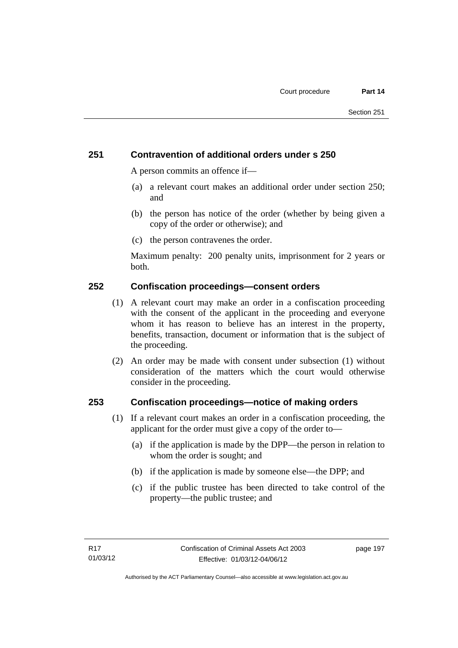# **251 Contravention of additional orders under s 250**

A person commits an offence if—

- (a) a relevant court makes an additional order under section 250; and
- (b) the person has notice of the order (whether by being given a copy of the order or otherwise); and
- (c) the person contravenes the order.

Maximum penalty: 200 penalty units, imprisonment for 2 years or both.

### **252 Confiscation proceedings—consent orders**

- (1) A relevant court may make an order in a confiscation proceeding with the consent of the applicant in the proceeding and everyone whom it has reason to believe has an interest in the property, benefits, transaction, document or information that is the subject of the proceeding.
- (2) An order may be made with consent under subsection (1) without consideration of the matters which the court would otherwise consider in the proceeding.

### **253 Confiscation proceedings—notice of making orders**

- (1) If a relevant court makes an order in a confiscation proceeding, the applicant for the order must give a copy of the order to—
	- (a) if the application is made by the DPP—the person in relation to whom the order is sought; and
	- (b) if the application is made by someone else—the DPP; and
	- (c) if the public trustee has been directed to take control of the property—the public trustee; and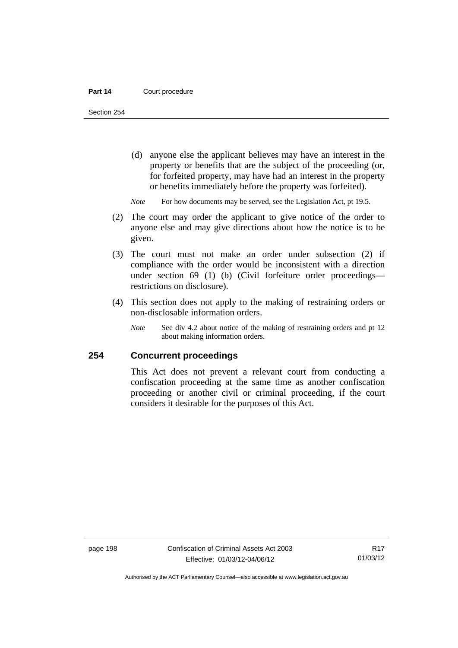Section 254

- (d) anyone else the applicant believes may have an interest in the property or benefits that are the subject of the proceeding (or, for forfeited property, may have had an interest in the property or benefits immediately before the property was forfeited).
- *Note* For how documents may be served, see the Legislation Act, pt 19.5.
- (2) The court may order the applicant to give notice of the order to anyone else and may give directions about how the notice is to be given.
- (3) The court must not make an order under subsection (2) if compliance with the order would be inconsistent with a direction under section 69 (1) (b) (Civil forfeiture order proceedings restrictions on disclosure).
- (4) This section does not apply to the making of restraining orders or non-disclosable information orders.
	- *Note* See div 4.2 about notice of the making of restraining orders and pt 12 about making information orders.

### **254 Concurrent proceedings**

This Act does not prevent a relevant court from conducting a confiscation proceeding at the same time as another confiscation proceeding or another civil or criminal proceeding, if the court considers it desirable for the purposes of this Act.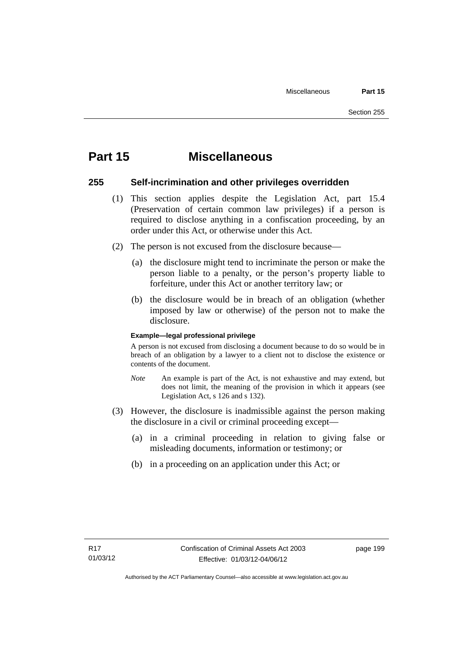# **Part 15 Miscellaneous**

### **255 Self-incrimination and other privileges overridden**

- (1) This section applies despite the Legislation Act, part 15.4 (Preservation of certain common law privileges) if a person is required to disclose anything in a confiscation proceeding, by an order under this Act, or otherwise under this Act.
- (2) The person is not excused from the disclosure because—
	- (a) the disclosure might tend to incriminate the person or make the person liable to a penalty, or the person's property liable to forfeiture, under this Act or another territory law; or
	- (b) the disclosure would be in breach of an obligation (whether imposed by law or otherwise) of the person not to make the disclosure.

#### **Example—legal professional privilege**

A person is not excused from disclosing a document because to do so would be in breach of an obligation by a lawyer to a client not to disclose the existence or contents of the document.

- *Note* An example is part of the Act, is not exhaustive and may extend, but does not limit, the meaning of the provision in which it appears (see Legislation Act, s 126 and s 132).
- (3) However, the disclosure is inadmissible against the person making the disclosure in a civil or criminal proceeding except—
	- (a) in a criminal proceeding in relation to giving false or misleading documents, information or testimony; or
	- (b) in a proceeding on an application under this Act; or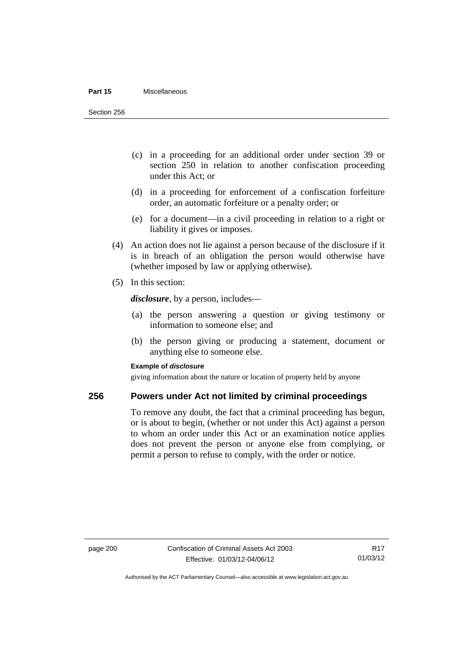#### **Part 15** Miscellaneous

Section 256

- (c) in a proceeding for an additional order under section 39 or section 250 in relation to another confiscation proceeding under this Act; or
- (d) in a proceeding for enforcement of a confiscation forfeiture order, an automatic forfeiture or a penalty order; or
- (e) for a document—in a civil proceeding in relation to a right or liability it gives or imposes.
- (4) An action does not lie against a person because of the disclosure if it is in breach of an obligation the person would otherwise have (whether imposed by law or applying otherwise).
- (5) In this section:

*disclosure*, by a person, includes—

- (a) the person answering a question or giving testimony or information to someone else; and
- (b) the person giving or producing a statement, document or anything else to someone else.

#### **Example of** *disclosure*

giving information about the nature or location of property held by anyone

### **256 Powers under Act not limited by criminal proceedings**

To remove any doubt, the fact that a criminal proceeding has begun, or is about to begin, (whether or not under this Act) against a person to whom an order under this Act or an examination notice applies does not prevent the person or anyone else from complying, or permit a person to refuse to comply, with the order or notice.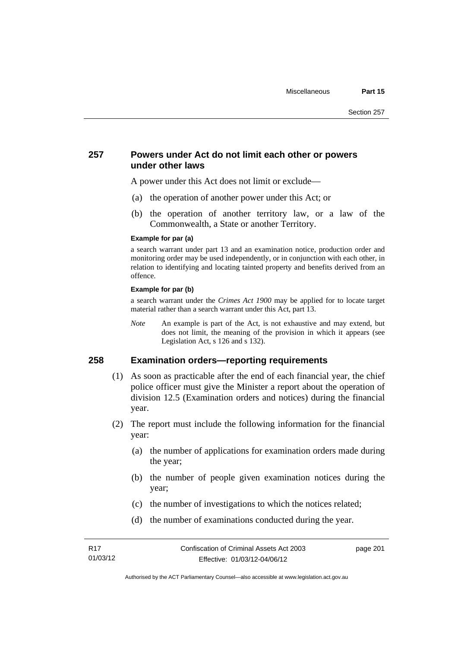### **257 Powers under Act do not limit each other or powers under other laws**

A power under this Act does not limit or exclude—

- (a) the operation of another power under this Act; or
- (b) the operation of another territory law, or a law of the Commonwealth, a State or another Territory.

#### **Example for par (a)**

a search warrant under part 13 and an examination notice, production order and monitoring order may be used independently, or in conjunction with each other, in relation to identifying and locating tainted property and benefits derived from an offence.

#### **Example for par (b)**

a search warrant under the *Crimes Act 1900* may be applied for to locate target material rather than a search warrant under this Act, part 13.

*Note* An example is part of the Act, is not exhaustive and may extend, but does not limit, the meaning of the provision in which it appears (see Legislation Act, s 126 and s 132).

### **258 Examination orders—reporting requirements**

- (1) As soon as practicable after the end of each financial year, the chief police officer must give the Minister a report about the operation of division 12.5 (Examination orders and notices) during the financial year.
- (2) The report must include the following information for the financial year:
	- (a) the number of applications for examination orders made during the year;
	- (b) the number of people given examination notices during the year;
	- (c) the number of investigations to which the notices related;
	- (d) the number of examinations conducted during the year.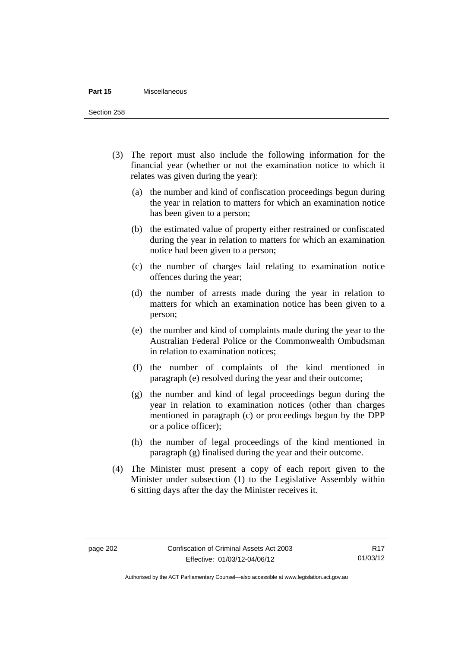#### **Part 15** Miscellaneous

Section 258

- (3) The report must also include the following information for the financial year (whether or not the examination notice to which it relates was given during the year):
	- (a) the number and kind of confiscation proceedings begun during the year in relation to matters for which an examination notice has been given to a person;
	- (b) the estimated value of property either restrained or confiscated during the year in relation to matters for which an examination notice had been given to a person;
	- (c) the number of charges laid relating to examination notice offences during the year;
	- (d) the number of arrests made during the year in relation to matters for which an examination notice has been given to a person;
	- (e) the number and kind of complaints made during the year to the Australian Federal Police or the Commonwealth Ombudsman in relation to examination notices;
	- (f) the number of complaints of the kind mentioned in paragraph (e) resolved during the year and their outcome;
	- (g) the number and kind of legal proceedings begun during the year in relation to examination notices (other than charges mentioned in paragraph (c) or proceedings begun by the DPP or a police officer);
	- (h) the number of legal proceedings of the kind mentioned in paragraph (g) finalised during the year and their outcome.
- (4) The Minister must present a copy of each report given to the Minister under subsection (1) to the Legislative Assembly within 6 sitting days after the day the Minister receives it.

Authorised by the ACT Parliamentary Counsel—also accessible at www.legislation.act.gov.au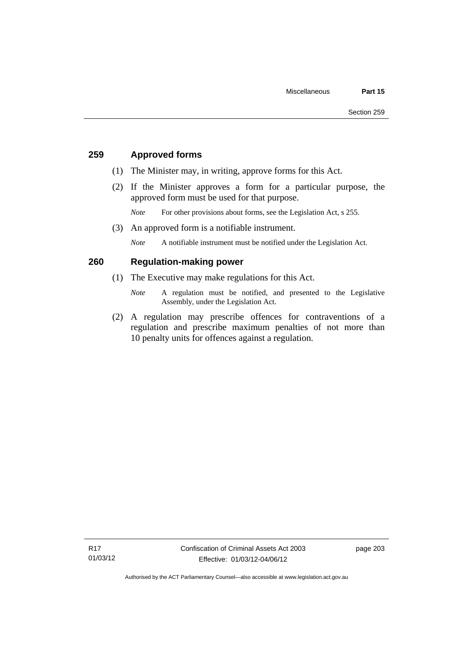# **259 Approved forms**

- (1) The Minister may, in writing, approve forms for this Act.
- (2) If the Minister approves a form for a particular purpose, the approved form must be used for that purpose.

*Note* For other provisions about forms, see the Legislation Act, s 255.

(3) An approved form is a notifiable instrument.

*Note* A notifiable instrument must be notified under the Legislation Act.

# **260 Regulation-making power**

- (1) The Executive may make regulations for this Act.
	- *Note* A regulation must be notified, and presented to the Legislative Assembly, under the Legislation Act.
- (2) A regulation may prescribe offences for contraventions of a regulation and prescribe maximum penalties of not more than 10 penalty units for offences against a regulation.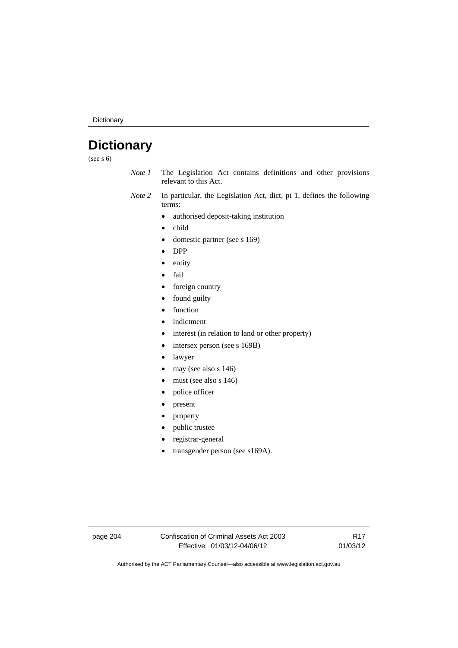Dictionary

# **Dictionary**

(see s 6)

- *Note 1* The Legislation Act contains definitions and other provisions relevant to this Act.
- *Note 2* In particular, the Legislation Act, dict, pt 1, defines the following terms:
	- authorised deposit-taking institution
	- child
	- domestic partner (see s 169)
	- DPP
	- entity
	- fail
	- foreign country
	- found guilty
	- function
	- indictment
	- interest (in relation to land or other property)
	- intersex person (see s 169B)
	- lawyer
	- $\bullet$  may (see also s 146)
	- must (see also s 146)
	- police officer
	- present
	- property
	- public trustee
	- registrar-general
	- transgender person (see s169A).

page 204 Confiscation of Criminal Assets Act 2003 Effective: 01/03/12-04/06/12

R17 01/03/12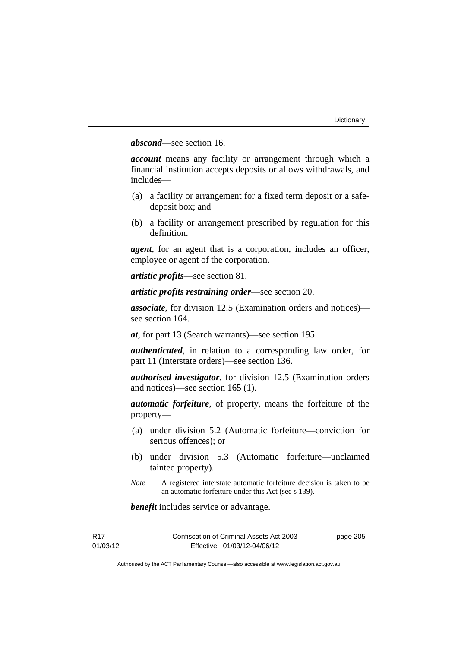## *abscond*—see section 16.

*account* means any facility or arrangement through which a financial institution accepts deposits or allows withdrawals, and includes—

- (a) a facility or arrangement for a fixed term deposit or a safedeposit box; and
- (b) a facility or arrangement prescribed by regulation for this definition.

*agent*, for an agent that is a corporation, includes an officer, employee or agent of the corporation.

*artistic profits*—see section 81.

*artistic profits restraining order*—see section 20.

*associate*, for division 12.5 (Examination orders and notices) see section 164.

*at*, for part 13 (Search warrants)—see section 195.

*authenticated*, in relation to a corresponding law order, for part 11 (Interstate orders)—see section 136.

*authorised investigator*, for division 12.5 (Examination orders and notices)—see section 165 (1).

*automatic forfeiture*, of property, means the forfeiture of the property—

- (a) under division 5.2 (Automatic forfeiture—conviction for serious offences); or
- (b) under division 5.3 (Automatic forfeiture—unclaimed tainted property).
- *Note* A registered interstate automatic forfeiture decision is taken to be an automatic forfeiture under this Act (see s 139).

*benefit* includes service or advantage.

| R17      | Confiscation of Criminal Assets Act 2003 | page 205 |
|----------|------------------------------------------|----------|
| 01/03/12 | Effective: 01/03/12-04/06/12             |          |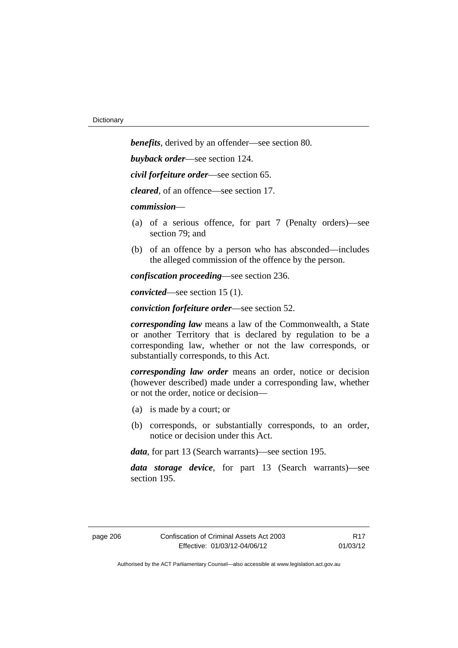*benefits*, derived by an offender—see section 80. *buyback order*—see section 124. *civil forfeiture order*—see section 65. *cleared*, of an offence—see section 17. *commission*— (a) of a serious offence, for part 7 (Penalty orders)—see section 79; and (b) of an offence by a person who has absconded—includes the alleged commission of the offence by the person. *confiscation proceeding*—see section 236.

*convicted*—see section 15 (1).

*conviction forfeiture order*—see section 52.

*corresponding law* means a law of the Commonwealth, a State or another Territory that is declared by regulation to be a corresponding law, whether or not the law corresponds, or substantially corresponds, to this Act.

*corresponding law order* means an order, notice or decision (however described) made under a corresponding law, whether or not the order, notice or decision—

- (a) is made by a court; or
- (b) corresponds, or substantially corresponds, to an order, notice or decision under this Act.

*data*, for part 13 (Search warrants)—see section 195.

*data storage device*, for part 13 (Search warrants)—see section 195.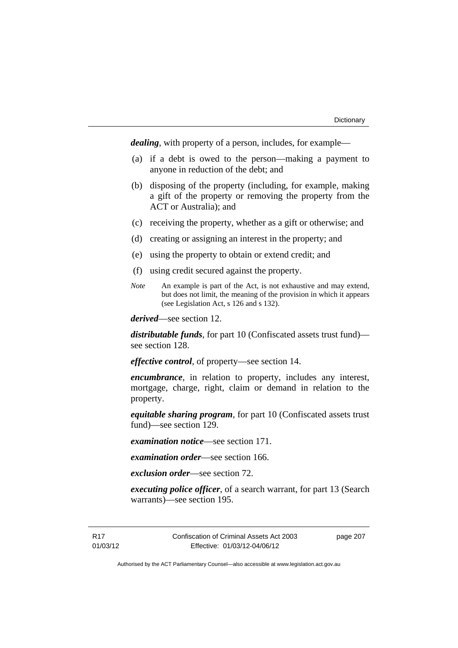*dealing*, with property of a person, includes, for example—

- (a) if a debt is owed to the person—making a payment to anyone in reduction of the debt; and
- (b) disposing of the property (including, for example, making a gift of the property or removing the property from the ACT or Australia); and
- (c) receiving the property, whether as a gift or otherwise; and
- (d) creating or assigning an interest in the property; and
- (e) using the property to obtain or extend credit; and
- (f) using credit secured against the property.
- *Note* An example is part of the Act, is not exhaustive and may extend, but does not limit, the meaning of the provision in which it appears (see Legislation Act, s 126 and s 132).

*derived*—see section 12.

*distributable funds*, for part 10 (Confiscated assets trust fund) see section 128.

*effective control*, of property—see section 14.

*encumbrance*, in relation to property, includes any interest, mortgage, charge, right, claim or demand in relation to the property.

*equitable sharing program*, for part 10 (Confiscated assets trust fund)—see section 129.

*examination notice*—see section 171.

*examination order*—see section 166.

*exclusion order*—see section 72.

*executing police officer*, of a search warrant, for part 13 (Search warrants)—see section 195.

R17 01/03/12 Confiscation of Criminal Assets Act 2003 Effective: 01/03/12-04/06/12

page 207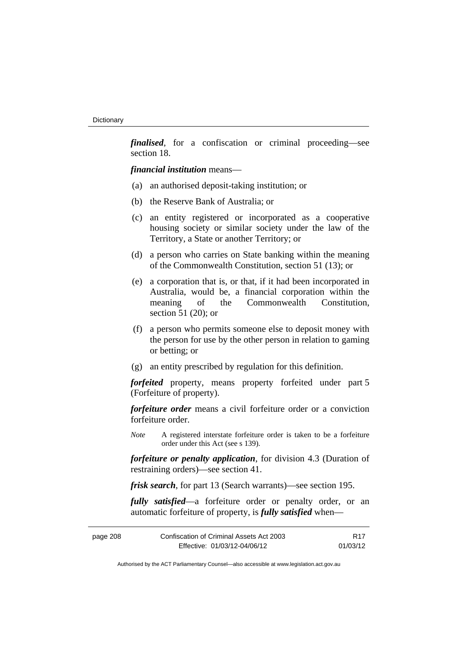*finalised*, for a confiscation or criminal proceeding—see section 18.

*financial institution* means—

- (a) an authorised deposit-taking institution; or
- (b) the Reserve Bank of Australia; or
- (c) an entity registered or incorporated as a cooperative housing society or similar society under the law of the Territory, a State or another Territory; or
- (d) a person who carries on State banking within the meaning of the Commonwealth Constitution, section 51 (13); or
- (e) a corporation that is, or that, if it had been incorporated in Australia, would be, a financial corporation within the meaning of the Commonwealth Constitution, section 51 (20); or
- (f) a person who permits someone else to deposit money with the person for use by the other person in relation to gaming or betting; or
- (g) an entity prescribed by regulation for this definition.

*forfeited* property, means property forfeited under part 5 (Forfeiture of property).

*forfeiture order* means a civil forfeiture order or a conviction forfeiture order.

*Note* A registered interstate forfeiture order is taken to be a forfeiture order under this Act (see s 139).

*forfeiture or penalty application*, for division 4.3 (Duration of restraining orders)—see section 41.

*frisk search*, for part 13 (Search warrants)—see section 195.

*fully satisfied*—a forfeiture order or penalty order, or an automatic forfeiture of property, is *fully satisfied* when—

| page 208 | Confiscation of Criminal Assets Act 2003 | R <sub>17</sub> |
|----------|------------------------------------------|-----------------|
|          | Effective: 01/03/12-04/06/12             | 01/03/12        |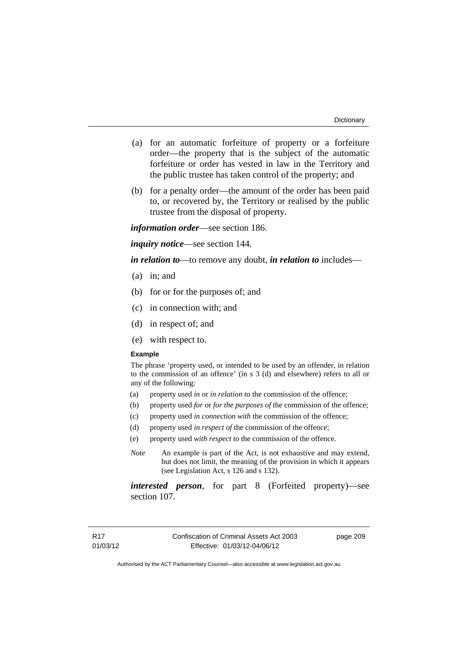- (a) for an automatic forfeiture of property or a forfeiture order—the property that is the subject of the automatic forfeiture or order has vested in law in the Territory and the public trustee has taken control of the property; and
- (b) for a penalty order—the amount of the order has been paid to, or recovered by, the Territory or realised by the public trustee from the disposal of property.

*information order*—see section 186.

*inquiry notice*—see section 144.

*in relation to*—to remove any doubt, *in relation to* includes—

- (a) in; and
- (b) for or for the purposes of; and
- (c) in connection with; and
- (d) in respect of; and
- (e) with respect to.

#### **Example**

The phrase 'property used, or intended to be used by an offender, in relation to the commission of an offence' (in s 3 (d) and elsewhere) refers to all or any of the following:

- (a) property used *in* or *in relation to* the commission of the offence;
- (b) property used *for* or *for the purposes of* the commission of the offence;
- (c) property used *in connection with* the commission of the offence;
- (d) property used *in respect of* the commission of the offence;
- (e) property used *with respect to* the commission of the offence.
- *Note* An example is part of the Act, is not exhaustive and may extend, but does not limit, the meaning of the provision in which it appears (see Legislation Act, s 126 and s 132).

*interested person*, for part 8 (Forfeited property)—see section 107.

page 209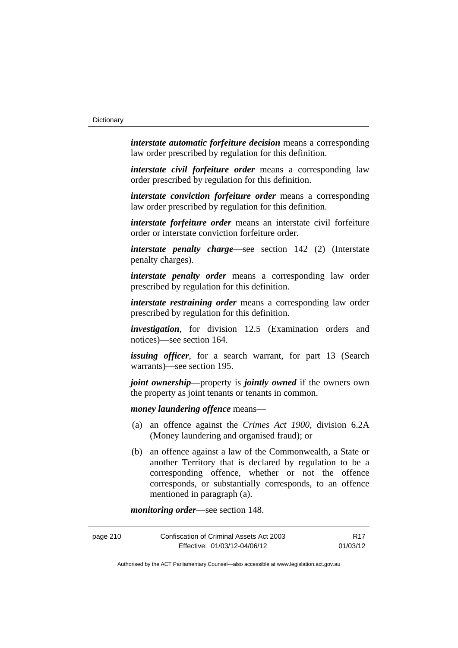*interstate automatic forfeiture decision* means a corresponding law order prescribed by regulation for this definition.

*interstate civil forfeiture order* means a corresponding law order prescribed by regulation for this definition.

*interstate conviction forfeiture order* means a corresponding law order prescribed by regulation for this definition.

*interstate forfeiture order* means an interstate civil forfeiture order or interstate conviction forfeiture order.

*interstate penalty charge*—see section 142 (2) (Interstate penalty charges).

*interstate penalty order* means a corresponding law order prescribed by regulation for this definition.

*interstate restraining order* means a corresponding law order prescribed by regulation for this definition.

*investigation*, for division 12.5 (Examination orders and notices)—see section 164.

*issuing officer*, for a search warrant, for part 13 (Search warrants)—see section 195.

*joint ownership*—property is *jointly owned* if the owners own the property as joint tenants or tenants in common.

*money laundering offence* means—

- (a) an offence against the *Crimes Act 1900*, division 6.2A (Money laundering and organised fraud); or
- (b) an offence against a law of the Commonwealth, a State or another Territory that is declared by regulation to be a corresponding offence, whether or not the offence corresponds, or substantially corresponds, to an offence mentioned in paragraph (a).

*monitoring order*—see section 148.

| page 210 | Confiscation of Criminal Assets Act 2003 | R <sub>17</sub> |
|----------|------------------------------------------|-----------------|
|          | Effective: 01/03/12-04/06/12             | 01/03/12        |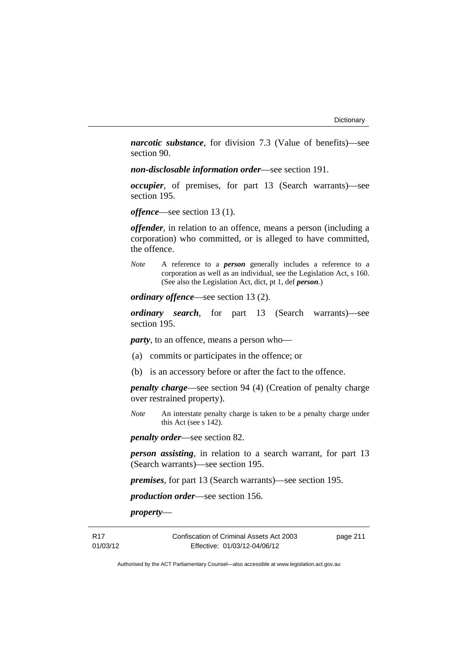*narcotic substance*, for division 7.3 (Value of benefits)—see section 90.

*non-disclosable information order*—see section 191.

*occupier*, of premises, for part 13 (Search warrants)—see section 195.

*offence*—see section 13 (1).

*offender*, in relation to an offence, means a person (including a corporation) who committed, or is alleged to have committed, the offence.

*Note* A reference to a *person* generally includes a reference to a corporation as well as an individual, see the Legislation Act, s 160. (See also the Legislation Act, dict, pt 1, def *person*.)

*ordinary offence*—see section 13 (2).

*ordinary search*, for part 13 (Search warrants)—see section 195.

*party*, to an offence, means a person who—

- (a) commits or participates in the offence; or
- (b) is an accessory before or after the fact to the offence.

*penalty charge*—see section 94 (4) (Creation of penalty charge over restrained property).

*Note* An interstate penalty charge is taken to be a penalty charge under this Act (see s 142).

*penalty order*—see section 82.

*person assisting*, in relation to a search warrant, for part 13 (Search warrants)—see section 195.

*premises*, for part 13 (Search warrants)—see section 195.

*production order*—see section 156.

*property*—

R17 01/03/12 Confiscation of Criminal Assets Act 2003 Effective: 01/03/12-04/06/12

page 211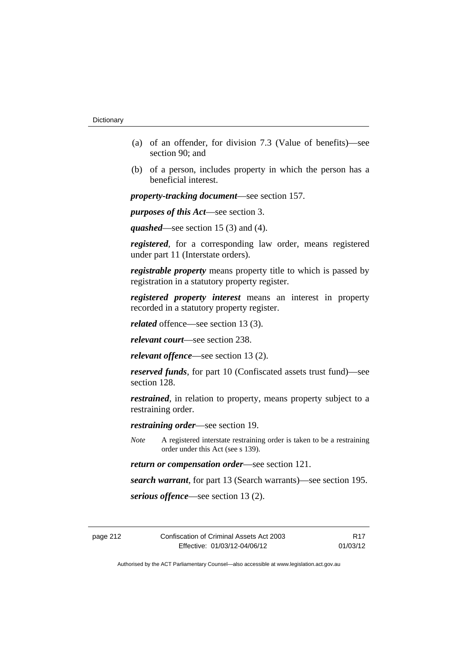- (a) of an offender, for division 7.3 (Value of benefits)—see section 90; and
- (b) of a person, includes property in which the person has a beneficial interest.

*property-tracking document*—see section 157.

*purposes of this Act*—see section 3.

*quashed*—see section 15 (3) and (4).

*registered*, for a corresponding law order, means registered under part 11 (Interstate orders).

*registrable property* means property title to which is passed by registration in a statutory property register.

*registered property interest* means an interest in property recorded in a statutory property register.

*related* offence—see section 13 (3).

*relevant court*—see section 238.

*relevant offence*—see section 13 (2).

*reserved funds*, for part 10 (Confiscated assets trust fund)—see section 128.

*restrained*, in relation to property, means property subject to a restraining order.

*restraining order*—see section 19.

*Note* A registered interstate restraining order is taken to be a restraining order under this Act (see s 139).

*return or compensation order*—see section 121.

*search warrant*, for part 13 (Search warrants)—see section 195.

*serious offence*—see section 13 (2).

R17 01/03/12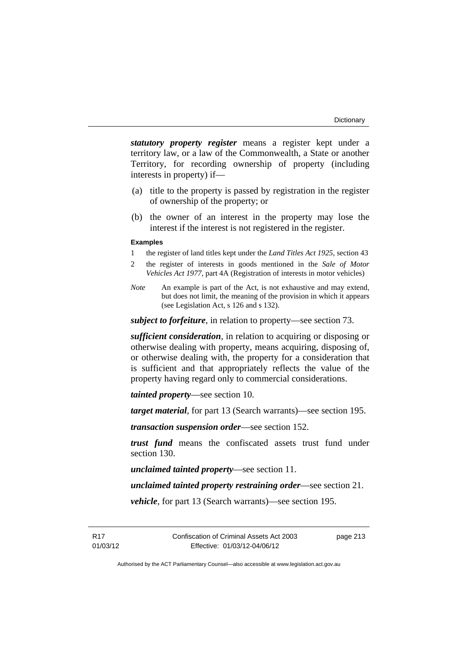*statutory property register* means a register kept under a territory law, or a law of the Commonwealth, a State or another Territory, for recording ownership of property (including interests in property) if—

- (a) title to the property is passed by registration in the register of ownership of the property; or
- (b) the owner of an interest in the property may lose the interest if the interest is not registered in the register.

#### **Examples**

- 1 the register of land titles kept under the *Land Titles Act 1925*, section 43
- 2 the register of interests in goods mentioned in the *Sale of Motor Vehicles Act 1977*, part 4A (Registration of interests in motor vehicles)
- *Note* An example is part of the Act, is not exhaustive and may extend, but does not limit, the meaning of the provision in which it appears (see Legislation Act, s 126 and s 132).

*subject to forfeiture*, in relation to property—see section 73.

*sufficient consideration*, in relation to acquiring or disposing or otherwise dealing with property, means acquiring, disposing of, or otherwise dealing with, the property for a consideration that is sufficient and that appropriately reflects the value of the property having regard only to commercial considerations.

*tainted property*—see section 10.

*target material*, for part 13 (Search warrants)—see section 195.

*transaction suspension order*—see section 152.

*trust fund* means the confiscated assets trust fund under section 130.

*unclaimed tainted property*—see section 11.

*unclaimed tainted property restraining order*—see section 21.

*vehicle*, for part 13 (Search warrants)—see section 195.

R17 01/03/12 page 213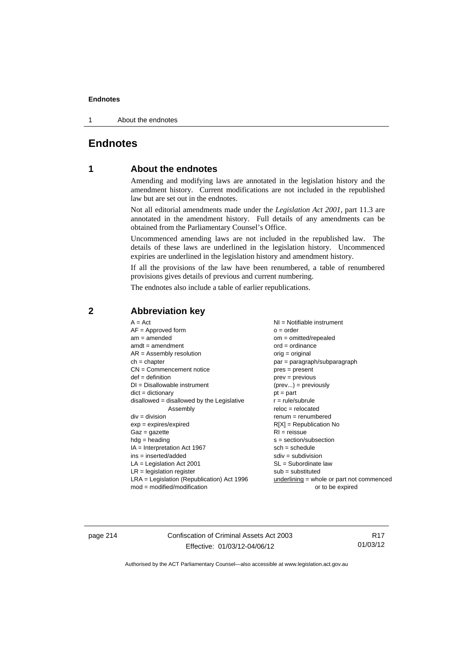1 About the endnotes

# **Endnotes**

# **1 About the endnotes**

Amending and modifying laws are annotated in the legislation history and the amendment history. Current modifications are not included in the republished law but are set out in the endnotes.

Not all editorial amendments made under the *Legislation Act 2001*, part 11.3 are annotated in the amendment history. Full details of any amendments can be obtained from the Parliamentary Counsel's Office.

Uncommenced amending laws are not included in the republished law. The details of these laws are underlined in the legislation history. Uncommenced expiries are underlined in the legislation history and amendment history.

If all the provisions of the law have been renumbered, a table of renumbered provisions gives details of previous and current numbering.

The endnotes also include a table of earlier republications.

# **2 Abbreviation key**

page 214 Confiscation of Criminal Assets Act 2003 Effective: 01/03/12-04/06/12

R17 01/03/12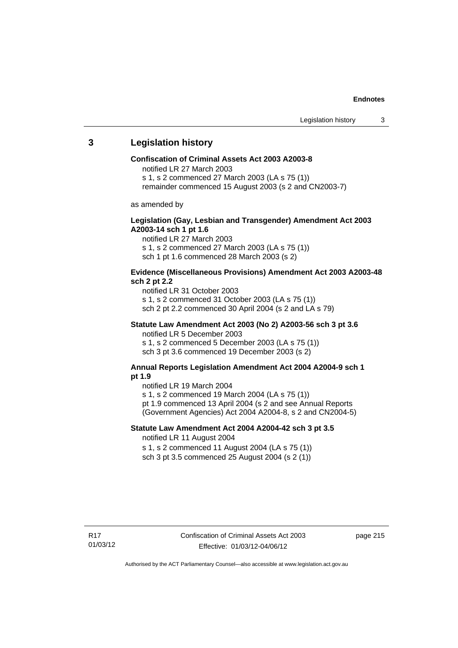# **3 Legislation history**

#### **Confiscation of Criminal Assets Act 2003 A2003-8**

notified LR 27 March 2003

s 1, s 2 commenced 27 March 2003 (LA s 75 (1))

remainder commenced 15 August 2003 (s 2 and CN2003-7)

as amended by

#### **Legislation (Gay, Lesbian and Transgender) Amendment Act 2003 A2003-14 sch 1 pt 1.6**

notified LR 27 March 2003 s 1, s 2 commenced 27 March 2003 (LA s 75 (1)) sch 1 pt 1.6 commenced 28 March 2003 (s 2)

#### **Evidence (Miscellaneous Provisions) Amendment Act 2003 A2003-48 sch 2 pt 2.2**

notified LR 31 October 2003 s 1, s 2 commenced 31 October 2003 (LA s 75 (1)) sch 2 pt 2.2 commenced 30 April 2004 (s 2 and LA s 79)

#### **Statute Law Amendment Act 2003 (No 2) A2003-56 sch 3 pt 3.6**  notified LR 5 December 2003

s 1, s 2 commenced 5 December 2003 (LA s 75 (1)) sch 3 pt 3.6 commenced 19 December 2003 (s 2)

## **Annual Reports Legislation Amendment Act 2004 A2004-9 sch 1 pt 1.9**

notified LR 19 March 2004

s 1, s 2 commenced 19 March 2004 (LA s 75 (1))

pt 1.9 commenced 13 April 2004 (s 2 and see Annual Reports

(Government Agencies) Act 2004 A2004-8, s 2 and CN2004-5)

## **Statute Law Amendment Act 2004 A2004-42 sch 3 pt 3.5**

notified LR 11 August 2004

s 1, s 2 commenced 11 August 2004 (LA s 75 (1)) sch 3 pt 3.5 commenced 25 August 2004 (s 2 (1))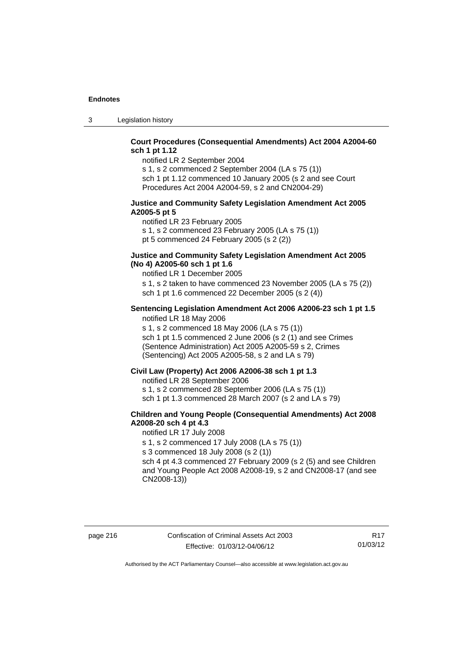3 Legislation history

## **Court Procedures (Consequential Amendments) Act 2004 A2004-60 sch 1 pt 1.12**

notified LR 2 September 2004

s 1, s 2 commenced 2 September 2004 (LA s 75 (1)) sch 1 pt 1.12 commenced 10 January 2005 (s 2 and see Court Procedures Act 2004 A2004-59, s 2 and CN2004-29)

#### **Justice and Community Safety Legislation Amendment Act 2005 A2005-5 pt 5**

notified LR 23 February 2005 s 1, s 2 commenced 23 February 2005 (LA s 75 (1)) pt 5 commenced 24 February 2005 (s 2 (2))

## **Justice and Community Safety Legislation Amendment Act 2005 (No 4) A2005-60 sch 1 pt 1.6**

notified LR 1 December 2005

s 1, s 2 taken to have commenced 23 November 2005 (LA s 75 (2)) sch 1 pt 1.6 commenced 22 December 2005 (s 2 (4))

#### **Sentencing Legislation Amendment Act 2006 A2006-23 sch 1 pt 1.5**  notified LR 18 May 2006

s 1, s 2 commenced 18 May 2006 (LA s 75 (1)) sch 1 pt 1.5 commenced 2 June 2006 (s 2 (1) and see Crimes (Sentence Administration) Act 2005 A2005-59 s 2, Crimes (Sentencing) Act 2005 A2005-58, s 2 and LA s 79)

## **Civil Law (Property) Act 2006 A2006-38 sch 1 pt 1.3**

notified LR 28 September 2006

s 1, s 2 commenced 28 September 2006 (LA s 75 (1))

sch 1 pt 1.3 commenced 28 March 2007 (s 2 and LA s 79)

## **Children and Young People (Consequential Amendments) Act 2008 A2008-20 sch 4 pt 4.3**

notified LR 17 July 2008

s 1, s 2 commenced 17 July 2008 (LA s 75 (1))

s 3 commenced 18 July 2008 (s 2 (1))

sch 4 pt 4.3 commenced 27 February 2009 (s 2 (5) and see Children and Young People Act 2008 A2008-19, s 2 and CN2008-17 (and see CN2008-13))

R17 01/03/12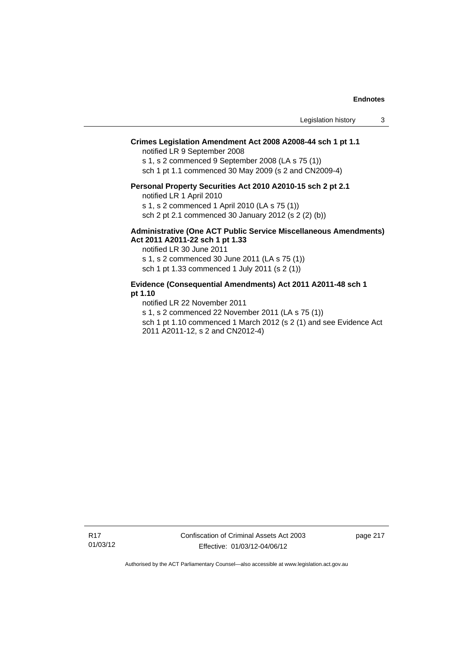## **Crimes Legislation Amendment Act 2008 A2008-44 sch 1 pt 1.1**

notified LR 9 September 2008

s 1, s 2 commenced 9 September 2008 (LA s 75 (1))

sch 1 pt 1.1 commenced 30 May 2009 (s 2 and CN2009-4)

#### **Personal Property Securities Act 2010 A2010-15 sch 2 pt 2.1**

notified LR 1 April 2010

s 1, s 2 commenced 1 April 2010 (LA s 75 (1))

sch 2 pt 2.1 commenced 30 January 2012 (s 2 (2) (b))

#### **Administrative (One ACT Public Service Miscellaneous Amendments) Act 2011 A2011-22 sch 1 pt 1.33**

notified LR 30 June 2011

s 1, s 2 commenced 30 June 2011 (LA s 75 (1))

sch 1 pt 1.33 commenced 1 July 2011 (s 2 (1))

## **Evidence (Consequential Amendments) Act 2011 A2011-48 sch 1 pt 1.10**

notified LR 22 November 2011

s 1, s 2 commenced 22 November 2011 (LA s 75 (1))

sch 1 pt 1.10 commenced 1 March 2012 (s 2 (1) and see Evidence Act 2011 A2011-12, s 2 and CN2012-4)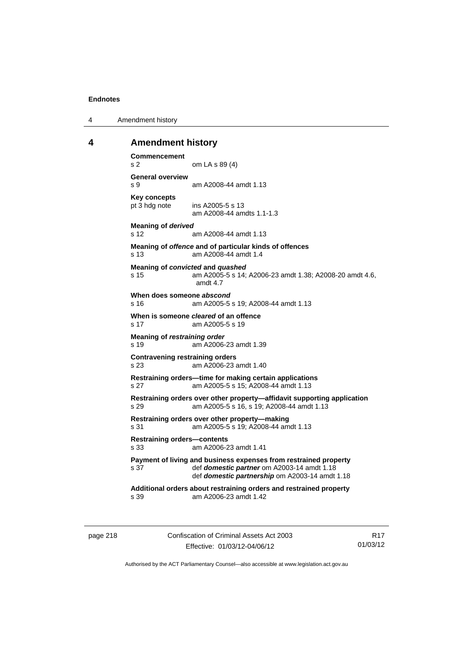4 Amendment history

## **4 Amendment history**

```
Commencement 
s 2 om LA s 89 (4) 
General overview 
s 9 am A2008-44 amdt 1.13 
Key concepts 
pt 3 hdg note ins A2005-5 s 13 
                 am A2008-44 amdts 1.1-1.3 
Meaning of derived 
s 12 am A2008-44 amdt 1.13 
Meaning of offence and of particular kinds of offences 
s 13 am A2008-44 amdt 1.4 
Meaning of convicted and quashed
s 15 am A2005-5 s 14; A2006-23 amdt 1.38; A2008-20 amdt 4.6, 
                amdt 4.7 
When does someone abscond
s 16 am A2005-5 s 19; A2008-44 amdt 1.13 
When is someone cleared of an offence 
s 17 am A2005-5 s 19 
Meaning of restraining order 
s 19 am A2006-23 amdt 1.39 
Contravening restraining orders 
s 23 am A2006-23 amdt 1.40 
Restraining orders—time for making certain applications 
s 27 am A2005-5 s 15; A2008-44 amdt 1.13 
Restraining orders over other property—affidavit supporting application 
s 29 am A2005-5 s 16, s 19; A2008-44 amdt 1.13 
Restraining orders over other property—making 
s 31 am A2005-5 s 19; A2008-44 amdt 1.13 
Restraining orders—contents 
s 33 am A2006-23 amdt 1.41 
Payment of living and business expenses from restrained property 
s 37 def domestic partner om A2003-14 amdt 1.18 
                 def domestic partnership om A2003-14 amdt 1.18 
Additional orders about restraining orders and restrained property 
s 39 am A2006-23 amdt 1.42
```
page 218 Confiscation of Criminal Assets Act 2003 Effective: 01/03/12-04/06/12

R17 01/03/12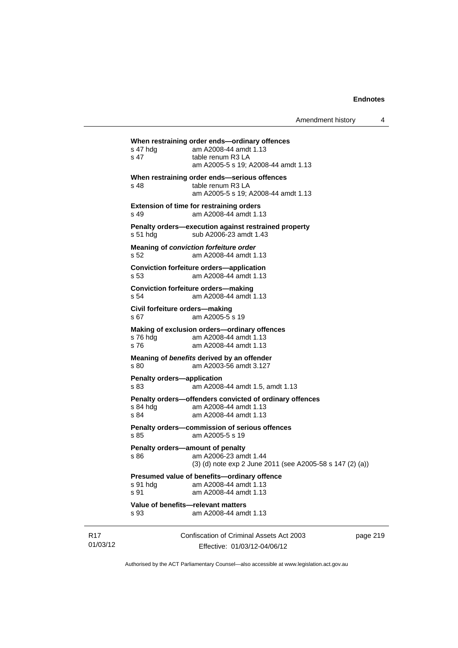| Value of benefits-relevant matters<br>s 93        | am A2008-44 amdt 1.13                                                                                     |  |
|---------------------------------------------------|-----------------------------------------------------------------------------------------------------------|--|
| s 91 hdg<br>s 91                                  | Presumed value of benefits-ordinary offence<br>am A2008-44 amdt 1.13<br>am A2008-44 amdt 1.13             |  |
| Penalty orders-amount of penalty<br>s 86          | am A2006-23 amdt 1.44<br>(3) (d) note exp 2 June 2011 (see A2005-58 s 147 (2) (a))                        |  |
| s.85                                              | Penalty orders-commission of serious offences<br>am A2005-5 s 19                                          |  |
| s 84 hdg<br>s 84                                  | Penalty orders-offenders convicted of ordinary offences<br>am A2008-44 amdt 1.13<br>am A2008-44 amdt 1.13 |  |
| Penalty orders-application<br>s 83                | am A2008-44 amdt 1.5, amdt 1.13                                                                           |  |
| s 80                                              | Meaning of benefits derived by an offender<br>am A2003-56 amdt 3.127                                      |  |
| s 76 hdg<br>s 76                                  | Making of exclusion orders-ordinary offences<br>am A2008-44 amdt 1.13<br>am A2008-44 amdt 1.13            |  |
| Civil forfeiture orders-making<br>s <sub>67</sub> | am A2005-5 s 19                                                                                           |  |
| s 54                                              | <b>Conviction forfeiture orders-making</b><br>am A2008-44 amdt 1.13                                       |  |
| s 53                                              | <b>Conviction forfeiture orders-application</b><br>am A2008-44 amdt 1.13                                  |  |
| s 52                                              | Meaning of conviction forfeiture order<br>am A2008-44 amdt 1.13                                           |  |
| s 51 hdg                                          | Penalty orders-execution against restrained property<br>sub A2006-23 amdt 1.43                            |  |
| s 49                                              | <b>Extension of time for restraining orders</b><br>am A2008-44 amdt 1.13                                  |  |
| s 48                                              | When restraining order ends-serious offences<br>table renum R3 LA<br>am A2005-5 s 19; A2008-44 amdt 1.13  |  |
| s 47                                              | table renum R3 LA<br>am A2005-5 s 19; A2008-44 amdt 1.13                                                  |  |

R17 01/03/12

Effective: 01/03/12-04/06/12

219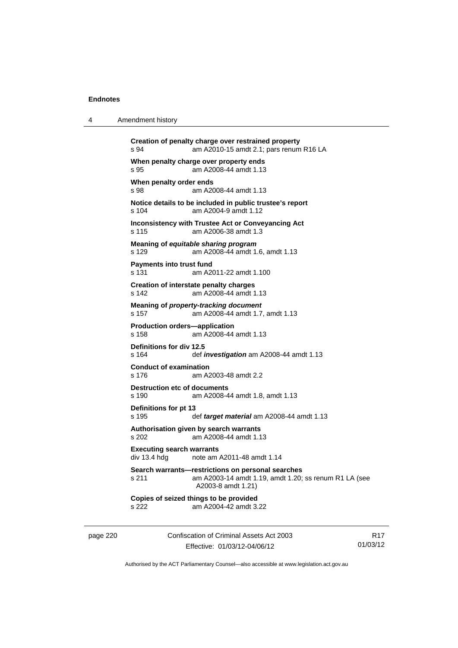4 Amendment history

| s 94                                             | Creation of penalty charge over restrained property<br>am A2010-15 amdt 2.1; pars renum R16 LA                                   |
|--------------------------------------------------|----------------------------------------------------------------------------------------------------------------------------------|
| s 95                                             | When penalty charge over property ends<br>am A2008-44 amdt 1.13                                                                  |
| When penalty order ends<br>s 98                  | am A2008-44 amdt 1.13                                                                                                            |
| s 104                                            | Notice details to be included in public trustee's report<br>am A2004-9 amdt 1.12                                                 |
| s 115                                            | Inconsistency with Trustee Act or Conveyancing Act<br>am A2006-38 amdt 1.3                                                       |
| s 129                                            | Meaning of equitable sharing program<br>am A2008-44 amdt 1.6, amdt 1.13                                                          |
| <b>Payments into trust fund</b><br>s 131         | am A2011-22 amdt 1.100                                                                                                           |
| s 142                                            | Creation of interstate penalty charges<br>am A2008-44 amdt 1.13                                                                  |
| s 157                                            | Meaning of property-tracking document<br>am A2008-44 amdt 1.7, amdt 1.13                                                         |
| <b>Production orders-application</b><br>s 158    | am A2008-44 amdt 1.13                                                                                                            |
| Definitions for div 12.5<br>s 164                | def <i>investigation</i> am A2008-44 amdt 1.13                                                                                   |
| <b>Conduct of examination</b><br>s 176           | am A2003-48 amdt 2.2                                                                                                             |
| <b>Destruction etc of documents</b><br>s 190     | am A2008-44 amdt 1.8, amdt 1.13                                                                                                  |
| Definitions for pt 13<br>s 195                   | def target material am A2008-44 amdt 1.13                                                                                        |
| s 202                                            | Authorisation given by search warrants<br>am A2008-44 amdt 1.13                                                                  |
| <b>Executing search warrants</b><br>div 13.4 hdg | note am A2011-48 amdt 1.14                                                                                                       |
| s 211                                            | Search warrants-restrictions on personal searches<br>am A2003-14 amdt 1.19, amdt 1.20; ss renum R1 LA (see<br>A2003-8 amdt 1.21) |
| s 222                                            | Copies of seized things to be provided<br>am A2004-42 amdt 3.22                                                                  |
|                                                  |                                                                                                                                  |

page 220 Confiscation of Criminal Assets Act 2003 Effective: 01/03/12-04/06/12

R17 01/03/12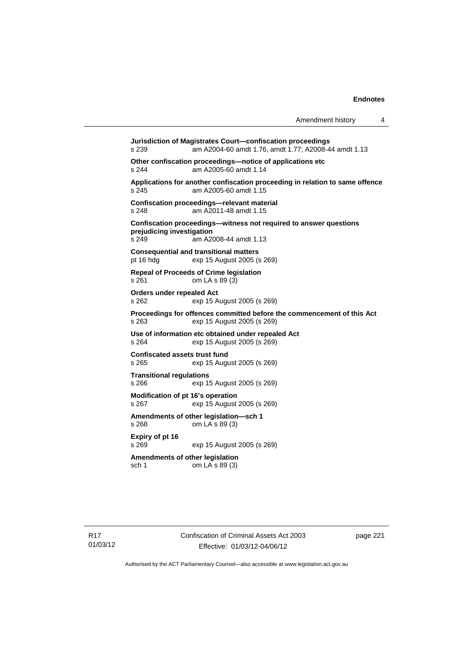**Jurisdiction of Magistrates Court—confiscation proceedings**  s 239 am A2004-60 amdt 1.76, amdt 1.77; A2008-44 amdt 1.13 **Other confiscation proceedings—notice of applications etc**  s 244 am A2005-60 amdt 1.14 **Applications for another confiscation proceeding in relation to same offence**  s 245 am A2005-60 amdt 1.15 **Confiscation proceedings—relevant material**  s 248 am A2011-48 amdt 1.15 **Confiscation proceedings—witness not required to answer questions prejudicing investigation**  s 249 am A2008-44 amdt 1.13 **Consequential and transitional matters**  pt 16 hdg exp 15 August 2005 (s 269) **Repeal of Proceeds of Crime legislation**  s 261 om LA s 89 (3) **Orders under repealed Act**  s 262 exp 15 August 2005 (s 269) **Proceedings for offences committed before the commencement of this Act**  s 263 exp 15 August 2005 (s 269) **Use of information etc obtained under repealed Act**  exp 15 August 2005 (s 269) **Confiscated assets trust fund**  s 265 exp 15 August 2005 (s 269) **Transitional regulations**  exp 15 August 2005 (s 269) **Modification of pt 16's operation**  s 267 exp 15 August 2005 (s 269) **Amendments of other legislation—sch 1**  s 268 om LA s 89 (3) **Expiry of pt 16**  s 269 exp 15 August 2005 (s 269) **Amendments of other legislation**  sch 1 om LA s 89 (3)

page 221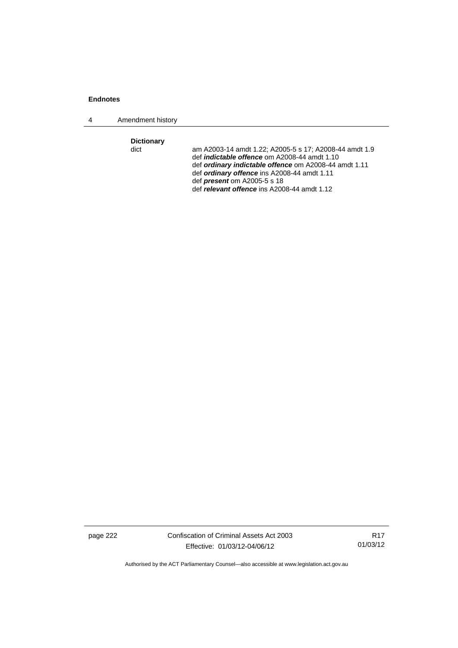4 Amendment history

**Dictionary** 

am A2003-14 amdt 1.22; A2005-5 s 17; A2008-44 amdt 1.9 def *indictable offence* om A2008-44 amdt 1.10 def *ordinary indictable offence* om A2008-44 amdt 1.11 def *ordinary offence* ins A2008-44 amdt 1.11 def *present* om A2005-5 s 18 def *relevant offence* ins A2008-44 amdt 1.12

page 222 Confiscation of Criminal Assets Act 2003 Effective: 01/03/12-04/06/12

R17 01/03/12